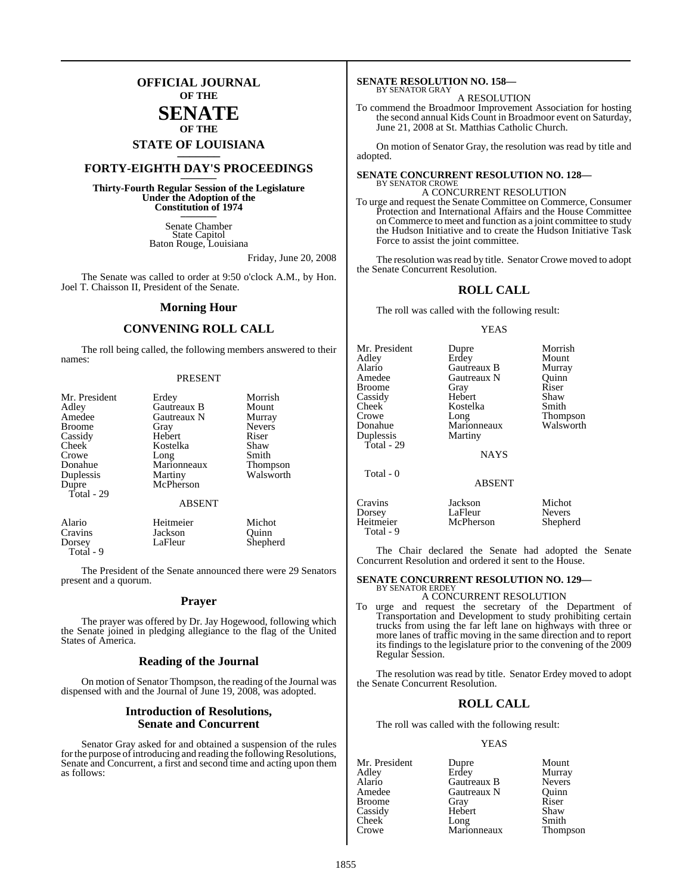## **OFFICIAL JOURNAL OF THE**

## **SENATE OF THE**

# **STATE OF LOUISIANA \_\_\_\_\_\_\_**

# **FORTY-EIGHTH DAY'S PROCEEDINGS \_\_\_\_\_\_\_**

**Thirty-Fourth Regular Session of the Legislature Under the Adoption of the Constitution of 1974 \_\_\_\_\_\_\_**

> Senate Chamber State Capitol Baton Rouge, Louisiana

> > Friday, June 20, 2008

The Senate was called to order at 9:50 o'clock A.M., by Hon. Joel T. Chaisson II, President of the Senate.

## **Morning Hour**

#### **CONVENING ROLL CALL**

The roll being called, the following members answered to their names:

#### PRESENT

| Mr. President | Erdey         | Morrish         |
|---------------|---------------|-----------------|
| Adley         | Gautreaux B   | Mount           |
| Amedee        | Gautreaux N   | Murray          |
| <b>Broome</b> | Gray          | <b>Nevers</b>   |
| Cassidy       | Hebert        | Riser           |
| Cheek         | Kostelka      | Shaw            |
| Crowe         | Long          | Smith           |
| Donahue       | Marionneaux   | <b>Thompson</b> |
| Duplessis     | Martiny       | Walsworth       |
| Dupre         | McPherson     |                 |
| Total - 29    |               |                 |
|               | <b>ABSENT</b> |                 |
| Alario        | Heitmeier     | Michot          |
| Cravins       | Jackson       | Ouinn           |
| Dorsey        | LaFleur       | Shepherd        |

The President of the Senate announced there were 29 Senators present and a quorum.

Total - 9

#### **Prayer**

The prayer was offered by Dr. Jay Hogewood, following which the Senate joined in pledging allegiance to the flag of the United States of America.

#### **Reading of the Journal**

On motion of Senator Thompson, the reading of the Journal was dispensed with and the Journal of June 19, 2008, was adopted.

#### **Introduction of Resolutions, Senate and Concurrent**

Senator Gray asked for and obtained a suspension of the rules for the purpose of introducing and reading the following Resolutions, Senate and Concurrent, a first and second time and acting upon them as follows:

#### **SENATE RESOLUTION NO. 158—** BY SENATOR GRAY

A RESOLUTION

To commend the Broadmoor Improvement Association for hosting the second annual Kids Count in Broadmoor event on Saturday, June 21, 2008 at St. Matthias Catholic Church.

On motion of Senator Gray, the resolution was read by title and adopted.

#### **SENATE CONCURRENT RESOLUTION NO. 128—** BY SENATOR CROWE

A CONCURRENT RESOLUTION To urge and request the Senate Committee on Commerce, Consumer Protection and International Affairs and the House Committee on Commerce to meet and function as a joint committee to study the Hudson Initiative and to create the Hudson Initiative Task Force to assist the joint committee.

The resolution was read by title. Senator Crowe moved to adopt the Senate Concurrent Resolution.

### **ROLL CALL**

The roll was called with the following result:

#### YEAS

| Mr. President<br>Adley<br>Alario<br>Amedee<br>Broome<br>Cassidy<br>Cheek<br>Crowe<br>Donahue<br>Duplessis<br>Total - 29<br>Total - 0 | Dupre<br>Erdey<br>Gautreaux B<br>Gautreaux N<br>Gray<br>Hebert<br>Kostelka<br>Long<br>Marionneaux<br>Martiny<br><b>NAYS</b> | Morrish<br>Mount<br>Murray<br>Ouinn<br>Riser<br>Shaw<br>Smith<br><b>Thompson</b><br>Walsworth |
|--------------------------------------------------------------------------------------------------------------------------------------|-----------------------------------------------------------------------------------------------------------------------------|-----------------------------------------------------------------------------------------------|
|                                                                                                                                      | <b>ABSENT</b>                                                                                                               |                                                                                               |
| Cravins<br>Dorsey<br>Heitmeier                                                                                                       | Jackson<br>LaFleur<br>McPherson                                                                                             | Michot<br><b>Nevers</b><br>Shepherd                                                           |

The Chair declared the Senate had adopted the Senate Concurrent Resolution and ordered it sent to the House.

# **SENATE CONCURRENT RESOLUTION NO. 129—** BY SENATOR ERDEY

Total - 9

#### A CONCURRENT RESOLUTION

To urge and request the secretary of the Department of Transportation and Development to study prohibiting certain trucks from using the far left lane on highways with three or more lanes of traffic moving in the same direction and to report its findings to the legislature prior to the convening of the 2009 Regular Session.

The resolution was read by title. Senator Erdey moved to adopt the Senate Concurrent Resolution.

#### **ROLL CALL**

The roll was called with the following result:

#### YEAS

| Mr. President | Dupre       | Mount         |
|---------------|-------------|---------------|
| Adley         | Erdey       | Murray        |
| Alario        | Gautreaux B | <b>Nevers</b> |
| Amedee        | Gautreaux N | Quinn         |
| <b>Broome</b> | Gray        | Riser         |
| Cassidy       | Hebert      | Shaw          |
| Cheek         | Long        | Smith         |
| Crowe         | Marionneaux | Thompson      |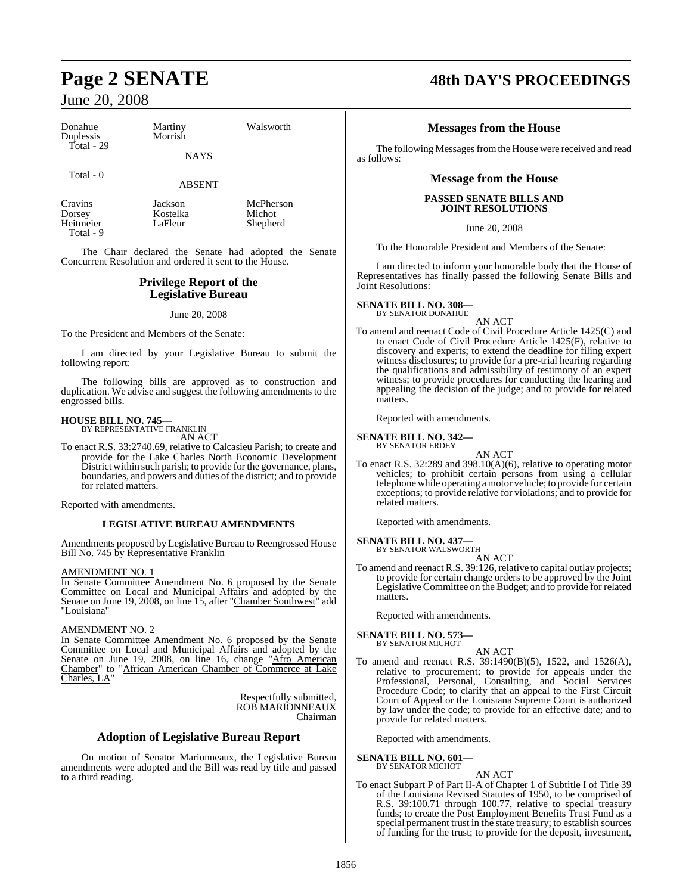| Donahue<br>Duplessis<br>Total - 29          | Martiny<br>Morrish<br><b>NAYS</b> | Walsworth                       |  |
|---------------------------------------------|-----------------------------------|---------------------------------|--|
| Total - 0                                   | <b>ABSENT</b>                     |                                 |  |
| Cravins<br>Dorsey<br>Heitmeier<br>Total - 9 | Jackson<br>Kostelka<br>LaFleur    | McPherson<br>Michot<br>Shepherd |  |

The Chair declared the Senate had adopted the Senate Concurrent Resolution and ordered it sent to the House.

#### **Privilege Report of the Legislative Bureau**

June 20, 2008

To the President and Members of the Senate:

I am directed by your Legislative Bureau to submit the following report:

The following bills are approved as to construction and duplication. We advise and suggest the following amendments to the engrossed bills.

#### **HOUSE BILL NO. 745—** BY REPRESENTATIVE FRANKLIN

AN ACT

To enact R.S. 33:2740.69, relative to Calcasieu Parish; to create and provide for the Lake Charles North Economic Development District within such parish; to provide for the governance, plans, boundaries, and powers and duties of the district; and to provide for related matters.

Reported with amendments.

#### **LEGISLATIVE BUREAU AMENDMENTS**

Amendments proposed by Legislative Bureau to Reengrossed House Bill No. 745 by Representative Franklin

#### AMENDMENT NO. 1

In Senate Committee Amendment No. 6 proposed by the Senate Committee on Local and Municipal Affairs and adopted by the Senate on June 19, 2008, on line 15, after "Chamber Southwest" add "Louisiana"

#### AMENDMENT NO. 2

In Senate Committee Amendment No. 6 proposed by the Senate Committee on Local and Municipal Affairs and adopted by the Senate on June 19, 2008, on line 16, change "Afro American Chamber" to "African American Chamber of Commerce at Lake Charles, LA'

> Respectfully submitted, ROB MARIONNEAUX Chairman

#### **Adoption of Legislative Bureau Report**

On motion of Senator Marionneaux, the Legislative Bureau amendments were adopted and the Bill was read by title and passed to a third reading.

# **Page 2 SENATE 48th DAY'S PROCEEDINGS**

#### **Messages from the House**

The following Messages from the House were received and read as follows:

#### **Message from the House**

#### **PASSED SENATE BILLS AND JOINT RESOLUTIONS**

June 20, 2008

To the Honorable President and Members of the Senate:

I am directed to inform your honorable body that the House of Representatives has finally passed the following Senate Bills and Joint Resolutions:

# **SENATE BILL NO. 308—** BY SENATOR DONAHUE

AN ACT

To amend and reenact Code of Civil Procedure Article 1425(C) and to enact Code of Civil Procedure Article 1425(F), relative to discovery and experts; to extend the deadline for filing expert witness disclosures; to provide for a pre-trial hearing regarding the qualifications and admissibility of testimony of an expert witness; to provide procedures for conducting the hearing and appealing the decision of the judge; and to provide for related matters.

Reported with amendments.

#### **SENATE BILL NO. 342—** BY SENATOR ERDEY

AN ACT

To enact R.S. 32:289 and 398.10(A)(6), relative to operating motor vehicles; to prohibit certain persons from using a cellular telephone while operating a motor vehicle; to provide for certain exceptions; to provide relative for violations; and to provide for related matters.

Reported with amendments.

# **SENATE BILL NO. 437—** BY SENATOR WALSWORTH

AN ACT

To amend and reenact R.S. 39:126, relative to capital outlay projects; to provide for certain change orders to be approved by the Joint Legislative Committee on the Budget; and to provide for related matters.

Reported with amendments.

#### **SENATE BILL NO. 573—**

BY SENATOR MICHOT AN ACT

To amend and reenact R.S. 39:1490(B)(5), 1522, and 1526(A), relative to procurement; to provide for appeals under the Professional, Personal, Consulting, and Social Services Procedure Code; to clarify that an appeal to the First Circuit Court of Appeal or the Louisiana Supreme Court is authorized by law under the code; to provide for an effective date; and to provide for related matters.

Reported with amendments.

#### **SENATE BILL NO. 601—**

BY SENATOR MICHOT

AN ACT To enact Subpart P of Part II-A of Chapter 1 of Subtitle I of Title 39 of the Louisiana Revised Statutes of 1950, to be comprised of R.S. 39:100.71 through 100.77, relative to special treasury funds; to create the Post Employment Benefits Trust Fund as a special permanent trust in the state treasury; to establish sources of funding for the trust; to provide for the deposit, investment,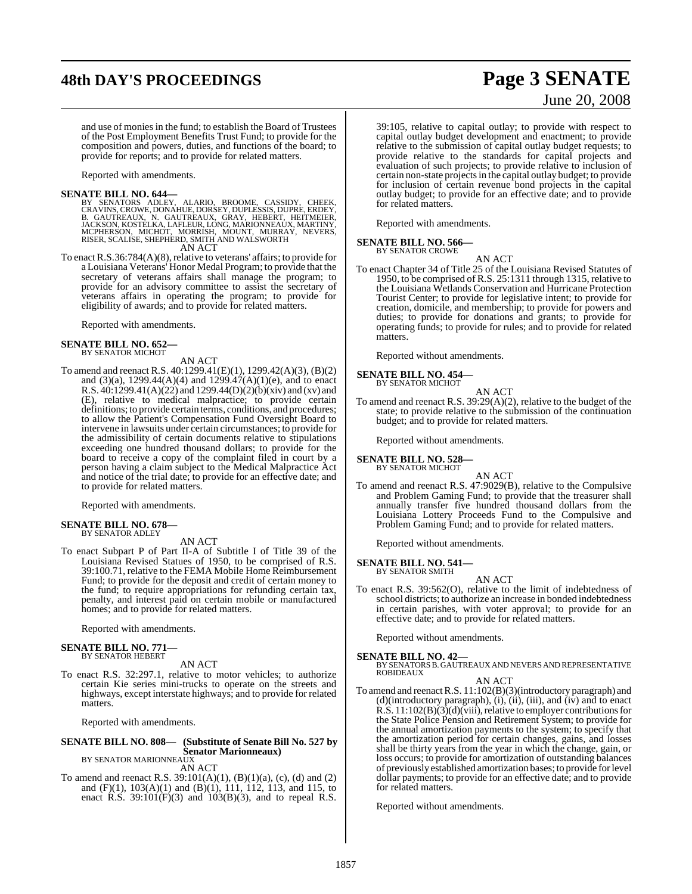# **48th DAY'S PROCEEDINGS Page 3 SENATE**

# June 20, 2008

and use of monies in the fund; to establish the Board of Trustees of the Post Employment Benefits Trust Fund; to provide for the composition and powers, duties, and functions of the board; to provide for reports; and to provide for related matters.

Reported with amendments.

 $\begin{tabular}{ll} \textbf{SENATE BILL NO. 644} & \textbf{B1CL NO. 644} \\ \textbf{BY SENATORS ADEN. ALARIO, BROOME, CASIDY, CHEEK, GRANNS, CROWE, DONAHUE, DORSEY, DUPLESSIS, DUPRE, ERDEY, B. GAUTREAUX, N. GAUTREAUX, GRAY, HEBERT, HEITMEIER, JACKSON, KOSTELKA, LAFLEUR, LONG, MARIONNEAUX, MARTINY, MCFHERSON, MICHOT, MORRAY, NEVERS, RISER, SCALISE, SHEPHERO, SMTPF, AND WALSWORTH & \textbf{A12.} \\ \end{tabular}$ 

To enact R.S.36:784(A)(8), relative to veterans' affairs; to provide for To enact R.S.36:784(A)(8), relative to veterans' affairs; to provide for a Louisiana Veterans' Honor Medal Program; to provide that the secretary of veterans affairs shall manage the program; to provide for an advisory committee to assist the secretary of veterans affairs in operating the program; to provide for eligibility of awards; and to provide for related matters.

Reported with amendments.

# **SENATE BILL NO. 652—** BY SENATOR MICHOT

AN ACT

To amend and reenact R.S. 40:1299.41(E)(1), 1299.42(A)(3), (B)(2) and (3)(a), 1299.44(A)(4) and 1299.47(A)(1)(e), and to enact R.S. 40:1299.41(A)(22) and 1299.44(D)(2)(b)(xiv) and (xv) and (E), relative to medical malpractice; to provide certain definitions; to provide certain terms, conditions, and procedures; to allow the Patient's Compensation Fund Oversight Board to intervene in lawsuits under certain circumstances; to provide for the admissibility of certain documents relative to stipulations exceeding one hundred thousand dollars; to provide for the board to receive a copy of the complaint filed in court by a person having a claim subject to the Medical Malpractice Act and notice of the trial date; to provide for an effective date; and to provide for related matters.

Reported with amendments.

#### **SENATE BILL NO. 678—** BY SENATOR ADLEY

AN ACT

To enact Subpart P of Part II-A of Subtitle I of Title 39 of the Louisiana Revised Statues of 1950, to be comprised of R.S. 39:100.71, relative to the FEMA Mobile Home Reimbursement Fund; to provide for the deposit and credit of certain money to the fund; to require appropriations for refunding certain tax, penalty, and interest paid on certain mobile or manufactured homes; and to provide for related matters.

Reported with amendments.

#### **SENATE BILL NO. 771—** BY SENATOR HEBERT

AN ACT

To enact R.S. 32:297.1, relative to motor vehicles; to authorize certain Kie series mini-trucks to operate on the streets and highways, except interstate highways; and to provide for related matters.

Reported with amendments.

## **SENATE BILL NO. 808— (Substitute of Senate Bill No. 527 by Senator Marionneaux)** BY SENATOR MARIONNEAUX

AN ACT

To amend and reenact R.S. 39:101(A)(1), (B)(1)(a), (c), (d) and (2) and (F)(1), 103(A)(1) and (B)(1), 111, 112, 113, and 115, to enact R.S.  $39:101(F)(3)$  and  $103(B)(3)$ , and to repeal R.S.

39:105, relative to capital outlay; to provide with respect to capital outlay budget development and enactment; to provide relative to the submission of capital outlay budget requests; to provide relative to the standards for capital projects and evaluation of such projects; to provide relative to inclusion of certain non-state projectsin the capital outlay budget; to provide for inclusion of certain revenue bond projects in the capital outlay budget; to provide for an effective date; and to provide for related matters.

Reported with amendments.

#### **SENATE BILL NO. 566—** BY SENATOR CROWE

AN ACT

To enact Chapter 34 of Title 25 of the Louisiana Revised Statutes of 1950, to be comprised of R.S. 25:1311 through 1315, relative to the Louisiana Wetlands Conservation and Hurricane Protection Tourist Center; to provide for legislative intent; to provide for creation, domicile, and membership; to provide for powers and duties; to provide for donations and grants; to provide for operating funds; to provide for rules; and to provide for related matters.

Reported without amendments.

**SENATE BILL NO. 454—**

#### BY SENATOR MICHOT

AN ACT To amend and reenact R.S. 39:29(A)(2), relative to the budget of the state; to provide relative to the submission of the continuation budget; and to provide for related matters.

Reported without amendments.

#### **SENATE BILL NO. 528—** BY SENATOR MICHOT

AN ACT To amend and reenact R.S. 47:9029(B), relative to the Compulsive and Problem Gaming Fund; to provide that the treasurer shall annually transfer five hundred thousand dollars from the Louisiana Lottery Proceeds Fund to the Compulsive and Problem Gaming Fund; and to provide for related matters.

Reported without amendments.

**SENATE BILL NO. 541—**

BY SENATOR SMITH AN ACT

To enact R.S. 39:562(O), relative to the limit of indebtedness of school districts; to authorize an increase in bonded indebtedness in certain parishes, with voter approval; to provide for an effective date; and to provide for related matters.

Reported without amendments.

**SENATE BILL NO. 42—**<br>BY SENATORS B. GAUTREAUX AND NEVERS AND REPRESENTATIVE<br>ROBIDEAUX

AN ACT

To amend and reenactR.S. 11:102(B)(3)(introductory paragraph) and (d)(introductory paragraph), (i), (ii), (iii), and (iv) and to enact R.S. 11:102(B)(3)(d)(viii), relative to employer contributions for the State Police Pension and Retirement System; to provide for the annual amortization payments to the system; to specify that the amortization period for certain changes, gains, and losses shall be thirty years from the year in which the change, gain, or loss occurs; to provide for amortization of outstanding balances of previously established amortization bases; to provide for level dollar payments; to provide for an effective date; and to provide for related matters.

Reported without amendments.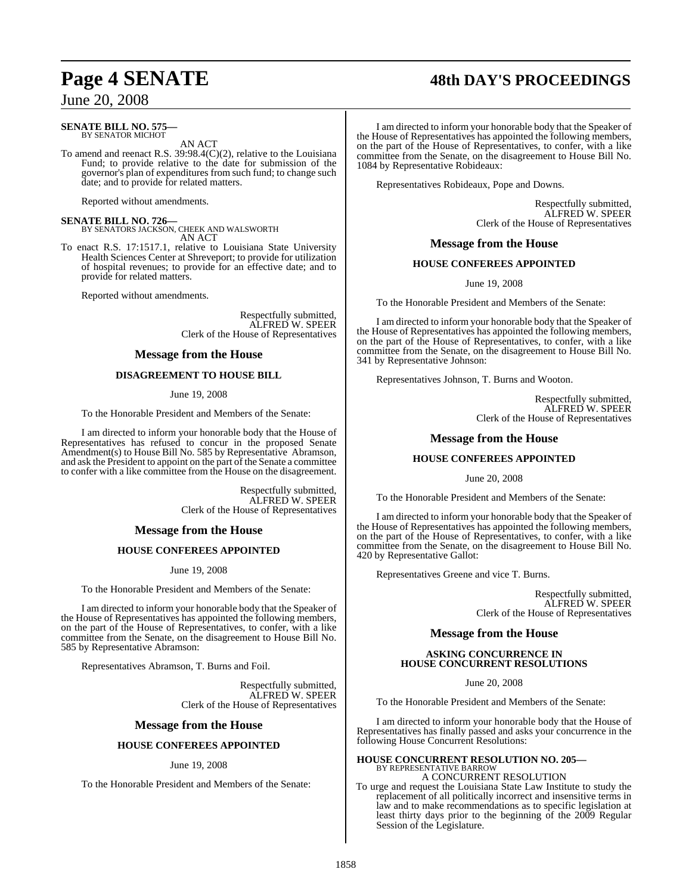# **Page 4 SENATE 48th DAY'S PROCEEDINGS**

June 20, 2008

#### **SENATE BILL NO. 575—** BY SENATOR MICHOT

AN ACT

To amend and reenact R.S. 39:98.4(C)(2), relative to the Louisiana Fund; to provide relative to the date for submission of the governor's plan of expenditures from such fund; to change such date; and to provide for related matters.

Reported without amendments.

**SENATE BILL NO. 726—** BY SENATORS JACKSON, CHEEK AND WALSWORTH AN ACT

To enact R.S. 17:1517.1, relative to Louisiana State University Health Sciences Center at Shreveport; to provide for utilization of hospital revenues; to provide for an effective date; and to provide for related matters.

Reported without amendments.

Respectfully submitted, ALFRED W. SPEER Clerk of the House of Representatives

#### **Message from the House**

#### **DISAGREEMENT TO HOUSE BILL**

June 19, 2008

To the Honorable President and Members of the Senate:

I am directed to inform your honorable body that the House of Representatives has refused to concur in the proposed Senate Amendment(s) to House Bill No. 585 by Representative Abramson, and ask the President to appoint on the part of the Senate a committee to confer with a like committee from the House on the disagreement.

> Respectfully submitted, ALFRED W. SPEER Clerk of the House of Representatives

#### **Message from the House**

#### **HOUSE CONFEREES APPOINTED**

June 19, 2008

To the Honorable President and Members of the Senate:

I am directed to inform your honorable body that the Speaker of the House of Representatives has appointed the following members, on the part of the House of Representatives, to confer, with a like committee from the Senate, on the disagreement to House Bill No. 585 by Representative Abramson:

Representatives Abramson, T. Burns and Foil.

Respectfully submitted, ALFRED W. SPEER Clerk of the House of Representatives

#### **Message from the House**

#### **HOUSE CONFEREES APPOINTED**

#### June 19, 2008

To the Honorable President and Members of the Senate:

I am directed to inform your honorable body that the Speaker of the House of Representatives has appointed the following members, on the part of the House of Representatives, to confer, with a like committee from the Senate, on the disagreement to House Bill No. 1084 by Representative Robideaux:

Representatives Robideaux, Pope and Downs.

Respectfully submitted, ALFRED W. SPEER Clerk of the House of Representatives

#### **Message from the House**

#### **HOUSE CONFEREES APPOINTED**

June 19, 2008

To the Honorable President and Members of the Senate:

I am directed to inform your honorable body that the Speaker of the House of Representatives has appointed the following members, on the part of the House of Representatives, to confer, with a like committee from the Senate, on the disagreement to House Bill No. 341 by Representative Johnson:

Representatives Johnson, T. Burns and Wooton.

Respectfully submitted, ALFRED W. SPEER Clerk of the House of Representatives

#### **Message from the House**

#### **HOUSE CONFEREES APPOINTED**

June 20, 2008

To the Honorable President and Members of the Senate:

I am directed to inform your honorable body that the Speaker of the House of Representatives has appointed the following members, on the part of the House of Representatives, to confer, with a like committee from the Senate, on the disagreement to House Bill No. 420 by Representative Gallot:

Representatives Greene and vice T. Burns.

Respectfully submitted, ALFRED W. SPEER Clerk of the House of Representatives

**Message from the House**

#### **ASKING CONCURRENCE IN HOUSE CONCURRENT RESOLUTIONS**

June 20, 2008

To the Honorable President and Members of the Senate:

I am directed to inform your honorable body that the House of Representatives has finally passed and asks your concurrence in the following House Concurrent Resolutions:

#### **HOUSE CONCURRENT RESOLUTION NO. 205—** BY REPRESENTATIVE BARROW A CONCURRENT RESOLUTION

To urge and request the Louisiana State Law Institute to study the replacement of all politically incorrect and insensitive terms in law and to make recommendations as to specific legislation at least thirty days prior to the beginning of the 2009 Regular Session of the Legislature.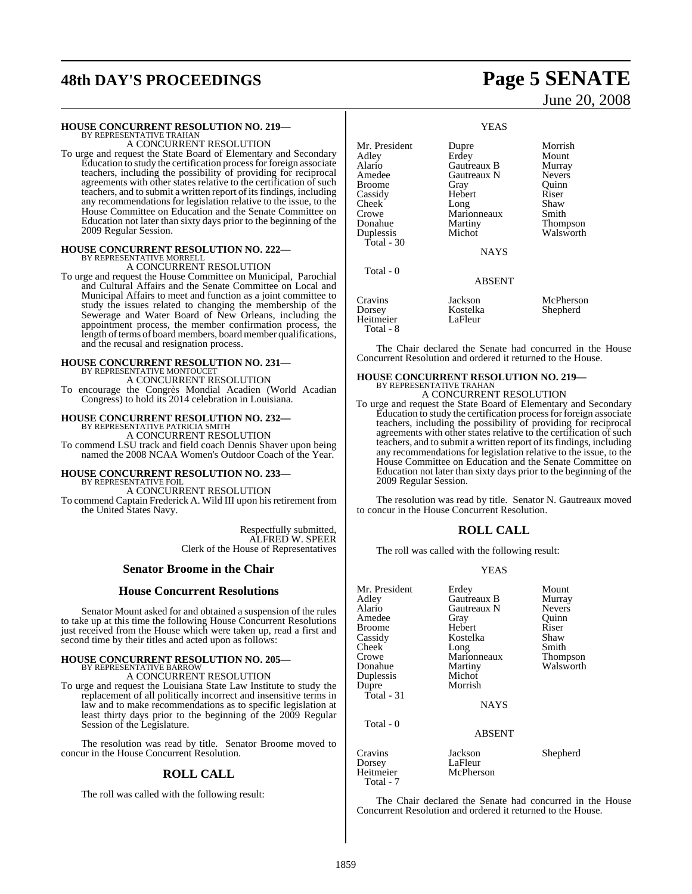# **48th DAY'S PROCEEDINGS Page 5 SENATE**

#### **HOUSE CONCURRENT RESOLUTION NO. 219—**

BY REPRESENTATIVE TRAHAN A CONCURRENT RESOLUTION

To urge and request the State Board of Elementary and Secondary Education to study the certification processfor foreign associate teachers, including the possibility of providing for reciprocal agreements with other states relative to the certification of such teachers, and to submit a written report of its findings, including any recommendations for legislation relative to the issue, to the House Committee on Education and the Senate Committee on Education not later than sixty days prior to the beginning of the 2009 Regular Session.

# **HOUSE CONCURRENT RESOLUTION NO. 222—** BY REPRESENTATIVE MORRELL A CONCURRENT RESOLUTION

To urge and request the House Committee on Municipal, Parochial and Cultural Affairs and the Senate Committee on Local and Municipal Affairs to meet and function as a joint committee to study the issues related to changing the membership of the Sewerage and Water Board of New Orleans, including the appointment process, the member confirmation process, the length of terms of board members, board member qualifications, and the recusal and resignation process.

## **HOUSE CONCURRENT RESOLUTION NO. 231—** BY REPRESENTATIVE MONTOUCET A CONCURRENT RESOLUTION

To encourage the Congrès Mondial Acadien (World Acadian Congress) to hold its 2014 celebration in Louisiana.

# **HOUSE CONCURRENT RESOLUTION NO. 232—** BY REPRESENTATIVE PATRICIA SMITH

A CONCURRENT RESOLUTION To commend LSU track and field coach Dennis Shaver upon being named the 2008 NCAA Women's Outdoor Coach of the Year.

## **HOUSE CONCURRENT RESOLUTION NO. 233—**

BY REPRESENTATIVE FOIL A CONCURRENT RESOLUTION To commend Captain Frederick A. Wild III upon his retirement from the United States Navy.

> Respectfully submitted, ALFRED W. SPEER Clerk of the House of Representatives

#### **Senator Broome in the Chair**

#### **House Concurrent Resolutions**

Senator Mount asked for and obtained a suspension of the rules to take up at this time the following House Concurrent Resolutions just received from the House which were taken up, read a first and second time by their titles and acted upon as follows:

# **HOUSE CONCURRENT RESOLUTION NO. 205—** BY REPRESENTATIVE BARROW

A CONCURRENT RESOLUTION To urge and request the Louisiana State Law Institute to study the

replacement of all politically incorrect and insensitive terms in law and to make recommendations as to specific legislation at least thirty days prior to the beginning of the 2009 Regular Session of the Legislature.

The resolution was read by title. Senator Broome moved to concur in the House Concurrent Resolution.

#### **ROLL CALL**

The roll was called with the following result:

# June 20, 2008

YEAS Mr. President Dupre Morrish<br>
Adley Erdey Mount Adley Erdey Mount<br>Alario Gautreaux B Murray Alario Gautreaux B Murray Gautreaux N Nevers<br>
Gray Ouinn Broome Gray Quinn<br>Cassidy Hebert Riser Cassidy Cheek Long Shaw<br>Crowe Marionneaux Smith Crowe Marionneaux<br>
Donahue Martiny Donahue Martiny Thompson<br>
Duplessis Michot Walsworth Walsworth Total - 30 NAYS Total - 0 ABSENT Cravins Jackson McPherson Kostelka Shepherd<br>LaFleur Heitmeier Total - 8

The Chair declared the Senate had concurred in the House Concurrent Resolution and ordered it returned to the House.

#### **HOUSE CONCURRENT RESOLUTION NO. 219—** BY REPRESENTATIVE TRAHAN

A CONCURRENT RESOLUTION

To urge and request the State Board of Elementary and Secondary Education to study the certification processforforeign associate teachers, including the possibility of providing for reciprocal agreements with other states relative to the certification of such teachers, and to submit a written report of its findings, including any recommendations for legislation relative to the issue, to the House Committee on Education and the Senate Committee on Education not later than sixty days prior to the beginning of the 2009 Regular Session.

The resolution was read by title. Senator N. Gautreaux moved to concur in the House Concurrent Resolution.

#### **ROLL CALL**

The roll was called with the following result:

#### YEAS

| Mr. President<br>Adlev<br>Alario<br>Amedee<br>Broome<br>Cassidy<br>Cheek<br>Crowe<br>Donahue<br>Duplessis<br>Dupre<br>Total - 31 | Erdey<br>Gautreaux B<br>Gautreaux N<br>Gray<br>Hebert<br>Kostelka<br>Long<br>Marionneaux<br>Martiny<br>Michot<br>Morrish<br>NAYS | Mount<br>Murray<br><b>Nevers</b><br>Ouinn<br>Riser<br>Shaw<br>Smith<br>Thompson<br>Walsworth |
|----------------------------------------------------------------------------------------------------------------------------------|----------------------------------------------------------------------------------------------------------------------------------|----------------------------------------------------------------------------------------------|
| Total $-0$                                                                                                                       | <b>ABSENT</b>                                                                                                                    |                                                                                              |
| Cravins<br>Dorsey<br>Heitmeier                                                                                                   | Jackson<br>LaFleur<br>McPherson                                                                                                  | Shepherd                                                                                     |

 Total - 7 The Chair declared the Senate had concurred in the House

Concurrent Resolution and ordered it returned to the House.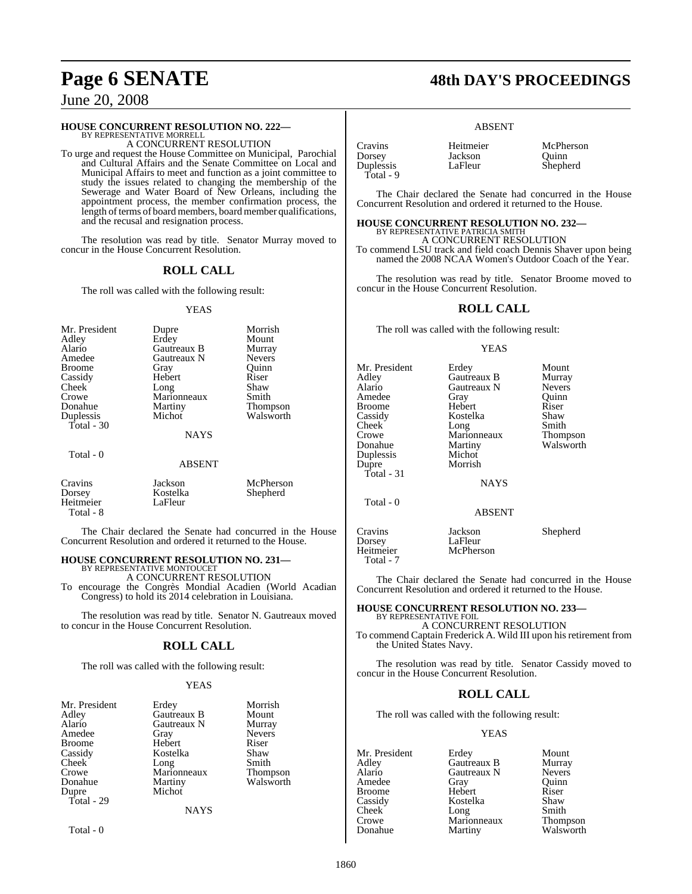#### **HOUSE CONCURRENT RESOLUTION NO. 222—**

BY REPRESENTATIVE MORRELL A CONCURRENT RESOLUTION

To urge and request the House Committee on Municipal, Parochial and Cultural Affairs and the Senate Committee on Local and Municipal Affairs to meet and function as a joint committee to study the issues related to changing the membership of the Sewerage and Water Board of New Orleans, including the appointment process, the member confirmation process, the length of terms of board members, board member qualifications, and the recusal and resignation process.

The resolution was read by title. Senator Murray moved to concur in the House Concurrent Resolution.

#### **ROLL CALL**

The roll was called with the following result:

#### YEAS

| Mr. President<br>Adley<br>Alario<br>Amedee<br><b>Broome</b> | Dupre<br>Erdey<br>Gautreaux B<br>Gautreaux N<br>Gray | Morrish<br>Mount<br>Murray<br><b>Nevers</b><br>Ouinn |
|-------------------------------------------------------------|------------------------------------------------------|------------------------------------------------------|
| Cassidy                                                     | Hebert                                               | Riser                                                |
| Cheek                                                       | Long                                                 | Shaw                                                 |
| Crowe                                                       | Marionneaux                                          | Smith                                                |
| Donahue                                                     | Martiny                                              | <b>Thompson</b>                                      |
| Duplessis                                                   | Michot                                               | Walsworth                                            |
| Total - 30                                                  | <b>NAYS</b>                                          |                                                      |
| Total - 0                                                   | <b>ABSENT</b>                                        |                                                      |

| Cravins   | Jackson  | McPherson |
|-----------|----------|-----------|
| Dorsey    | Kostelka | Shepherd  |
| Heitmeier | LaFleur  |           |
| Total - 8 |          |           |

The Chair declared the Senate had concurred in the House Concurrent Resolution and ordered it returned to the House.

#### **HOUSE CONCURRENT RESOLUTION NO. 231—** BY REPRESENTATIVE MONTOUCET

A CONCURRENT RESOLUTION

To encourage the Congrès Mondial Acadien (World Acadian Congress) to hold its 2014 celebration in Louisiana.

The resolution was read by title. Senator N. Gautreaux moved to concur in the House Concurrent Resolution.

#### **ROLL CALL**

The roll was called with the following result:

#### YEAS

| Mr. President | Erdey       | Morrish         |
|---------------|-------------|-----------------|
| Adley         | Gautreaux B | Mount           |
| Alario        | Gautreaux N | Murray          |
| Amedee        | Gray        | <b>Nevers</b>   |
| <b>Broome</b> | Hebert      | Riser           |
| Cassidy       | Kostelka    | Shaw            |
| Cheek         | Long        | Smith           |
| Crowe         | Marionneaux | <b>Thompson</b> |
| Donahue       | Martiny     | Walsworth       |
| Dupre         | Michot      |                 |
| Total - 29    |             |                 |
|               | <b>NAYS</b> |                 |
|               |             |                 |

Total - 0

**Page 6 SENATE 48th DAY'S PROCEEDINGS**

#### ABSENT

| Cravins   | Heitmeier | McPherson |
|-----------|-----------|-----------|
| Dorsey    | Jackson   | Ouinn     |
| Duplessis | LaFleur   | Shepherd  |
| Total - 9 |           |           |

The Chair declared the Senate had concurred in the House Concurrent Resolution and ordered it returned to the House.

**HOUSE CONCURRENT RESOLUTION NO. 232—** BY REPRESENTATIVE PATRICIA SMITH A CONCURRENT RESOLUTION

To commend LSU track and field coach Dennis Shaver upon being named the 2008 NCAA Women's Outdoor Coach of the Year.

The resolution was read by title. Senator Broome moved to concur in the House Concurrent Resolution.

#### **ROLL CALL**

The roll was called with the following result:

#### YEAS

| Mr. President<br>Adley<br>Alario<br>Amedee<br><b>Broome</b><br>Cassidy<br>Cheek<br>Crowe<br>Donahue<br>Duplessis<br>Dupre<br>$Total - 31$ | Erdey<br>Gautreaux B<br>Gautreaux N<br>Gray<br>Hebert<br>Kostelka<br>Long<br>Marionneaux<br>Martiny<br>Michot<br>Morrish | Mount<br>Murray<br><b>Nevers</b><br>Quinn<br>Riser<br>Shaw<br>Smith<br>Thompson<br>Walsworth |
|-------------------------------------------------------------------------------------------------------------------------------------------|--------------------------------------------------------------------------------------------------------------------------|----------------------------------------------------------------------------------------------|
|                                                                                                                                           | <b>NAYS</b>                                                                                                              |                                                                                              |
| Total - 0                                                                                                                                 | <b>ABSENT</b>                                                                                                            |                                                                                              |
| Cravins<br>Dorsey<br>Heitmeier                                                                                                            | Jackson<br>LaFleur<br>McPherson                                                                                          | Shepherd                                                                                     |

The Chair declared the Senate had concurred in the House Concurrent Resolution and ordered it returned to the House.

#### **HOUSE CONCURRENT RESOLUTION NO. 233—** BY REPRESENTATIVE FOIL

A CONCURRENT RESOLUTION To commend Captain Frederick A. Wild III upon his retirement from the United States Navy.

The resolution was read by title. Senator Cassidy moved to concur in the House Concurrent Resolution.

#### **ROLL CALL**

The roll was called with the following result:

#### YEAS

Mr. President Erdey Mount<br>Adley Gautreaux B Murray Adley Gautreaux B Murray<br>Alario Gautreaux N Nevers Amedee Gray Quinn<br>Broome Hebert Riser Broome Hebert Riser<br>
Riser Kostelka Shaw Cassidy **Kostelka** Shaw<br>Cheek Long Smith Cheek Long Smith<br>Crowe Marionneaux Thompson Crowe Marionneaux<br>Donahue Martiny

Total - 7

Gautreaux N Nevers<br>
Gray Quinn

Walsworth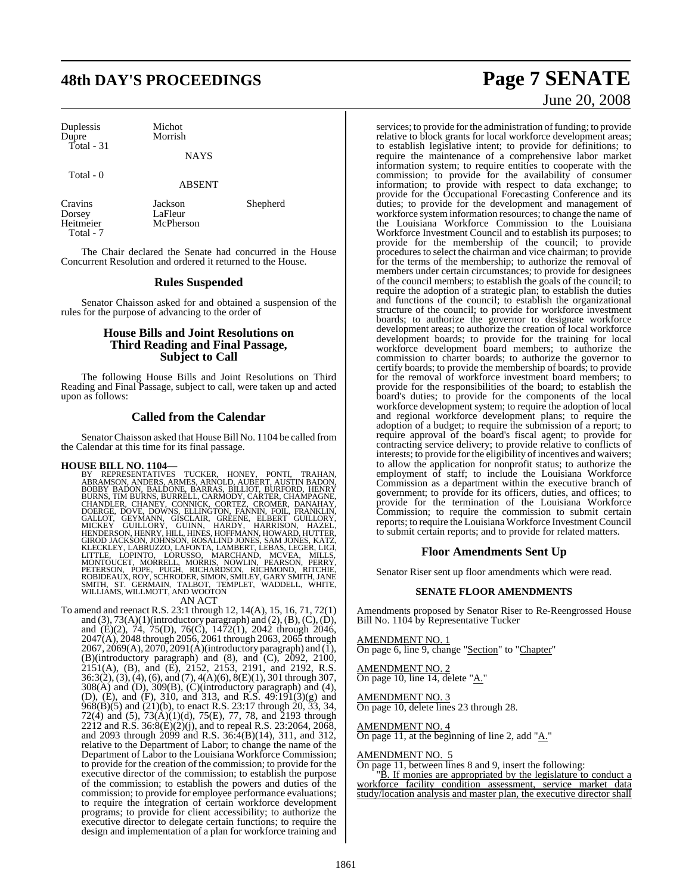# **48th DAY'S PROCEEDINGS Page 7 SENATE**

Duplessis Michot Dupre Morrish Total - 31

**NAYS** 

McPherson

Total - 0

ABSENT

Dorsey LaFleur<br>
Heitmeier McPhers Total - 7

Cravins Jackson Shepherd

The Chair declared the Senate had concurred in the House Concurrent Resolution and ordered it returned to the House.

#### **Rules Suspended**

Senator Chaisson asked for and obtained a suspension of the rules for the purpose of advancing to the order of

#### **House Bills and Joint Resolutions on Third Reading and Final Passage, Subject to Call**

The following House Bills and Joint Resolutions on Third Reading and Final Passage, subject to call, were taken up and acted upon as follows:

### **Called from the Calendar**

Senator Chaisson asked that House Bill No. 1104 be called from the Calendar at this time for its final passage.

HOUSE BILL NO. 1104—<br>
BY REPRESENTATIVES TUCKER, HONEY, PONTI, TRAHAN,<br>
BY REPRESENTATIVES TUCKER, HONEY, PONTI, TRAHAN,<br>
BOBBY BADON, BALDONE, BARRAS, BILLIOT, BURFORD, HENRY<br>
BURNS, TIM BURNS, BURRELL, CARMODY, CARTER, C

To amend and reenact R.S. 23:1 through 12, 14(A), 15, 16, 71, 72(1) and  $(3)$ ,  $73(A)(1)$ (introductory paragraph) and  $(2)$ ,  $(B)$ ,  $(C)$ ,  $(D)$ , and (E)(2), 74, 75(D), 76(C), 1472(1), 2042 through 2046, 2047(A), 2048 through 2056, 2061 through 2063, 2065 through  $2067, 2069(A), 2070, 2091(A)$ (introductory paragraph) and (I), (B)(introductory paragraph) and (8), and  $(C)$ , 2092, 2100, 2151(A), (B), and (E), 2152, 2153, 2191, and 2192, R.S. 36:3(2), (3), (4), (6), and (7), 4(A)(6), 8(E)(1), 301 through 307, 308(A) and (D), 309(B), (C)(introductory paragraph) and (4), (D), (E), and (F), 310, and 313, and R.S. 49:191(3)(g) and 968(B)(5) and (21)(b), to enact R.S. 23:17 through 20, 33, 34, 72(4) and (5), 73(A)(1)(d), 75(E), 77, 78, and 2193 through 2212 and R.S. 36:8(E)(2)(j), and to repeal R.S. 23:2064, 2068, and 2093 through 2099 and R.S. 36:4(B)(14), 311, and 312, relative to the Department of Labor; to change the name of the Department of Labor to the Louisiana Workforce Commission; to provide for the creation of the commission; to provide for the executive director of the commission; to establish the purpose of the commission; to establish the powers and duties of the commission; to provide for employee performance evaluations; to require the integration of certain workforce development programs; to provide for client accessibility; to authorize the executive director to delegate certain functions; to require the design and implementation of a plan for workforce training and

# June 20, 2008

services; to provide for the administration of funding; to provide relative to block grants for local workforce development areas; to establish legislative intent; to provide for definitions; to require the maintenance of a comprehensive labor market information system; to require entities to cooperate with the commission; to provide for the availability of consumer information; to provide with respect to data exchange; to provide for the Occupational Forecasting Conference and its duties; to provide for the development and management of workforce system information resources; to change the name of the Louisiana Workforce Commission to the Louisiana Workforce Investment Council and to establish its purposes; to provide for the membership of the council; to provide procedures to select the chairman and vice chairman; to provide for the terms of the membership; to authorize the removal of members under certain circumstances; to provide for designees of the council members; to establish the goals of the council; to require the adoption of a strategic plan; to establish the duties and functions of the council; to establish the organizational structure of the council; to provide for workforce investment boards; to authorize the governor to designate workforce development areas; to authorize the creation of local workforce development boards; to provide for the training for local workforce development board members; to authorize the commission to charter boards; to authorize the governor to certify boards; to provide the membership of boards; to provide for the removal of workforce investment board members; to provide for the responsibilities of the board; to establish the board's duties; to provide for the components of the local workforce development system; to require the adoption of local and regional workforce development plans; to require the adoption of a budget; to require the submission of a report; to require approval of the board's fiscal agent; to provide for contracting service delivery; to provide relative to conflicts of interests; to provide for the eligibility of incentives and waivers; to allow the application for nonprofit status; to authorize the employment of staff; to include the Louisiana Workforce Commission as a department within the executive branch of government; to provide for its officers, duties, and offices; to provide for the termination of the Louisiana Workforce Commission; to require the commission to submit certain reports; to require the Louisiana Workforce Investment Council to submit certain reports; and to provide for related matters.

#### **Floor Amendments Sent Up**

Senator Riser sent up floor amendments which were read.

#### **SENATE FLOOR AMENDMENTS**

Amendments proposed by Senator Riser to Re-Reengrossed House Bill No. 1104 by Representative Tucker

AMENDMENT NO. 1 On page 6, line 9, change "Section" to "Chapter"

AMENDMENT NO. 2 On page 10, line 14, delete "A."

AMENDMENT NO. 3 On page 10, delete lines 23 through 28.

AMENDMENT NO. 4 On page 11, at the beginning of line 2, add " $\underline{A}$ ."

#### AMENDMENT NO. 5

On page 11, between lines 8 and 9, insert the following:

"B. If monies are appropriated by the legislature to conduct a workforce facility condition assessment, service market data study/location analysis and master plan, the executive director shall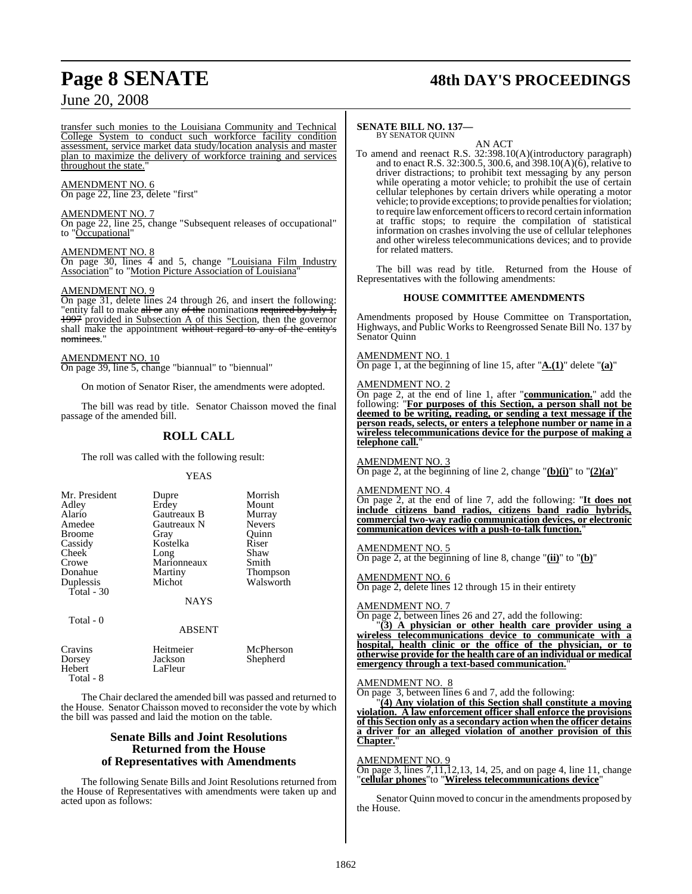# **Page 8 SENATE 48th DAY'S PROCEEDINGS**

## June 20, 2008

transfer such monies to the Louisiana Community and Technical College System to conduct such workforce facility condition assessment, service market data study/location analysis and master plan to maximize the delivery of workforce training and services throughout the state.

#### AMENDMENT NO. 6

On page 22, line 23, delete "first"

#### AMENDMENT NO. 7

On page 22, line 25, change "Subsequent releases of occupational" to "Occupational"

#### AMENDMENT NO. 8

On page 30, lines  $\overline{4}$  and 5, change "Louisiana Film Industry Association" to "Motion Picture Association of Louisiana"

#### AMENDMENT NO. 9

On page 31, delete lines 24 through 26, and insert the following: "entity fall to make all or any of the nominations required by July I, 1997 provided in Subsection A of this Section, then the governor shall make the appointment without regard to any of the entity's nominees.

#### AMENDMENT NO. 10

On page 39, line 5, change "biannual" to "biennual"

On motion of Senator Riser, the amendments were adopted.

The bill was read by title. Senator Chaisson moved the final passage of the amended bill.

## **ROLL CALL**

The roll was called with the following result:

#### YEAS

| Mr. President<br>Adley<br>Alario<br>Amedee<br><b>Broome</b><br>Cassidy<br>Cheek<br>Crowe<br>Donahue<br>Duplessis<br>Total $-30$ | Dupre<br>Erdey<br>Gautreaux B<br>Gautreaux N<br>Gray<br>Kostelka<br>Long<br>Marionneaux<br>Martiny<br>Michot<br><b>NAYS</b> | Morrish<br>Mount<br>Murray<br><b>Nevers</b><br>Ouinn<br>Riser<br>Shaw<br>Smith<br>Thompson<br>Walsworth |
|---------------------------------------------------------------------------------------------------------------------------------|-----------------------------------------------------------------------------------------------------------------------------|---------------------------------------------------------------------------------------------------------|
| Total - 0                                                                                                                       | <b>ABSENT</b>                                                                                                               |                                                                                                         |

| Cravins   | Heitmeier | McPherson |
|-----------|-----------|-----------|
| Dorsey    | Jackson   | Shepherd  |
| Hebert    | LaFleur   |           |
| Total - 8 |           |           |

The Chair declared the amended bill was passed and returned to the House. Senator Chaisson moved to reconsider the vote by which the bill was passed and laid the motion on the table.

#### **Senate Bills and Joint Resolutions Returned from the House of Representatives with Amendments**

The following Senate Bills and Joint Resolutions returned from the House of Representatives with amendments were taken up and acted upon as follows:

#### **SENATE BILL NO. 137—** BY SENATOR QUINN

AN ACT

To amend and reenact R.S. 32:398.10(A)(introductory paragraph) and to enact R.S. 32:300.5, 300.6, and 398.10(A)(6), relative to driver distractions; to prohibit text messaging by any person while operating a motor vehicle; to prohibit the use of certain cellular telephones by certain drivers while operating a motor vehicle; to provide exceptions; to provide penalties for violation; to require law enforcement officers to record certain information at traffic stops; to require the compilation of statistical information on crashes involving the use of cellular telephones and other wireless telecommunications devices; and to provide for related matters.

The bill was read by title. Returned from the House of Representatives with the following amendments:

#### **HOUSE COMMITTEE AMENDMENTS**

Amendments proposed by House Committee on Transportation, Highways, and Public Works to Reengrossed Senate Bill No. 137 by Senator Quinn

#### AMENDMENT NO. 1

On page 1, at the beginning of line 15, after "**A.(1)**" delete "**(a)**"

#### AMENDMENT NO. 2

On page 2, at the end of line 1, after "**communication.**" add the following: "**For purposes of this Section, a person shall not be deemed to be writing, reading, or sending a text message if the person reads, selects, or enters a telephone number or name in a wireless telecommunications device for the purpose of making a** telephone call.

AMENDMENT NO. 3

On page 2, at the beginning of line 2, change " $(b)(i)$ " to " $(2)(a)$ "

#### AMENDMENT NO. 4

On page 2, at the end of line 7, add the following: "**It does not include citizens band radios, citizens band radio hybrids, commercial two-way radio communication devices, or electronic communication devices with a push-to-talk function.**"

#### AMENDMENT NO. 5

On page 2, at the beginning of line 8, change "**(ii)**" to "**(b)**"

AMENDMENT NO. 6 On page 2, delete lines 12 through 15 in their entirety

#### AMENDMENT NO. 7

On page 2, between lines 26 and 27, add the following:

"**(3) A physician or other health care provider using a wireless telecommunications device to communicate with a hospital, health clinic or the office of the physician, or to otherwise provide for the health care of an individual or medical emergency through a text-based communication.**"

#### AMENDMENT NO. 8

On page 3, between lines 6 and 7, add the following:

"**(4) Any violation of this Section shall constitute a moving violation. A law enforcement officer shall enforce the provisions of this Section only as a secondary action when the officer detains a driver for an alleged violation of another provision of this Chapter.**"

#### AMENDMENT NO. 9

On page 3, lines 7,11,12,13, 14, 25, and on page 4, line 11, change "**cellular phones**"to "**Wireless telecommunications device**"

Senator Quinn moved to concur in the amendments proposed by the House.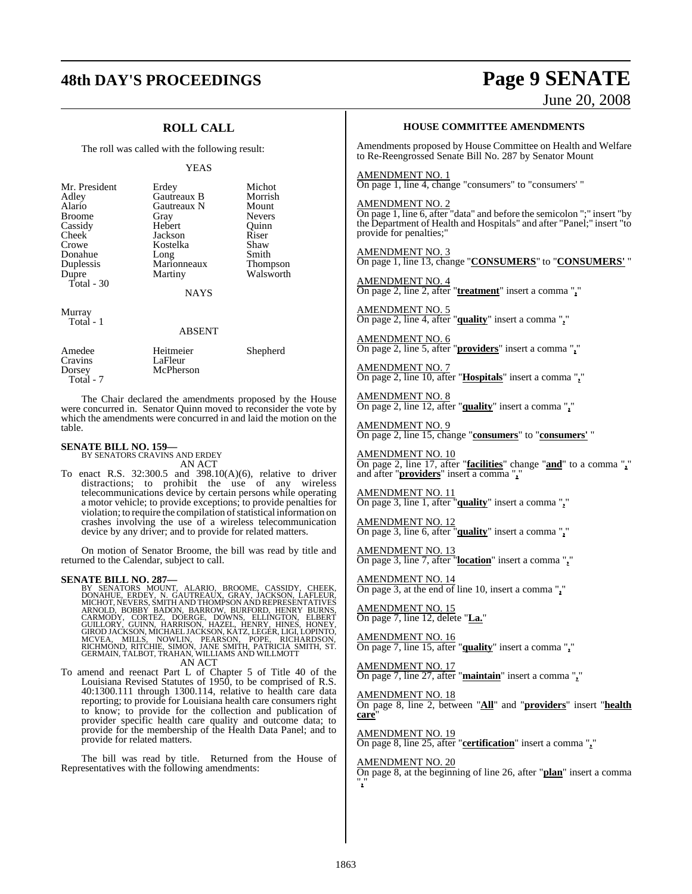# **48th DAY'S PROCEEDINGS Page 9 SENATE**

# June 20, 2008

## **ROLL CALL**

The roll was called with the following result:

YEAS

|             | Michot                               |
|-------------|--------------------------------------|
| Gautreaux B | Morrish                              |
| Gautreaux N | Mount                                |
|             | <b>Nevers</b>                        |
| Hebert      | Ouinn                                |
| Jackson     | Riser                                |
| Kostelka    | Shaw                                 |
|             | Smith                                |
|             | Thompson                             |
| Martiny     | Walsworth                            |
|             |                                      |
| NAYS        |                                      |
|             | Erdey<br>Gray<br>Long<br>Marionneaux |

Murray Total - 1

#### ABSENT

| Amedee    | Heitmeier | Shepherd |
|-----------|-----------|----------|
| Cravins   | LaFleur   |          |
| Dorsey    | McPherson |          |
| Total - 7 |           |          |

The Chair declared the amendments proposed by the House were concurred in. Senator Quinn moved to reconsider the vote by which the amendments were concurred in and laid the motion on the table.

# **SENATE BILL NO. 159—** BY SENATORS CRAVINS AND ERDEY

AN ACT

To enact R.S. 32:300.5 and 398.10(A)(6), relative to driver distractions; to prohibit the use of any wireless telecommunications device by certain persons while operating a motor vehicle; to provide exceptions; to provide penalties for violation; to require the compilation of statistical information on crashes involving the use of a wireless telecommunication device by any driver; and to provide for related matters.

On motion of Senator Broome, the bill was read by title and returned to the Calendar, subject to call.

SENATE BILL NO. 287—<br>
BY SENATORS MOUNT, ALARIO, BROOME, CASSIDY, CHEEK,<br>
DONAHUE, ERDEY, N. GAUTREAUX, GRAY, JACKSON, LAFLEUR,<br>
MICHOT, NEVERS, SMITH AND THOMPSON AND REPRESENTATIVES<br>
ARNOLD, BOBBY BADON, BARROW, BURFORD,

To amend and reenact Part L of Chapter 5 of Title 40 of the Louisiana Revised Statutes of 1950, to be comprised of R.S. 40:1300.111 through 1300.114, relative to health care data reporting; to provide for Louisiana health care consumers right to know; to provide for the collection and publication of provider specific health care quality and outcome data; to provide for the membership of the Health Data Panel; and to provide for related matters.

The bill was read by title. Returned from the House of Representatives with the following amendments:

#### **HOUSE COMMITTEE AMENDMENTS**

Amendments proposed by House Committee on Health and Welfare to Re-Reengrossed Senate Bill No. 287 by Senator Mount

AMENDMENT NO. 1 On page 1, line 4, change "consumers" to "consumers' "

AMENDMENT NO. 2

On page 1, line 6, after "data" and before the semicolon ";" insert "by the Department of Health and Hospitals" and after "Panel;" insert "to provide for penalties;"

AMENDMENT NO. 3 On page 1, line 13, change "**CONSUMERS**" to "**CONSUMERS'** "

AMENDMENT NO. 4 On page 2, line 2, after "**treatment**" insert a comma "**,**"

AMENDMENT NO. 5 On page 2, line 4, after "**quality**" insert a comma "**,**"

AMENDMENT NO. 6 On page 2, line 5, after "**providers**" insert a comma "**,**"

AMENDMENT NO. 7 On page 2, line 10, after "**Hospitals**" insert a comma "**,**"

AMENDMENT NO. 8 On page 2, line 12, after "**quality**" insert a comma "**,**"

AMENDMENT NO. 9 On page 2, line 15, change "**consumers**" to "**consumers'** "

AMENDMENT NO. 10 On page 2, line 17, after "**facilities**" change "**and**" to a comma "**,**" and after "**providers**" insert a comma "**,**"

AMENDMENT NO. 11 On page 3, line 1, after "**quality**" insert a comma "**,**"

AMENDMENT NO. 12 On page 3, line 6, after "**quality**" insert a comma "**,**"

AMENDMENT NO. 13 On page 3, line 7, after "**location**" insert a comma "**,**"

AMENDMENT NO. 14 On page 3, at the end of line 10, insert a comma "**,**"

AMENDMENT NO. 15 On page 7, line 12, delete "**La.**"

AMENDMENT NO. 16 On page 7, line 15, after "**quality**" insert a comma "**,**"

AMENDMENT NO. 17 On page 7, line 27, after "**maintain**" insert a comma "**,**"

AMENDMENT NO. 18 On page 8, line 2, between "**All**" and "**providers**" insert "**health care**"

AMENDMENT NO. 19 On page 8, line 25, after "**certification**" insert a comma "**,**"

AMENDMENT NO. 20

On page 8, at the beginning of line 26, after "**plan**" insert a comma "**,**"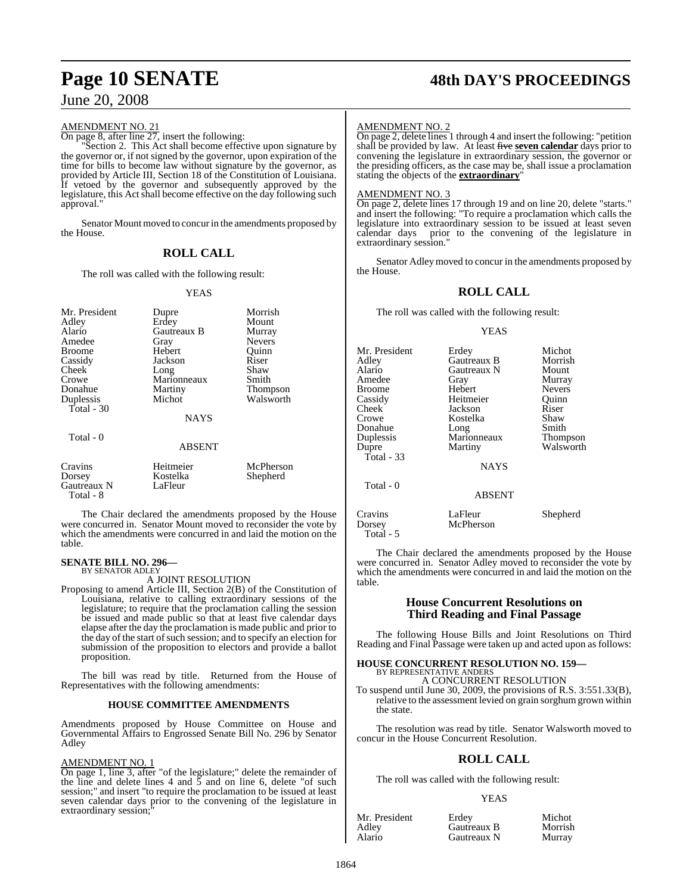#### AMENDMENT NO. 21

On page 8, after line 27, insert the following:

"Section 2. This Act shall become effective upon signature by the governor or, if not signed by the governor, upon expiration of the time for bills to become law without signature by the governor, as provided by Article III, Section 18 of the Constitution of Louisiana. If vetoed by the governor and subsequently approved by the legislature, this Act shall become effective on the day following such approval."

Senator Mount moved to concur in the amendments proposed by the House.

## **ROLL CALL**

The roll was called with the following result:

#### YEAS

| Mr. President<br>Adley<br>Alario<br>Amedee<br>Broome<br>Cassidy<br>Cheek<br>Crowe<br>Donahue<br>Duplessis<br>Total - 30 | Dupre<br>Erdey<br>Gautreaux B<br>Gray<br>Hebert<br>Jackson<br>Long<br>Marionneaux<br>Martiny<br>Michot<br><b>NAYS</b> | Morrish<br>Mount<br>Murray<br><b>Nevers</b><br>Ouinn<br>Riser<br>Shaw<br>Smith<br>Thompson<br>Walsworth |
|-------------------------------------------------------------------------------------------------------------------------|-----------------------------------------------------------------------------------------------------------------------|---------------------------------------------------------------------------------------------------------|
| Total - 0                                                                                                               | <b>ABSENT</b>                                                                                                         |                                                                                                         |
| Cravins<br>Dorsey<br>Gautreaux N<br>Total - 8                                                                           | Heitmeier<br>Kostelka<br>LaFleur                                                                                      | McPherson<br>Shepherd                                                                                   |

The Chair declared the amendments proposed by the House were concurred in. Senator Mount moved to reconsider the vote by which the amendments were concurred in and laid the motion on the table.

#### **SENATE BILL NO. 296—** BY SENATOR ADLEY

A JOINT RESOLUTION

Proposing to amend Article III, Section 2(B) of the Constitution of Louisiana, relative to calling extraordinary sessions of the legislature; to require that the proclamation calling the session be issued and made public so that at least five calendar days elapse after the day the proclamation is made public and prior to the day of the start of such session; and to specify an election for submission of the proposition to electors and provide a ballot proposition.

The bill was read by title. Returned from the House of Representatives with the following amendments:

#### **HOUSE COMMITTEE AMENDMENTS**

Amendments proposed by House Committee on House and Governmental Affairs to Engrossed Senate Bill No. 296 by Senator Adley

#### AMENDMENT NO. 1

On page 1, line 3, after "of the legislature;" delete the remainder of the line and delete lines 4 and 5 and on line 6, delete "of such session;" and insert "to require the proclamation to be issued at least seven calendar days prior to the convening of the legislature in extraordinary session;

# **Page 10 SENATE 48th DAY'S PROCEEDINGS**

#### AMENDMENT NO. 2

On page 2, delete lines 1 through 4 and insert the following: "petition shall be provided by law. At least five **seven calendar** days prior to convening the legislature in extraordinary session, the governor or the presiding officers, as the case may be, shall issue a proclamation stating the objects of the **extraordinary**"

#### AMENDMENT NO. 3

Total - 5

On page 2, delete lines 17 through 19 and on line 20, delete "starts." and insert the following: "To require a proclamation which calls the legislature into extraordinary session to be issued at least seven calendar days prior to the convening of the legislature in extraordinary session.

Senator Adleymoved to concur in the amendments proposed by the House.

### **ROLL CALL**

The roll was called with the following result:

#### YEAS

| Mr. President<br>Adley<br>Alario<br>Amedee<br><b>Broome</b><br>Cassidy<br>Cheek<br>Crowe<br>Donahue<br>Duplessis<br>Dupre<br>Total - $33$ | Erdey<br>Gautreaux B<br>Gautreaux N<br>Gray<br>Hebert<br>Heitmeier<br>Jackson<br>Kostelka<br>Long<br>Marionneaux<br>Martiny | Michot<br>Morrish<br>Mount<br>Murray<br><b>Nevers</b><br>Ouinn<br>Riser<br>Shaw<br>Smith<br>Thompson<br>Walsworth |
|-------------------------------------------------------------------------------------------------------------------------------------------|-----------------------------------------------------------------------------------------------------------------------------|-------------------------------------------------------------------------------------------------------------------|
|                                                                                                                                           | <b>NAYS</b>                                                                                                                 |                                                                                                                   |
| Total - 0                                                                                                                                 | <b>ABSENT</b>                                                                                                               |                                                                                                                   |
| Cravins<br>Dorsey                                                                                                                         | LaFleur<br>McPherson                                                                                                        | Shepherd                                                                                                          |

The Chair declared the amendments proposed by the House were concurred in. Senator Adley moved to reconsider the vote by which the amendments were concurred in and laid the motion on the table.

#### **House Concurrent Resolutions on Third Reading and Final Passage**

The following House Bills and Joint Resolutions on Third Reading and Final Passage were taken up and acted upon as follows:

#### **HOUSE CONCURRENT RESOLUTION NO. 159—**

BY REPRESENTATIVE ANDERS A CONCURRENT RESOLUTION

To suspend until June 30, 2009, the provisions of R.S. 3:551.33(B), relative to the assessment levied on grain sorghum grown within the state.

The resolution was read by title. Senator Walsworth moved to concur in the House Concurrent Resolution.

#### **ROLL CALL**

The roll was called with the following result:

#### **YEAS**

| Mr. President | Erdev       | Michot  |
|---------------|-------------|---------|
| Adley         | Gautreaux B | Morrish |
| Alario        | Gautreaux N | Murray  |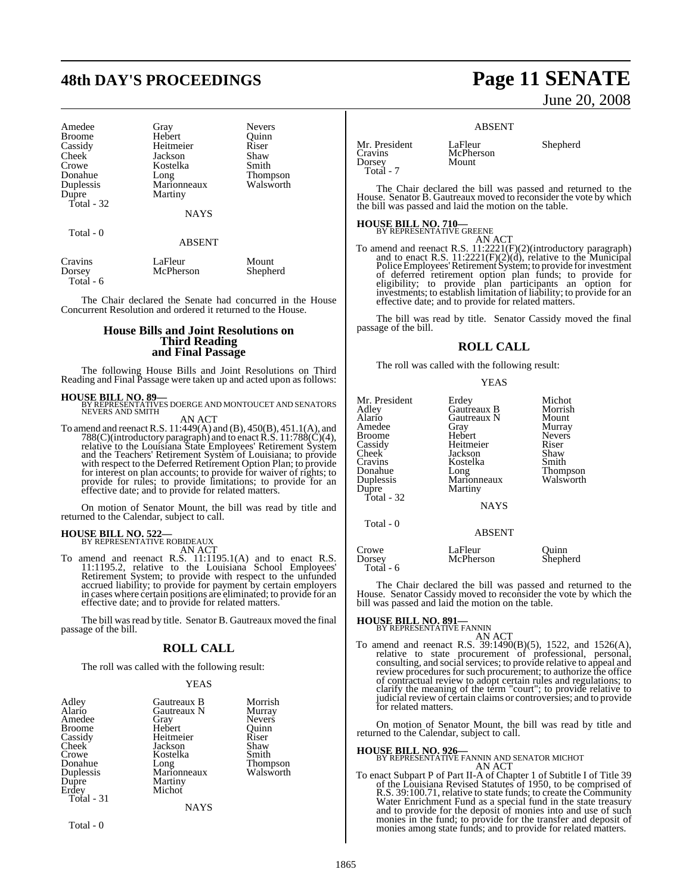# **48th DAY'S PROCEEDINGS Page 11 SENATE**

| Amedee              |
|---------------------|
| <b>Broome</b>       |
| Cassidy             |
| Cheek               |
| Crowe               |
| Donahue             |
| Duplessis           |
|                     |
| Dupre<br>Total - 32 |
|                     |

Gray Nevers<br>
Hebert Quinn Hebert Quinn<br>
Heitmeier Riser Heitmeier Riser<br>Jackson Shaw Jackson Shaw<br>Kostelka Smith Kostelka Long Thompson<br>Marionneaux Walsworth Marionneaux Martiny

**NAYS** 

#### Total - 0

ABSENT

| Cravins   | LaFleur   | Mount    |
|-----------|-----------|----------|
| Dorsey    | McPherson | Shepherd |
| Total - 6 |           |          |

The Chair declared the Senate had concurred in the House Concurrent Resolution and ordered it returned to the House.

#### **House Bills and Joint Resolutions on Third Reading and Final Passage**

The following House Bills and Joint Resolutions on Third Reading and Final Passage were taken up and acted upon as follows:

**HOUSE BILL NO. 89—**<br>BY REPRESENTATIVES DOERGE AND MONTOUCET AND SENATORS<br>NEVERS AND SMITH AN ACT

To amend and reenact R.S. 11:449(A) and (B), 450(B), 451.1(A), and 788(C)(introductory paragraph) and to enact R.S. 11:788(C)(4), relative to the Louisiana State Employees' Retirement System and the Teachers' Retirement System of Louisiana; to provide with respect to the Deferred Retirement Option Plan; to provide for interest on plan accounts; to provide for waiver of rights; to provide for rules; to provide limitations; to provide for an effective date; and to provide for related matters.

On motion of Senator Mount, the bill was read by title and returned to the Calendar, subject to call.

# **HOUSE BILL NO. 522—** BY REPRESENTATIVE ROBIDEAUX

AN ACT<br>To amend and reenact R.S. 11:1195.1(A) and to enact R.S.<br>11:1195.2, relative to the Louisiana School Employees'<br>Retirement System; to provide with respect to the unfunded accrued liability; to provide for payment by certain employers in cases where certain positions are eliminated; to provide for an effective date; and to provide for related matters.

The bill was read by title. Senator B. Gautreaux moved the final passage of the bill.

## **ROLL CALL**

The roll was called with the following result:

#### YEAS

| Adley<br>Alario<br>Amedee<br><b>Broome</b><br>Cassidy<br>Cheek <sup>'</sup><br>Crowe<br>Donahue<br><b>Duplessis</b><br>Dupre<br>Erdey | Gautreaux B<br>Gautreaux N<br>Gray<br>Hebert<br>Heitmeier<br>Jackson<br>Kostelka<br>Long<br>Marionneaux<br>Martiny<br>Michot | Morrish<br>Murray<br><b>Nevers</b><br>Ouinn<br>Riser<br>Shaw<br>Smith<br>Thompson<br>Walsworth |
|---------------------------------------------------------------------------------------------------------------------------------------|------------------------------------------------------------------------------------------------------------------------------|------------------------------------------------------------------------------------------------|
|                                                                                                                                       |                                                                                                                              |                                                                                                |
| Total $-31$                                                                                                                           | <b>NAYS</b>                                                                                                                  |                                                                                                |

Total - 0

June 20, 2008

#### ABSENT

Dorsey Total - 7

Mr. President LaFleur Shepherd<br>Cravins McPherson McPherson<br>Mount

The Chair declared the bill was passed and returned to the House. Senator B. Gautreaux moved to reconsider the vote by which the bill was passed and laid the motion on the table.

# **HOUSE BILL NO. 710—** BY REPRESENTATIVE GREENE

AN ACT<br>To amend and reenact R.S. 11:2221(F)(2)(introductory paragraph)<br>and to enact R.S. 11:2221(F)(2)(d), relative to the Municipal<br>Police Employees' Retirement System; to provide for investment<br>of deferred retirement opt effective date; and to provide for related matters.

The bill was read by title. Senator Cassidy moved the final passage of the bill.

#### **ROLL CALL**

YEAS

The roll was called with the following result:

| Mr. President<br>Adley<br>Alario<br>Amedee<br>Broome<br>Cassidy<br>Cheek <sup>-</sup><br>Cravins<br>Donahue<br>Duplessis<br>Dupre<br>Total - 32 | Erdey<br>Gautreaux B<br>Gautreaux N<br>Gray<br>Hebert<br>Heitmeier<br>Jackson<br>Kostelka<br>Long<br>Marionneaux<br>Martiny<br><b>NAYS</b> | Michot<br>Morrish<br>Mount<br>Murray<br><b>Nevers</b><br>Riser<br>Shaw<br>Smith<br>Thompson<br>Walsworth |
|-------------------------------------------------------------------------------------------------------------------------------------------------|--------------------------------------------------------------------------------------------------------------------------------------------|----------------------------------------------------------------------------------------------------------|
| Total - 0                                                                                                                                       | <b>ABSENT</b>                                                                                                                              |                                                                                                          |
| Crowe<br>Dorsey<br>Total - 6                                                                                                                    | LaFleur<br>McPherson                                                                                                                       | Ouinn<br>Shepherd                                                                                        |

The Chair declared the bill was passed and returned to the House. Senator Cassidy moved to reconsider the vote by which the bill was passed and laid the motion on the table.

**HOUSE BILL NO. 891—**<br>BY REPRESENTATIVE FANNIN<br>To amend and reenact R.S. 39:1490(B)(5), 1522, and 1526(A),<br>relative to state procurement of professional, personal,<br>consulting, and social services; to provide relative to a of contractual review to adopt certain rules and regulations; to clarify the meaning of the term "court"; to provide relative to judicial review of certain claims or controversies; and to provide for related matters.

On motion of Senator Mount, the bill was read by title and returned to the Calendar, subject to call.

**HOUSE BILL NO. 926—** BY REPRESENTATIVE FANNIN AND SENATOR MICHOT AN ACT

To enact Subpart P of Part II-A of Chapter 1 of Subtitle I of Title 39 of the Louisiana Revised Statutes of 1950, to be comprised of R.S. 39:100.71, relative to state funds; to create the Community<br>Water Enrichment Fund as a special fund in the state treasury<br>and to provide for the deposit of monies into and use of such<br>monies in the fund; to provide fo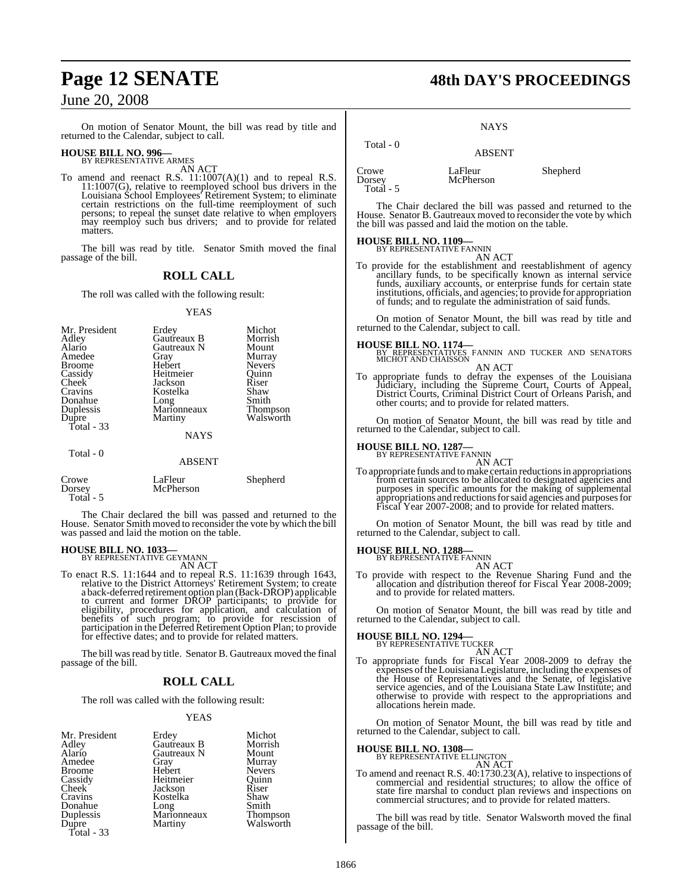On motion of Senator Mount, the bill was read by title and returned to the Calendar, subject to call.

# **HOUSE BILL NO. 996—** BY REPRESENTATIVE ARMES

AN ACT

To amend and reenact R.S. 11:1007(A)(1) and to repeal R.S. 11:1007(G), relative to reemployed school bus drivers in the Louisiana School Employees' Retirement System; to eliminate certain restrictions on the full-time reemployment of such persons; to repeal the sunset date relative to when employers may reemploy such bus drivers; and to provide for related matters.

The bill was read by title. Senator Smith moved the final passage of the bill.

#### **ROLL CALL**

The roll was called with the following result:

YEAS

| Mr. President<br>Adley<br>Alario<br>Amedee<br><b>Broome</b><br>Cassidy<br>Cheek <sup>-</sup><br>Cravins<br>Donahue<br><b>Duplessis</b><br>Dupre<br>Total $-33$ | Erdey<br>Gautreaux B<br>Gautreaux N<br>Gray<br>Hebert<br>Heitmeier<br>Jackson<br>Kostelka<br>Long<br>Marionneaux<br>Martiny<br><b>NAYS</b> | Michot<br>Morrish<br>Mount<br>Murray<br><b>Nevers</b><br>Quinn<br>Riser<br>Shaw<br>Smith<br>Thompson<br>Walsworth |
|----------------------------------------------------------------------------------------------------------------------------------------------------------------|--------------------------------------------------------------------------------------------------------------------------------------------|-------------------------------------------------------------------------------------------------------------------|
| Total - 0                                                                                                                                                      | <b>ABSENT</b>                                                                                                                              |                                                                                                                   |
| $C_{\bm{r} \alpha \bm{w} \alpha}$                                                                                                                              | $L_0$ Flour                                                                                                                                | Shaphard                                                                                                          |

Crowe LaFleur Shepherd<br>Dorsey McPherson McPherson Total - 5

The Chair declared the bill was passed and returned to the House. Senator Smith moved to reconsider the vote by which the bill was passed and laid the motion on the table.

# **HOUSE BILL NO. 1033—** BY REPRESENTATIVE GEYMANN

AN ACT

To enact R.S. 11:1644 and to repeal R.S. 11:1639 through 1643, relative to the District Attorneys' Retirement System; to create a back-deferred retirement option plan (Back-DROP) applicable<br>to current and former DROP participants; to provide for<br>eligibility, procedures for application, and calculation of<br>benefits of such program; to provide for res for effective dates; and to provide for related matters.

The bill was read by title. Senator B. Gautreaux moved the final passage of the bill.

#### **ROLL CALL**

The roll was called with the following result:

#### YEAS

| Mr. President       | Erdey               | Michot                |
|---------------------|---------------------|-----------------------|
| Adley               | Gautreaux B         | Morrish               |
| Alario              | Gautreaux N         | Mount                 |
| Amedee              | Gray                | Murray                |
| Broome              | Hebert              | <b>Nevers</b>         |
| Cassidy             | Heitmeier           | Ouinn                 |
| Cheek <sup>-</sup>  | Jackson             | Riser                 |
| Cravins             | Kostelka            | Shaw                  |
| Donahue             |                     | Smith                 |
| Duplessis           | Long<br>Marionneaux |                       |
| Dupre<br>Total - 33 | Martiny             | Thompson<br>Walsworth |
|                     |                     |                       |

# **Page 12 SENATE 48th DAY'S PROCEEDINGS**

NAYS

ABSENT

 Total - 0 Crowe LaFleur Shepherd<br>
Dorsey McPherson Total - 5

**McPherson** 

The Chair declared the bill was passed and returned to the House. Senator B. Gautreaux moved to reconsider the vote by which the bill was passed and laid the motion on the table.

# **HOUSE BILL NO. 1109—** BY REPRESENTATIVE FANNIN

AN ACT

To provide for the establishment and reestablishment of agency<br>ancillary funds, to be specifically known as internal service<br>funds, auxiliary accounts, or enterprise funds for certain state<br>institutions, officials, and age

On motion of Senator Mount, the bill was read by title and returned to the Calendar, subject to call.

#### **HOUSE BILL NO. 1174—**

BY REPRESENTATIVES FANNIN AND TUCKER AND SENATORS MICHOT AND CHAISSON

AN ACT<br>To appropriate funds to defray the expenses of the Louisiana<br>Judiciary, including the Supreme Court, Courts of Appeal,<br>District Courts, Criminal District Court of Orleans Parish, and<br>other courts; and to provide for

On motion of Senator Mount, the bill was read by title and returned to the Calendar, subject to call.

# **HOUSE BILL NO. 1287—** BY REPRESENTATIVE FANNIN

AN ACT<br>To appropriate funds and to make certain reductions in appropriations<br>from certain sources to be allocated to designated agencies and purposes in specific amounts for the making of supplemental appropriations and reductionsforsaid agencies and purposesfor Fiscal Year 2007-2008; and to provide for related matters.

On motion of Senator Mount, the bill was read by title and returned to the Calendar, subject to call.

# **HOUSE BILL NO. 1288—** BY REPRESENTATIVE FANNIN

AN ACT

To provide with respect to the Revenue Sharing Fund and the allocation and distribution thereof for Fiscal Year 2008-2009; and to provide for related matters.

On motion of Senator Mount, the bill was read by title and returned to the Calendar, subject to call.

# **HOUSE BILL NO. 1294—** BY REPRESENTATIVE TUCKER

AN ACT

To appropriate funds for Fiscal Year 2008-2009 to defray the expenses ofthe Louisiana Legislature, including the expenses of the House of Representatives and the Senate, of legislative service agencies, and of the Louisiana State Law Institute; and otherwise to provide with respect to the appropriations and allocations herein made.

On motion of Senator Mount, the bill was read by title and returned to the Calendar, subject to call.

# **HOUSE BILL NO. 1308—** BY REPRESENTATIVE ELLINGTON

AN ACT

To amend and reenact R.S. 40:1730.23(A), relative to inspections of commercial and residential structures; to allow the office of state fire marshal to conduct plan reviews and inspections on commercial structures; and to provide for related matters.

The bill was read by title. Senator Walsworth moved the final passage of the bill.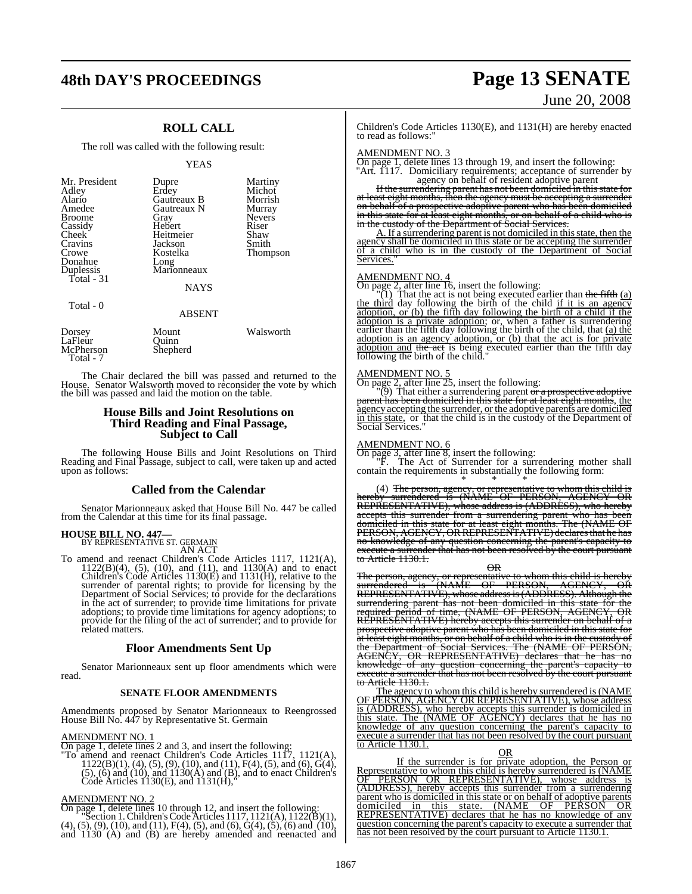# **48th DAY'S PROCEEDINGS Page 13 SENATE**

## **ROLL CALL**

#### The roll was called with the following result:

YEAS

| Mr. President<br>Adley<br>Alario<br>Amedee<br><b>Broome</b><br>Cassidy<br>Cheek <sup>®</sup><br>Cravins<br>Crowe<br>Donahue<br>Duplessis<br>Total - 31 | Dupre<br>Erdey<br>Gautreaux B<br>Gautreaux N<br>Gray<br>Hebert<br>Heitmeier<br>Jackson<br>Kostelka<br>Long<br>Marionneaux<br><b>NAYS</b> | Martiny<br>Michot<br>Morrish<br>Murray<br><b>Nevers</b><br>Riser<br>Shaw<br>Smith<br>Thompson |
|--------------------------------------------------------------------------------------------------------------------------------------------------------|------------------------------------------------------------------------------------------------------------------------------------------|-----------------------------------------------------------------------------------------------|
| Total - 0                                                                                                                                              | <b>ABSENT</b>                                                                                                                            |                                                                                               |

| Dorsey    | Mount    | Walsworth |
|-----------|----------|-----------|
| LaFleur   | Ouinn    |           |
| McPherson | Shepherd |           |
| Total - 7 |          |           |

The Chair declared the bill was passed and returned to the House. Senator Walsworth moved to reconsider the vote by which the bill was passed and laid the motion on the table.

#### **House Bills and Joint Resolutions on Third Reading and Final Passage, Subject to Call**

The following House Bills and Joint Resolutions on Third Reading and Final Passage, subject to call, were taken up and acted upon as follows:

#### **Called from the Calendar**

Senator Marionneaux asked that House Bill No. 447 be called from the Calendar at this time for its final passage.

# **HOUSE BILL NO. 447—** BY REPRESENTATIVE ST. GERMAIN

AN ACT

To amend and reenact Children's Code Articles 1117, 1121(A), 1122(B)(4), (5), (10), and (11), and 1130(A) and to enact Children's Code Articles 1130(E) and 1131(H), relative to the surrender of parental rights; to provide for licensing by the Department of Social Services; to provide for the declarations in the act of surrender; to provide time limitations for private adoptions; to provide time limitations for agency adoptions; to provide for the filing of the act of surrender; and to provide for related matters.

#### **Floor Amendments Sent Up**

Senator Marionneaux sent up floor amendments which were read.

#### **SENATE FLOOR AMENDMENTS**

Amendments proposed by Senator Marionneaux to Reengrossed House Bill No. 447 by Representative St. Germain

#### AMENDMENT NO. 1

On page 1, delete lines 2 and 3, and insert the following:<br>
"To amend and reenact Children's Code Articles 1117, 1121(A),<br>  $1122(B)(1)$ ,  $(4)$ ,  $(5)$ ,  $(9)$ ,  $(10)$ , and  $(11)$ ,  $F(4)$ ,  $(5)$ , and  $(6)$ ,  $G(4)$ ,<br>  $(5)$ ,  $(6$ 

AMENDMENT NO. 2

On page 1, delete lines 10 through 12, and insert the following:<br>
"Section 1. Children's Code Articles 1117, 1121(A), 1122(B)(1),<br>
(4), (5), (9), (10), and (11), F(4), (5), and (6), G(4), (5), (6) and (10), and 1130 (A) and (B) are hereby amended and reenacted and

# June 20, 2008

Children's Code Articles 1130(E), and 1131(H) are hereby enacted to read as follows:

AMENDMENT NO. 3 On page 1, delete lines 13 through 19, and insert the following: "Art. 1117. Domiciliary requirements; acceptance of surrender by

agency on behalf of resident adoptive parent Ifthe surrendering parent has not been domiciled in thisstate for at least eight months, then the agency must be accepting a surrender on behalf of a prospective adoptive parent who has been domiciled

in this state for at least eight months, or on behalf of a child who is<br>in the custody of the Department of Social Services. A. If a surrendering parent is not domiciled in thisstate, then the agency shall be domiciled in this state or be accepting the surrender

of a child who is in the custody of the Department of Social Services.

#### AMENDMENT NO. 4

On page 2, after line 16, insert the following:<br>"(1) That the act is not being executed earlier than the fifth  $(a)$ the third day following the birth of the child if it is an agency adoption, or (b) the fifth day following the birth of a child if the adoption is a private adoption; or, when a father is surrendering earlier than the fifth day following the birth of the child, that (a) the adoption is an agency adoption, or (b) that the act is for private adoption and the act is being executed earlier than the fifth day following the birth of the child."

AMENDMENT NO. 5<br>On page 2, after line 25, insert the following:<br>"(9) That either a surrendering parent <del>or a prospective adoptive<br>parent has been domiciled in this state for at least eight months, the<br>agency accepting the</del>

#### AMENDMENT NO. 6

On page 3, after line 8, insert the following: "F. The Act of Surrender for a surrendering mother shall contain the requirements in substantially the following form:

\* \* \* (4) The person, agency, or representative to whom this child is hereby surrendered is (NAME OF PERSON, AGENCY OR REPRESENTATIVE), whose address is (ADDRESS), who hereby accepts this surrender from a surrendering parent who has be domiciled in this state for at least eight months. The (NAME OF PERSON, AGENCY, ORREPRESENTATIVE) declaresthat he has no knowledge of any question concerning the parent's capacity to execute a surrender that has not been resolved by the court pursuant to Article 1130.1.

OR

The person, agency, or representative to whom this child is hereby surrendered is (NAME OF PERSON, AGENCY, OR REPRESENTATIVE), whose addressis(ADDRESS). Although the surrendering parent has not been domiciled in this state for the required period of time, (NAME OF PERSON, AGENCY, OR REPRESENTATIVE) hereby accepts this surrender on behalf of a prospective adoptive parent who has been domiciled in this state for at least eight months, or on behalf of a child who is in the custody of<br>the Department of Social Services. The (NAME OF PERSON,<br>AGENCY, OR REPRESENTATIVE) declares that he has no<br>knowledge of any question concerning the pa to Article 1130.1.

The agency to whom this child is hereby surrendered is (NAME OF PERSON, AGENCY OR REPRESENTATIVE), whose address is (ADDRESS), who hereby accepts this surrender is domiciled in this state. The (NAME OF AGENCY) declares that he has no knowledge of any question concerning the parent's capacity to execute a surrender that has not been resolved by the court pursuant to Article 1130.1.

OR

If the surrender is for private adoption, the Person or Representative to whom this child is hereby surrendered is (NAME OF PERSON OR REPRESENTATIVE), whose address is (ADDRESS), hereby accepts this surrender from a surrendering parent who is domiciled in this state or on behalf of adoptive parents domiciled in this state. (NAME OF PERSON OR REPRESENTATIVE) declares that he has no knowledge of any question concerning the parent's capacity to execute a surrender that has not been resolved by the court pursuant to Article 1130.1.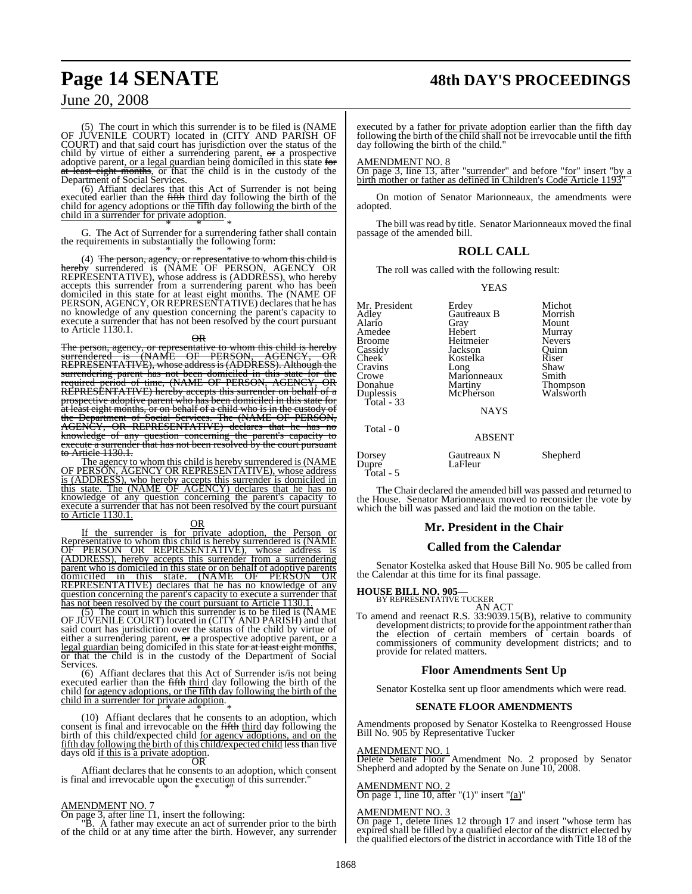# **Page 14 SENATE 48th DAY'S PROCEEDINGS**

## June 20, 2008

(5) The court in which this surrender is to be filed is (NAME OF JUVENILE COURT) located in (CITY AND PARISH OF COURT) and that said court has jurisdiction over the status of the child by virtue of either a surrendering parent, or a prospective<br>adoptive parent, <u>or a legal guardian</u> being domiciled in this state for<br>at least eight months, or that the child is in the custody of the<br>Department of Soc

child in a surrender for private adoption.

G. The Act of Surrender for a surrendering father shall contain<br>the requirements in substantially the following form:

<sup>\*</sup> (4) The person, agency, or representative to whom this child is<br> **hereby** surrendered is (NAME OF PERSON, AGENCY OR<br>
REPRESENTATIVE), whose address is (ADDRESS), who hereby<br>
accepts this surrender from a surrendering p no knowledge of any question concerning the parent's capacity to execute a surrender that has not been resolved by the court pursuant to Article 1130.1.

 $\overline{AP}$ 

The person, agency, or representative to whom this child is hereby surrendered is (NAME OF PERSON, AGENCY, OR surrendered "is '(NAME OF PERSON, "AGENCY, OR<br>REPRESENTATIVE), whose address is (ADDRESS). Although the surrendering parent has not been domiciled in this state for the<br>required period of time, (NAME OF PERSON, AGENCY, OR<br>REPRESENTATIVE) hereby accepts this surrender on behalf of a<br>prospective adoptive parent who has been do at least eight months, or on behalf of a child who is in the custody of<br>the Department of Social Services. The (NAME OF PERSON,<br>AGENCY, OR REPRESENTATIVE) declares that he has no knowledge of any question concerning the parent's capacity to execute a surrender that has not been resolved by the court pursuant to Article 1130.1.

The agency to whom this child is hereby surrendered is (NAME OF PERSON, AGENCY OR REPRESENTATIVE), whose address is (ADDRESS), who hereby accepts this surrender is domiciled in this state. The (NAME OF AGENCY) declares that he has no knowledge of any question concerning the parent's capacity to execute a surrender that has not been resolved by the court pursuant to Article 1130.1.

#### OR

If the surrender is for private adoption, the Person or Representative to whom this child is hereby surrendered is (NAME OF PERSON OR REPRESENTATIVE), whose address is (ADDRESS), hereby accepts this surrender from a surrendering parent who is domiciled in this state or on behalf of adoptive parents domiciled in this state. (NAME OF PERSON OR REPRESENTATIVE) declares that he has no knowledge of any question concerning the parent's capacity to execute a surrender that

has not been resolved by the court pursuant to Article 1130.1.<br>
(5) The court in which this surrender is to be filed is (NAME<br>
OF JUVENILE COURT) located in (CITY AND PARISH) and that<br>
said court has jurisdiction over the or that the child is in the custody of the Department of Social Services.

(6) Affiant declares that this Act of Surrender is/is not being<br>executed earlier than the fifth third day following the birth of the<br>child <u>for agency adoptions</u>, or the fifth day following the birth of the<br>child in a sur

(10) Affiant declares that he consents to an adoption, which consent is final and irrevocable on the fifth third day following the birth of this child/expected child <u>for agency adoptions, and on</u> the fifth day following the birth of this child/expected child less than five days old if this is a private adoption.

OR Affiant declares that he consents to an adoption, which consent is final and irrevocable upon the execution of this surrender."

AMENDMENT NO. 7 On page 3, after line 11, insert the following: "B. A father may execute an act of surrender prior to the birth of the child or at any time after the birth. However, any surrender

executed by a father for private adoption earlier than the fifth day following the birth of the child shall not be irrevocable until the fifth day following the birth of the child."

#### AMENDMENT NO. 8

On page 3, line 13, after "surrender" and before "for" insert "by a birth mother or father as defined in Children's Code Article 1193"

On motion of Senator Marionneaux, the amendments were adopted.

The bill was read by title. Senator Marionneaux moved the final passage of the amended bill.

#### **ROLL CALL**

The roll was called with the following result:

YEAS

| Mr. President<br>Adley<br>Alario<br>Amedee<br>Broome<br>Cassidy<br>Cheek <sup>-</sup><br>Cravins<br>Crowe<br>Donahue<br>Duplessis<br>Total - 33 | Erdey<br>Gautreaux B<br>Gray<br>Hebert<br>Heitmeier<br>Jackson<br>Kostelka<br>Long<br>Marionneaux<br>Martiny<br>McPherson | Michot<br>Morrish<br>Mount<br>Murray<br><b>Nevers</b><br>Quinn<br>Riser<br>Shaw<br>Smith<br>Thompson<br>Walsworth |
|-------------------------------------------------------------------------------------------------------------------------------------------------|---------------------------------------------------------------------------------------------------------------------------|-------------------------------------------------------------------------------------------------------------------|
| Total - 0                                                                                                                                       | <b>NAYS</b>                                                                                                               |                                                                                                                   |
|                                                                                                                                                 | <b>ABSENT</b>                                                                                                             |                                                                                                                   |
| Dorsey<br>Dupre<br>Total - 5                                                                                                                    | Gautreaux N<br>LaFleur                                                                                                    | Shepherd                                                                                                          |

The Chair declared the amended bill was passed and returned to the House. Senator Marionneaux moved to reconsider the vote by which the bill was passed and laid the motion on the table.

#### **Mr. President in the Chair**

#### **Called from the Calendar**

Senator Kostelka asked that House Bill No. 905 be called from the Calendar at this time for its final passage.

**HOUSE BILL NO. 905—** BY REPRESENTATIVE TUCKER

AN ACT To amend and reenact R.S. 33:9039.15(B), relative to community development districts; to provide for the appointment rather than the election of certain members of certain boards of commissioners of community development districts; and to provide for related matters.

#### **Floor Amendments Sent Up**

Senator Kostelka sent up floor amendments which were read.

#### **SENATE FLOOR AMENDMENTS**

Amendments proposed by Senator Kostelka to Reengrossed House Bill No. 905 by Representative Tucker

#### AMENDMENT NO. 1

Delete Senate Floor Amendment No. 2 proposed by Senator Shepherd and adopted by the Senate on June 10, 2008.

#### AMENDMENT NO. 2

On page 1, line 10, after " $(1)$ " insert " $(a)$ "

AMENDMENT NO. 3 On page 1, delete lines 12 through 17 and insert "whose term has expired shall be filled by a qualified elector of the district elected by the qualified electors of the district in accordance with Title 18 of the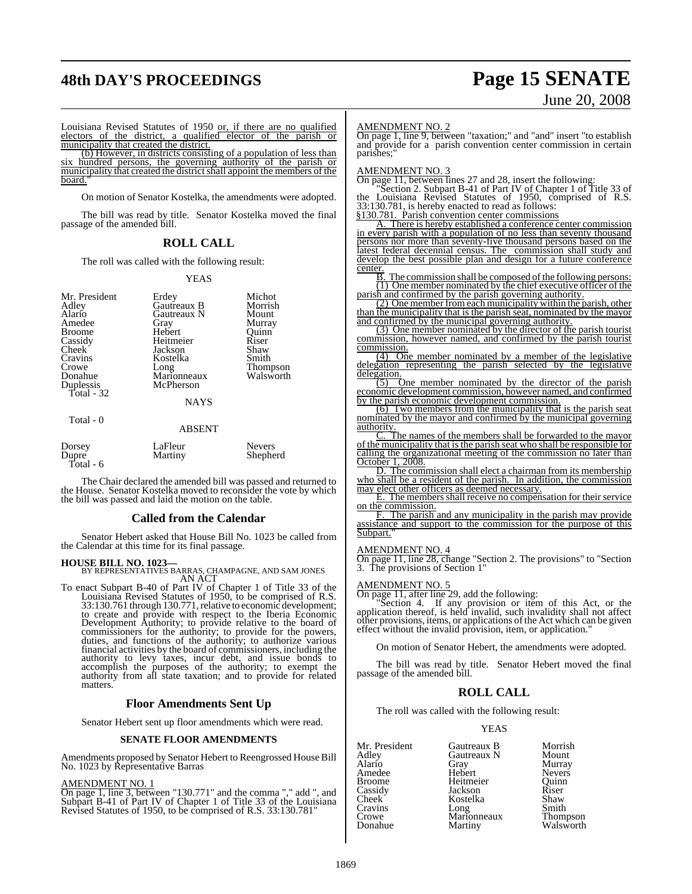# **48th DAY'S PROCEEDINGS Page 15 SENATE**

# June 20, 2008

Louisiana Revised Statutes of 1950 or, if there are no qualified electors of the district, a qualified elector of the parish or municipality that created the district.

(b) However, in districts consisting of a population of less than six hundred persons, the governing authority of the parish or municipality that created the district shall appoint the members of the board.

On motion of Senator Kostelka, the amendments were adopted.

The bill was read by title. Senator Kostelka moved the final passage of the amended bill.

#### **ROLL CALL**

The roll was called with the following result:

#### YEAS

| Mr. President<br>Adley<br>Alario<br>Amedee<br><b>Broome</b><br>Cassidy<br><b>Cheek</b><br>Cravins<br>Crowe<br>Donahue<br>Duplessis<br>Total - 32 | Erdey<br>Gautreaux B<br>Gautreaux N<br>Gray<br>Hebert<br>Heitmeier<br>Jackson<br>Kostelka<br>Long<br>Marionneaux<br>McPherson<br><b>NAYS</b> | Michot<br>Morrish<br>Mount<br>Murray<br>Quinn<br>Riser<br>Shaw<br>Smith<br>Thompson<br>Walsworth |
|--------------------------------------------------------------------------------------------------------------------------------------------------|----------------------------------------------------------------------------------------------------------------------------------------------|--------------------------------------------------------------------------------------------------|
| Total - 0                                                                                                                                        | <b>ABSENT</b>                                                                                                                                |                                                                                                  |
| Dorsey<br>Dupre<br>$T^* = 1$<br>$\overline{\phantom{a}}$                                                                                         | LaFleur<br>Martiny                                                                                                                           | <b>Nevers</b><br>Shepherd                                                                        |

Total - 6

The Chair declared the amended bill was passed and returned to the House. Senator Kostelka moved to reconsider the vote by which the bill was passed and laid the motion on the table.

#### **Called from the Calendar**

Senator Hebert asked that House Bill No. 1023 be called from the Calendar at this time for its final passage.

**HOUSE BILL NO. 1023—** BY REPRESENTATIVES BARRAS, CHAMPAGNE, AND SAM JONES AN ACT To enact Subpart B-40 of Part IV of Chapter 1 of Title 33 of the Louisiana Revised Statutes of 1950, to be comprised of R.S.<br>33:130.761 through 130.771, relative to economic development; to create and provide with respect to the Iberia Economic<br>Development Authority; to provide relative to the board of<br>commissioners for the authority; to provide for the powers,<br>duties, and functions of the authority; to au financial activities by the board of commissioners, including the authority to levy taxes, incur debt, and issue bonds to accomplish the purposes of the authority; to exempt the authority from all state taxation; and to provide for related matters.

#### **Floor Amendments Sent Up**

Senator Hebert sent up floor amendments which were read.

#### **SENATE FLOOR AMENDMENTS**

Amendments proposed by Senator Hebert to Reengrossed House Bill<br>No. 1023 by Representative Barras

AMENDMENT NO. 1 On page 1, line 3, between "130.771" and the comma "," add ", and Subpart B-41 of Part IV of Chapter 1 of Title 33 of the Louisiana Revised Statutes of 1950, to be comprised of R.S. 33:130.781"

#### AMENDMENT NO. 2

On page 1, line 9, between "taxation;" and "and" insert "to establish and provide for a parish convention center commission in certain parishes:

#### MENDMENT NO. 3

On page 11, between lines 27 and 28, insert the following:<br>
"Section 2. Subpart B-41 of Part IV of Chapter 1 of Title 33 of<br>
the Louisiana Revised Statutes of 1950, comprised of R.S.<br>
33:130.781, is hereby enacted to read

§130.781. Parish convention center commissions A. There is hereby established a conference center commission in every parish with a population of no less than seventy thousand persons nor more than seventy-five thousand persons based on the latest federal decennial census. The commission shall study and develop the best possible plan and design for a future conference center.

B. The commission shall be composed of the following persons:<br>(1) One member nominated by the chief executive officer of the<br>parish and confirmed by the parish governing authority.

(2) One member from each municipality within the parish, other than the municipality that is the parish seat, nominated by the mayor

and confirmed by the municipal governing authority. (3) One member nominated by the director of the parish tourist commission, however named, and confirmed by the parish tourist commission.

(4) One member nominated by a member of the legislative delegation representing the parish selected by the legislative delegation.

(5) One member nominated by the director of the parish economic development commission, however named, and confirmed by the parish economic development commission.

(6) Two members from the municipality that is the parish seat nominated by the mayor and confirmed by the municipal governing authority.

C. The names of the members shall be forwarded to the mayor of the municipality that isthe parish seat who shall be responsible for calling the organizational meeting of the commission no later than October 1, 2008.

D. The commission shall elect a chairman from its membership who shall be a resident of the parish. In addition, the commission may elect other officers as deemed necessary.

E. The members shall receive no compensation for their service on the commission.

F. The parish and any municipality in the parish may provide assistance and support to the commission for the purpose of this Subpart."

# AMENDMENT NO. 4

On page 11, line 28, change "Section 2. The provisions" to "Section 3. The provisions of Section 1"

**AMENDMENT NO. 5**<br>On page 11, after line 29, add the following:<br>"Section 4. If any provision or item of this Act, or the<br>application thereof, is held invalid, such invalidity shall not affect<br>other provisions, items, or ap effect without the invalid provision, item, or application."

On motion of Senator Hebert, the amendments were adopted.

The bill was read by title. Senator Hebert moved the final passage of the amended bill.

#### **ROLL CALL**

The roll was called with the following result:

#### YEAS

Mr. President Gautreaux B Morrish<br>
Adley Gautreaux N Mount<br>
Alario Grav Murray Gautreaux N<br>Gray Murray Amedee Hebert Nevers<br>Broome Heitmeier Quinn Heitmeier Quinn<br>Jackson Riser Cassidy Jackson Riser Kostelka Shaw<br>Long Smith Cravins Long Smith<br>Crowe Marionneaux Thompson Crowe Marionneaux<br>Donahue Martiny Walsworth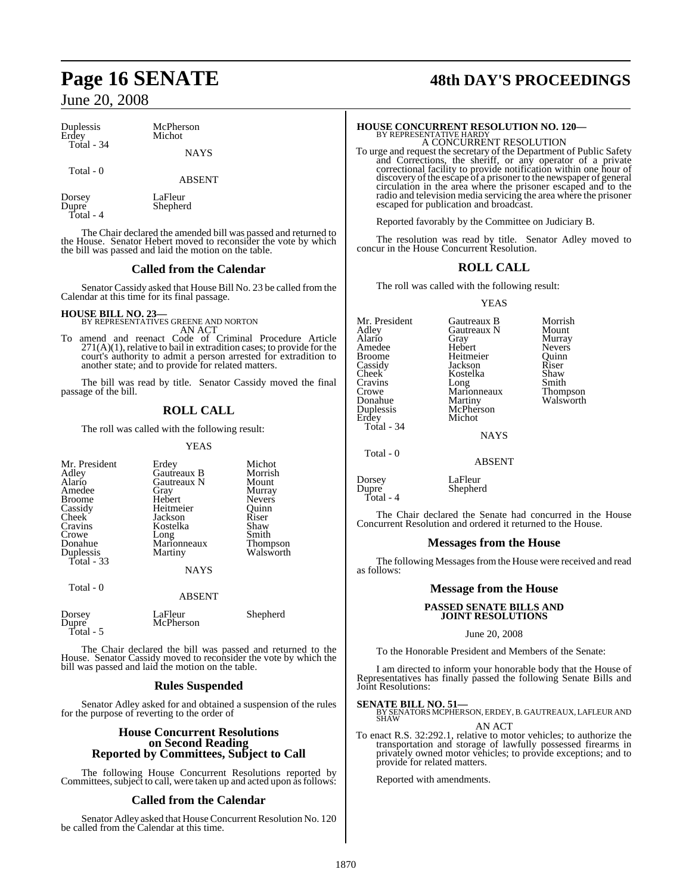| Duplessis<br>Erdey | McPherson<br>Michot |  |
|--------------------|---------------------|--|
| Total - 34         | <b>NAYS</b>         |  |
| Total - 0          | <b>ARSENT</b>       |  |

Dorsey LaFleur<br>Dunre Shenher Shepherd Total - 4

The Chair declared the amended bill was passed and returned to the House. Senator Hebert moved to reconsider the vote by which the bill was passed and laid the motion on the table.

#### **Called from the Calendar**

Senator Cassidy asked that House Bill No. 23 be called from the Calendar at this time for its final passage.

**HOUSE BILL NO. 23—** BY REPRESENTATIVES GREENE AND NORTON AN ACT

To amend and reenact Code of Criminal Procedure Article 271(A)(1), relative to bail in extradition cases; to provide for the court's authority to admit a person arrested for extradition to another state; and to provide for related matters.

The bill was read by title. Senator Cassidy moved the final passage of the bill.

## **ROLL CALL**

The roll was called with the following result:

YEAS

| Mr. President<br>Adley<br>Alario<br>Amedee<br><b>Broome</b><br>Cassidy<br>Cheek <sup>-</sup><br>Cravins<br>Crowe<br>Donahue<br>Duplessis<br>Total - 33 | Erdey<br>Gautreaux B<br>Gautreaux N<br>Gray<br>Hebert<br>Heitmeier<br>Jackson<br>Kostelka<br>Long<br>Marionneaux<br>Martiny | Michot<br>Morrish<br>Mount<br>Murray<br>Nevers<br>Ouinn<br>Riser<br>Shaw<br>Smith<br>Thompson<br>Walsworth |
|--------------------------------------------------------------------------------------------------------------------------------------------------------|-----------------------------------------------------------------------------------------------------------------------------|------------------------------------------------------------------------------------------------------------|
|                                                                                                                                                        | <b>NAYS</b>                                                                                                                 |                                                                                                            |
| Total - 0                                                                                                                                              | <b>ABSENT</b>                                                                                                               |                                                                                                            |
| Dorsey<br>Dupre                                                                                                                                        | LaFleur<br>McPherson                                                                                                        | Shepherd                                                                                                   |

Total - 5

The Chair declared the bill was passed and returned to the House. Senator Cassidy moved to reconsider the vote by which the bill was passed and laid the motion on the table.

#### **Rules Suspended**

Senator Adley asked for and obtained a suspension of the rules for the purpose of reverting to the order of

#### **House Concurrent Resolutions on Second Reading Reported by Committees, Subject to Call**

The following House Concurrent Resolutions reported by Committees,subject to call, were taken up and acted upon asfollows:

## **Called from the Calendar**

Senator Adley asked that House Concurrent Resolution No. 120 be called from the Calendar at this time.

# **Page 16 SENATE 48th DAY'S PROCEEDINGS**

## **HOUSE CONCURRENT RESOLUTION NO. 120—** BY REPRESENTATIVE HARDY A CONCURRENT RESOLUTION

To urge and request the secretary of the Department of Public Safety and Corrections, the sheriff, or any operator of a private correctional facility to provide notification within one hour of discovery of the escape of a prisoner to the newspaper of general circulation in the area where the prisoner escaped and to the radio and television media servicing the area where the prisoner escaped for publication and broadcast.

Reported favorably by the Committee on Judiciary B.

The resolution was read by title. Senator Adley moved to concur in the House Concurrent Resolution.

## **ROLL CALL**

The roll was called with the following result:

#### YEAS

Mr. President Gautreaux B Morrish<br>Adley Gautreaux N Mount Alario Gray Murray Amedee Hebert Nevers<br>Broome Heitmeier Quinn Broome Heitmeier Quinn Cassidy Jackson Riser Cravins Long Smith<br>Crowe Marionneaux Thompson Crowe Marionneaux<br>Donahue Martiny Duplessis McPherson Michot Total - 34

Gautreaux N Mount<br>Gray Murray Kostelka Shaw<br>Long Smith Walsworth

**NAYS** 

ABSENT

Dorsey LaFleur<br>Dupre Shepher Shepherd

Total - 0

Total - 4

The Chair declared the Senate had concurred in the House Concurrent Resolution and ordered it returned to the House.

#### **Messages from the House**

The following Messages from the House were received and read as follows:

## **Message from the House**

# **PASSED SENATE BILLS AND JOINT RESOLUTIONS**

June 20, 2008

To the Honorable President and Members of the Senate:

I am directed to inform your honorable body that the House of Representatives has finally passed the following Senate Bills and Joint Resolutions:

**SENATE BILL NO. 51—**<br>BY SENATORS MCPHERSON, ERDEY, B. GAUTREAUX, LAFLEUR AND<br>SHAW

AN ACT

To enact R.S. 32:292.1, relative to motor vehicles; to authorize the transportation and storage of lawfully possessed firearms in privately owned motor vehicles; to provide exceptions; and to provide for related matters.

Reported with amendments.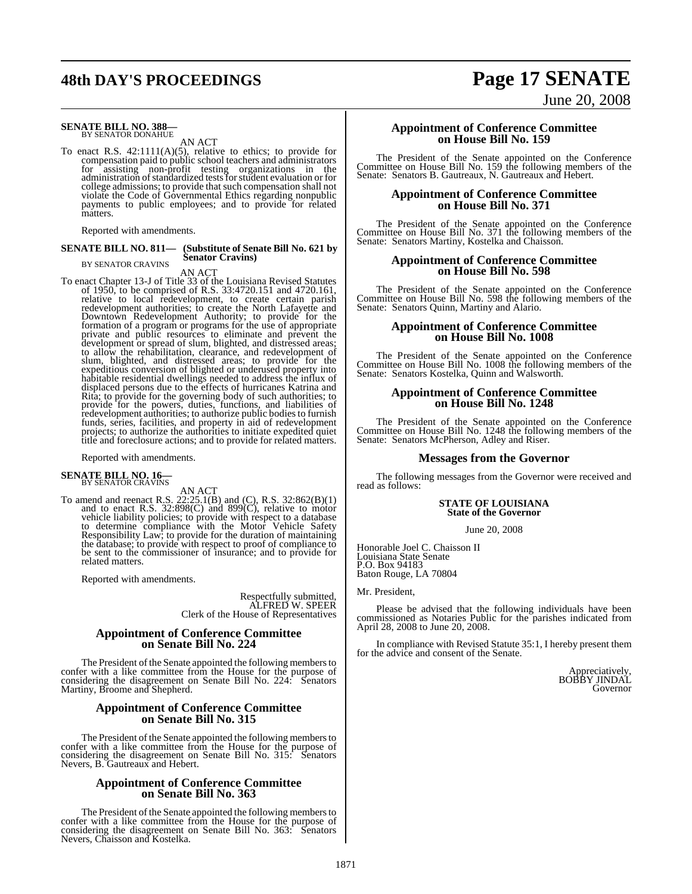# **48th DAY'S PROCEEDINGS Page 17 SENATE**

# **SENATE BILL NO. 388—** BY SENATOR DONAHUE

AN ACT

To enact R.S. 42:1111(A)(5), relative to ethics; to provide for compensation paid to public school teachers and administrators for assisting non-profit testing organizations in the administration ofstandardized testsforstudent evaluation or for college admissions; to provide that such compensation shall not violate the Code of Governmental Ethics regarding nonpublic payments to public employees; and to provide for related matters.

Reported with amendments.

#### **SENATE BILL NO. 811— (Substitute of Senate Bill No. 621 by Senator Cravins)** BY SENATOR CRAVINS

AN ACT<br>To enact Chapter 13-J of Title 33 of the Louisiana Revised Statutes<br>of 1950, to be comprised of R.S. 33:4720.151 and 4720.161, relative to local redevelopment, to create certain parish<br>redevelopment authorities; to create the North Lafayette and Downtown Redevelopment Authority; to provide for the<br>formation of a program or programs for the use of appropriate<br>private and public resources to eliminate and prevent the<br>development or spread of slum, blighted, and dist Rita; to provide for the governing body of such authorities; to provide for the powers, duties, functions, and liabilities of redevelopment authorities; to authorize public bodiesto furnish funds, series, facilities, and property in aid of redevelopment projects; to authorize the authorities to initiate expedited quiet title and foreclosure actions; and to provide for related matters.

Reported with amendments.

# **SENATE BILL NO. 16—** BY SENATOR CRAVINS

AN ACT<br>To amend and reenact R.S. 22:25.1(B) and (C), R.S. 32:862(B)(1)<br>and to enact R.S. 32:898(C) and 899(C), relative to motor vehicle liability policies; to provide with respect to a database to determine compliance with the Motor Vehicle Safety Responsibility Law; to provide for the duration of maintaining the database; to provide with respect to proof of compliance to be sent to the commissioner of insurance; and to provide for related matters.

Reported with amendments.

Respectfully submitted, ALFRED W. SPEER Clerk of the House of Representatives

#### **Appointment of Conference Committee on Senate Bill No. 224**

The President of the Senate appointed the following members to confer with a like committee from the House for the purpose of considering the disagreement on Senate Bill No. 224: Senators Martiny, Broome and Shepherd.

#### **Appointment of Conference Committee on Senate Bill No. 315**

The President of the Senate appointed the following members to confer with a like committee from the House for the purpose of considering the disagreement on Senate Bill No. 315: Senators Nevers, B. Gautreaux and Hebert.

#### **Appointment of Conference Committee on Senate Bill No. 363**

The President of the Senate appointed the following members to confer with a like committee from the House for the purpose of considering the disagreement on Senate Bill No. 363: Senators Nevers, Chaisson and Kostelka.

#### **Appointment of Conference Committee on House Bill No. 159**

The President of the Senate appointed on the Conference Committee on House Bill No. 159 the following members of the Senate: Senators B. Gautreaux, N. Gautreaux and Hebert.

#### **Appointment of Conference Committee on House Bill No. 371**

The President of the Senate appointed on the Conference Committee on House Bill No. 371 the following members of the Senate: Senators Martiny, Kostelka and Chaisson.

#### **Appointment of Conference Committee on House Bill No. 598**

The President of the Senate appointed on the Conference Committee on House Bill No. 598 the following members of the Senate: Senators Quinn, Martiny and Alario.

#### **Appointment of Conference Committee on House Bill No. 1008**

The President of the Senate appointed on the Conference Committee on House Bill No. 1008 the following members of the Senate: Senators Kostelka, Quinn and Walsworth.

#### **Appointment of Conference Committee on House Bill No. 1248**

The President of the Senate appointed on the Conference Committee on House Bill No. 1248 the following members of the Senate: Senators McPherson, Adley and Riser.

#### **Messages from the Governor**

The following messages from the Governor were received and read as follows:

#### **STATE OF LOUISIANA State of the Governor**

June 20, 2008

Honorable Joel C. Chaisson II Louisiana State Senate P.O. Box 94183 Baton Rouge, LA 70804

Mr. President,

Please be advised that the following individuals have been commissioned as Notaries Public for the parishes indicated from April 28, 2008 to June 20, 2008.

In compliance with Revised Statute 35:1, I hereby present them for the advice and consent of the Senate.

> Appreciatively, BOBBY JINDAL Governor

# June 20, 2008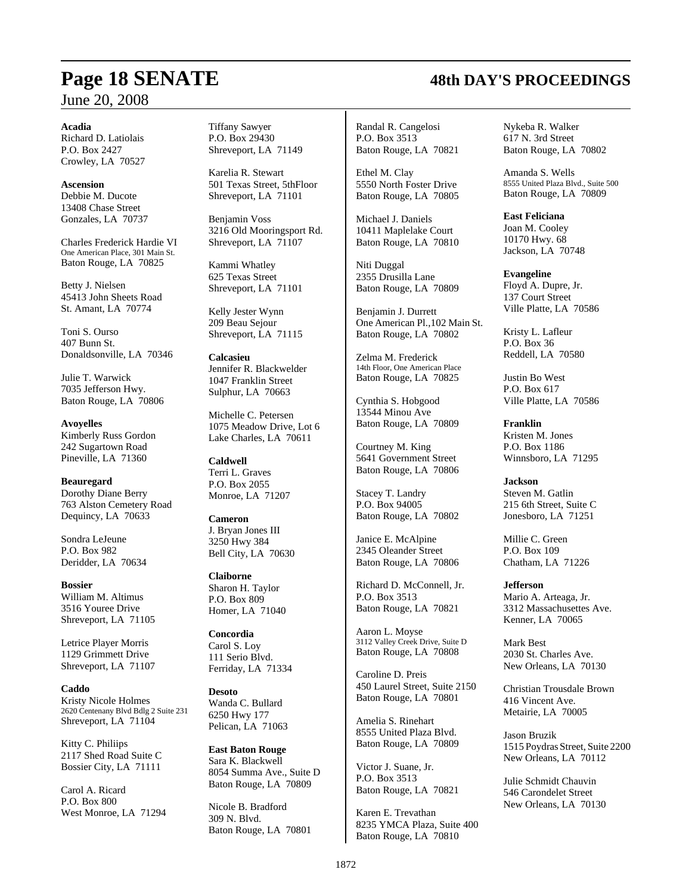#### **Acadia**

Richard D. Latiolais P.O. Box 2427 Crowley, LA 70527

**Ascension** Debbie M. Ducote 13408 Chase Street Gonzales, LA 70737

Charles Frederick Hardie VI One American Place, 301 Main St. Baton Rouge, LA 70825

Betty J. Nielsen 45413 John Sheets Road St. Amant, LA 70774

Toni S. Ourso 407 Bunn St. Donaldsonville, LA 70346

Julie T. Warwick 7035 Jefferson Hwy. Baton Rouge, LA 70806

**Avoyelles** Kimberly Russ Gordon 242 Sugartown Road Pineville, LA 71360

**Beauregard** Dorothy Diane Berry 763 Alston Cemetery Road Dequincy, LA 70633

Sondra LeJeune P.O. Box 982 Deridder, LA 70634

**Bossier** William M. Altimus 3516 Youree Drive Shreveport, LA 71105

Letrice Player Morris 1129 Grimmett Drive Shreveport, LA 71107

**Caddo** Kristy Nicole Holmes 2620 Centenany Blvd Bdlg 2 Suite 231 Shreveport, LA 71104

Kitty C. Philiips 2117 Shed Road Suite C Bossier City, LA 71111

Carol A. Ricard P.O. Box 800 West Monroe, LA 71294 Tiffany Sawyer P.O. Box 29430 Shreveport, LA 71149

Karelia R. Stewart 501 Texas Street, 5thFloor Shreveport, LA 71101

Benjamin Voss 3216 Old Mooringsport Rd. Shreveport, LA 71107

Kammi Whatley 625 Texas Street Shreveport, LA 71101

Kelly Jester Wynn 209 Beau Sejour Shreveport, LA 71115

**Calcasieu** Jennifer R. Blackwelder 1047 Franklin Street Sulphur, LA 70663

Michelle C. Petersen 1075 Meadow Drive, Lot 6 Lake Charles, LA 70611

**Caldwell** Terri L. Graves P.O. Box 2055 Monroe, LA 71207

**Cameron** J. Bryan Jones III 3250 Hwy 384 Bell City, LA 70630

**Claiborne** Sharon H. Taylor P.O. Box 809 Homer, LA 71040

**Concordia** Carol S. Loy 111 Serio Blvd. Ferriday, LA 71334

**Desoto** Wanda C. Bullard 6250 Hwy 177 Pelican, LA 71063

**East Baton Rouge** Sara K. Blackwell 8054 Summa Ave., Suite D Baton Rouge, LA 70809

Nicole B. Bradford 309 N. Blvd. Baton Rouge, LA 70801 Randal R. Cangelosi P.O. Box 3513 Baton Rouge, LA 70821

Ethel M. Clay 5550 North Foster Drive Baton Rouge, LA 70805

Michael J. Daniels 10411 Maplelake Court Baton Rouge, LA 70810

Niti Duggal 2355 Drusilla Lane Baton Rouge, LA 70809

Benjamin J. Durrett One American Pl.,102 Main St. Baton Rouge, LA 70802

Zelma M. Frederick 14th Floor, One American Place Baton Rouge, LA 70825

Cynthia S. Hobgood 13544 Minou Ave Baton Rouge, LA 70809

Courtney M. King 5641 Government Street Baton Rouge, LA 70806

Stacey T. Landry P.O. Box 94005 Baton Rouge, LA 70802

Janice E. McAlpine 2345 Oleander Street Baton Rouge, LA 70806

Richard D. McConnell, Jr. P.O. Box 3513 Baton Rouge, LA 70821

Aaron L. Moyse 3112 Valley Creek Drive, Suite D Baton Rouge, LA 70808

Caroline D. Preis 450 Laurel Street, Suite 2150 Baton Rouge, LA 70801

Amelia S. Rinehart 8555 United Plaza Blvd. Baton Rouge, LA 70809

Victor J. Suane, Jr. P.O. Box 3513 Baton Rouge, LA 70821

Karen E. Trevathan 8235 YMCA Plaza, Suite 400 Baton Rouge, LA 70810

Nykeba R. Walker 617 N. 3rd Street Baton Rouge, LA 70802

Amanda S. Wells 8555 United Plaza Blvd., Suite 500 Baton Rouge, LA 70809

**East Feliciana**

Joan M. Cooley 10170 Hwy. 68 Jackson, LA 70748

#### **Evangeline**

Floyd A. Dupre, Jr. 137 Court Street Ville Platte, LA 70586

Kristy L. Lafleur P.O. Box 36 Reddell, LA 70580

Justin Bo West P.O. Box 617 Ville Platte, LA 70586

**Franklin** Kristen M. Jones P.O. Box 1186 Winnsboro, LA 71295

**Jackson** Steven M. Gatlin 215 6th Street, Suite C Jonesboro, LA 71251

Millie C. Green P.O. Box 109 Chatham, LA 71226

**Jefferson** Mario A. Arteaga, Jr. 3312 Massachusettes Ave.

Kenner, LA 70065

Mark Best 2030 St. Charles Ave. New Orleans, LA 70130

Christian Trousdale Brown 416 Vincent Ave. Metairie, LA 70005

Jason Bruzik 1515 Poydras Street, Suite 2200 New Orleans, LA 70112

Julie Schmidt Chauvin 546 Carondelet Street New Orleans, LA 70130

# **Page 18 SENATE 48th DAY'S PROCEEDINGS**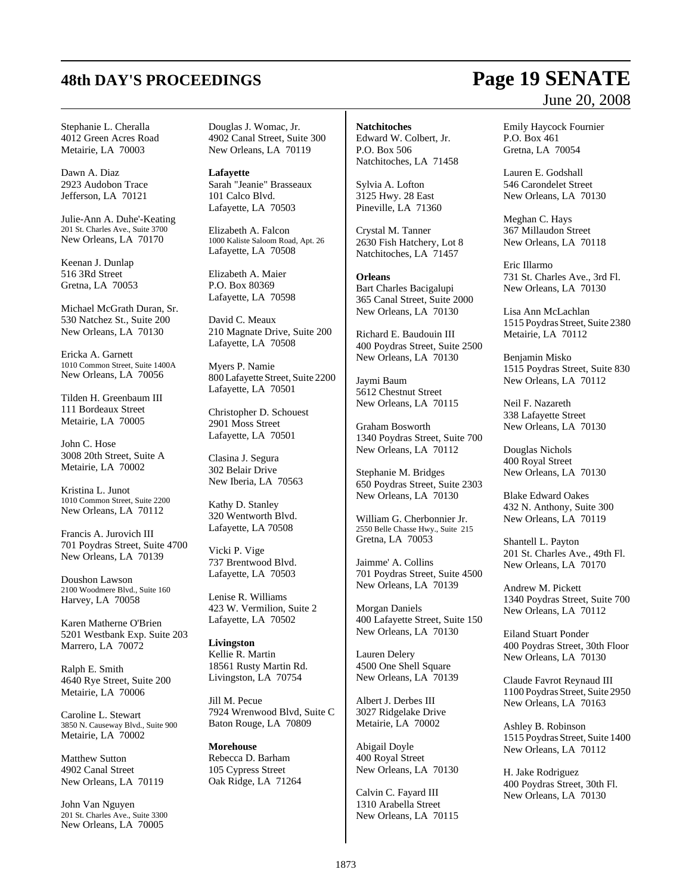# **48th DAY'S PROCEEDINGS Page 19 SENATE**

Stephanie L. Cheralla 4012 Green Acres Road Metairie, LA 70003

Dawn A. Diaz 2923 Audobon Trace Jefferson, LA 70121

Julie-Ann A. Duhe'-Keating 201 St. Charles Ave., Suite 3700 New Orleans, LA 70170

Keenan J. Dunlap 516 3Rd Street Gretna, LA 70053

Michael McGrath Duran, Sr. 530 Natchez St., Suite 200 New Orleans, LA 70130

Ericka A. Garnett 1010 Common Street, Suite 1400A New Orleans, LA 70056

Tilden H. Greenbaum III 111 Bordeaux Street Metairie, LA 70005

John C. Hose 3008 20th Street, Suite A Metairie, LA 70002

Kristina L. Junot 1010 Common Street, Suite 2200 New Orleans, LA 70112

Francis A. Jurovich III 701 Poydras Street, Suite 4700 New Orleans, LA 70139

Doushon Lawson 2100 Woodmere Blvd., Suite 160 Harvey, LA 70058

Karen Matherne O'Brien 5201 Westbank Exp. Suite 203 Marrero, LA 70072

Ralph E. Smith 4640 Rye Street, Suite 200 Metairie, LA 70006

Caroline L. Stewart 3850 N. Causeway Blvd., Suite 900 Metairie, LA 70002

Matthew Sutton 4902 Canal Street New Orleans, LA 70119

John Van Nguyen 201 St. Charles Ave., Suite 3300 New Orleans, LA 70005

Douglas J. Womac, Jr. 4902 Canal Street, Suite 300 New Orleans, LA 70119

**Lafayette** Sarah "Jeanie" Brasseaux 101 Calco Blvd. Lafayette, LA 70503

Elizabeth A. Falcon 1000 Kaliste Saloom Road, Apt. 26 Lafayette, LA 70508

Elizabeth A. Maier P.O. Box 80369 Lafayette, LA 70598

David C. Meaux 210 Magnate Drive, Suite 200 Lafayette, LA 70508

Myers P. Namie 800 Lafayette Street, Suite 2200 Lafayette, LA 70501

Christopher D. Schouest 2901 Moss Street Lafayette, LA 70501

Clasina J. Segura 302 Belair Drive New Iberia, LA 70563

Kathy D. Stanley 320 Wentworth Blvd. Lafayette, LA 70508

Vicki P. Vige 737 Brentwood Blvd. Lafayette, LA 70503

Lenise R. Williams 423 W. Vermilion, Suite 2 Lafayette, LA 70502

**Livingston** Kellie R. Martin 18561 Rusty Martin Rd. Livingston, LA 70754

Jill M. Pecue 7924 Wrenwood Blvd, Suite C Baton Rouge, LA 70809

**Morehouse** Rebecca D. Barham 105 Cypress Street Oak Ridge, LA 71264 **Natchitoches** Edward W. Colbert, Jr. P.O. Box 506 Natchitoches, LA 71458

Sylvia A. Lofton 3125 Hwy. 28 East Pineville, LA 71360

Crystal M. Tanner 2630 Fish Hatchery, Lot 8 Natchitoches, LA 71457

**Orleans** Bart Charles Bacigalupi 365 Canal Street, Suite 2000 New Orleans, LA 70130

Richard E. Baudouin III 400 Poydras Street, Suite 2500 New Orleans, LA 70130

Jaymi Baum 5612 Chestnut Street New Orleans, LA 70115

Graham Bosworth 1340 Poydras Street, Suite 700 New Orleans, LA 70112

Stephanie M. Bridges 650 Poydras Street, Suite 2303 New Orleans, LA 70130

William G. Cherbonnier Jr. 2550 Belle Chasse Hwy., Suite 215 Gretna, LA 70053

Jaimme' A. Collins 701 Poydras Street, Suite 4500 New Orleans, LA 70139

Morgan Daniels 400 Lafayette Street, Suite 150 New Orleans, LA 70130

Lauren Delery 4500 One Shell Square New Orleans, LA 70139

Albert J. Derbes III 3027 Ridgelake Drive Metairie, LA 70002

Abigail Doyle 400 Royal Street New Orleans, LA 70130

Calvin C. Fayard III 1310 Arabella Street New Orleans, LA 70115

# June 20, 2008

Emily Haycock Fournier P.O. Box 461 Gretna, LA 70054

Lauren E. Godshall 546 Carondelet Street New Orleans, LA 70130

Meghan C. Hays 367 Millaudon Street New Orleans, LA 70118

Eric Illarmo 731 St. Charles Ave., 3rd Fl. New Orleans, LA 70130

Lisa Ann McLachlan 1515 Poydras Street, Suite 2380 Metairie, LA 70112

Benjamin Misko 1515 Poydras Street, Suite 830 New Orleans, LA 70112

Neil F. Nazareth 338 Lafayette Street New Orleans, LA 70130

Douglas Nichols 400 Royal Street New Orleans, LA 70130

Blake Edward Oakes 432 N. Anthony, Suite 300 New Orleans, LA 70119

Shantell L. Payton 201 St. Charles Ave., 49th Fl. New Orleans, LA 70170

Andrew M. Pickett 1340 Poydras Street, Suite 700 New Orleans, LA 70112

Eiland Stuart Ponder 400 Poydras Street, 30th Floor New Orleans, LA 70130

Claude Favrot Reynaud III 1100 Poydras Street, Suite 2950 New Orleans, LA 70163

Ashley B. Robinson 1515 Poydras Street, Suite 1400 New Orleans, LA 70112

H. Jake Rodriguez 400 Poydras Street, 30th Fl. New Orleans, LA 70130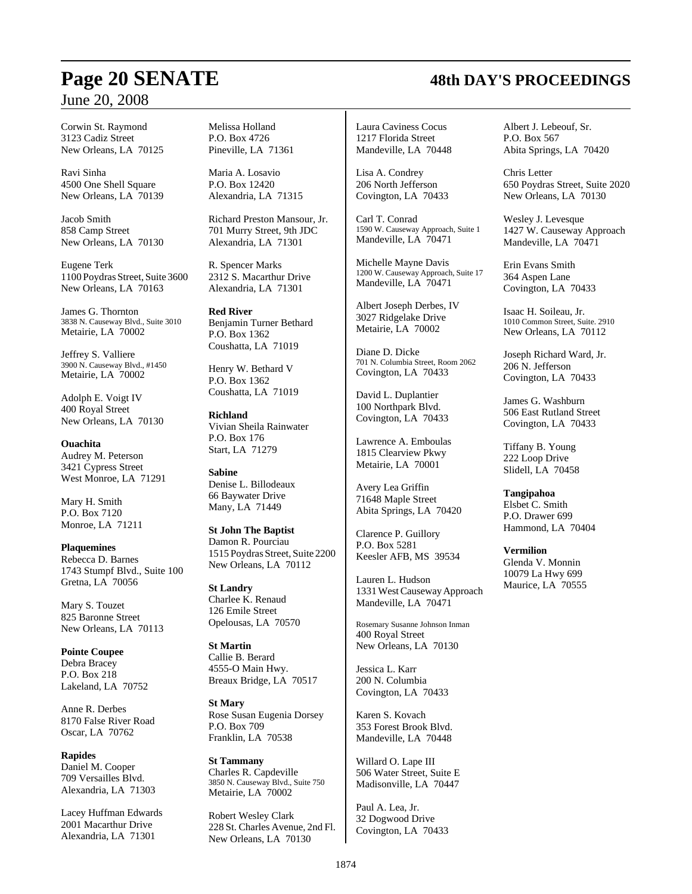Corwin St. Raymond 3123 Cadiz Street New Orleans, LA 70125

Ravi Sinha 4500 One Shell Square New Orleans, LA 70139

Jacob Smith 858 Camp Street New Orleans, LA 70130

Eugene Terk 1100 Poydras Street, Suite 3600 New Orleans, LA 70163

James G. Thornton 3838 N. Causeway Blvd., Suite 3010 Metairie, LA 70002

Jeffrey S. Valliere 3900 N. Causeway Blvd., #1450 Metairie, LA 70002

Adolph E. Voigt IV 400 Royal Street New Orleans, LA 70130

## **Ouachita**

Audrey M. Peterson 3421 Cypress Street West Monroe, LA 71291

Mary H. Smith P.O. Box 7120 Monroe, LA 71211

**Plaquemines** Rebecca D. Barnes 1743 Stumpf Blvd., Suite 100 Gretna, LA 70056

Mary S. Touzet 825 Baronne Street New Orleans, LA 70113

**Pointe Coupee** Debra Bracey P.O. Box 218 Lakeland, LA 70752

Anne R. Derbes 8170 False River Road Oscar, LA 70762

**Rapides** Daniel M. Cooper 709 Versailles Blvd. Alexandria, LA 71303

Lacey Huffman Edwards 2001 Macarthur Drive Alexandria, LA 71301

Melissa Holland P.O. Box 4726 Pineville, LA 71361

Maria A. Losavio P.O. Box 12420 Alexandria, LA 71315

Richard Preston Mansour, Jr. 701 Murry Street, 9th JDC Alexandria, LA 71301

R. Spencer Marks 2312 S. Macarthur Drive Alexandria, LA 71301

**Red River** Benjamin Turner Bethard P.O. Box 1362 Coushatta, LA 71019

Henry W. Bethard V P.O. Box 1362 Coushatta, LA 71019

**Richland** Vivian Sheila Rainwater P.O. Box 176 Start, LA 71279

**Sabine** Denise L. Billodeaux 66 Baywater Drive Many, LA 71449

**St John The Baptist** Damon R. Pourciau 1515 Poydras Street, Suite 2200 New Orleans, LA 70112

**St Landry** Charlee K. Renaud 126 Emile Street Opelousas, LA 70570

**St Martin** Callie B. Berard 4555-O Main Hwy. Breaux Bridge, LA 70517

**St Mary** Rose Susan Eugenia Dorsey P.O. Box 709 Franklin, LA 70538

**St Tammany** Charles R. Capdeville 3850 N. Causeway Blvd., Suite 750 Metairie, LA 70002

Robert Wesley Clark 228 St. Charles Avenue, 2nd Fl. New Orleans, LA 70130

Laura Caviness Cocus 1217 Florida Street Mandeville, LA 70448

Lisa A. Condrey 206 North Jefferson Covington, LA 70433

Carl T. Conrad 1590 W. Causeway Approach, Suite 1 Mandeville, LA 70471

Michelle Mayne Davis 1200 W. Causeway Approach, Suite 17 Mandeville, LA 70471

Albert Joseph Derbes, IV 3027 Ridgelake Drive Metairie, LA 70002

Diane D. Dicke 701 N. Columbia Street, Room 2062 Covington, LA 70433

David L. Duplantier 100 Northpark Blvd. Covington, LA 70433

Lawrence A. Emboulas 1815 Clearview Pkwy Metairie, LA 70001

Avery Lea Griffin 71648 Maple Street Abita Springs, LA 70420

Clarence P. Guillory P.O. Box 5281 Keesler AFB, MS 39534

Lauren L. Hudson 1331WestCausewayApproach Mandeville, LA 70471

Rosemary Susanne Johnson Inman 400 Royal Street New Orleans, LA 70130

Jessica L. Karr 200 N. Columbia Covington, LA 70433

Karen S. Kovach 353 Forest Brook Blvd. Mandeville, LA 70448

Willard O. Lape III 506 Water Street, Suite E Madisonville, LA 70447

Paul A. Lea, Jr. 32 Dogwood Drive Covington, LA 70433 Albert J. Lebeouf, Sr. P.O. Box 567 Abita Springs, LA 70420

Chris Letter 650 Poydras Street, Suite 2020 New Orleans, LA 70130

Wesley J. Levesque 1427 W. Causeway Approach Mandeville, LA 70471

Erin Evans Smith 364 Aspen Lane Covington, LA 70433

Isaac H. Soileau, Jr. 1010 Common Street, Suite. 2910 New Orleans, LA 70112

Joseph Richard Ward, Jr. 206 N. Jefferson Covington, LA 70433

James G. Washburn 506 East Rutland Street Covington, LA 70433

Tiffany B. Young 222 Loop Drive Slidell, LA 70458

**Tangipahoa**

Elsbet C. Smith P.O. Drawer 699 Hammond, LA 70404

**Vermilion**

Glenda V. Monnin 10079 La Hwy 699 Maurice, LA 70555

# **Page 20 SENATE 48th DAY'S PROCEEDINGS**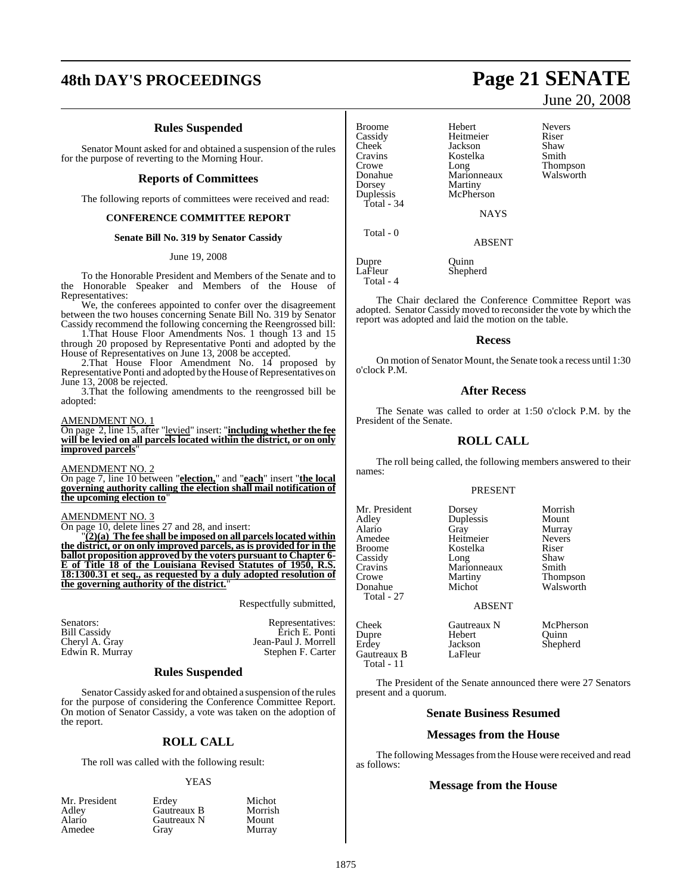# **48th DAY'S PROCEEDINGS Page 21 SENATE**

#### **Rules Suspended**

Senator Mount asked for and obtained a suspension of the rules for the purpose of reverting to the Morning Hour.

#### **Reports of Committees**

The following reports of committees were received and read:

#### **CONFERENCE COMMITTEE REPORT**

#### **Senate Bill No. 319 by Senator Cassidy**

#### June 19, 2008

To the Honorable President and Members of the Senate and to the Honorable Speaker and Members of the House of Representatives:

We, the conferees appointed to confer over the disagreement between the two houses concerning Senate Bill No. 319 by Senator Cassidy recommend the following concerning the Reengrossed bill:

1.That House Floor Amendments Nos. 1 though 13 and 15 through 20 proposed by Representative Ponti and adopted by the House of Representatives on June 13, 2008 be accepted.

2.That House Floor Amendment No. 14 proposed by Representative Ponti and adopted by the House of Representatives on June 13, 2008 be rejected.

3.That the following amendments to the reengrossed bill be adopted:

#### AMENDMENT NO. 1

On page 2, line 15, after "levied" insert: "**including whether the fee will be levied on all parcels located within the district, or on only improved parcels**"

#### AMENDMENT NO. 2

On page 7, line 10 between "**election,**" and "**each**" insert "**the local governing authority calling the election shall mail notification of the upcoming election to**"

#### AMENDMENT NO. 3

On page 10, delete lines 27 and 28, and insert:

"**(2)(a) The fee shall be imposed on all parcels located within the district, or on only improved parcels, as is provided for in the ballot proposition approved by the voters pursuant to Chapter 6- E of Title 18 of the Louisiana Revised Statutes of 1950, R.S. 18:1300.31 et seq., as requested by a duly adopted resolution of the governing authority of the district.**"

Respectfully submitted,

Murray

Senators: Representatives: Representatives: Representatives: Representatives: Representatives: Representatives: Representatives: Representatives: Representatives: Representatives: Representatives: Representatives: Represen Erich E. Ponti Cheryl A. Gray Jean-Paul J. Morrell Stephen F. Carter

#### **Rules Suspended**

Senator Cassidy asked for and obtained a suspension of the rules for the purpose of considering the Conference Committee Report. On motion of Senator Cassidy, a vote was taken on the adoption of the report.

#### **ROLL CALL**

The roll was called with the following result:

#### YEAS

|        |        | Mr. President |
|--------|--------|---------------|
| Adley  |        |               |
| Alario |        |               |
|        | Amedee |               |

Erdey Michot<br>
Gautreaux B Morrish **Gautreaux B** Morrish<br> **Gautreaux N** Mount Gautreaux N<br>Gray

June 20, 2008

Broome Hebert Nevers<br>
Cassidy Heitmeier Riser Cassidy Heitmeier Riser<br>Cheek Jackson Shaw Cheek Jackson Shaw<br>Cravins Kostelka Smith Cravins Kostelka<br>Crowe Long Crowe Long Long<br>
Donahue Marionneaux Walsworth Donahue Marionneaux<br>Dorsey Martiny Dorsey Martiny<br>
Dunlessis McPhers Total - 34

McPherson

**NAYS** 

ABSENT

Dupre Quinn<br>LaFleur Shephe Shepherd

Total - 4

Total - 0

The Chair declared the Conference Committee Report was adopted. Senator Cassidy moved to reconsider the vote by which the report was adopted and laid the motion on the table.

#### **Recess**

On motion of Senator Mount, the Senate took a recess until 1:30 o'clock P.M.

#### **After Recess**

The Senate was called to order at 1:50 o'clock P.M. by the President of the Senate.

#### **ROLL CALL**

The roll being called, the following members answered to their names:

#### PRESENT

Mr. President Dorsey Morrish<br>Adley Duplessis Mount Adley Duplessis<br>Alario Gray Total - 27

Alario Gray Murray Amedee Heitmeier Never<br>Broome Kostelka Riser Broome Kostelka Riser<br>Cassidy Long Shaw Cassidy Long Shaw<br>Cravins Marionneaux Smith Cravins Marionneaux<br>Crowe Martiny Crowe Martiny Thompson<br>
Donahue Michot Walsworth

Walsworth

#### ABSENT

Dupre Hebert<br>Erdey Jackson Gautreaux B Total - 11

Cheek Gautreaux N McPherson<br>
Dupre Hebert Quinn Jackson Shepherd<br>LaFleur

The President of the Senate announced there were 27 Senators present and a quorum.

#### **Senate Business Resumed**

#### **Messages from the House**

The following Messages from the House were received and read as follows:

#### **Message from the House**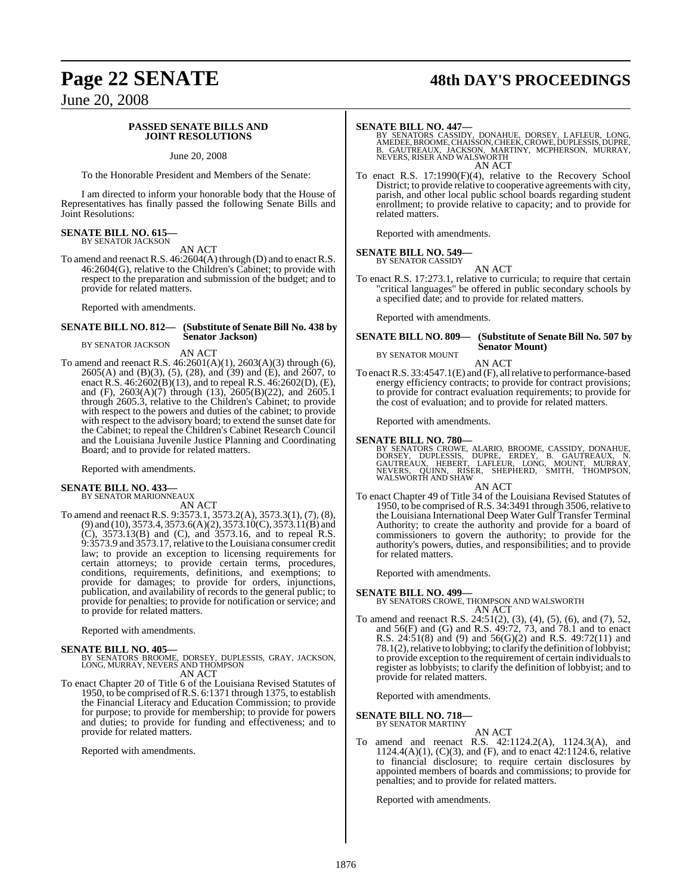# **Page 22 SENATE 48th DAY'S PROCEEDINGS**

June 20, 2008

#### **PASSED SENATE BILLS AND JOINT RESOLUTIONS**

June 20, 2008

To the Honorable President and Members of the Senate:

I am directed to inform your honorable body that the House of Representatives has finally passed the following Senate Bills and Joint Resolutions:

# **SENATE BILL NO. 615—** BY SENATOR JACKSON

AN ACT

To amend and reenact R.S. 46:2604(A) through (D) and to enact R.S. 46:2604(G), relative to the Children's Cabinet; to provide with respect to the preparation and submission of the budget; and to provide for related matters.

Reported with amendments.

#### **SENATE BILL NO. 812— (Substitute of Senate Bill No. 438 by Senator Jackson)** BY SENATOR JACKSON

AN ACT

To amend and reenact R.S. 46:2601(A)(1), 2603(A)(3) through (6), 2605(A) and (B)(3), (5), (28), and (39) and (E), and 2607, to enact R.S. 46:2602(B)(13), and to repeal R.S. 46:2602(D), (E), and (F), 2603(A)(7) through (13), 2605(B)(22), and 2605.1 through 2605.3, relative to the Children's Cabinet; to provide with respect to the powers and duties of the cabinet; to provide with respect to the advisory board; to extend the sunset date for the Cabinet; to repeal the Children's Cabinet Research Council and the Louisiana Juvenile Justice Planning and Coordinating Board; and to provide for related matters.

Reported with amendments.

#### **SENATE BILL NO. 433—**

BY SENATOR MARIONNEAUX AN ACT

To amend and reenact R.S. 9:3573.1, 3573.2(A), 3573.3(1), (7), (8), (9) and (10), 3573.4, 3573.6(A)(2), 3573.10(C), 3573.11(B) and (C), 3573.13(B) and (C), and 3573.16, and to repeal R.S. 9:3573.9 and 3573.17,relative to the Louisiana consumer credit law; to provide an exception to licensing requirements for certain attorneys; to provide certain terms, procedures, conditions, requirements, definitions, and exemptions; to provide for damages; to provide for orders, injunctions, publication, and availability of records to the general public; to provide for penalties; to provide for notification or service; and to provide for related matters.

Reported with amendments.

#### **SENATE BILL NO. 405—**

BY SENATORS BROOME, DORSEY, DUPLESSIS, GRAY, JACKSON, LONG, MURRAY, NEVERS AND THOMPSON AN ACT

- 
- To enact Chapter 20 of Title 6 of the Louisiana Revised Statutes of 1950, to be comprised ofR.S. 6:1371 through 1375, to establish the Financial Literacy and Education Commission; to provide for purpose; to provide for membership; to provide for powers and duties; to provide for funding and effectiveness; and to provide for related matters.

Reported with amendments.

**SENATE BILL NO. 447—**<br>BY SENATORS CASSIDY, DONAHUE, DORSEY, LAFLEUR, LONG, AMEDEE, BROOME, CHAISSON,CHEEK,CROWE,DUPLESSIS,DUPRE,<br>B. GAUTREAUX, JACKSON, MARTINY, MCPHERSON, MURRAY,<br>NEVERS, RISER AND WALSWORTH AN ACT

To enact R.S. 17:1990(F)(4), relative to the Recovery School District; to provide relative to cooperative agreements with city, parish, and other local public school boards regarding student enrollment; to provide relative to capacity; and to provide for related matters.

Reported with amendments.

#### **SENATE BILL NO. 549—**

BY SENATOR CASSIDY AN ACT

To enact R.S. 17:273.1, relative to curricula; to require that certain "critical languages" be offered in public secondary schools by a specified date; and to provide for related matters.

Reported with amendments.

#### **SENATE BILL NO. 809— (Substitute of Senate Bill No. 507 by Senator Mount)** BY SENATOR MOUNT

AN ACT

To enactR.S. 33:4547.1(E) and (F), allrelative to performance-based energy efficiency contracts; to provide for contract provisions; to provide for contract evaluation requirements; to provide for the cost of evaluation; and to provide for related matters.

Reported with amendments.

#### **SENATE BILL NO. 780—**

BY SENATORS CROWE, ALARIO, BROOME, CASSIDY, DONAHUE,<br>DORSEY, DUPLESSIS, DUPRE, ERDEY, B. GAUTREAUX, N.<br>GAUTREAUX, HEBERT, LAFLEUR, LONG, MOUNT, MURRAY,<br>NEVERS, QUINN, RISER, SHEPHERD, SMITH, THOMPSON,<br>WALSWORTHAND SHAW

#### AN ACT

To enact Chapter 49 of Title 34 of the Louisiana Revised Statutes of 1950, to be comprised of R.S. 34:3491 through 3506, relative to the Louisiana International Deep Water Gulf Transfer Terminal Authority; to create the authority and provide for a board of commissioners to govern the authority; to provide for the authority's powers, duties, and responsibilities; and to provide for related matters.

Reported with amendments.

#### **SENATE BILL NO. 499—**

BY SENATORS CROWE, THOMPSON AND WALSWORTH AN ACT

To amend and reenact R.S. 24:51(2), (3), (4), (5), (6), and (7), 52, and 56(F) and (G) and R.S. 49:72, 73, and 78.1 and to enact R.S. 24:51(8) and (9) and 56(G)(2) and R.S. 49:72(11) and 78.1(2), relative to lobbying; to clarify the definition of lobbyist; to provide exception to the requirement of certain individuals to register as lobbyists; to clarify the definition of lobbyist; and to provide for related matters.

Reported with amendments.

**SENATE BILL NO. 718—** BY SENATOR MARTINY

AN ACT

To amend and reenact R.S. 42:1124.2(A), 1124.3(A), and 1124.4(A)(1), (C)(3), and (F), and to enact 42:1124.6, relative to financial disclosure; to require certain disclosures by appointed members of boards and commissions; to provide for penalties; and to provide for related matters.

Reported with amendments.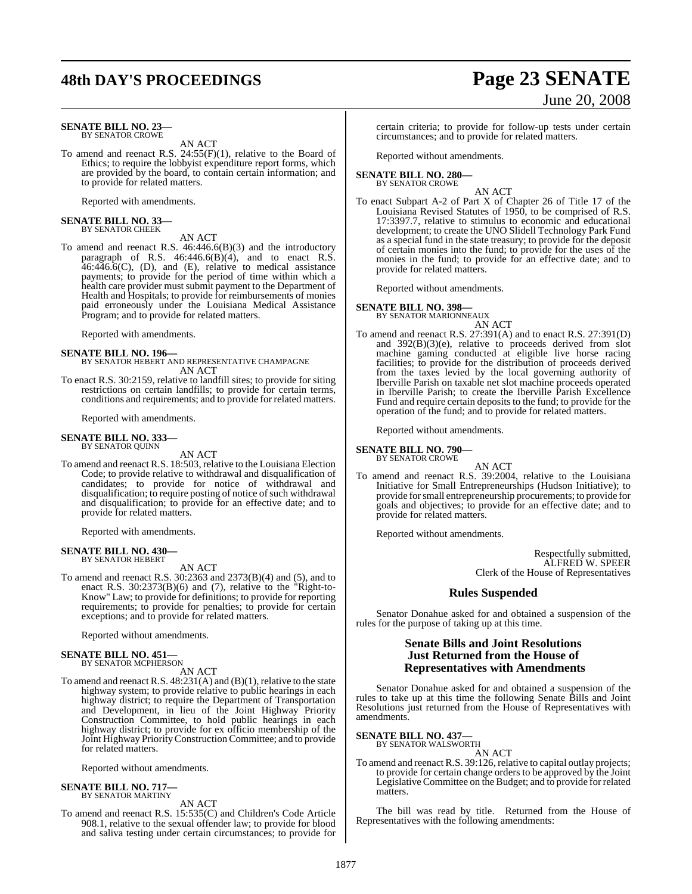# **48th DAY'S PROCEEDINGS Page 23 SENATE**

#### **SENATE BILL NO. 23—** BY SENATOR CROWE

AN ACT

To amend and reenact R.S. 24:55(F)(1), relative to the Board of Ethics; to require the lobbyist expenditure report forms, which are provided by the board, to contain certain information; and to provide for related matters.

Reported with amendments.

# **SENATE BILL NO. 33—** BY SENATOR CHEEK

AN ACT

To amend and reenact R.S. 46:446.6(B)(3) and the introductory paragraph of R.S.  $46:446.6(B)(4)$ , and to enact R.S.  $46.446.6(C)$ , (D), and (E), relative to medical assistance payments; to provide for the period of time within which a health care provider must submit payment to the Department of Health and Hospitals; to provide for reimbursements of monies paid erroneously under the Louisiana Medical Assistance Program; and to provide for related matters.

Reported with amendments.

- **SENATE BILL NO. 196—** BY SENATOR HEBERT AND REPRESENTATIVE CHAMPAGNE AN ACT
- To enact R.S. 30:2159, relative to landfill sites; to provide for siting restrictions on certain landfills; to provide for certain terms, conditions and requirements; and to provide for related matters.

Reported with amendments.

#### **SENATE BILL NO. 333—** BY SENATOR QUINN

AN ACT

To amend and reenact R.S. 18:503, relative to the Louisiana Election Code; to provide relative to withdrawal and disqualification of candidates; to provide for notice of withdrawal and disqualification; to require posting of notice of such withdrawal and disqualification; to provide for an effective date; and to provide for related matters.

Reported with amendments.

#### **SENATE BILL NO. 430—** BY SENATOR HEBERT

AN ACT

To amend and reenact R.S. 30:2363 and 2373(B)(4) and (5), and to enact R.S. 30:2373(B)(6) and (7), relative to the "Right-to-Know" Law; to provide for definitions; to provide for reporting requirements; to provide for penalties; to provide for certain exceptions; and to provide for related matters.

Reported without amendments.

#### **SENATE BILL NO. 451—** BY SENATOR MCPHERSON

AN ACT

To amend and reenact R.S. 48:231(A) and (B)(1), relative to the state highway system; to provide relative to public hearings in each highway district; to require the Department of Transportation and Development, in lieu of the Joint Highway Priority Construction Committee, to hold public hearings in each highway district; to provide for ex officio membership of the Joint Highway PriorityConstruction Committee; and to provide for related matters.

Reported without amendments.

#### **SENATE BILL NO. 717—** BY SENATOR MARTINY

AN ACT

To amend and reenact R.S. 15:535(C) and Children's Code Article 908.1, relative to the sexual offender law; to provide for blood and saliva testing under certain circumstances; to provide for

## certain criteria; to provide for follow-up tests under certain circumstances; and to provide for related matters.

Reported without amendments.

#### **SENATE BILL NO. 280—** BY SENATOR CROWE

AN ACT

To enact Subpart A-2 of Part X of Chapter 26 of Title 17 of the Louisiana Revised Statutes of 1950, to be comprised of R.S. 17:3397.7, relative to stimulus to economic and educational development; to create the UNO Slidell Technology Park Fund as a special fund in the state treasury; to provide for the deposit of certain monies into the fund; to provide for the uses of the monies in the fund; to provide for an effective date; and to provide for related matters.

Reported without amendments.

#### **SENATE BILL NO. 398—**

BY SENATOR MARIONNEAUX AN ACT

To amend and reenact R.S. 27:391(A) and to enact R.S. 27:391(D) and 392(B)(3)(e), relative to proceeds derived from slot machine gaming conducted at eligible live horse racing facilities; to provide for the distribution of proceeds derived from the taxes levied by the local governing authority of Iberville Parish on taxable net slot machine proceeds operated in Iberville Parish; to create the Iberville Parish Excellence Fund and require certain deposits to the fund; to provide for the operation of the fund; and to provide for related matters.

Reported without amendments.

**SENATE BILL NO. 790—** BY SENATOR CROWE

AN ACT

To amend and reenact R.S. 39:2004, relative to the Louisiana Initiative for Small Entrepreneurships (Hudson Initiative); to provide forsmall entrepreneurship procurements; to provide for goals and objectives; to provide for an effective date; and to provide for related matters.

Reported without amendments.

Respectfully submitted, ALFRED W. SPEER Clerk of the House of Representatives

#### **Rules Suspended**

Senator Donahue asked for and obtained a suspension of the rules for the purpose of taking up at this time.

#### **Senate Bills and Joint Resolutions Just Returned from the House of Representatives with Amendments**

Senator Donahue asked for and obtained a suspension of the rules to take up at this time the following Senate Bills and Joint Resolutions just returned from the House of Representatives with amendments.

**SENATE BILL NO. 437—**

BY SENATOR WALSWORTH AN ACT

To amend and reenact R.S. 39:126, relative to capital outlay projects; to provide for certain change orders to be approved by the Joint Legislative Committee on the Budget; and to provide for related matters.

The bill was read by title. Returned from the House of Representatives with the following amendments:

# June 20, 2008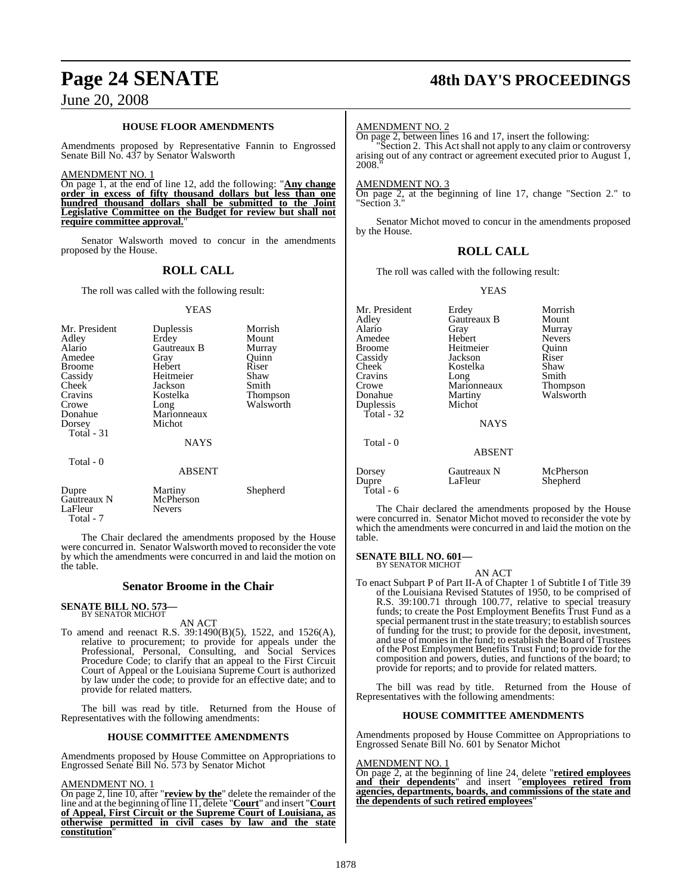#### **HOUSE FLOOR AMENDMENTS**

Amendments proposed by Representative Fannin to Engrossed Senate Bill No. 437 by Senator Walsworth

AMENDMENT NO. 1

On page 1, at the end of line 12, add the following: "**Any change order in excess of fifty thousand dollars but less than one hundred thousand dollars shall be submitted to the Joint Legislative Committee on the Budget for review but shall not require committee approval.**"

Senator Walsworth moved to concur in the amendments proposed by the House.

### **ROLL CALL**

The roll was called with the following result:

#### YEAS

| Mr. President<br>Adley<br>Alario<br>Amedee<br><b>Broome</b><br>Cassidy<br>Cheek<br>Cravins<br>Crowe<br>Donahue<br>Dorsey<br>Total $-31$ | Duplessis<br>Erdey<br>Gautreaux B<br>Gray<br>Hebert<br>Heitmeier<br>Jackson<br>Kostelka<br>Long<br>Marionneaux<br>Michot<br><b>NAYS</b> | Morrish<br>Mount<br>Murray<br>Ouinn<br>Riser<br>Shaw<br>Smith<br>Thompson<br>Walsworth |
|-----------------------------------------------------------------------------------------------------------------------------------------|-----------------------------------------------------------------------------------------------------------------------------------------|----------------------------------------------------------------------------------------|
| Total - 0                                                                                                                               | <b>ABSENT</b>                                                                                                                           |                                                                                        |
|                                                                                                                                         |                                                                                                                                         | ____                                                                                   |

Dupre Martiny Shepherd<br>Gautreaux N McPherson Gautreaux N McPher<br>
LaFleur Nevers LaFleur Total - 7

The Chair declared the amendments proposed by the House were concurred in. Senator Walsworth moved to reconsider the vote by which the amendments were concurred in and laid the motion on the table.

#### **Senator Broome in the Chair**

# **SENATE BILL NO. 573—** BY SENATOR MICHOT

AN ACT

To amend and reenact R.S. 39:1490(B)(5), 1522, and 1526(A), relative to procurement; to provide for appeals under the Professional, Personal, Consulting, and Social Services Procedure Code; to clarify that an appeal to the First Circuit Court of Appeal or the Louisiana Supreme Court is authorized by law under the code; to provide for an effective date; and to provide for related matters.

The bill was read by title. Returned from the House of Representatives with the following amendments:

#### **HOUSE COMMITTEE AMENDMENTS**

Amendments proposed by House Committee on Appropriations to Engrossed Senate Bill No. 573 by Senator Michot

AMENDMENT NO. 1

On page 2, line 10, after "**review by the**" delete the remainder of the line and at the beginning of line 11, delete "**Court**" and insert "**Court of Appeal, First Circuit or the Supreme Court of Louisiana, as otherwise permitted in civil cases by law and the state constitution**"

# **Page 24 SENATE 48th DAY'S PROCEEDINGS**

#### AMENDMENT NO. 2

On page 2, between lines 16 and 17, insert the following:

"Section 2. This Act shall not apply to any claim or controversy arising out of any contract or agreement executed prior to August 1, 2008

AMENDMENT NO. 3

On page 2, at the beginning of line 17, change "Section 2." to "Section 3."

Senator Michot moved to concur in the amendments proposed by the House.

#### **ROLL CALL**

The roll was called with the following result:

YEAS

Mr. President Erdey Morrish<br>Adley Gautreaux B Mount Adley Gautreaux B<br>Alario Gray Gray Murray<br>
Hebert Nevers Amedee Hebert Nevers<br>Broome Heitmeier Ouinn Broome Heitmeier Quinn<br>
Cassidy Jackson Riser Cassidy Jackson Riser Cheek Kostelka Shaw<br>Cravins Long Smith Cravins Long Smith<br>Cravins Long Smith<br>Crowe Marionneaux Thompson Crowe Marionneaux<br>Donahue Martiny Martiny Walsworth<br>Michot Duplessis Total - 32 **NAYS**  Total - 0 ABSENT Dorsey Gautreaux N McPherson<br>
Dupre LaFleur Shepherd Shepherd Total - 6

The Chair declared the amendments proposed by the House were concurred in. Senator Michot moved to reconsider the vote by which the amendments were concurred in and laid the motion on the table.

#### **SENATE BILL NO. 601—**

BY SENATOR MICHOT AN ACT

To enact Subpart P of Part II-A of Chapter 1 of Subtitle I of Title 39 of the Louisiana Revised Statutes of 1950, to be comprised of R.S. 39:100.71 through 100.77, relative to special treasury funds; to create the Post Employment Benefits Trust Fund as a special permanent trust in the state treasury; to establish sources of funding for the trust; to provide for the deposit, investment, and use of monies in the fund; to establish the Board of Trustees of the Post Employment Benefits Trust Fund; to provide for the composition and powers, duties, and functions of the board; to provide for reports; and to provide for related matters.

The bill was read by title. Returned from the House of Representatives with the following amendments:

#### **HOUSE COMMITTEE AMENDMENTS**

Amendments proposed by House Committee on Appropriations to Engrossed Senate Bill No. 601 by Senator Michot

#### AMENDMENT NO. 1

On page 2, at the beginning of line 24, delete "**retired employees and their dependents**" and insert "**employees retired from agencies, departments, boards, and commissions of the state and the dependents of such retired employees**"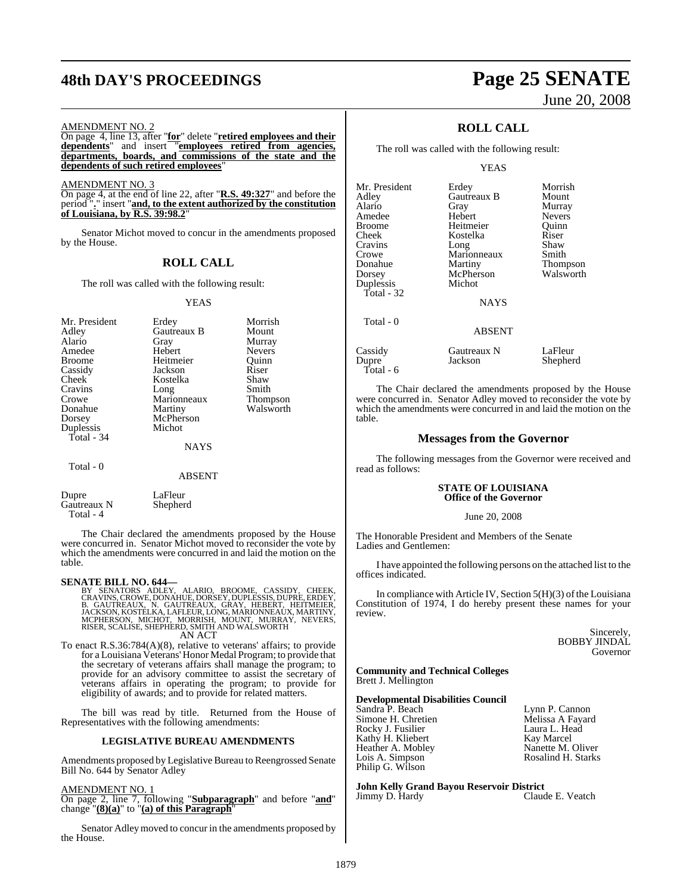# **48th DAY'S PROCEEDINGS Page 25 SENATE**

#### AMENDMENT NO. 2

On page 4, line 13, after "**for**" delete "**retired employees and their dependents**" and insert "**employees retired from agencies, departments, boards, and commissions of the state and the dependents of such retired employees**"

AMENDMENT NO. 3

On page 4, at the end of line 22, after "**R.S. 49:327**" and before the period "**.**" insert "**and, to the extent authorized by the constitution of Louisiana, by R.S. 39:98.2**"

Senator Michot moved to concur in the amendments proposed by the House.

#### **ROLL CALL**

The roll was called with the following result:

#### YEAS

| Mr. President<br>Adley<br>Alario<br>Amedee | Erdey<br>Gautreaux B<br>Gray<br>Hebert | Morrish<br>Mount<br>Murray<br><b>Nevers</b> |
|--------------------------------------------|----------------------------------------|---------------------------------------------|
| <b>Broome</b>                              | Heitmeier                              | Ouinn                                       |
| Cassidy                                    | Jackson                                | Riser                                       |
| Cheek                                      | Kostelka                               | Shaw                                        |
| Cravins                                    | Long                                   | Smith                                       |
| Crowe                                      | Marionneaux                            | Thompson                                    |
| Donahue                                    | Martiny                                | Walsworth                                   |
| Dorsey                                     | McPherson                              |                                             |
| Duplessis                                  | Michot                                 |                                             |
| Total - 34                                 |                                        |                                             |
|                                            | NAYS                                   |                                             |
| Total - 0                                  |                                        |                                             |
|                                            | <b>ABSENT</b>                          |                                             |
| Dupre<br>Gautreaux N                       | LaFleur<br>Shepherd                    |                                             |

The Chair declared the amendments proposed by the House were concurred in. Senator Michot moved to reconsider the vote by which the amendments were concurred in and laid the motion on the table.

#### **SENATE BILL NO. 644—**

Total - 4

BY SENATORS ADLEY, ALARIO, BROOME, CASSIDY, CHEEK, CRAVINS, CROWE, DONAHUE, DORSEY, DUPASIS, DUPRE, ERDEY, B.<br>CRAVINS, CROWE, DONAHUE, DORSEY, DUPRE, GAUTREAUX, N. GAUTREAUX, GRAY, HEBERT, HEITMEIER,<br>JACKSON, KOSTELKA, LAF

To enact R.S.36:784(A)(8), relative to veterans' affairs; to provide for a Louisiana Veterans' Honor Medal Program; to provide that the secretary of veterans affairs shall manage the program; to provide for an advisory committee to assist the secretary of veterans affairs in operating the program; to provide for eligibility of awards; and to provide for related matters.

The bill was read by title. Returned from the House of Representatives with the following amendments:

#### **LEGISLATIVE BUREAU AMENDMENTS**

Amendments proposed by Legislative Bureau to Reengrossed Senate Bill No. 644 by Senator Adley

#### AMENDMENT NO. 1

On page 2, line 7, following "**Subparagraph**" and before "**and**" change "**(8)(a)**" to "**(a) of this Paragraph**"

Senator Adleymoved to concur in the amendments proposed by the House.

# June 20, 2008

## **ROLL CALL**

The roll was called with the following result:

YEAS

| Erdey         | Morrish       |
|---------------|---------------|
| Gautreaux B   | Mount         |
| Gray          | Murray        |
| Hebert        | <b>Nevers</b> |
| Heitmeier     | Ouinn         |
| Kostelka      | Riser         |
| Long          | Shaw          |
| Marionneaux   | Smith         |
| Martiny       | Thompson      |
| McPherson     | Walsworth     |
| Michot        |               |
|               |               |
|               |               |
|               |               |
| <b>ABSENT</b> |               |
| Gautreaux N   | LaFleur       |
|               | <b>NAYS</b>   |

Dupre Jackson Shepherd

Total - 6

The Chair declared the amendments proposed by the House were concurred in. Senator Adley moved to reconsider the vote by which the amendments were concurred in and laid the motion on the table.

#### **Messages from the Governor**

The following messages from the Governor were received and read as follows:

#### **STATE OF LOUISIANA Office of the Governor**

#### June 20, 2008

The Honorable President and Members of the Senate Ladies and Gentlemen:

I have appointed the following persons on the attached list to the offices indicated.

In compliance with Article IV, Section  $5(H)(3)$  of the Louisiana Constitution of 1974, I do hereby present these names for your review.

> Sincerely, BOBBY JINDAL Governor

**Community and Technical Colleges** Brett J. Mellington

# **Developmental Disabilities Council**

Sandra P. Beach Lynn P. Cannon<br>
Simone H. Chretien Melissa A Fayard Simone H. Chretien **Melissa A Faya**<br>Rocky J. Fusilier **Melissa A Faya**<br>Laura L. Head Rocky J. Fusilier Laura L. Headware L. Headware L. Headware L. Headware L. Headware L. Headware L. H<br>Rathy H. Kliebert L. Headware L. Kay Marcel Kathy H. Kliebert<br>
Heather A. Mobley Manette M. Oliver Heather A. Mobley Nanette M. Oliver<br>
Lois A. Simpson Nanette M. Oliver Lois A. Simpson Philip G. Wilson

**John Kelly Grand Bayou Reservoir District** Jimmy D. Hardy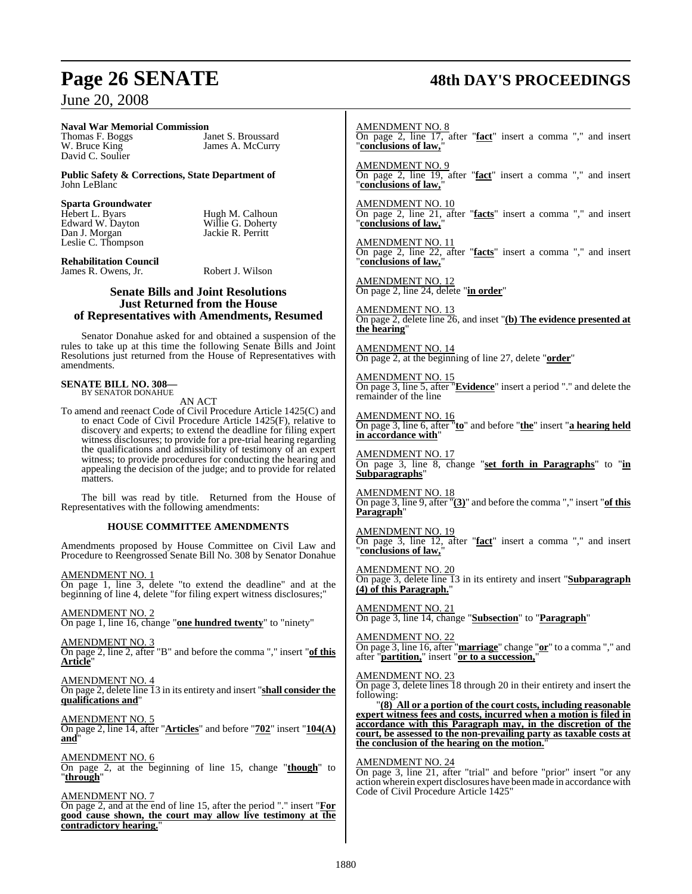# **Naval War Memorial Commission**

David C. Soulier

Thomas F. Boggs<br>
W. Bruce King<br>
V. Bruce King<br>
V. Dames A. McCurry James A. McCurry

**Public Safety & Corrections, State Department of** John LeBlanc

# **Sparta Groundwater**

Edward W. Dayton<br>Dan J. Morgan Leslie C. Thompson Hugh M. Calhoun<br>Willie G. Doherty Jackie R. Perritt

**Rehabilitation Council** James R. Owens, Jr. Robert J. Wilson

#### **Senate Bills and Joint Resolutions Just Returned from the House of Representatives with Amendments, Resumed**

Senator Donahue asked for and obtained a suspension of the rules to take up at this time the following Senate Bills and Joint Resolutions just returned from the House of Representatives with amendments.

#### **SENATE BILL NO. 308—** BY SENATOR DONAHUE

AN ACT

To amend and reenact Code of Civil Procedure Article 1425(C) and to enact Code of Civil Procedure Article 1425(F), relative to discovery and experts; to extend the deadline for filing expert witness disclosures; to provide for a pre-trial hearing regarding the qualifications and admissibility of testimony of an expert witness; to provide procedures for conducting the hearing and appealing the decision of the judge; and to provide for related matters.

The bill was read by title. Returned from the House of Representatives with the following amendments:

#### **HOUSE COMMITTEE AMENDMENTS**

Amendments proposed by House Committee on Civil Law and Procedure to Reengrossed Senate Bill No. 308 by Senator Donahue

AMENDMENT NO. 1 On page 1, line 3, delete "to extend the deadline" and at the beginning of line 4, delete "for filing expert witness disclosures;"

AMENDMENT NO. 2 On page 1, line 16, change "**one hundred twenty**" to "ninety"

AMENDMENT NO. 3 On page 2, line 2, after "B" and before the comma "," insert "**of this Article**"

AMENDMENT NO. 4 On page 2, delete line 13 in its entirety and insert "**shall consider the qualifications and**"

AMENDMENT NO. 5 On page 2, line 14, after "**Articles**" and before "**702**" insert "**104(A) and**"

AMENDMENT NO. 6 On page 2, at the beginning of line 15, change "**though**" to "**through**"

AMENDMENT NO. 7 On page 2, and at the end of line 15, after the period "." insert "**For good cause shown, the court may allow live testimony at the contradictory hearing.**"

# **Page 26 SENATE 48th DAY'S PROCEEDINGS**

AMENDMENT NO. 8 On page 2, line 17, after "**fact**" insert a comma "," and insert "**conclusions of law,**"

AMENDMENT NO. 9 On page 2, line 19, after "**fact**" insert a comma "," and insert "**conclusions of law,**"

AMENDMENT NO. 10 On page 2, line 21, after "**facts**" insert a comma "," and insert "conclusions of law,

AMENDMENT NO. 11 On page 2, line 22, after "**facts**" insert a comma "," and insert "conclusions of law,

AMENDMENT NO. 12 On page 2, line 24, delete "**in order**"

AMENDMENT NO. 13 On page 2, delete line 26, and inset "**(b) The evidence presented at the hearing**"

AMENDMENT NO. 14 On page 2, at the beginning of line 27, delete "**order**"

AMENDMENT NO. 15 On page 3, line 5, after "**Evidence**" insert a period "." and delete the remainder of the line

AMENDMENT NO. 16 On page 3, line 6, after "**to**" and before "**the**" insert "**a hearing held in accordance with**"

AMENDMENT NO. 17 On page 3, line 8, change "**set forth in Paragraphs**" to "**in Subparagraphs**"

AMENDMENT NO. 18 On page 3, line 9, after "**(3)**" and before the comma "," insert "**of this Paragraph**"

AMENDMENT NO. 19 On page 3, line 12, after "**fact**" insert a comma "," and insert "**conclusions of law,**"

AMENDMENT NO. 20 On page 3, delete line 13 in its entirety and insert "**Subparagraph (4) of this Paragraph.**"

AMENDMENT NO. 21 On page 3, line 14, change "**Subsection**" to "**Paragraph**"

AMENDMENT NO. 22 On page 3, line 16, after "**marriage**" change "**or**" to a comma "," and after "**partition,**" insert "**or to a succession,**"

AMENDMENT NO. 23

On page 3, delete lines 18 through 20 in their entirety and insert the following:

"**(8) All or a portion of the court costs, including reasonable expert witness fees and costs, incurred when a motion is filed in accordance with this Paragraph may, in the discretion of the court, be assessed to the non-prevailing party as taxable costs at the conclusion of the hearing on the motion.**"

AMENDMENT NO. 24

On page 3, line 21, after "trial" and before "prior" insert "or any action wherein expert disclosures have been made in accordance with Code of Civil Procedure Article 1425"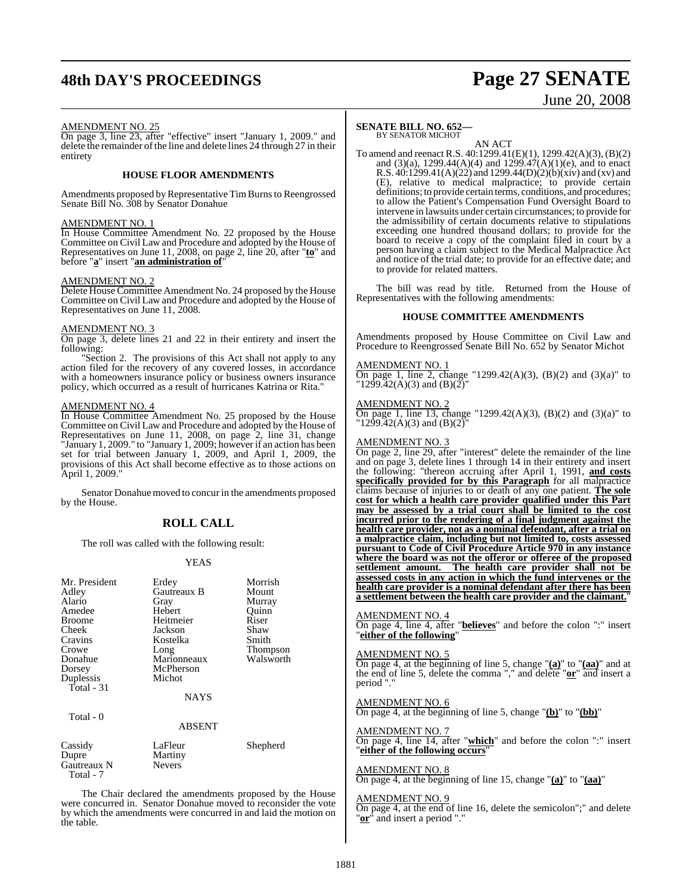# **48th DAY'S PROCEEDINGS Page 27 SENATE**

# June 20, 2008

#### AMENDMENT NO. 25

On page 3, line 23, after "effective" insert "January 1, 2009." and delete the remainder of the line and delete lines 24 through 27 in their entirety

#### **HOUSE FLOOR AMENDMENTS**

Amendments proposed by Representative Tim Burns to Reengrossed Senate Bill No. 308 by Senator Donahue

#### AMENDMENT NO. 1

In House Committee Amendment No. 22 proposed by the House Committee on Civil Law and Procedure and adopted by the House of Representatives on June 11, 2008, on page 2, line 20, after "**to**" and before "**a**" insert "**an administration of**"

#### AMENDMENT NO. 2

Delete House Committee Amendment No. 24 proposed by the House Committee on Civil Law and Procedure and adopted by the House of Representatives on June 11, 2008.

### AMENDMENT NO. 3

On page 3, delete lines 21 and 22 in their entirety and insert the following:

"Section 2. The provisions of this Act shall not apply to any action filed for the recovery of any covered losses, in accordance with a homeowners insurance policy or business owners insurance policy, which occurred as a result of hurricanes Katrina or Rita."

### AMENDMENT NO. 4

Total - 7

In House Committee Amendment No. 25 proposed by the House Committee on Civil Law and Procedure and adopted by the House of Representatives on June 11, 2008, on page 2, line 31, change "January 1, 2009." to "January 1, 2009; however if an action has been set for trial between January 1, 2009, and April 1, 2009, the provisions of this Act shall become effective as to those actions on April 1, 2009."

Senator Donahue moved to concur in the amendments proposed by the House.

#### **ROLL CALL**

The roll was called with the following result:

#### YEAS

| Mr. President<br>Adley<br>Alario<br>Amedee<br><b>Broome</b><br>Cheek<br>Cravins<br>Crowe<br>Donahue<br>Dorsey<br>Duplessis<br>Total - 31<br>Total - 0 | Erdey<br>Gautreaux B<br>Gray<br>Hebert<br>Heitmeier<br>Jackson<br>Kostelka<br>Long<br>Marionneaux<br>McPherson<br>Michot<br><b>NAYS</b><br><b>ABSENT</b> | Morrish<br>Mount<br>Murray<br>Ouinn<br>Riser<br>Shaw<br>Smith<br>Thompson<br>Walsworth |
|-------------------------------------------------------------------------------------------------------------------------------------------------------|----------------------------------------------------------------------------------------------------------------------------------------------------------|----------------------------------------------------------------------------------------|
| Cassidy<br>Dupre<br>Gautreaux N                                                                                                                       | LaFleur<br>Martiny<br><b>Nevers</b>                                                                                                                      | Shepherd                                                                               |

The Chair declared the amendments proposed by the House were concurred in. Senator Donahue moved to reconsider the vote by which the amendments were concurred in and laid the motion on the table.

### **SENATE BILL NO. 652—**

BY SENATOR MICHOT

AN ACT To amend and reenact R.S. 40:1299.41(E)(1), 1299.42(A)(3), (B)(2) and (3)(a), 1299.44(A)(4) and 1299.47(A)(1)(e), and to enact R.S.  $40:1299.41(A)(22)$  and  $1299.44(D)(2)(b)(xiv)$  and (xv) and (E), relative to medical malpractice; to provide certain definitions; to provide certain terms, conditions, and procedures; to allow the Patient's Compensation Fund Oversight Board to intervene in lawsuits under certain circumstances; to provide for the admissibility of certain documents relative to stipulations exceeding one hundred thousand dollars; to provide for the board to receive a copy of the complaint filed in court by a person having a claim subject to the Medical Malpractice Act and notice of the trial date; to provide for an effective date; and to provide for related matters.

The bill was read by title. Returned from the House of Representatives with the following amendments:

#### **HOUSE COMMITTEE AMENDMENTS**

Amendments proposed by House Committee on Civil Law and Procedure to Reengrossed Senate Bill No. 652 by Senator Michot

#### AMENDMENT NO. 1

On page 1, line 2, change "1299.42(A)(3), (B)(2) and (3)(a)" to  $1299.42(A)(3)$  and  $(B)(2)$ 

#### AMENDMENT NO. 2

On page 1, line 13, change "1299.42(A)(3), (B)(2) and (3)(a)" to " $12\overline{99.42(A)(3)}$  and  $(B)(2)$ "

#### AMENDMENT NO. 3

On page 2, line 29, after "interest" delete the remainder of the line and on page 3, delete lines 1 through 14 in their entirety and insert the following: "thereon accruing after April 1, 1991, **and costs specifically provided for by this Paragraph** for all malpractice claims because of injuries to or death of any one patient. **The sole cost for which a health care provider qualified under this Part may be assessed by a trial court shall be limited to the cost incurred prior to the rendering of a final judgment against the health care provider, not as a nominal defendant, after a trial on a malpractice claim, including but not limited to, costs assessed pursuant to Code of Civil Procedure Article 970 in any instance where the board was not the offeror or offeree of the proposed settlement amount. The health care provider shall not be assessed costs in any action in which the fund intervenes or the health care provider is a nominal defendant after there has been a settlement between the health care provider and the claimant.**"

#### AMENDMENT NO. 4

On page 4, line 4, after "**believes**" and before the colon ":" insert "**either of the following**"

#### AMENDMENT NO. 5

On page 4, at the beginning of line 5, change "**(a)**" to "**(aa)**" and at the end of line 5, delete the comma "," and delete "**or**" and insert a period "."

#### AMENDMENT NO. 6

On page 4, at the beginning of line 5, change "**(b)**" to "**(bb)**"

#### AMENDMENT NO. 7

On page 4, line 14, after "**which**" and before the colon ":" insert "**either of the following occurs**"

#### AMENDMENT NO. 8

On page 4, at the beginning of line 15, change "**(a)**" to "**(aa)**"

#### AMENDMENT NO. 9

On page 4, at the end of line 16, delete the semicolon";" and delete "**or**<sup>"</sup> and insert a period".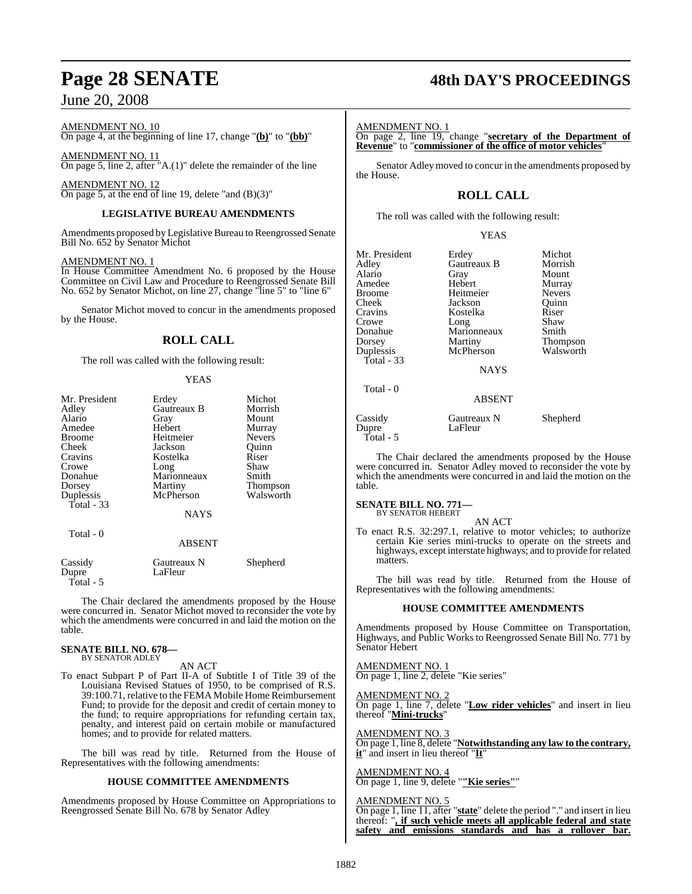AMENDMENT NO. 10

On page 4, at the beginning of line 17, change "**(b)**" to "**(bb)**"

AMENDMENT NO. 11 On page 5, line 2, after "A.(1)" delete the remainder of the line

AMENDMENT NO. 12 On page 5, at the end of line 19, delete "and  $(B)(3)$ "

#### **LEGISLATIVE BUREAU AMENDMENTS**

Amendments proposed by Legislative Bureau to Reengrossed Senate Bill No. 652 by Senator Michot

#### AMENDMENT NO. 1

In House Committee Amendment No. 6 proposed by the House Committee on Civil Law and Procedure to Reengrossed Senate Bill No. 652 by Senator Michot, on line 27, change "line 5" to "line 6"

Senator Michot moved to concur in the amendments proposed by the House.

#### **ROLL CALL**

The roll was called with the following result:

#### YEAS

| Mr. President    | Erdey                  | Michot          |
|------------------|------------------------|-----------------|
| Adley            | Gautreaux B            | Morrish         |
| Alario           | Gray                   | Mount           |
| Amedee           | Hebert                 | Murray          |
| <b>Broome</b>    | Heitmeier              | <b>Nevers</b>   |
| Cheek            | Jackson                | Quinn           |
| Cravins          | Kostelka               | Riser           |
| Crowe            | Long                   | Shaw            |
| Donahue          | Marionneaux            | Smith           |
| Dorsey           | Martiny                | <b>Thompson</b> |
| Duplessis        | McPherson              | Walsworth       |
| Total - 33       |                        |                 |
|                  | <b>NAYS</b>            |                 |
| Total - 0        |                        |                 |
|                  | <b>ABSENT</b>          |                 |
| Cassidy<br>Dupre | Gautreaux N<br>LaFleur | Shepherd        |

Total - 5

The Chair declared the amendments proposed by the House were concurred in. Senator Michot moved to reconsider the vote by which the amendments were concurred in and laid the motion on the table.

#### **SENATE BILL NO. 678—** BY SENATOR ADLEY

#### AN ACT

To enact Subpart P of Part II-A of Subtitle I of Title 39 of the Louisiana Revised Statues of 1950, to be comprised of R.S. 39:100.71, relative to the FEMA Mobile Home Reimbursement Fund; to provide for the deposit and credit of certain money to the fund; to require appropriations for refunding certain tax, penalty, and interest paid on certain mobile or manufactured homes; and to provide for related matters.

The bill was read by title. Returned from the House of Representatives with the following amendments:

#### **HOUSE COMMITTEE AMENDMENTS**

Amendments proposed by House Committee on Appropriations to Reengrossed Senate Bill No. 678 by Senator Adley

# **Page 28 SENATE 48th DAY'S PROCEEDINGS**

#### AMENDMENT NO. 1

On page 2, line 19, change "**secretary of the Department of Revenue**" to "**commissioner of the office of motor vehicles**"

Senator Adley moved to concur in the amendments proposed by the House.

## **ROLL CALL**

The roll was called with the following result:

#### YEAS

| Mr. President<br>Adley<br>Alario | Erdey<br>Gautreaux B<br>Gray | Michot<br>Morrish<br>Mount |
|----------------------------------|------------------------------|----------------------------|
| Amedee                           | Hebert                       | Murray                     |
| <b>Broome</b>                    | Heitmeier                    | <b>Nevers</b>              |
| Cheek<br>Cravins                 | Jackson<br>Kostelka          | Ouinn<br>Riser             |
| Crowe                            | Long                         | Shaw                       |
| Donahue                          | Marionneaux                  | Smith                      |
| Dorsey                           | Martiny                      | <b>Thompson</b>            |
| Duplessis                        | McPherson                    | Walsworth                  |
| Total $-33$                      | <b>NAYS</b>                  |                            |
| Total $-0$                       | <b>ABSENT</b>                |                            |
| Cassidy<br>Dupre                 | Gautreaux N<br>LaFleur       | Shepherd                   |

The Chair declared the amendments proposed by the House were concurred in. Senator Adley moved to reconsider the vote by which the amendments were concurred in and laid the motion on the table.

# **SENATE BILL NO. 771—** BY SENATOR HEBERT

Total - 5

AN ACT

To enact R.S. 32:297.1, relative to motor vehicles; to authorize certain Kie series mini-trucks to operate on the streets and highways, except interstate highways; and to provide for related matters.

The bill was read by title. Returned from the House of Representatives with the following amendments:

#### **HOUSE COMMITTEE AMENDMENTS**

Amendments proposed by House Committee on Transportation, Highways, and Public Works to Reengrossed Senate Bill No. 771 by Senator Hebert

AMENDMENT NO. 1 On page 1, line 2, delete "Kie series"

AMENDMENT NO. 2 On page 1, line 7, delete "**Low rider vehicles**" and insert in lieu thereof "**Mini-trucks**"

AMENDMENT NO. 3 On page 1, line 8, delete "**Notwithstanding any law to the contrary, it**" and insert in lieu thereof "**It**"

AMENDMENT NO. 4 On page 1, line 9, delete "**"Kie series"**"

#### AMENDMENT NO. 5

On page 1, line 11, after "**state**" delete the period "." and insert in lieu thereof: "**, if such vehicle meets all applicable federal and state safety and emissions standards and has a rollover bar.**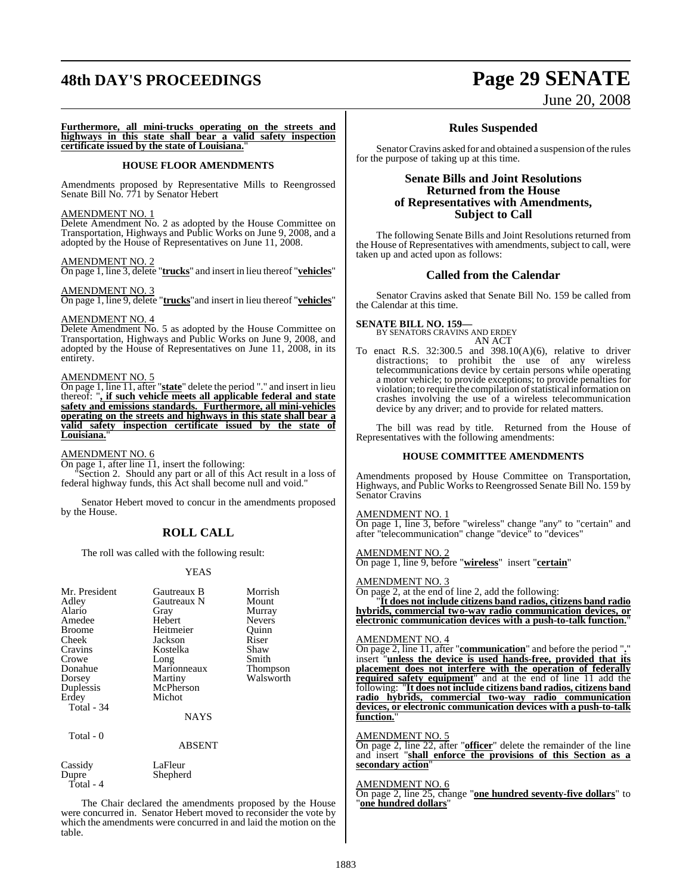# **48th DAY'S PROCEEDINGS Page 29 SENATE**

# June 20, 2008

**Furthermore, all mini-trucks operating on the streets and highways in this state shall bear a valid safety inspection certificate issued by the state of Louisiana.**"

#### **HOUSE FLOOR AMENDMENTS**

Amendments proposed by Representative Mills to Reengrossed Senate Bill No. 771 by Senator Hebert

#### AMENDMENT NO. 1

Delete Amendment No. 2 as adopted by the House Committee on Transportation, Highways and Public Works on June 9, 2008, and a adopted by the House of Representatives on June 11, 2008.

#### AMENDMENT NO. 2

On page 1, line 3, delete "**trucks**" and insert in lieu thereof "**vehicles**"

#### AMENDMENT NO. 3

On page 1, line 9, delete "**trucks**"and insert in lieu thereof "**vehicles**"

#### AMENDMENT NO. 4

Delete Amendment No. 5 as adopted by the House Committee on Transportation, Highways and Public Works on June 9, 2008, and adopted by the House of Representatives on June 11, 2008, in its entirety.

#### AMENDMENT NO. 5

On page 1, line 11, after "**state**" delete the period "." and insert in lieu thereof: "**, if such vehicle meets all applicable federal and state safety and emissions standards. Furthermore, all mini-vehicles operating on the streets and highways in this state shall bear a valid safety inspection certificate issued by the state of Louisiana.**"

AMENDMENT NO. 6

On page 1, after line 11, insert the following:

 "Section 2. Should any part or all of this Act result in a loss of federal highway funds, this Act shall become null and void."

Senator Hebert moved to concur in the amendments proposed by the House.

#### **ROLL CALL**

The roll was called with the following result:

#### YEAS

| Mr. President<br>Adley<br>Alario<br>Amedee                                | Gautreaux B<br>Gautreaux N<br>Gray<br>Hebert                                     | Morrish<br>Mount<br>Murray<br><b>Nevers</b> |
|---------------------------------------------------------------------------|----------------------------------------------------------------------------------|---------------------------------------------|
| Broome                                                                    | Heitmeier                                                                        | Ouinn                                       |
| Cheek                                                                     | Jackson                                                                          | Riser                                       |
| Cravins<br>Crowe<br>Donahue<br>Dorsey<br>Duplessis<br>Erdey<br>Total - 34 | Kostelka<br>Long<br>Marionneaux<br>Martiny<br>McPherson<br>Michot<br><b>NAYS</b> | Shaw<br>Smith<br>Thompson<br>Walsworth      |
|                                                                           |                                                                                  |                                             |
| Total - 0                                                                 | ABSENT                                                                           |                                             |
| Cassidy<br>Dupre<br>Total - 4                                             | LaFleur<br>Shepherd                                                              |                                             |

The Chair declared the amendments proposed by the House were concurred in. Senator Hebert moved to reconsider the vote by which the amendments were concurred in and laid the motion on the table.

#### **Rules Suspended**

Senator Cravins asked for and obtained a suspension of the rules for the purpose of taking up at this time.

#### **Senate Bills and Joint Resolutions Returned from the House of Representatives with Amendments, Subject to Call**

The following Senate Bills and Joint Resolutions returned from the House of Representatives with amendments, subject to call, were taken up and acted upon as follows:

#### **Called from the Calendar**

Senator Cravins asked that Senate Bill No. 159 be called from the Calendar at this time.

#### **SENATE BILL NO. 159—**

BY SENATORS CRAVINS AND ERDEY AN ACT

To enact R.S. 32:300.5 and 398.10(A)(6), relative to driver distractions; to prohibit the use of any wireless telecommunications device by certain persons while operating a motor vehicle; to provide exceptions; to provide penalties for violation; to require the compilation of statistical information on crashes involving the use of a wireless telecommunication device by any driver; and to provide for related matters.

The bill was read by title. Returned from the House of Representatives with the following amendments:

#### **HOUSE COMMITTEE AMENDMENTS**

Amendments proposed by House Committee on Transportation, Highways, and Public Works to Reengrossed Senate Bill No. 159 by Senator Cravins

#### AMENDMENT NO. 1

On page 1, line 3, before "wireless" change "any" to "certain" and after "telecommunication" change "device" to "devices"

#### AMENDMENT NO. 2

On page 1, line 9, before "**wireless**"insert "**certain**"

#### AMENDMENT NO. 3

On page 2, at the end of line 2, add the following:

"**It does not include citizens band radios, citizens band radio hybrids, commercial two-way radio communication devices, or electronic communication devices with a push-to-talk function.**"

#### AMENDMENT NO. 4

On page 2, line 11, after "**communication**" and before the period "**.**" insert "**unless the device is used hands-free, provided that its placement does not interfere with the operation of federally required safety equipment**" and at the end of line 11 add the following: "**It does not include citizens band radios, citizens band radio hybrids, commercial two-way radio communication devices, or electronic communication devices with a push-to-talk function.**"

#### AMENDMENT NO. 5

On page 2, line 22, after "**officer**" delete the remainder of the line and insert "**shall enforce the provisions of this Section as a secondary action**"

#### AMENDMENT NO. 6

On page 2, line 25, change "**one hundred seventy-five dollars**" to "**one hundred dollars**"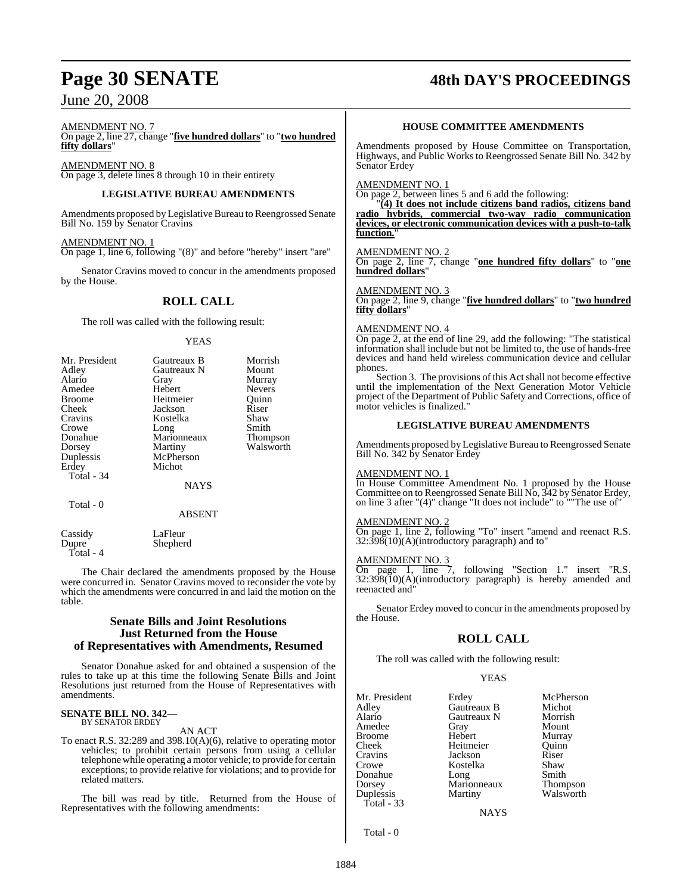# **Page 30 SENATE 48th DAY'S PROCEEDINGS**

AMENDMENT NO. 7

On page 2, line 27, change "**five hundred dollars**" to "**two hundred fifty dollars**"

AMENDMENT NO. 8 On page 3, delete lines 8 through 10 in their entirety

#### **LEGISLATIVE BUREAU AMENDMENTS**

Amendments proposed by Legislative Bureau to Reengrossed Senate Bill No. 159 by Senator Cravins

AMENDMENT NO. 1 On page 1, line 6, following "(8)" and before "hereby" insert "are"

Senator Cravins moved to concur in the amendments proposed by the House.

### **ROLL CALL**

The roll was called with the following result:

#### YEAS

| Mr. President<br>Adley<br>Alario<br>Amedee<br><b>Broome</b><br>Cheek<br>Cravins<br>Crowe<br>Donahue<br>Dorsey<br>Duplessis<br>Erdey<br>Total - 34 | Gautreaux B<br>Gautreaux N<br>Gray<br>Hebert<br>Heitmeier<br>Jackson<br>Kostelka<br>Long<br>Marionneaux<br>Martiny<br>McPherson<br>Michot<br><b>NAYS</b> | Morrish<br>Mount<br>Murray<br><b>Nevers</b><br>Ouinn<br>Riser<br>Shaw<br>Smith<br><b>Thompson</b><br>Walsworth |
|---------------------------------------------------------------------------------------------------------------------------------------------------|----------------------------------------------------------------------------------------------------------------------------------------------------------|----------------------------------------------------------------------------------------------------------------|
| Total - 0                                                                                                                                         | <b>ABSENT</b>                                                                                                                                            |                                                                                                                |
|                                                                                                                                                   |                                                                                                                                                          |                                                                                                                |

Cassidy LaFleur<br>Dunre Shenher Shepherd Total - 4

The Chair declared the amendments proposed by the House were concurred in. Senator Cravins moved to reconsider the vote by which the amendments were concurred in and laid the motion on the table.

#### **Senate Bills and Joint Resolutions Just Returned from the House of Representatives with Amendments, Resumed**

Senator Donahue asked for and obtained a suspension of the rules to take up at this time the following Senate Bills and Joint Resolutions just returned from the House of Representatives with amendments.

#### **SENATE BILL NO. 342—** BY SENATOR ERDEY

#### AN ACT

To enact R.S. 32:289 and 398.10(A)(6), relative to operating motor vehicles; to prohibit certain persons from using a cellular telephonewhile operating a motor vehicle; to provide for certain exceptions; to provide relative for violations; and to provide for related matters.

The bill was read by title. Returned from the House of Representatives with the following amendments:

#### **HOUSE COMMITTEE AMENDMENTS**

Amendments proposed by House Committee on Transportation, Highways, and Public Worksto Reengrossed Senate Bill No. 342 by Senator Erdey

AMENDMENT NO. 1

On page 2, between lines 5 and 6 add the following:

"**(4) It does not include citizens band radios, citizens band radio hybrids, commercial two-way radio communication devices, or electronic communication devices with a push-to-talk** function.

#### AMENDMENT NO. 2

On page 2, line 7, change "**one hundred fifty dollars**" to "**one hundred dollars**"

#### AMENDMENT NO. 3

On page 2, line 9, change "**five hundred dollars**" to "**two hundred fifty dollars**"

#### AMENDMENT NO. 4

On page 2, at the end of line 29, add the following: "The statistical information shall include but not be limited to, the use of hands-free devices and hand held wireless communication device and cellular phones.

Section 3. The provisions of this Act shall not become effective until the implementation of the Next Generation Motor Vehicle project of the Department of Public Safety and Corrections, office of motor vehicles is finalized."

#### **LEGISLATIVE BUREAU AMENDMENTS**

Amendments proposed by Legislative Bureau to Reengrossed Senate Bill No. 342 by Senator Erdey

#### AMENDMENT NO. 1

In House Committee Amendment No. 1 proposed by the House Committee on to Reengrossed Senate Bill No, 342 by Senator Erdey, on line 3 after "(4)" change "It does not include" to ""The use of"

#### AMENDMENT NO. 2

On page 1, line 2, following "To" insert "amend and reenact R.S.  $32:398(10)$ (A)(introductory paragraph) and to"

#### AMENDMENT NO. 3

On page 1, line 7, following "Section 1." insert "R.S. 32:398(10)(A)(introductory paragraph) is hereby amended and reenacted and"

Senator Erdey moved to concur in the amendments proposed by the House.

#### **ROLL CALL**

The roll was called with the following result:

#### YEAS

| Mr. President                      | Erdey                  | McPherson             |
|------------------------------------|------------------------|-----------------------|
| Adley                              | Gautreaux B            | Michot                |
| Alario                             | Gautreaux N            | Morrish               |
| Amedee                             | Gray                   | Mount                 |
| <b>Broome</b>                      | Hebert                 | Murray                |
| Cheek                              | Heitmeier              | Ouinn                 |
| Cravins                            | Jackson                | Riser                 |
| Crowe                              | Kostelka               | Shaw                  |
| Donahue                            | Long                   | Smith                 |
| Dorsey<br>Duplessis<br>Total $-33$ | Marionneaux<br>Martiny | Thompson<br>Walsworth |

**NAYS** 

Total - 0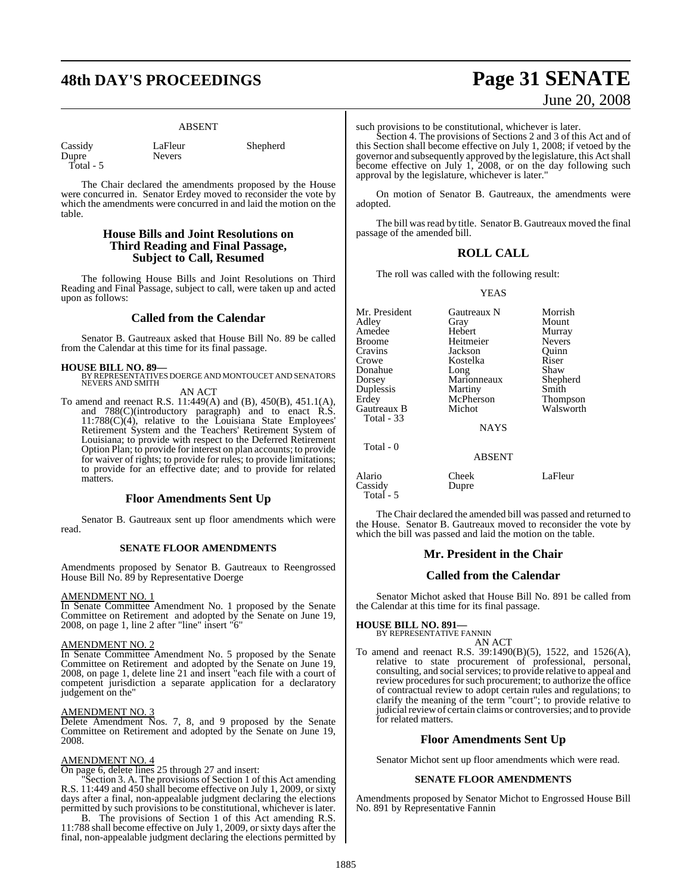# **48th DAY'S PROCEEDINGS Page 31 SENATE**

**Nevers** 

#### ABSENT

| Cassidy   |  |
|-----------|--|
| Dupre     |  |
| Total - 5 |  |

LaFleur Shepherd

The Chair declared the amendments proposed by the House were concurred in. Senator Erdey moved to reconsider the vote by which the amendments were concurred in and laid the motion on the table.

#### **House Bills and Joint Resolutions on Third Reading and Final Passage, Subject to Call, Resumed**

The following House Bills and Joint Resolutions on Third Reading and Final Passage, subject to call, were taken up and acted upon as follows:

#### **Called from the Calendar**

Senator B. Gautreaux asked that House Bill No. 89 be called from the Calendar at this time for its final passage.

**HOUSE BILL NO. 89—** BY REPRESENTATIVES DOERGE AND MONTOUCET AND SENATORS NEVERS AND SMITH AN ACT

To amend and reenact R.S. 11:449(A) and (B), 450(B), 451.1(A), and 788(C)(introductory paragraph) and to enact R.S.  $11:788(C)(4)$ , relative to the Louisiana State Employees' Retirement System and the Teachers' Retirement System of Louisiana; to provide with respect to the Deferred Retirement Option Plan; to provide for interest on plan accounts; to provide for waiver of rights; to provide for rules; to provide limitations; to provide for an effective date; and to provide for related matters.

#### **Floor Amendments Sent Up**

Senator B. Gautreaux sent up floor amendments which were read.

#### **SENATE FLOOR AMENDMENTS**

Amendments proposed by Senator B. Gautreaux to Reengrossed House Bill No. 89 by Representative Doerge

#### AMENDMENT NO. 1

In Senate Committee Amendment No. 1 proposed by the Senate Committee on Retirement and adopted by the Senate on June 19, 2008, on page 1, line 2 after "line" insert "6"

#### AMENDMENT NO. 2

In Senate Committee Amendment No. 5 proposed by the Senate Committee on Retirement and adopted by the Senate on June 19, 2008, on page 1, delete line 21 and insert "each file with a court of competent jurisdiction a separate application for a declaratory judgement on the"

#### AMENDMENT NO. 3

Delete Amendment Nos. 7, 8, and 9 proposed by the Senate Committee on Retirement and adopted by the Senate on June 19, 2008.

#### AMENDMENT NO. 4

On page 6, delete lines 25 through 27 and insert:

"Section 3. A. The provisions of Section 1 of this Act amending R.S. 11:449 and 450 shall become effective on July 1, 2009, or sixty days after a final, non-appealable judgment declaring the elections permitted by such provisions to be constitutional, whichever is later.

B. The provisions of Section 1 of this Act amending R.S. 11:788 shall become effective on July 1, 2009, or sixty days after the final, non-appealable judgment declaring the elections permitted by

# June 20, 2008

such provisions to be constitutional, whichever is later.

Section 4. The provisions of Sections 2 and 3 of this Act and of this Section shall become effective on July 1, 2008; if vetoed by the governor and subsequently approved by the legislature, this Actshall become effective on July 1, 2008, or on the day following such approval by the legislature, whichever is later."

On motion of Senator B. Gautreaux, the amendments were adopted.

The bill was read by title. Senator B. Gautreaux moved the final passage of the amended bill.

### **ROLL CALL**

The roll was called with the following result:

#### YEAS

| Mr. President<br>Adlev<br>Amedee<br>Broome<br>Cravins<br>Crowe<br>Donahue<br>Dorsey<br>Duplessis<br>Erdey | Gautreaux N<br>Gray<br>Hebert<br>Heitmeier<br>Jackson<br>Kostelka<br>Long<br>Marionneaux<br>Martiny<br>McPherson | Morrish<br>Mount<br>Murray<br><b>Nevers</b><br>Quinn<br>Riser<br>Shaw<br>Shepherd<br>Smith<br>Thompson |
|-----------------------------------------------------------------------------------------------------------|------------------------------------------------------------------------------------------------------------------|--------------------------------------------------------------------------------------------------------|
| Gautreaux B<br>Total - 33                                                                                 | Michot<br><b>NAYS</b>                                                                                            | Walsworth                                                                                              |
| Total - 0                                                                                                 | <b>ABSENT</b>                                                                                                    |                                                                                                        |
| Alario<br>Cassidy                                                                                         | Cheek<br>Dupre                                                                                                   | LaFleur                                                                                                |

The Chair declared the amended bill was passed and returned to the House. Senator B. Gautreaux moved to reconsider the vote by which the bill was passed and laid the motion on the table.

#### **Mr. President in the Chair**

#### **Called from the Calendar**

Senator Michot asked that House Bill No. 891 be called from the Calendar at this time for its final passage.

# **HOUSE BILL NO. 891—** BY REPRESENTATIVE FANNIN

Total - 5

AN ACT

To amend and reenact R.S. 39:1490(B)(5), 1522, and 1526(A), relative to state procurement of professional, personal, consulting, and social services; to provide relative to appeal and review procedures for such procurement; to authorize the office of contractual review to adopt certain rules and regulations; to clarify the meaning of the term "court"; to provide relative to judicial review of certain claims or controversies; and to provide for related matters.

## **Floor Amendments Sent Up**

Senator Michot sent up floor amendments which were read.

#### **SENATE FLOOR AMENDMENTS**

Amendments proposed by Senator Michot to Engrossed House Bill No. 891 by Representative Fannin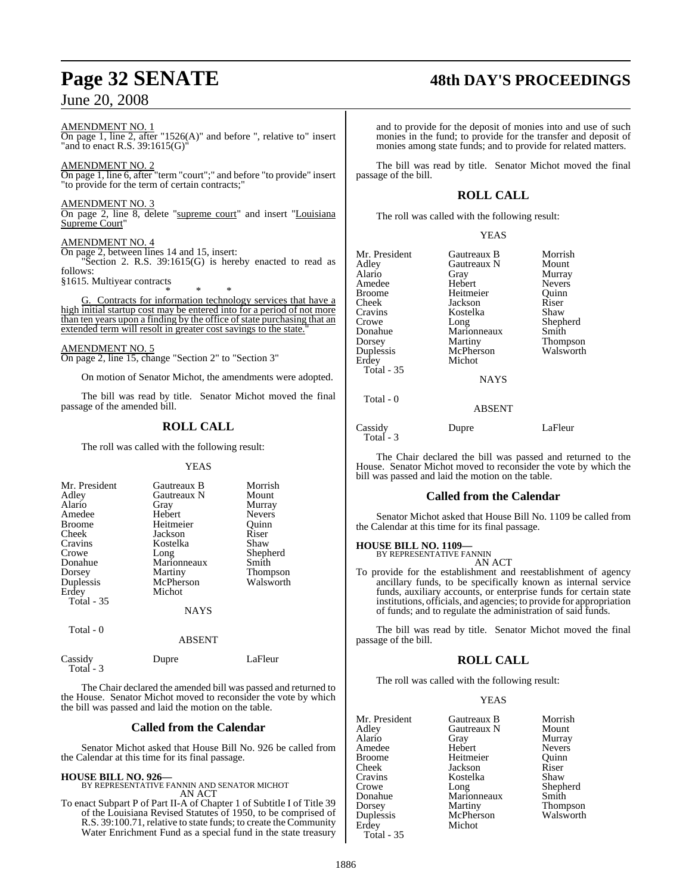AMENDMENT NO. 1 On page 1, line 2, after "1526(A)" and before ", relative to" insert "and to enact R.S. 39:1615(G)"

AMENDMENT NO. 2 On page 1, line 6, after "term "court";" and before "to provide" insert "to provide for the term of certain contracts;"

AMENDMENT NO. 3 On page 2, line 8, delete "supreme court" and insert "Louisiana Supreme Court"

#### AMENDMENT NO. 4

On page 2, between lines 14 and 15, insert:

"Section 2. R.S. 39:1615(G) is hereby enacted to read as follows: §1615. Multiyear contracts

\* \* \* G. Contracts for information technology services that have a high initial startup cost may be entered into for a period of not more than ten years upon a finding by the office of state purchasing that an extended term will resolt in greater cost savings to the state.

AMENDMENT NO. 5 On page 2, line 15, change "Section 2" to "Section 3"

On motion of Senator Michot, the amendments were adopted.

The bill was read by title. Senator Michot moved the final passage of the amended bill.

## **ROLL CALL**

The roll was called with the following result:

#### **YEAS**

| Mr. President<br>Adley<br>Alario<br>Amedee<br><b>Broome</b><br>Cheek<br>Cravins<br>Crowe<br>Donahue<br>Dorsey<br>Duplessis<br>Erdey<br><b>Total - 35</b> | Gautreaux B<br>Gautreaux N<br>Gray<br>Hebert<br>Heitmeier<br>Jackson<br>Kostelka<br>Long<br>Marionneaux<br>Martiny<br>McPherson<br>Michot<br><b>NAYS</b> | Morrish<br>Mount<br>Murray<br><b>Nevers</b><br>Ouinn<br>Riser<br>Shaw<br>Shepherd<br>Smith<br><b>Thompson</b><br>Walsworth |
|----------------------------------------------------------------------------------------------------------------------------------------------------------|----------------------------------------------------------------------------------------------------------------------------------------------------------|----------------------------------------------------------------------------------------------------------------------------|
| Total - 0                                                                                                                                                |                                                                                                                                                          |                                                                                                                            |

| 1 otal - U<br>Cassidy | <b>ABSENT</b> |         |
|-----------------------|---------------|---------|
|                       | Dupre         | LaFleur |

 Total - 3 The Chair declared the amended bill was passed and returned to the House. Senator Michot moved to reconsider the vote by which the bill was passed and laid the motion on the table.

#### **Called from the Calendar**

Senator Michot asked that House Bill No. 926 be called from the Calendar at this time for its final passage.

#### **HOUSE BILL NO. 926—**

BY REPRESENTATIVE FANNIN AND SENATOR MICHOT AN ACT

To enact Subpart P of Part II-A of Chapter 1 of Subtitle I of Title 39 of the Louisiana Revised Statutes of 1950, to be comprised of R.S. 39:100.71, relative to state funds; to create the Community Water Enrichment Fund as a special fund in the state treasury and to provide for the deposit of monies into and use of such monies in the fund; to provide for the transfer and deposit of monies among state funds; and to provide for related matters.

The bill was read by title. Senator Michot moved the final passage of the bill.

## **ROLL CALL**

The roll was called with the following result:

#### YEAS

| Mr. President<br>Adley<br>Alario<br>Amedee<br>Broome<br>Cheek<br>Cravins<br>Crowe<br>Donahue<br>Dorsey<br>Duplessis<br>Erdey<br>Total - 35 | Gautreaux B<br>Gautreaux N<br>Gray<br>Hebert<br>Heitmeier<br>Jackson<br>Kostelka<br>Long<br>Marionneaux<br>Martiny<br>McPherson<br>Michot<br><b>NAYS</b> | Morrish<br>Mount<br>Murray<br><b>Nevers</b><br>Ouinn<br>Riser<br>Shaw<br>Shepherd<br>Smith<br><b>Thompson</b><br>Walsworth |
|--------------------------------------------------------------------------------------------------------------------------------------------|----------------------------------------------------------------------------------------------------------------------------------------------------------|----------------------------------------------------------------------------------------------------------------------------|
| Total - 0                                                                                                                                  | <b>ABSENT</b>                                                                                                                                            |                                                                                                                            |

Cassidy Dupre LaFleur Total - 3

The Chair declared the bill was passed and returned to the House. Senator Michot moved to reconsider the vote by which the bill was passed and laid the motion on the table.

#### **Called from the Calendar**

Senator Michot asked that House Bill No. 1109 be called from the Calendar at this time for its final passage.

#### **HOUSE BILL NO. 1109—**

BY REPRESENTATIVE FANNIN AN ACT

To provide for the establishment and reestablishment of agency ancillary funds, to be specifically known as internal service funds, auxiliary accounts, or enterprise funds for certain state institutions, officials, and agencies; to provide for appropriation of funds; and to regulate the administration of said funds.

The bill was read by title. Senator Michot moved the final passage of the bill.

## **ROLL CALL**

The roll was called with the following result:

#### YEAS

| Mr. President | Gautreaux B | Morrish       |
|---------------|-------------|---------------|
| Adlev         | Gautreaux N | Mount         |
| Alario        | Gray        | Murray        |
| Amedee        | Hebert      | <b>Nevers</b> |
| Broome        | Heitmeier   | Ouinn         |
| Cheek         | Jackson     | Riser         |
| Cravins       | Kostelka    | Shaw          |
| Crowe         | Long        | Shepherd      |
| Donahue       | Marionneaux | Smith         |
| Dorsey        | Martiny     | Thompson      |
| Duplessis     | McPherson   | Walsworth     |
| Erdey         | Michot      |               |
| Total - 35    |             |               |

# **Page 32 SENATE 48th DAY'S PROCEEDINGS**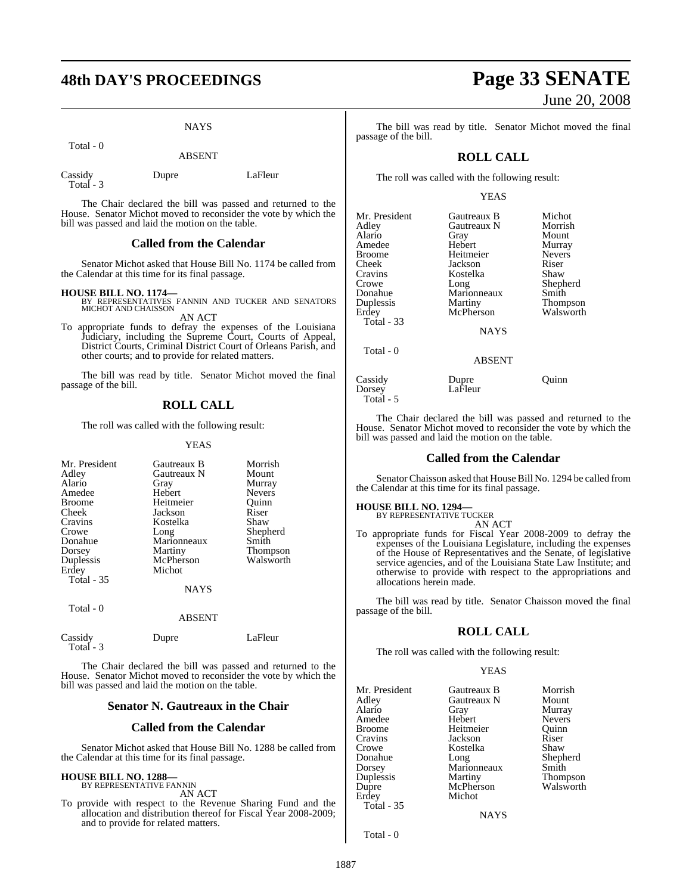# **48th DAY'S PROCEEDINGS Page 33 SENATE**

**NAYS** 

Total - 0

ABSENT

Cassidy Dupre LaFleur Total - 3

The Chair declared the bill was passed and returned to the House. Senator Michot moved to reconsider the vote by which the bill was passed and laid the motion on the table.

#### **Called from the Calendar**

Senator Michot asked that House Bill No. 1174 be called from the Calendar at this time for its final passage.

- **HOUSE BILL NO. 1174—** BY REPRESENTATIVES FANNIN AND TUCKER AND SENATORS MICHOT AND CHAISSON AN ACT
- To appropriate funds to defray the expenses of the Louisiana Judiciary, including the Supreme Court, Courts of Appeal, District Courts, Criminal District Court of Orleans Parish, and other courts; and to provide for related matters.

The bill was read by title. Senator Michot moved the final passage of the bill.

### **ROLL CALL**

The roll was called with the following result:

YEAS

| Mr. President     | Gautreaux B   | Morrish       |
|-------------------|---------------|---------------|
| Adley             | Gautreaux N   | Mount         |
| Alario            | Gray          | Murray        |
| Amedee            | Hebert        | <b>Nevers</b> |
| <b>Broome</b>     | Heitmeier     | Ouinn         |
| Cheek             | Jackson       | Riser         |
| Cravins           | Kostelka      | Shaw          |
| Crowe             | Long          | Shepherd      |
| Donahue           | Marionneaux   | Smith         |
| Dorsey            | Martiny       | Thompson      |
| Duplessis         | McPherson     | Walsworth     |
| Erdey             | Michot        |               |
| <b>Total - 35</b> |               |               |
|                   | <b>NAYS</b>   |               |
| Total - 0         | <b>ABSENT</b> |               |
|                   |               |               |

| Cassidy   | Dupre | LaFleur |
|-----------|-------|---------|
| Total - 3 |       |         |

The Chair declared the bill was passed and returned to the House. Senator Michot moved to reconsider the vote by which the bill was passed and laid the motion on the table.

#### **Senator N. Gautreaux in the Chair**

#### **Called from the Calendar**

Senator Michot asked that House Bill No. 1288 be called from the Calendar at this time for its final passage.

#### **HOUSE BILL NO. 1288—** BY REPRESENTATIVE FANNIN

AN ACT

To provide with respect to the Revenue Sharing Fund and the allocation and distribution thereof for Fiscal Year 2008-2009; and to provide for related matters.

# June 20, 2008

The bill was read by title. Senator Michot moved the final passage of the bill.

## **ROLL CALL**

The roll was called with the following result:

#### YEAS

| Mr. President | Gautreaux B    | Michot        |
|---------------|----------------|---------------|
| Adley         | Gautreaux N    | Morrish       |
| Alario        | Gray           | Mount         |
| Amedee        | Hebert         | Murray        |
| <b>Broome</b> | Heitmeier      | <b>Nevers</b> |
| Cheek         | Jackson        | Riser         |
| Cravins       | Kostelka       | Shaw          |
| Crowe         | Long           | Shepherd      |
| Donahue       | Marionneaux    | Smith         |
| Duplessis     | <b>Martiny</b> | Thompson      |
| Erdey         | McPherson      | Walsworth     |
| Total - 33    |                |               |
|               | <b>NAYS</b>    |               |
| Total - 0     |                |               |
|               | <b>ABSENT</b>  |               |
| Cassidy       | Dupre          | Ouınn         |
| Dorsey        | LaFleur        |               |

The Chair declared the bill was passed and returned to the House. Senator Michot moved to reconsider the vote by which the bill was passed and laid the motion on the table.

#### **Called from the Calendar**

Senator Chaisson asked that House Bill No. 1294 be called from the Calendar at this time for its final passage.

# **HOUSE BILL NO. 1294—** BY REPRESENTATIVE TUCKER

Total - 5

AN ACT

To appropriate funds for Fiscal Year 2008-2009 to defray the expenses of the Louisiana Legislature, including the expenses of the House of Representatives and the Senate, of legislative service agencies, and of the Louisiana State Law Institute; and otherwise to provide with respect to the appropriations and allocations herein made.

The bill was read by title. Senator Chaisson moved the final passage of the bill.

#### **ROLL CALL**

The roll was called with the following result:

#### YEAS

| Mr. President | Gautreaux B    | Morrish       |
|---------------|----------------|---------------|
| Adley         | Gautreaux N    | Mount         |
| Alario        | Gray           | Murray        |
| Amedee        | Hebert         | <b>Nevers</b> |
| <b>Broome</b> | Heitmeier      | Ouinn         |
| Cravins       | Jackson        | Riser         |
| Crowe         | Kostelka       | Shaw          |
| Donahue       | Long           | Shepherd      |
| Dorsey        | Marionneaux    | Smith         |
| Duplessis     | Martiny        | Thompson      |
| Dupre         | McPherson      | Walsworth     |
| Erdey         | Michot         |               |
| Total - 35    |                |               |
|               | <b>ATA TTM</b> |               |

**NAYS** 

Total - 0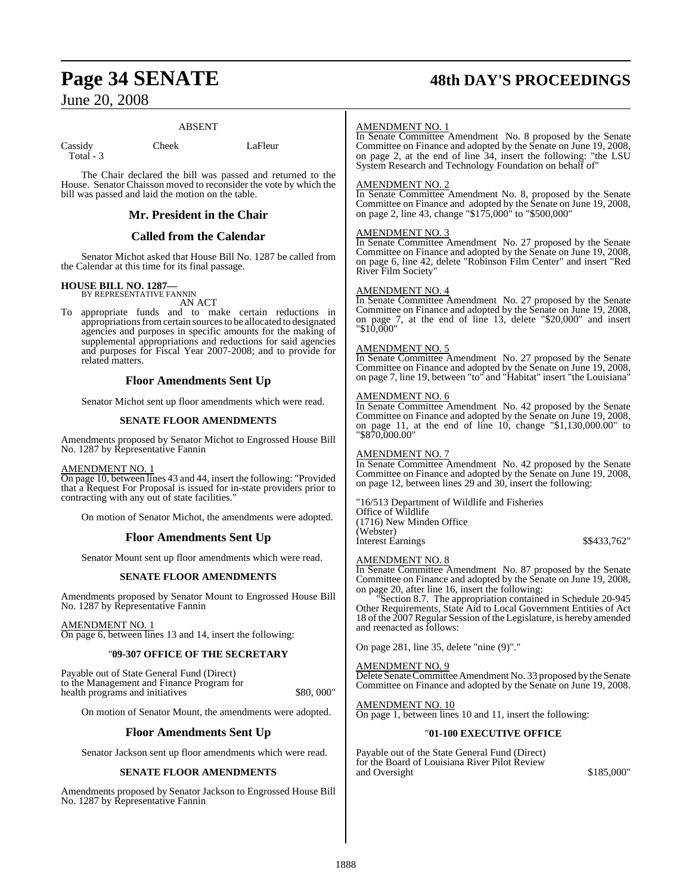# **Page 34 SENATE 48th DAY'S PROCEEDINGS**

## June 20, 2008

#### ABSENT

Cassidy Cheek LaFleur Total - 3

The Chair declared the bill was passed and returned to the House. Senator Chaisson moved to reconsider the vote by which the bill was passed and laid the motion on the table.

#### **Mr. President in the Chair**

### **Called from the Calendar**

Senator Michot asked that House Bill No. 1287 be called from the Calendar at this time for its final passage.

#### **HOUSE BILL NO. 1287—** BY REPRESENTATIVE FANNIN

AN ACT

To appropriate funds and to make certain reductions in appropriations from certain sources to be allocated to designated agencies and purposes in specific amounts for the making of supplemental appropriations and reductions for said agencies and purposes for Fiscal Year 2007-2008; and to provide for related matters.

### **Floor Amendments Sent Up**

Senator Michot sent up floor amendments which were read.

#### **SENATE FLOOR AMENDMENTS**

Amendments proposed by Senator Michot to Engrossed House Bill No. 1287 by Representative Fannin

#### AMENDMENT NO. 1

On page 10, between lines 43 and 44, insert the following: "Provided that a Request For Proposal is issued for in-state providers prior to contracting with any out of state facilities."

On motion of Senator Michot, the amendments were adopted.

#### **Floor Amendments Sent Up**

Senator Mount sent up floor amendments which were read.

#### **SENATE FLOOR AMENDMENTS**

Amendments proposed by Senator Mount to Engrossed House Bill No. 1287 by Representative Fannin

#### AMENDMENT NO. 1

On page 6, between lines 13 and 14, insert the following:

#### "**09-307 OFFICE OF THE SECRETARY**

Payable out of State General Fund (Direct) to the Management and Finance Program for health programs and initiatives \$80,000"

On motion of Senator Mount, the amendments were adopted.

#### **Floor Amendments Sent Up**

Senator Jackson sent up floor amendments which were read.

#### **SENATE FLOOR AMENDMENTS**

Amendments proposed by Senator Jackson to Engrossed House Bill No. 1287 by Representative Fannin

#### AMENDMENT NO. 1

In Senate Committee Amendment No. 8 proposed by the Senate Committee on Finance and adopted by the Senate on June 19, 2008, on page 2, at the end of line 34, insert the following: "the LSU System Research and Technology Foundation on behalf of"

#### AMENDMENT NO. 2

In Senate Committee Amendment No. 8, proposed by the Senate Committee on Finance and adopted by the Senate on June 19, 2008, on page 2, line 43, change "\$175,000" to "\$500,000"

#### AMENDMENT NO. 3

In Senate Committee Amendment No. 27 proposed by the Senate Committee on Finance and adopted by the Senate on June 19, 2008, on page 6, line 42, delete "Robinson Film Center" and insert "Red River Film Society"

#### AMENDMENT NO. 4

In Senate Committee Amendment No. 27 proposed by the Senate Committee on Finance and adopted by the Senate on June 19, 2008, on page 7, at the end of line 13, delete "\$20,000" and insert "\$10,000"

#### AMENDMENT NO. 5

In Senate Committee Amendment No. 27 proposed by the Senate Committee on Finance and adopted by the Senate on June 19, 2008, on page 7, line 19, between "to" and "Habitat" insert "the Louisiana"

#### AMENDMENT NO. 6

In Senate Committee Amendment No. 42 proposed by the Senate Committee on Finance and adopted by the Senate on June 19, 2008, on page 11, at the end of line 10, change "\$1,130,000.00" to "\$870,000.00"

### AMENDMENT NO. 7

In Senate Committee Amendment No. 42 proposed by the Senate Committee on Finance and adopted by the Senate on June 19, 2008, on page 12, between lines 29 and 30, insert the following:

"16/513 Department of Wildlife and Fisheries Office of Wildlife (1716) New Minden Office (Webster) Interest Earnings  $$\$433,762"$ 

#### AMENDMENT NO. 8

In Senate Committee Amendment No. 87 proposed by the Senate Committee on Finance and adopted by the Senate on June 19, 2008, on page 20, after line 16, insert the following:

"Section 8.7. The appropriation contained in Schedule 20-945 Other Requirements, State Aid to Local Government Entities of Act 18 of the 2007 Regular Session of the Legislature, is hereby amended and reenacted as follows:

On page 281, line 35, delete "nine (9)"."

AMENDMENT NO. 9

Delete Senate Committee Amendment No. 33 proposed by the Senate Committee on Finance and adopted by the Senate on June 19, 2008.

<u>AMENDMENT NO. 10</u>

On page 1, between lines 10 and 11, insert the following:

#### "**01-100 EXECUTIVE OFFICE**

Payable out of the State General Fund (Direct) for the Board of Louisiana River Pilot Review and Oversight  $$185,000"$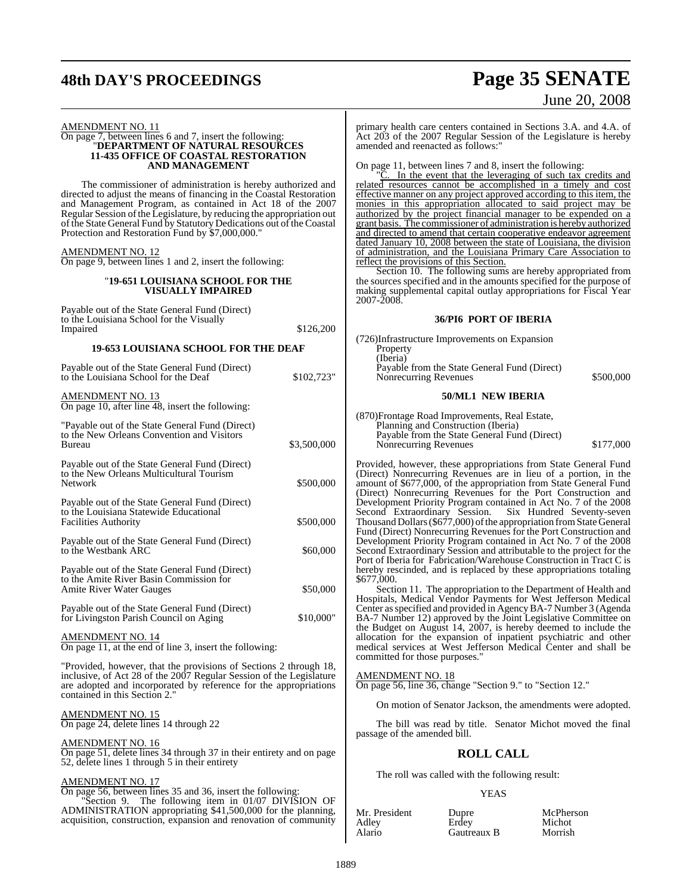# **48th DAY'S PROCEEDINGS Page 35 SENATE**

# June 20, 2008

#### AMENDMENT NO. 11

#### On page 7, between lines 6 and 7, insert the following: "**DEPARTMENT OF NATURAL RESOURCES 11-435 OFFICE OF COASTAL RESTORATION AND MANAGEMENT**

The commissioner of administration is hereby authorized and directed to adjust the means of financing in the Coastal Restoration and Management Program, as contained in Act 18 of the 2007 Regular Session of the Legislature, by reducing the appropriation out of the State General Fund by Statutory Dedications out of the Coastal Protection and Restoration Fund by \$7,000,000."

#### AMENDMENT NO. 12

On page 9, between lines 1 and 2, insert the following:

#### "**19-651 LOUISIANA SCHOOL FOR THE VISUALLY IMPAIRED**

| Payable out of the State General Fund (Direct)<br>to the Louisiana School for the Visually                                                                                                                                                                                                                                               |             |
|------------------------------------------------------------------------------------------------------------------------------------------------------------------------------------------------------------------------------------------------------------------------------------------------------------------------------------------|-------------|
| Impaired                                                                                                                                                                                                                                                                                                                                 | \$126,200   |
| <b>19-653 LOUISIANA SCHOOL FOR THE DEAF</b>                                                                                                                                                                                                                                                                                              |             |
| Payable out of the State General Fund (Direct)<br>to the Louisiana School for the Deaf                                                                                                                                                                                                                                                   | \$102,723"  |
| <b>AMENDMENT NO. 13</b><br>On page 10, after line 48, insert the following:                                                                                                                                                                                                                                                              |             |
| "Payable out of the State General Fund (Direct)"<br>to the New Orleans Convention and Visitors<br>Bureau                                                                                                                                                                                                                                 | \$3,500,000 |
| Payable out of the State General Fund (Direct)<br>to the New Orleans Multicultural Tourism<br>Network                                                                                                                                                                                                                                    | \$500,000   |
| Payable out of the State General Fund (Direct)<br>to the Louisiana Statewide Educational<br><b>Facilities Authority</b>                                                                                                                                                                                                                  | \$500,000   |
| Payable out of the State General Fund (Direct)<br>to the Westbank ARC                                                                                                                                                                                                                                                                    | \$60,000    |
| Payable out of the State General Fund (Direct)<br>to the Amite River Basin Commission for<br><b>Amite River Water Gauges</b>                                                                                                                                                                                                             | \$50,000    |
| Payable out of the State General Fund (Direct)<br>for Livingston Parish Council on Aging                                                                                                                                                                                                                                                 | \$10,000"   |
| $\frac{\text{AMENDMENT NO. 14}}{\text{O(12.25 \times 10^{-11} \text{ J} \cdot \text{K} \cdot \text{M} \cdot \text{S} \cdot \text{M} \cdot \text{S} \cdot \text{M} \cdot \text{S} \cdot \text{M} \cdot \text{S} \cdot \text{M} \cdot \text{S} \cdot \text{M} \cdot \text{S} \cdot \text{M} \cdot \text{S} \cdot \text{M} \cdot \text{M}}$ |             |

On page 11, at the end of line 3, insert the following:

"Provided, however, that the provisions of Sections 2 through 18, inclusive, of Act 28 of the 2007 Regular Session of the Legislature are adopted and incorporated by reference for the appropriations contained in this Section 2."

AMENDMENT NO. 15 On page 24, delete lines 14 through 22

### AMENDMENT NO. 16

On page 51, delete lines 34 through 37 in their entirety and on page 52, delete lines 1 through 5 in their entirety

#### AMENDMENT NO. 17

On page 56, between lines 35 and 36, insert the following: "Section 9. The following item in 01/07 DIVISION OF ADMINISTRATION appropriating \$41,500,000 for the planning, acquisition, construction, expansion and renovation of community primary health care centers contained in Sections 3.A. and 4.A. of Act 203 of the 2007 Regular Session of the Legislature is hereby amended and reenacted as follows:"

On page 11, between lines 7 and 8, insert the following:

In the event that the leveraging of such tax credits and related resources cannot be accomplished in a timely and cost effective manner on any project approved according to this item, the monies in this appropriation allocated to said project may be authorized by the project financial manager to be expended on a grant basis. The commissioner of administration is hereby authorized and directed to amend that certain cooperative endeavor agreement dated January 10, 2008 between the state of Louisiana, the division of administration, and the Louisiana Primary Care Association to reflect the provisions of this Section.

Section 10. The following sums are hereby appropriated from the sources specified and in the amounts specified for the purpose of making supplemental capital outlay appropriations for Fiscal Year 2007-2008.

#### **36/PI6 PORT OF IBERIA**

| (726)Infrastructure Improvements on Expansion |           |
|-----------------------------------------------|-----------|
| Property                                      |           |
| (Iberia)                                      |           |
| Payable from the State General Fund (Direct)  |           |
| Nonrecurring Revenues                         | \$500,000 |
|                                               |           |

#### **50/ML1 NEW IBERIA**

(870)Frontage Road Improvements, Real Estate, Planning and Construction (Iberia) Payable from the State General Fund (Direct) Nonrecurring Revenues  $$177,000$ 

Provided, however, these appropriations from State General Fund (Direct) Nonrecurring Revenues are in lieu of a portion, in the amount of \$677,000, of the appropriation from State General Fund (Direct) Nonrecurring Revenues for the Port Construction and Development Priority Program contained in Act No. 7 of the 2008 Second Extraordinary Session. Thousand Dollars (\$677,000) of the appropriation from State General Fund (Direct) Nonrecurring Revenues for the Port Construction and Development Priority Program contained in Act No. 7 of the 2008 Second Extraordinary Session and attributable to the project for the Port of Iberia for Fabrication/Warehouse Construction in Tract C is hereby rescinded, and is replaced by these appropriations totaling \$677,000.

Section 11. The appropriation to the Department of Health and Hospitals, Medical Vendor Payments for West Jefferson Medical Center asspecified and provided in AgencyBA-7 Number 3 (Agenda BA-7 Number 12) approved by the Joint Legislative Committee on the Budget on August 14, 2007, is hereby deemed to include the allocation for the expansion of inpatient psychiatric and other medical services at West Jefferson Medical Center and shall be committed for those purposes."

#### AMENDMENT NO. 18

On page 56, line 36, change "Section 9." to "Section 12."

On motion of Senator Jackson, the amendments were adopted.

The bill was read by title. Senator Michot moved the final passage of the amended bill.

#### **ROLL CALL**

The roll was called with the following result:

#### YEAS

| Mr. President   | Dupre       | McPherson |
|-----------------|-------------|-----------|
| Adley<br>Alario | Erdev       | Michot    |
|                 | Gautreaux B | Morrish   |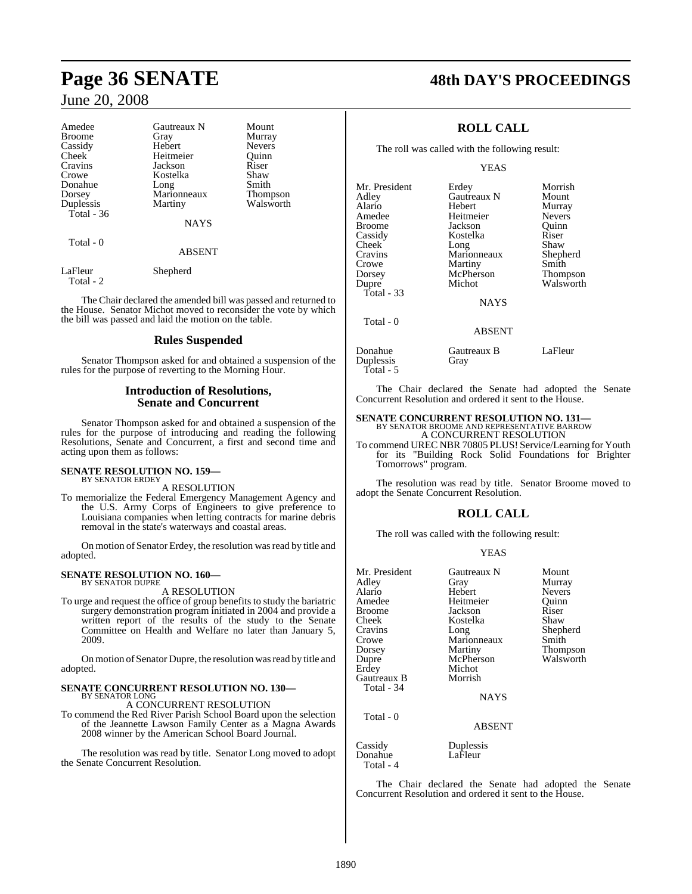| Amedee        | Gautreaux N   | Mount           |
|---------------|---------------|-----------------|
| <b>Broome</b> | Gray          | Murray          |
| Cassidy       | Hebert        | <b>Nevers</b>   |
| Cheek         | Heitmeier     | Ouinn           |
| Cravins       | Jackson       | Riser           |
| Crowe         | Kostelka      | Shaw            |
| Donahue       | Long          | Smith           |
| Dorsey        | Marionneaux   | <b>Thompson</b> |
| Duplessis     | Martiny       | Walsworth       |
| Total - 36    |               |                 |
|               | <b>NAYS</b>   |                 |
| Total - 0     |               |                 |
|               | <b>ABSENT</b> |                 |
| LaFleur       | Shepherd      |                 |

Total - 2

The Chair declared the amended bill was passed and returned to the House. Senator Michot moved to reconsider the vote by which the bill was passed and laid the motion on the table.

#### **Rules Suspended**

Senator Thompson asked for and obtained a suspension of the rules for the purpose of reverting to the Morning Hour.

#### **Introduction of Resolutions, Senate and Concurrent**

Senator Thompson asked for and obtained a suspension of the rules for the purpose of introducing and reading the following Resolutions, Senate and Concurrent, a first and second time and acting upon them as follows:

#### **SENATE RESOLUTION NO. 159—** BY SENATOR ERDEY

A RESOLUTION

To memorialize the Federal Emergency Management Agency and the U.S. Army Corps of Engineers to give preference to Louisiana companies when letting contracts for marine debris removal in the state's waterways and coastal areas.

On motion of Senator Erdey, the resolution was read by title and adopted.

#### **SENATE RESOLUTION NO. 160—** BY SENATOR DUPRE

A RESOLUTION

To urge and request the office of group benefits to study the bariatric surgery demonstration program initiated in 2004 and provide a written report of the results of the study to the Senate Committee on Health and Welfare no later than January 5, 2009.

On motion of Senator Dupre, the resolution was read by title and adopted.

#### **SENATE CONCURRENT RESOLUTION NO. 130—** BY SENATOR LONG

A CONCURRENT RESOLUTION

To commend the Red River Parish School Board upon the selection of the Jeannette Lawson Family Center as a Magna Awards 2008 winner by the American School Board Journal.

The resolution was read by title. Senator Long moved to adopt the Senate Concurrent Resolution.

# **Page 36 SENATE 48th DAY'S PROCEEDINGS**

## **ROLL CALL**

The roll was called with the following result:

YEAS

| Mr. President | Erdey         | Morrish       |
|---------------|---------------|---------------|
| Adley         | Gautreaux N   | Mount         |
| Alario        | Hebert        | Murray        |
| Amedee        | Heitmeier     | <b>Nevers</b> |
| Broome        | Jackson       | Ouinn         |
| Cassidy       | Kostelka      | Riser         |
| Cheek         | Long          | Shaw          |
| Cravins       | Marionneaux   | Shepherd      |
| Crowe         | Martiny       | Smith         |
| Dorsey        | McPherson     | Thompson      |
| Dupre         | Michot        | Walsworth     |
| Total $-33$   |               |               |
|               | <b>NAYS</b>   |               |
| Total $-0$    |               |               |
|               | <b>ABSENT</b> |               |
| Donahue       | Gautreaux B   | LaFleur       |

Duplessis Gray

Total - 5

The Chair declared the Senate had adopted the Senate Concurrent Resolution and ordered it sent to the House.

# **SENATE CONCURRENT RESOLUTION NO. 131—** BY SENATOR BROOME AND REPRESENTATIVE BARROW

A CONCURRENT RESOLUTION To commend UREC NBR 70805 PLUS! Service/Learning for Youth for its "Building Rock Solid Foundations for Brighter Tomorrows" program.

The resolution was read by title. Senator Broome moved to adopt the Senate Concurrent Resolution.

## **ROLL CALL**

The roll was called with the following result:

#### YEAS

| Mr. President<br>Adley<br>Alario<br>Amedee<br><b>Broome</b><br>Cheek<br>Cravins<br>Crowe<br>Dorsey<br>Dupre<br>Erdey<br>Gautreaux B<br>Total - 34 | Gautreaux N<br>Gray<br>Hebert<br>Heitmeier<br>Jackson<br>Kostelka<br>Long<br>Marionneaux<br>Martiny<br>McPherson<br>Michot<br>Morrish<br><b>NAYS</b> | Mount<br>Murray<br><b>Nevers</b><br>Quinn<br>Riser<br>Shaw<br>Shepherd<br>Smith<br>Thompson<br>Walsworth |
|---------------------------------------------------------------------------------------------------------------------------------------------------|------------------------------------------------------------------------------------------------------------------------------------------------------|----------------------------------------------------------------------------------------------------------|
| Total - 0                                                                                                                                         | <b>ABSENT</b>                                                                                                                                        |                                                                                                          |
| Cassidy                                                                                                                                           | Duplessis                                                                                                                                            |                                                                                                          |

Donahue LaFleur Total - 4

The Chair declared the Senate had adopted the Senate Concurrent Resolution and ordered it sent to the House.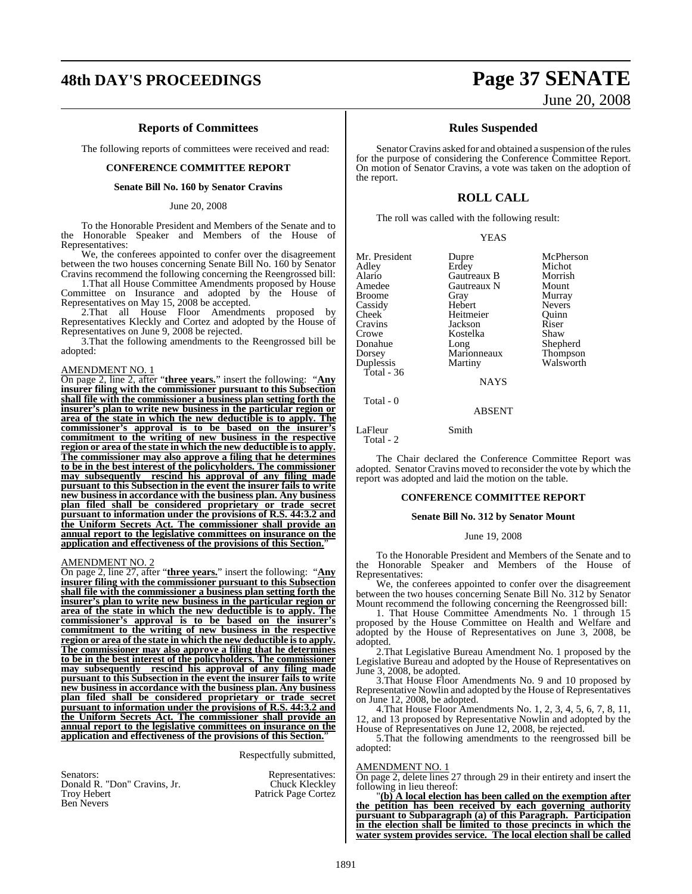#### **Reports of Committees**

The following reports of committees were received and read:

#### **CONFERENCE COMMITTEE REPORT**

#### **Senate Bill No. 160 by Senator Cravins**

#### June 20, 2008

To the Honorable President and Members of the Senate and to the Honorable Speaker and Members of the House of Representatives:

We, the conferees appointed to confer over the disagreement between the two houses concerning Senate Bill No. 160 by Senator Cravins recommend the following concerning the Reengrossed bill:

1.That all House Committee Amendments proposed by House Committee on Insurance and adopted by the House of Representatives on May 15, 2008 be accepted.

2.That all House Floor Amendments proposed by Representatives Kleckly and Cortez and adopted by the House of Representatives on June 9, 2008 be rejected.

3.That the following amendments to the Reengrossed bill be adopted:

#### AMENDMENT NO. 1

On page 2, line 2, after "**three years.**" insert the following: "**Any insurer filing with the commissioner pursuant to this Subsection shall file with the commissioner a business plan setting forth the insurer's plan to write new business in the particular region or area of the state in which the new deductible is to apply. The commissioner's approval is to be based on the insurer's commitment to the writing of new business in the respective region or area of the state in which the new deductible isto apply. The commissioner may also approve a filing that he determines to be in the best interest of the policyholders. The commissioner may subsequently rescind his approval of any filing made pursuant to this Subsection in the event the insurer fails to write new business in accordance with the business plan. Any business plan filed shall be considered proprietary or trade secret pursuant to information under the provisions of R.S. 44:3.2 and the Uniform Secrets Act. The commissioner shall provide an annual report to the legislative committees on insurance on the application and effectiveness of the provisions of this Section.**"

#### AMENDMENT NO. 2

On page 2, line 27, after "**three years.**" insert the following: "**Any insurer filing with the commissioner pursuant to this Subsection shall file with the commissioner a business plan setting forth the insurer's plan to write new business in the particular region or area of the state in which the new deductible is to apply. The commissioner's approval is to be based on the insurer's commitment to the writing of new business in the respective region or area of the state in which the new deductible isto apply. The commissioner may also approve a filing that he determines to be in the best interest of the policyholders. The commissioner may subsequently rescind his approval of any filing made pursuant to this Subsection in the event the insurer fails to write new business in accordance with the business plan. Any business plan filed shall be considered proprietary or trade secret pursuant to information under the provisions of R.S. 44:3.2 and the Uniform Secrets Act. The commissioner shall provide an annual report to the legislative committees on insurance on the application and effectiveness of the provisions of this Section.**"

Respectfully submitted,

Senators: Representatives: Donald R. "Don" Cravins, Jr.<br>Troy Hebert Ben Nevers

Patrick Page Cortez

## **48th DAY'S PROCEEDINGS Page 37 SENATE** June 20, 2008

#### **Rules Suspended**

Senator Cravins asked for and obtained a suspension of the rules for the purpose of considering the Conference Committee Report. On motion of Senator Cravins, a vote was taken on the adoption of the report.

#### **ROLL CALL**

The roll was called with the following result:

|  | v |
|--|---|
|--|---|

| Mr. President<br>Adley<br>Alario<br>Amedee<br><b>Broome</b><br>Cassidy<br>Cheek<br>Cravins<br>Crowe<br>Donahue<br>Dorsey<br>Duplessis<br>Total - $36$ | Dupre<br>Erdey<br>Gautreaux B<br>Gautreaux N<br>Gray<br>Hebert<br>Heitmeier<br>Jackson<br>Kostelka<br>Long<br>Marionneaux<br>Martiny<br><b>NAYS</b> | McPherson<br>Michot<br>Morrish<br>Mount<br>Murray<br><b>Nevers</b><br>Ouinn<br>Riser<br>Shaw<br>Shepherd<br>Thompson<br>Walsworth |
|-------------------------------------------------------------------------------------------------------------------------------------------------------|-----------------------------------------------------------------------------------------------------------------------------------------------------|-----------------------------------------------------------------------------------------------------------------------------------|
|                                                                                                                                                       |                                                                                                                                                     |                                                                                                                                   |
|                                                                                                                                                       |                                                                                                                                                     |                                                                                                                                   |

Total - 0

LaFleur Smith

Total - 2

The Chair declared the Conference Committee Report was adopted. Senator Cravins moved to reconsider the vote by which the report was adopted and laid the motion on the table.

ABSENT

#### **CONFERENCE COMMITTEE REPORT**

#### **Senate Bill No. 312 by Senator Mount**

#### June 19, 2008

To the Honorable President and Members of the Senate and to the Honorable Speaker and Members of the House of Representatives:

We, the conferees appointed to confer over the disagreement between the two houses concerning Senate Bill No. 312 by Senator Mount recommend the following concerning the Reengrossed bill:

1. That House Committee Amendments No. 1 through 15 proposed by the House Committee on Health and Welfare and adopted by the House of Representatives on June 3, 2008, be adopted.

2.That Legislative Bureau Amendment No. 1 proposed by the Legislative Bureau and adopted by the House of Representatives on June 3, 2008, be adopted.

3.That House Floor Amendments No. 9 and 10 proposed by Representative Nowlin and adopted by the House of Representatives on June 12, 2008, be adopted.

4.That House Floor Amendments No. 1, 2, 3, 4, 5, 6, 7, 8, 11, 12, and 13 proposed by Representative Nowlin and adopted by the House of Representatives on June 12, 2008, be rejected.

5. That the following amendments to the reengrossed bill be adopted:

#### AMENDMENT NO. 1

On page 2, delete lines 27 through 29 in their entirety and insert the following in lieu thereof:

"**(b) A local election has been called on the exemption after the petition has been received by each governing authority pursuant to Subparagraph (a) of this Paragraph. Participation in the election shall be limited to those precincts in which the water system provides service. The local election shall be called**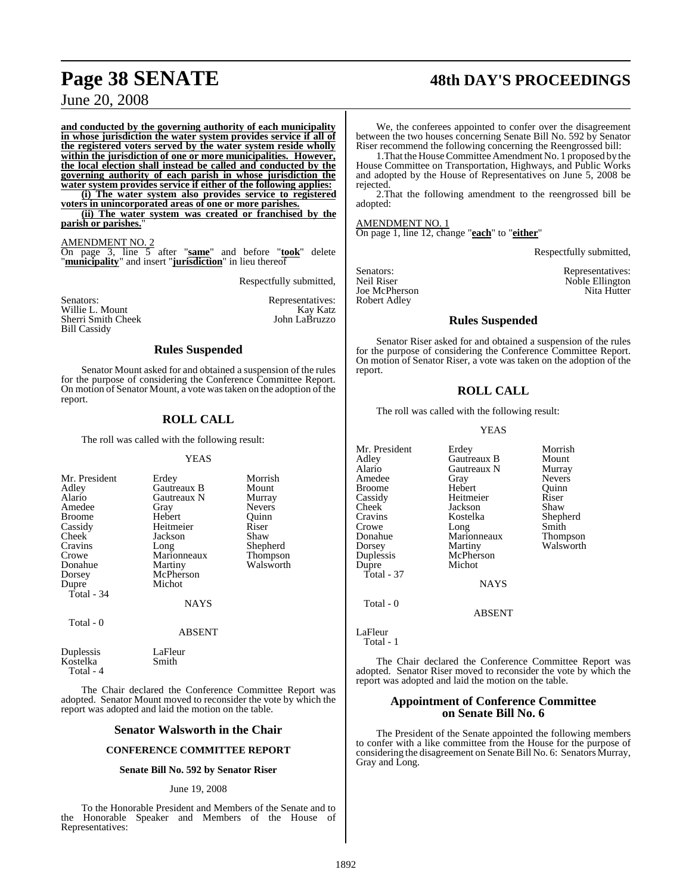# **Page 38 SENATE 48th DAY'S PROCEEDINGS**

June 20, 2008

**and conducted by the governing authority of each municipality in whose jurisdiction the water system provides service if all of the registered voters served by the water system reside wholly within the jurisdiction of one or more municipalities. However, the local election shall instead be called and conducted by the governing authority of each parish in whose jurisdiction the water system provides service if either of the following applies:**

**(i) The water system also provides service to registered voters in unincorporated areas of one or more parishes.**

**(ii) The water system was created or franchised by the** parish or parishes."

#### AMENDMENT NO. 2

On page 3, line 5 after "**same**" and before "**took**" delete "**municipality**" and insert "**jurisdiction**" in lieu thereof

Respectfully submitted,

| Senators:           | Representatives: |
|---------------------|------------------|
| Willie L. Mount     | Kay Katz         |
| Sherri Smith Cheek  | John LaBruzzo    |
| <b>Bill Cassidy</b> |                  |

#### **Rules Suspended**

Senator Mount asked for and obtained a suspension of the rules for the purpose of considering the Conference Committee Report. On motion of Senator Mount, a vote wastaken on the adoption of the report.

#### **ROLL CALL**

The roll was called with the following result:

#### YEAS

| Mr. President<br>Adley<br>Alario<br>Amedee<br><b>Broome</b><br>Cassidy<br><b>Cheek</b><br>Cravins<br>Crowe<br>Donahue<br>Dorsey<br>Dupre<br>Total - 34 | Erdey<br>Gautreaux B<br>Gautreaux N<br>Gray<br>Hebert<br>Heitmeier<br>Jackson<br>Long<br>Marionneaux<br>Martiny<br>McPherson<br>Michot<br><b>NAYS</b> | Morrish<br>Mount<br>Murray<br><b>Nevers</b><br>Ouinn<br>Riser<br>Shaw<br>Shepherd<br>Thompson<br>Walsworth |
|--------------------------------------------------------------------------------------------------------------------------------------------------------|-------------------------------------------------------------------------------------------------------------------------------------------------------|------------------------------------------------------------------------------------------------------------|
| Total - 0                                                                                                                                              | <b>ABSENT</b>                                                                                                                                         |                                                                                                            |

Duplessis LaFleur<br>Kostelka Smith Kostelka Total - 4

The Chair declared the Conference Committee Report was adopted. Senator Mount moved to reconsider the vote by which the report was adopted and laid the motion on the table.

#### **Senator Walsworth in the Chair**

#### **CONFERENCE COMMITTEE REPORT**

#### **Senate Bill No. 592 by Senator Riser**

#### June 19, 2008

To the Honorable President and Members of the Senate and to the Honorable Speaker and Members of the House of Representatives:

We, the conferees appointed to confer over the disagreement between the two houses concerning Senate Bill No. 592 by Senator Riser recommend the following concerning the Reengrossed bill:

1.That the HouseCommittee Amendment No. 1 proposed by the House Committee on Transportation, Highways, and Public Works and adopted by the House of Representatives on June 5, 2008 be rejected.

2.That the following amendment to the reengrossed bill be adopted:

## AMENDMENT NO. 1

On page 1, line 12, change "**each**" to "**either**"

Respectfully submitted,

Joe McPherson Robert Adley

Senators:<br>
Neil Riser<br>
Neil Riser<br>
Noble Ellington Noble Ellington<br>Nita Hutter

#### **Rules Suspended**

Senator Riser asked for and obtained a suspension of the rules for the purpose of considering the Conference Committee Report. On motion of Senator Riser, a vote was taken on the adoption of the report.

#### **ROLL CALL**

The roll was called with the following result:

#### YEAS

| Mr. President | Erdey         | Morrish       |
|---------------|---------------|---------------|
| Adley         | Gautreaux B   | Mount         |
| Alario        | Gautreaux N   | Murray        |
| Amedee        | Gray          | <b>Nevers</b> |
| <b>Broome</b> | Hebert        | Ouinn         |
| Cassidy       | Heitmeier     | Riser         |
| Cheek         | Jackson       | Shaw          |
| Cravins       | Kostelka      | Shepherd      |
| Crowe         | Long          | Smith         |
| Donahue       | Marionneaux   | Thompson      |
| Dorsey        | Martiny       | Walsworth     |
| Duplessis     | McPherson     |               |
| Dupre         | Michot        |               |
| Total $-37$   |               |               |
|               | <b>NAYS</b>   |               |
| Total - 0     |               |               |
|               | <b>ABSENT</b> |               |
| LaFleur       |               |               |

Total - 1

The Chair declared the Conference Committee Report was adopted. Senator Riser moved to reconsider the vote by which the report was adopted and laid the motion on the table.

#### **Appointment of Conference Committee on Senate Bill No. 6**

The President of the Senate appointed the following members to confer with a like committee from the House for the purpose of considering the disagreement on SenateBill No. 6: Senators Murray, Gray and Long.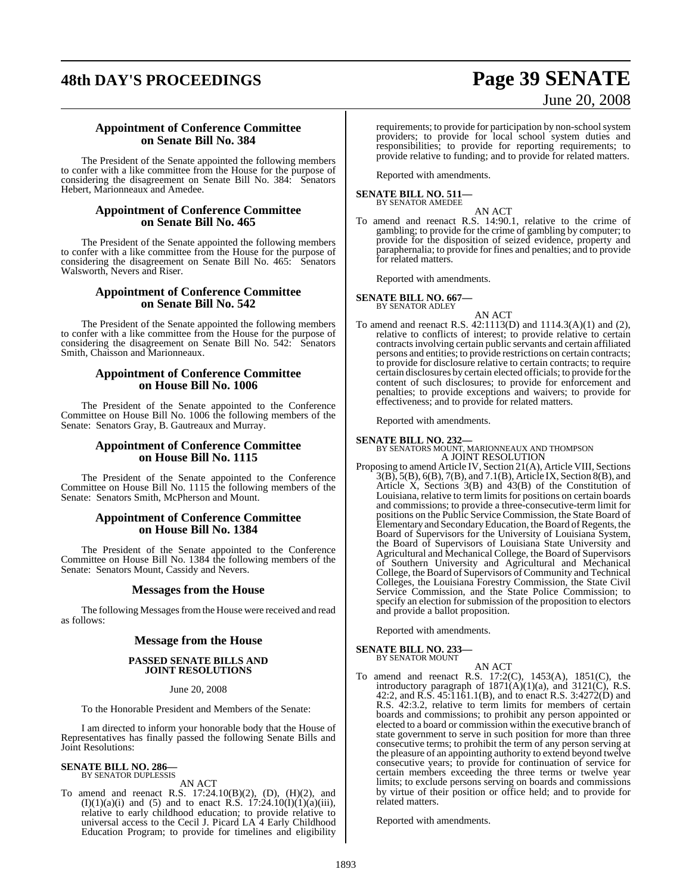# **48th DAY'S PROCEEDINGS Page 39 SENATE**

# June 20, 2008

#### **Appointment of Conference Committee on Senate Bill No. 384**

The President of the Senate appointed the following members to confer with a like committee from the House for the purpose of considering the disagreement on Senate Bill No. 384: Senators Hebert, Marionneaux and Amedee.

#### **Appointment of Conference Committee on Senate Bill No. 465**

The President of the Senate appointed the following members to confer with a like committee from the House for the purpose of considering the disagreement on Senate Bill No. 465: Senators Walsworth, Nevers and Riser.

#### **Appointment of Conference Committee on Senate Bill No. 542**

The President of the Senate appointed the following members to confer with a like committee from the House for the purpose of considering the disagreement on Senate Bill No. 542: Senators Smith, Chaisson and Marionneaux.

#### **Appointment of Conference Committee on House Bill No. 1006**

The President of the Senate appointed to the Conference Committee on House Bill No. 1006 the following members of the Senate: Senators Gray, B. Gautreaux and Murray.

#### **Appointment of Conference Committee on House Bill No. 1115**

The President of the Senate appointed to the Conference Committee on House Bill No. 1115 the following members of the Senate: Senators Smith, McPherson and Mount.

#### **Appointment of Conference Committee on House Bill No. 1384**

The President of the Senate appointed to the Conference Committee on House Bill No. 1384 the following members of the Senate: Senators Mount, Cassidy and Nevers.

### **Messages from the House**

The following Messages from the House were received and read as follows:

#### **Message from the House**

#### **PASSED SENATE BILLS AND JOINT RESOLUTIONS**

June 20, 2008

To the Honorable President and Members of the Senate:

I am directed to inform your honorable body that the House of Representatives has finally passed the following Senate Bills and Joint Resolutions:

## **SENATE BILL NO. 286—** BY SENATOR DUPLESSIS

AN ACT

To amend and reenact R.S. 17:24.10(B)(2), (D), (H)(2), and  $(I)(1)(a)(i)$  and  $(5)$  and to enact R.S. 17:24.10 $(I)(1)(a)(iii)$ , relative to early childhood education; to provide relative to universal access to the Cecil J. Picard LA 4 Early Childhood Education Program; to provide for timelines and eligibility requirements; to provide for participation by non-school system providers; to provide for local school system duties and responsibilities; to provide for reporting requirements; to provide relative to funding; and to provide for related matters.

Reported with amendments.

#### **SENATE BILL NO. 511—** BY SENATOR AMEDEE

AN ACT

To amend and reenact R.S. 14:90.1, relative to the crime of gambling; to provide for the crime of gambling by computer; to provide for the disposition of seized evidence, property and paraphernalia; to provide for fines and penalties; and to provide for related matters.

Reported with amendments.

**SENATE BILL NO. 667—** BY SENATOR ADLEY

AN ACT

To amend and reenact R.S. 42:1113(D) and 1114.3(A)(1) and (2), relative to conflicts of interest; to provide relative to certain contractsinvolving certain public servants and certain affiliated persons and entities; to provide restrictions on certain contracts; to provide for disclosure relative to certain contracts; to require certain disclosures by certain elected officials; to provide forthe content of such disclosures; to provide for enforcement and penalties; to provide exceptions and waivers; to provide for effectiveness; and to provide for related matters.

Reported with amendments.

**SENATE BILL NO. 232—** BY SENATORS MOUNT, MARIONNEAUX AND THOMPSON A JOINT RESOLUTION

Proposing to amend Article IV, Section 21(A), Article VIII, Sections 3(B), 5(B), 6(B), 7(B), and 7.1(B), Article IX, Section 8(B), and Article X, Sections 3(B) and 43(B) of the Constitution of Louisiana, relative to term limits for positions on certain boards and commissions; to provide a three-consecutive-term limit for positions on the Public Service Commission, the State Board of Elementary and Secondary Education, the Board of Regents, the Board of Supervisors for the University of Louisiana System, the Board of Supervisors of Louisiana State University and Agricultural and Mechanical College, the Board of Supervisors of Southern University and Agricultural and Mechanical College, the Board of Supervisors of Community and Technical Colleges, the Louisiana Forestry Commission, the State Civil Service Commission, and the State Police Commission; to specify an election for submission of the proposition to electors and provide a ballot proposition.

Reported with amendments.

#### **SENATE BILL NO. 233—** BY SENATOR MOUNT

AN ACT

To amend and reenact R.S. 17:2(C), 1453(A), 1851(C), the introductory paragraph of  $1871(A)(1)(a)$ , and  $3121(C)$ , R.S. 42:2, and R.S. 45:1161.1(B), and to enact R.S. 3:4272(D) and R.S. 42:3.2, relative to term limits for members of certain boards and commissions; to prohibit any person appointed or elected to a board or commission within the executive branch of state government to serve in such position for more than three consecutive terms; to prohibit the term of any person serving at the pleasure of an appointing authority to extend beyond twelve consecutive years; to provide for continuation of service for certain members exceeding the three terms or twelve year limits; to exclude persons serving on boards and commissions by virtue of their position or office held; and to provide for related matters.

Reported with amendments.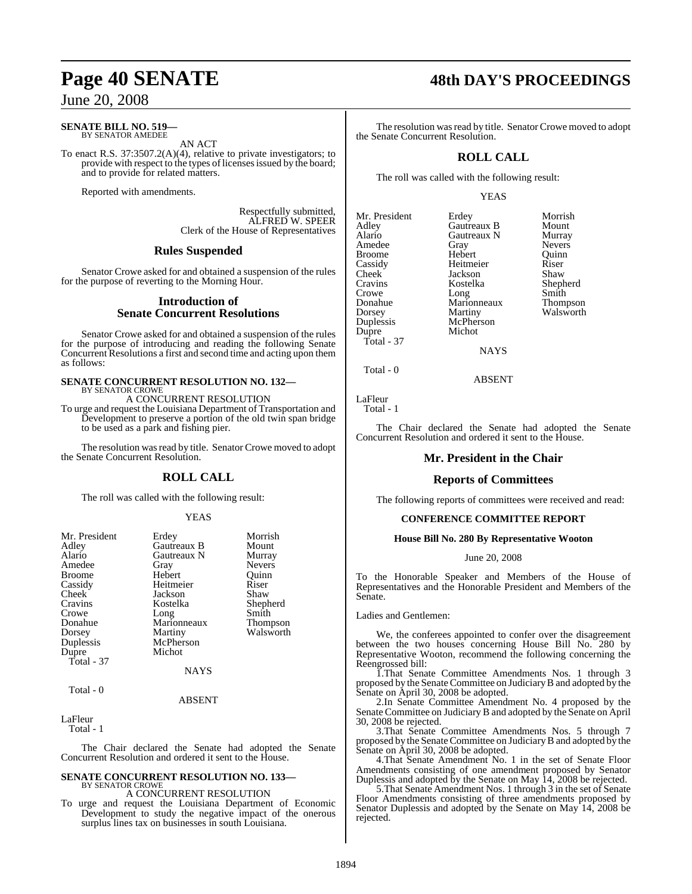## June 20, 2008

#### **SENATE BILL NO. 519—** BY SENATOR AMEDEE

AN ACT

To enact R.S. 37:3507.2(A)(4), relative to private investigators; to provide with respect to the types of licenses issued by the board; and to provide for related matters.

Reported with amendments.

Respectfully submitted, ALFRED W. SPEER Clerk of the House of Representatives

### **Rules Suspended**

Senator Crowe asked for and obtained a suspension of the rules for the purpose of reverting to the Morning Hour.

#### **Introduction of Senate Concurrent Resolutions**

Senator Crowe asked for and obtained a suspension of the rules for the purpose of introducing and reading the following Senate Concurrent Resolutions a first and second time and acting upon them as follows:

#### **SENATE CONCURRENT RESOLUTION NO. 132—** BY SENATOR CROWE

A CONCURRENT RESOLUTION

To urge and request the Louisiana Department of Transportation and Development to preserve a portion of the old twin span bridge to be used as a park and fishing pier.

The resolution was read by title. Senator Crowe moved to adopt the Senate Concurrent Resolution.

## **ROLL CALL**

The roll was called with the following result:

#### YEAS

| Mr. President<br>Adley<br>Alario<br>Amedee<br><b>Broome</b><br>Cassidy<br>Cheek<br>Cravins<br>Crowe<br>Donahue<br>Dorsey<br>Duplessis | Erdey<br>Gautreaux B<br>Gautreaux N<br>Gray<br>Hebert<br>Heitmeier<br>Jackson<br>Kostelka<br>Long<br>Marionneaux<br>Martiny<br>McPherson | Morrish<br>Mount<br>Murray<br><b>Nevers</b><br>Ouinn<br>Riser<br>Shaw<br>Shepherd<br>Smith<br><b>Thompson</b><br>Walsworth |
|---------------------------------------------------------------------------------------------------------------------------------------|------------------------------------------------------------------------------------------------------------------------------------------|----------------------------------------------------------------------------------------------------------------------------|
| Dupre                                                                                                                                 | Michot                                                                                                                                   |                                                                                                                            |
| Total $-37$                                                                                                                           |                                                                                                                                          |                                                                                                                            |
|                                                                                                                                       | <b>NAYS</b>                                                                                                                              |                                                                                                                            |
| Total - 0                                                                                                                             |                                                                                                                                          |                                                                                                                            |
|                                                                                                                                       | <b>ABSENT</b>                                                                                                                            |                                                                                                                            |

LaFleur

Total - 1

The Chair declared the Senate had adopted the Senate Concurrent Resolution and ordered it sent to the House.

#### **SENATE CONCURRENT RESOLUTION NO. 133—** BY SENATOR CROWE

A CONCURRENT RESOLUTION

To urge and request the Louisiana Department of Economic Development to study the negative impact of the onerous surplus lines tax on businesses in south Louisiana.

# **Page 40 SENATE 48th DAY'S PROCEEDINGS**

The resolution was read by title. Senator Crowe moved to adopt the Senate Concurrent Resolution.

## **ROLL CALL**

The roll was called with the following result:

#### YEAS

| Mr. President | Erdey               | Morrish       |
|---------------|---------------------|---------------|
| Adley         | Gautreaux B         | Mount         |
| Alario        | Gautreaux N         | Murray        |
| Amedee        | Gray                | <b>Nevers</b> |
| <b>Broome</b> | Hebert              | Ouinn         |
| Cassidy       | Heitmeier           | Riser         |
| Cheek         | Jackson             | Shaw          |
| Cravins       | Kostelka            | Shepherd      |
| Crowe         |                     | Smith         |
| Donahue       | Long<br>Marionneaux | Thompson      |
| Dorsey        | Martiny             | Walsworth     |
| Duplessis     | McPherson           |               |
| Dupre         | Michot              |               |
| Total - 37    |                     |               |
|               | NAVS                |               |

ABSENT

NAYS

LaFleur

Total - 0

Total - 1

The Chair declared the Senate had adopted the Senate Concurrent Resolution and ordered it sent to the House.

## **Mr. President in the Chair**

#### **Reports of Committees**

The following reports of committees were received and read:

#### **CONFERENCE COMMITTEE REPORT**

#### **House Bill No. 280 By Representative Wooton**

#### June 20, 2008

To the Honorable Speaker and Members of the House of Representatives and the Honorable President and Members of the Senate.

Ladies and Gentlemen:

We, the conferees appointed to confer over the disagreement between the two houses concerning House Bill No. 280 by Representative Wooton, recommend the following concerning the Reengrossed bill:

1.That Senate Committee Amendments Nos. 1 through 3 proposed by the SenateCommittee on JudiciaryB and adopted by the Senate on April 30, 2008 be adopted.

2.In Senate Committee Amendment No. 4 proposed by the Senate Committee on Judiciary B and adopted by the Senate on April 30, 2008 be rejected.

3.That Senate Committee Amendments Nos. 5 through 7 proposed by the SenateCommittee on JudiciaryB and adopted by the Senate on April 30, 2008 be adopted.

4.That Senate Amendment No. 1 in the set of Senate Floor Amendments consisting of one amendment proposed by Senator Duplessis and adopted by the Senate on May 14, 2008 be rejected.

5.That Senate Amendment Nos. 1 through 3 in the set of Senate Floor Amendments consisting of three amendments proposed by Senator Duplessis and adopted by the Senate on May 14, 2008 be rejected.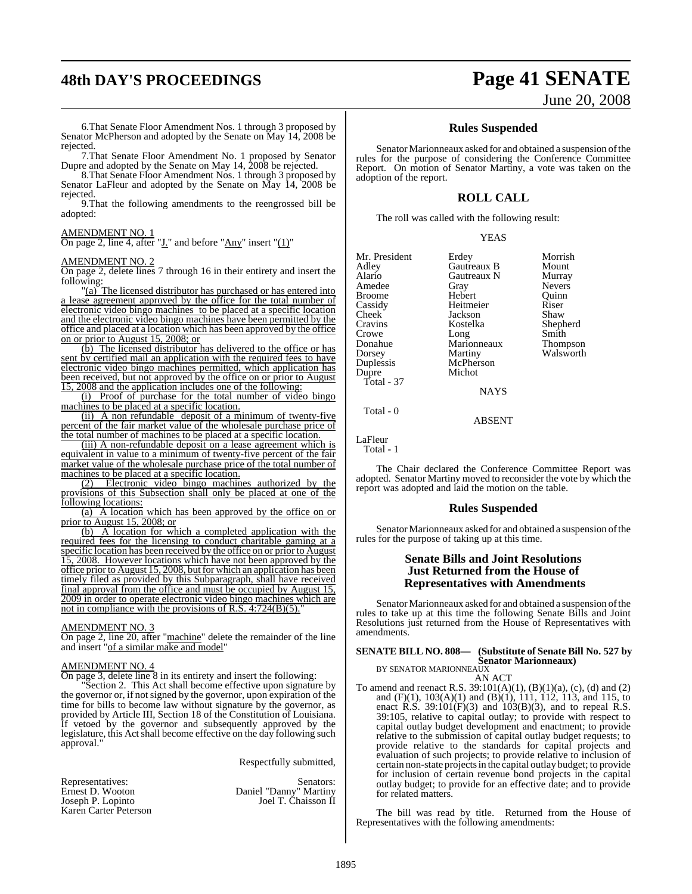# **48th DAY'S PROCEEDINGS Page 41 SENATE**

#### 6.That Senate Floor Amendment Nos. 1 through 3 proposed by Senator McPherson and adopted by the Senate on May 14, 2008 be rejected.

7.That Senate Floor Amendment No. 1 proposed by Senator Dupre and adopted by the Senate on May 14, 2008 be rejected.

8.That Senate Floor Amendment Nos. 1 through 3 proposed by Senator LaFleur and adopted by the Senate on May 14, 2008 be rejected.

9.That the following amendments to the reengrossed bill be adopted:

#### AMENDMENT NO. 1

On page 2, line 4, after " $\underline{J}$ ." and before " $\underline{Any}$ " insert " $\underline{(1)}$ "

#### AMENDMENT NO. 2

On page 2, delete lines 7 through 16 in their entirety and insert the following:

"(a) The licensed distributor has purchased or has entered into a lease agreement approved by the office for the total number of electronic video bingo machines to be placed at a specific location and the electronic video bingo machines have been permitted by the office and placed at a location which has been approved by the office on or prior to August 15, 2008; or

(b) The licensed distributor has delivered to the office or has sent by certified mail an application with the required fees to have electronic video bingo machines permitted, which application has been received, but not approved by the office on or prior to August 15, 2008 and the application includes one of the following:

(i) Proof of purchase for the total number of video bingo machines to be placed at a specific location.

(ii) A non refundable deposit of a minimum of twenty-five percent of the fair market value of the wholesale purchase price of the total number of machines to be placed at a specific location.

(iii) A non-refundable deposit on a lease agreement which is equivalent in value to a minimum of twenty-five percent of the fair market value of the wholesale purchase price of the total number of machines to be placed at a specific location.

(2) Electronic video bingo machines authorized by the provisions of this Subsection shall only be placed at one of the following locations:

(a) A location which has been approved by the office on or prior to August 15, 2008; or

(b) A location for which a completed application with the required fees for the licensing to conduct charitable gaming at a specific location has been received by the office on or prior to August 15, 2008. However locations which have not been approved by the office prior to August 15, 2008, but for which an application has been timely filed as provided by this Subparagraph, shall have received final approval from the office and must be occupied by August 15, 2009 in order to operate electronic video bingo machines which are not in compliance with the provisions of R.S.  $4:724(B)(5)$ .

#### AMENDMENT NO. 3

On page 2, line 20, after "machine" delete the remainder of the line and insert "of a similar make and model"

#### AMENDMENT NO. 4

On page 3, delete line 8 in its entirety and insert the following:

"Section 2. This Act shall become effective upon signature by the governor or, if notsigned by the governor, upon expiration of the time for bills to become law without signature by the governor, as provided by Article III, Section 18 of the Constitution of Louisiana. If vetoed by the governor and subsequently approved by the legislature, this Act shall become effective on the day following such approval."

Respectfully submitted,

| Representatives:      | Senators:              |
|-----------------------|------------------------|
| Ernest D. Wooton      | Daniel "Danny" Martiny |
| Joseph P. Lopinto     | Joel T. Chaisson II    |
| Karen Carter Peterson |                        |

# June 20, 2008

#### **Rules Suspended**

Senator Marionneaux asked for and obtained a suspension of the rules for the purpose of considering the Conference Committee Report. On motion of Senator Martiny, a vote was taken on the adoption of the report.

#### **ROLL CALL**

The roll was called with the following result:

|--|

| Mr. President | Erdey       | Morrish         |
|---------------|-------------|-----------------|
| Adley         | Gautreaux B | Mount           |
| Alario        | Gautreaux N | Murray          |
| Amedee        | Gray        | <b>Nevers</b>   |
| <b>Broome</b> | Hebert      | Ouinn           |
| Cassidy       | Heitmeier   | Riser           |
| Cheek         | Jackson     | Shaw            |
| Cravins       | Kostelka    | Shepherd        |
| Crowe         | Long        | Smith           |
| Donahue       | Marionneaux | <b>Thompson</b> |
| Dorsey        | Martiny     | Walsworth       |
| Duplessis     | McPherson   |                 |
| Dupre         | Michot      |                 |
| Total - 37    |             |                 |

NAYS

ABSENT

LaFleur Total - 1

Total - 0

The Chair declared the Conference Committee Report was adopted. Senator Martiny moved to reconsider the vote by which the report was adopted and laid the motion on the table.

#### **Rules Suspended**

Senator Marionneaux asked for and obtained a suspension of the rules for the purpose of taking up at this time.

#### **Senate Bills and Joint Resolutions Just Returned from the House of Representatives with Amendments**

Senator Marionneaux asked for and obtained a suspension of the rules to take up at this time the following Senate Bills and Joint Resolutions just returned from the House of Representatives with amendments.

## **SENATE BILL NO. 808— (Substitute of Senate Bill No. 527 by Senator Marionneaux)** BY SENATOR MARIONNEAUX

AN ACT

To amend and reenact R.S. 39:101(A)(1), (B)(1)(a), (c), (d) and (2) and (F)(1), 103(A)(1) and (B)(1), 111, 112, 113, and 115, to enact R.S.  $39:101(F)(3)$  and  $103(B)(3)$ , and to repeal R.S. 39:105, relative to capital outlay; to provide with respect to capital outlay budget development and enactment; to provide relative to the submission of capital outlay budget requests; to provide relative to the standards for capital projects and evaluation of such projects; to provide relative to inclusion of certain non-state projectsin the capital outlay budget; to provide for inclusion of certain revenue bond projects in the capital outlay budget; to provide for an effective date; and to provide for related matters.

The bill was read by title. Returned from the House of Representatives with the following amendments: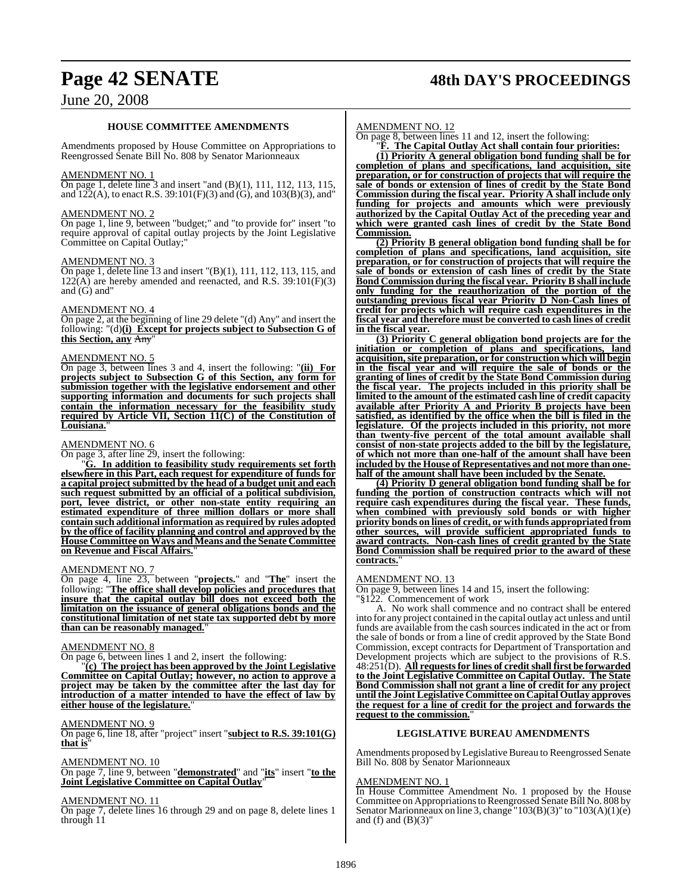# **Page 42 SENATE 48th DAY'S PROCEEDINGS**

## June 20, 2008

#### **HOUSE COMMITTEE AMENDMENTS**

Amendments proposed by House Committee on Appropriations to Reengrossed Senate Bill No. 808 by Senator Marionneaux

#### AMENDMENT NO. 1

On page 1, delete line 3 and insert "and (B)(1), 111, 112, 113, 115, and 122(A), to enact R.S. 39:101(F)(3) and (G), and 103(B)(3), and"

#### AMENDMENT NO. 2

On page 1, line 9, between "budget;" and "to provide for" insert "to require approval of capital outlay projects by the Joint Legislative Committee on Capital Outlay;"

#### AMENDMENT NO. 3

On page 1, delete line 13 and insert "(B)(1), 111, 112, 113, 115, and  $122(A)$  are hereby amended and reenacted, and R.S. 39:101(F)(3) and (G) and"

#### AMENDMENT NO. 4

On page 2, at the beginning of line 29 delete "(d) Any" and insert the following: "(d)**(i) Except for projects subject to Subsection G of** this Section, any Any

#### AMENDMENT NO. 5

On page 3, between lines 3 and 4, insert the following: "**(ii) For projects subject to Subsection G of this Section, any form for submission together with the legislative endorsement and other supporting information and documents for such projects shall contain the information necessary for the feasibility study required by Article VII, Section 11(C) of the Constitution of** Louisiana.

#### AMENDMENT NO. 6

On page 3, after line 29, insert the following:

"**G. In addition to feasibility study requirements set forth elsewhere in this Part, each request for expenditure of funds for a capital project submitted by the head of a budget unit and each such request submitted by an official of a political subdivision, port, levee district, or other non-state entity requiring an estimated expenditure of three million dollars or more shall contain such additional information as required by rules adopted by the office of facility planning and control and approved by the House Committee onWays andMeans and the Senate Committee on Revenue and Fiscal Affairs.**"

#### AMENDMENT NO. 7

On page 4, line 23, between "**projects.**" and "**The**" insert the following: "**The office shall develop policies and procedures that insure that the capital outlay bill does not exceed both the limitation on the issuance of general obligations bonds and the constitutional limitation of net state tax supported debt by more than can be reasonably managed.**"

#### AMENDMENT NO. 8

On page 6, between lines 1 and 2, insert the following:

"**(c) The project has been approved by the Joint Legislative Committee on Capital Outlay; however, no action to approve a project may be taken by the committee after the last day for introduction of a matter intended to have the effect of law by either house of the legislature.**"

#### AMENDMENT NO. 9

On page 6, line 18, after "project" insert "**subject to R.S. 39:101(G) that is** 

#### AMENDMENT NO. 10

On page 7, line 9, between "**demonstrated**" and "**its**" insert "**to the Joint Legislative Committee on Capital Outlay**"

#### AMENDMENT NO. 11

On page 7, delete lines 16 through 29 and on page 8, delete lines 1 through 11

#### AMENDMENT NO. 12

On page 8, between lines 11 and 12, insert the following:

"**F. The Capital Outlay Act shall contain four priorities: (1) Priority A general obligation bond funding shall be for completion of plans and specifications, land acquisition, site preparation, or for construction of projects that will require the sale of bonds or extension of lines of credit by the State Bond Commission during the fiscal year. Priority A shall include only funding for projects and amounts which were previously authorized by the Capital Outlay Act of the preceding year and which were granted cash lines of credit by the State Bond Commission.**

**(2) Priority B general obligation bond funding shall be for completion of plans and specifications, land acquisition, site preparation, or for construction of projects that will require the sale of bonds or extension of cash lines of credit by the State Bond Commission during the fiscal year. Priority B shall include only funding for the reauthorization of the portion of the outstanding previous fiscal year Priority D Non-Cash lines of credit for projects which will require cash expenditures in the fiscal year and therefore must be converted to cash lines of credit in the fiscal year.**

**(3) Priority C general obligation bond projects are for the initiation or completion of plans and specifications, land acquisition,site preparation, or for construction which will begin in the fiscal year and will require the sale of bonds or the granting of lines of credit by the State Bond Commission during the fiscal year. The projects included in this priority shall be limited to the amount of the estimated cash line of credit capacity available after Priority A and Priority B projects have been satisfied, as identified by the office when the bill is filed in the legislature. Of the projects included in this priority, not more than twenty-five percent of the total amount available shall consist of non-state projects added to the bill by the legislature, of which not more than one-half of the amount shall have been included by the House of Representatives and not more than onehalf of the amount shall have been included by the Senate.**

**(4) Priority D general obligation bond funding shall be for funding the portion of construction contracts which will not require cash expenditures during the fiscal year. These funds, when combined with previously sold bonds or with higher priority bonds on lines of credit, or with funds appropriated from other sources, will provide sufficient appropriated funds to award contracts. Non-cash lines of credit granted by the State Bond Commission shall be required prior to the award of these contracts.**"

#### AMENDMENT NO. 13

On page 9, between lines 14 and 15, insert the following: "§122. Commencement of work

A. No work shall commence and no contract shall be entered into for any project contained in the capital outlay act unless and until funds are available from the cash sources indicated in the act or from the sale of bonds or from a line of credit approved by the State Bond Commission, except contracts for Department of Transportation and Development projects which are subject to the provisions of R.S. 48:251(D). **All requestsfor lines of creditshall first be forwarded to the Joint Legislative Committee on Capital Outlay. The State Bond Commission shall not grant a line of credit for any project until the Joint Legislative Committee on Capital Outlay approves the request for a line of credit for the project and forwards the request to the commission.**"

#### **LEGISLATIVE BUREAU AMENDMENTS**

Amendments proposed by Legislative Bureau to Reengrossed Senate Bill No. 808 by Senator Marionneaux

#### AMENDMENT NO. 1

In House Committee Amendment No. 1 proposed by the House Committee on Appropriations to Reengrossed Senate Bill No. 808 by Senator Marionneaux on line 3, change "103(B)(3)" to "103(A)(1)(e) and (f) and  $(B)(3)$ "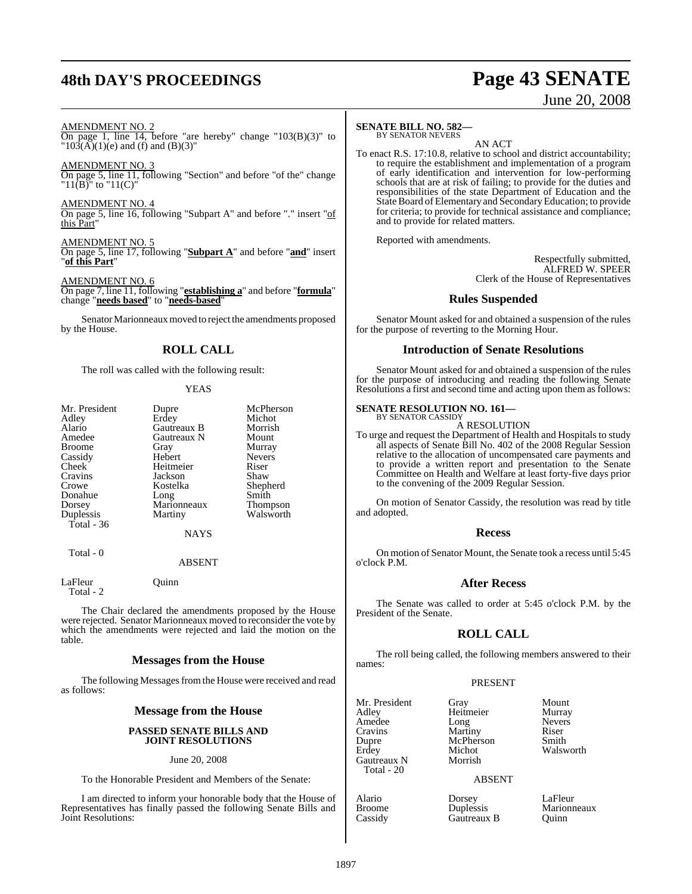# **48th DAY'S PROCEEDINGS Page 43 SENATE**

# June 20, 2008

#### AMENDMENT NO. 2

On page 1, line 14, before "are hereby" change "103(B)(3)" to  $"103(A)(1)(e)$  and (f) and (B)(3)"

AMENDMENT NO. 3

On page 5, line 11, following "Section" and before "of the" change " $11(\overline{B})$ " to " $11(\overline{C})$ "

AMENDMENT NO. 4 On page 5, line 16, following "Subpart A" and before "." insert "of this Part"

AMENDMENT NO. 5 On page 5, line 17, following "**Subpart A**" and before "**and**" insert "**of this Part**"

AMENDMENT NO. 6 On page 7, line 11, following "**establishing a**" and before "**formula**" change "**needs based**" to "**needs-based**"

Senator Marionneaux moved to reject the amendments proposed by the House.

#### **ROLL CALL**

The roll was called with the following result:

#### YEAS

| Mr. President<br>Adley<br>Alario<br>Amedee<br>Broome<br>Cassidy<br>Cheek<br>Cravins<br>Crowe<br>Donahue<br>Dorsey | Dupre<br>Erdey<br>Gautreaux B<br>Gautreaux N<br>Gray<br>Hebert<br>Heitmeier<br>Jackson<br>Kostelka<br>Long<br>Marionneaux | McPherson<br>Michot<br>Morrish<br>Mount<br>Murray<br><b>Nevers</b><br>Riser<br>Shaw<br>Shepherd<br>Smith<br><b>Thompson</b> |
|-------------------------------------------------------------------------------------------------------------------|---------------------------------------------------------------------------------------------------------------------------|-----------------------------------------------------------------------------------------------------------------------------|
|                                                                                                                   |                                                                                                                           |                                                                                                                             |
| Duplessis<br>Total - 36                                                                                           | Martiny                                                                                                                   | Walsworth                                                                                                                   |
|                                                                                                                   | <b>NAYS</b>                                                                                                               |                                                                                                                             |
| Total - 0                                                                                                         |                                                                                                                           |                                                                                                                             |

#### ABSENT

LaFleur Quinn Total - 2

The Chair declared the amendments proposed by the House were rejected. Senator Marionneaux moved to reconsider the vote by which the amendments were rejected and laid the motion on the table.

#### **Messages from the House**

The following Messages from the House were received and read as follows:

### **Message from the House**

#### **PASSED SENATE BILLS AND JOINT RESOLUTIONS**

#### June 20, 2008

To the Honorable President and Members of the Senate:

I am directed to inform your honorable body that the House of Representatives has finally passed the following Senate Bills and Joint Resolutions:

#### **SENATE BILL NO. 582—** BY SENATOR NEVERS

AN ACT

To enact R.S. 17:10.8, relative to school and district accountability; to require the establishment and implementation of a program of early identification and intervention for low-performing schools that are at risk of failing; to provide for the duties and responsibilities of the state Department of Education and the State Board of Elementary and Secondary Education; to provide for criteria; to provide for technical assistance and compliance; and to provide for related matters.

Reported with amendments.

Respectfully submitted, ALFRED W. SPEER Clerk of the House of Representatives

#### **Rules Suspended**

Senator Mount asked for and obtained a suspension of the rules for the purpose of reverting to the Morning Hour.

#### **Introduction of Senate Resolutions**

Senator Mount asked for and obtained a suspension of the rules for the purpose of introducing and reading the following Senate Resolutions a first and second time and acting upon them as follows:

#### **SENATE RESOLUTION NO. 161—**

BY SENATOR CASSIDY A RESOLUTION

To urge and request the Department of Health and Hospitals to study all aspects of Senate Bill No. 402 of the 2008 Regular Session relative to the allocation of uncompensated care payments and to provide a written report and presentation to the Senate Committee on Health and Welfare at least forty-five days prior to the convening of the 2009 Regular Session.

On motion of Senator Cassidy, the resolution was read by title and adopted.

#### **Recess**

On motion of Senator Mount, the Senate took a recess until 5:45 o'clock P.M.

#### **After Recess**

The Senate was called to order at 5:45 o'clock P.M. by the President of the Senate.

#### **ROLL CALL**

The roll being called, the following members answered to their names:

#### PRESENT

Mr. President Gray Mount<br>Adley Heitmeier Murray Heitmeier Murray<br>
Long Nevers Amedee Long Never<br>Cravins Martiny Riser Cravins Martiny Riser<br>
Dupre McPherson Smith Michot Walsworth<br>Morrish

## ABSENT

Broome Duplessis Marion<br>Cassidy Gautreaux B Quinn Gautreaux B

Dupre McPherson<br>Erdey Michot

Gautreaux N Total - 20

Alario Dorsey LaFleur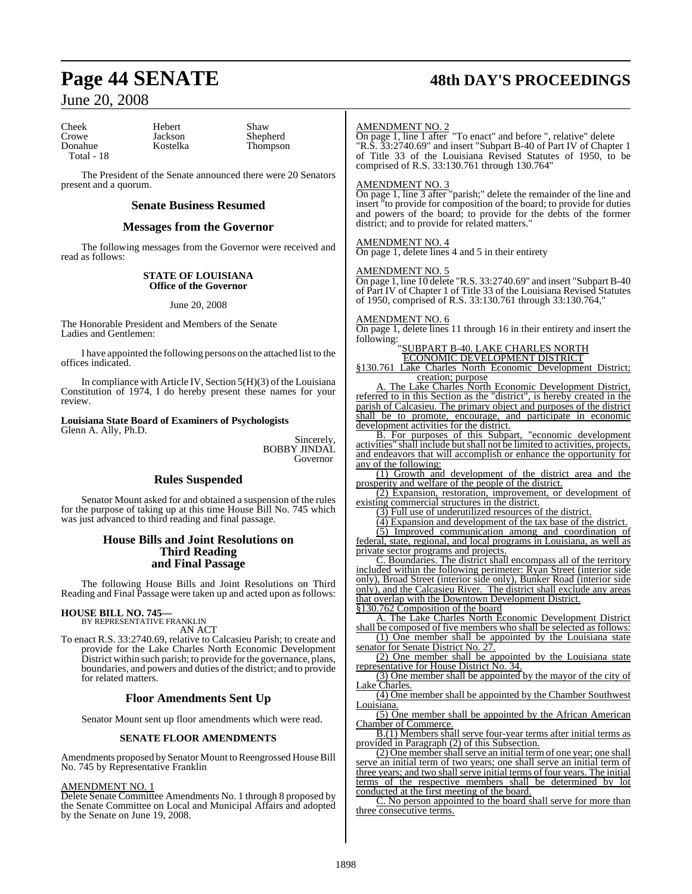## **Page 44 SENATE 48th DAY'S PROCEEDINGS**

## June 20, 2008

Cheek Hebert Shaw<br>Crowe Jackson Shepl Crowe Jackson Shepherd<br>Donahue Kostelka Thompson Total - 18

Thompson

The President of the Senate announced there were 20 Senators present and a quorum.

#### **Senate Business Resumed**

#### **Messages from the Governor**

The following messages from the Governor were received and read as follows:

#### **STATE OF LOUISIANA Office of the Governor**

#### June 20, 2008

The Honorable President and Members of the Senate Ladies and Gentlemen:

I have appointed the following persons on the attached list to the offices indicated.

In compliance with Article IV, Section 5(H)(3) of the Louisiana Constitution of 1974, I do hereby present these names for your review.

## **Louisiana State Board of Examiners of Psychologists**

Glenn A. Ally, Ph.D.

Sincerely, BOBBY JINDAL Governor

### **Rules Suspended**

Senator Mount asked for and obtained a suspension of the rules for the purpose of taking up at this time House Bill No. 745 which was just advanced to third reading and final passage.

#### **House Bills and Joint Resolutions on Third Reading and Final Passage**

The following House Bills and Joint Resolutions on Third Reading and Final Passage were taken up and acted upon as follows:

# **HOUSE BILL NO. 745—** BY REPRESENTATIVE FRANKLIN

AN ACT

To enact R.S. 33:2740.69, relative to Calcasieu Parish; to create and provide for the Lake Charles North Economic Development District within such parish; to provide forthe governance, plans, boundaries, and powers and duties of the district; and to provide for related matters.

#### **Floor Amendments Sent Up**

Senator Mount sent up floor amendments which were read.

#### **SENATE FLOOR AMENDMENTS**

Amendments proposed by Senator Mount to Reengrossed House Bill No. 745 by Representative Franklin

#### AMENDMENT NO. 1

Delete Senate Committee Amendments No. 1 through 8 proposed by the Senate Committee on Local and Municipal Affairs and adopted by the Senate on June 19, 2008.

#### AMENDMENT NO. 2

On page 1, line 1 after "To enact" and before ", relative" delete "R.S. 33:2740.69" and insert "Subpart B-40 of Part IV of Chapter 1 of Title 33 of the Louisiana Revised Statutes of 1950, to be comprised of R.S. 33:130.761 through 130.764"

#### AMENDMENT NO. 3

On page 1, line 3 after "parish;" delete the remainder of the line and insert "to provide for composition of the board; to provide for duties and powers of the board; to provide for the debts of the former district; and to provide for related matters."

#### AMENDMENT NO. 4

On page 1, delete lines 4 and 5 in their entirety

#### AMENDMENT NO. 5

On page 1, line 10 delete "R.S. 33:2740.69" and insert "Subpart B-40 of Part IV of Chapter 1 of Title 33 of the Louisiana Revised Statutes of 1950, comprised of R.S. 33:130.761 through 33:130.764,"

#### AMENDMENT NO. 6

On page 1, delete lines 11 through 16 in their entirety and insert the following:

#### "SUBPART B-40. LAKE CHARLES NORTH ECONOMIC DEVELOPMENT DISTRICT

§130.761 Lake Charles North Economic Development District; creation; purpose

A. The Lake Charles North Economic Development District, referred to in this Section as the "district", is hereby created in the parish of Calcasieu. The primary object and purposes of the district shall be to promote, encourage, and participate in economic development activities for the district.

B. For purposes of this Subpart, "economic development activities" shall include butshall not be limited to activities, projects, and endeavors that will accomplish or enhance the opportunity for any of the following:

(1) Growth and development of the district area and the prosperity and welfare of the people of the district.

(2) Expansion, restoration, improvement, or development of existing commercial structures in the district.

(3) Full use of underutilized resources of the district.

(4) Expansion and development of the tax base of the district.

(5) Improved communication among and coordination of federal, state, regional, and local programs in Louisiana, as well as private sector programs and projects.

C. Boundaries. The district shall encompass all of the territory included within the following perimeter: Ryan Street (interior side only), Broad Street (interior side only), Bunker Road (interior side only), and the Calcasieu River. The district shall exclude any areas that overlap with the Downtown Development District.

§130.762 Composition of the board

A. The Lake Charles North Economic Development District shall be composed of five members who shall be selected as follows: (1) One member shall be appointed by the Louisiana state

senator for Senate District No. 27.

(2) One member shall be appointed by the Louisiana state representative for House District No. 34

(3) One member shall be appointed by the mayor of the city of Lake Charles.

(4) One member shall be appointed by the Chamber Southwest Louisiana.

 $\overline{(5)}$  One member shall be appointed by the African American Chamber of Commerce.

B.(1) Members shall serve four-year terms after initial terms as provided in Paragraph (2) of this Subsection.

(2) One member shall serve an initial term of one year; one shall serve an initial term of two years; one shall serve an initial term of three years; and two shall serve initial terms of four years. The initial terms of the respective members shall be determined by lot conducted at the first meeting of the board.

C. No person appointed to the board shall serve for more than three consecutive terms.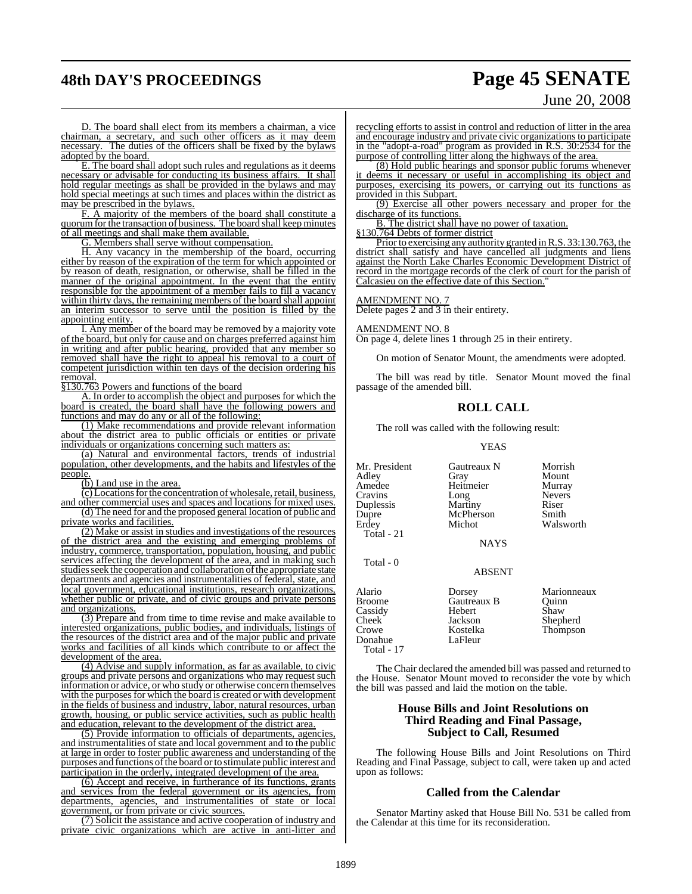# **48th DAY'S PROCEEDINGS Page 45 SENATE** June 20, 2008

D. The board shall elect from its members a chairman, a vice chairman, a secretary, and such other officers as it may deem necessary. The duties of the officers shall be fixed by the bylaws adopted by the board.

E. The board shall adopt such rules and regulations as it deems necessary or advisable for conducting its business affairs. It shall hold regular meetings as shall be provided in the bylaws and may hold special meetings at such times and places within the district as may be prescribed in the bylaws.

F. A majority of the members of the board shall constitute a quorum for the transaction of business. The board shall keep minutes of all meetings and shall make them available.

G. Members shall serve without compensation.

H. Any vacancy in the membership of the board, occurring either by reason of the expiration of the term for which appointed or by reason of death, resignation, or otherwise, shall be filled in the manner of the original appointment. In the event that the entity responsible for the appointment of a member fails to fill a vacancy within thirty days, the remaining members of the board shall appoint an interim successor to serve until the position is filled by the appointing entity.

I. Any member of the board may be removed by a majority vote of the board, but only for cause and on charges preferred against him in writing and after public hearing, provided that any member so removed shall have the right to appeal his removal to a court of competent jurisdiction within ten days of the decision ordering his removal.

§130.763 Powers and functions of the board

A. In order to accomplish the object and purposes for which the board is created, the board shall have the following powers and functions and may do any or all of the following:

(1) Make recommendations and provide relevant information about the district area to public officials or entities or private individuals or organizations concerning such matters as

(a) Natural and environmental factors, trends of industrial population, other developments, and the habits and lifestyles of the people.

(b) Land use in the area.

(c)Locationsforthe concentration of wholesale, retail, business,

and other commercial uses and spaces and locations for mixed uses. (d) The need for and the proposed general location of public and private works and facilities.

(2) Make or assist in studies and investigations of the resources of the district area and the existing and emerging problems of industry, commerce, transportation, population, housing, and public services affecting the development of the area, and in making such studies seek the cooperation and collaboration of the appropriate state departments and agencies and instrumentalities of federal, state, and local government, educational institutions, research organizations, whether public or private, and of civic groups and private persons and organizations.

(3) Prepare and from time to time revise and make available to interested organizations, public bodies, and individuals, listings of the resources of the district area and of the major public and private works and facilities of all kinds which contribute to or affect the development of the area.

(4) Advise and supply information, as far as available, to civic groups and private persons and organizations who may request such information or advice, or who study or otherwise concern themselves with the purposes for which the board is created or with development in the fields of business and industry, labor, natural resources, urban growth, housing, or public service activities, such as public health and education, relevant to the development of the district area.

(5) Provide information to officials of departments, agencies, and instrumentalities of state and local government and to the public at large in order to foster public awareness and understanding of the purposes and functions of the board or to stimulate public interest and participation in the orderly, integrated development of the area.

(6) Accept and receive, in furtherance of its functions, grants and services from the federal government or its agencies, from departments, agencies, and instrumentalities of state or local government, or from private or civic sources.

(7) Solicit the assistance and active cooperation of industry and private civic organizations which are active in anti-litter and recycling efforts to assist in control and reduction of litter in the area and encourage industry and private civic organizations to participate in the "adopt-a-road" program as provided in R.S. 30:2534 for the purpose of controlling litter along the highways of the area.

(8) Hold public hearings and sponsor public forums whenever it deems it necessary or useful in accomplishing its object and purposes, exercising its powers, or carrying out its functions as provided in this Subpart.

(9) Exercise all other powers necessary and proper for the discharge of its functions.

B. The district shall have no power of taxation.

§130.764 Debts of former district

Prior to exercising any authority granted in R.S. 33:130.763, the district shall satisfy and have cancelled all judgments and liens against the North Lake Charles Economic Development District of record in the mortgage records of the clerk of court for the parish of Calcasieu on the effective date of this Section.

## AMENDMENT NO. 7

Delete pages 2 and 3 in their entirety.

#### AMENDMENT NO. 8

On page 4, delete lines 1 through 25 in their entirety.

On motion of Senator Mount, the amendments were adopted.

The bill was read by title. Senator Mount moved the final passage of the amended bill.

#### **ROLL CALL**

The roll was called with the following result:

#### YEAS

Mr. President Gautreaux N Morrish<br>Adley Gray Mount Adley Gray Mount Cravins Long<br>Duplessis Martiny Duplessis Martiny Riser Dupre McPherson<br>Erdey Michot Total - 21

Total - 0

Heitmeier Murray<br>
Long Nevers Walsworth

**NAYS** 

#### ABSENT

| Alario<br><b>Broome</b><br>Cassidy<br>Cheek<br>Crowe<br>Donahue<br>Total - 17 | Dorsey<br>Gautreaux B<br>Hebert<br>Jackson<br>Kostelka<br>LaFleur | Marionneaux<br>Ouinn<br>Shaw<br>Shepherd<br>Thompson |
|-------------------------------------------------------------------------------|-------------------------------------------------------------------|------------------------------------------------------|
|-------------------------------------------------------------------------------|-------------------------------------------------------------------|------------------------------------------------------|

The Chair declared the amended bill was passed and returned to the House. Senator Mount moved to reconsider the vote by which the bill was passed and laid the motion on the table.

#### **House Bills and Joint Resolutions on Third Reading and Final Passage, Subject to Call, Resumed**

The following House Bills and Joint Resolutions on Third Reading and Final Passage, subject to call, were taken up and acted upon as follows:

#### **Called from the Calendar**

Senator Martiny asked that House Bill No. 531 be called from the Calendar at this time for its reconsideration.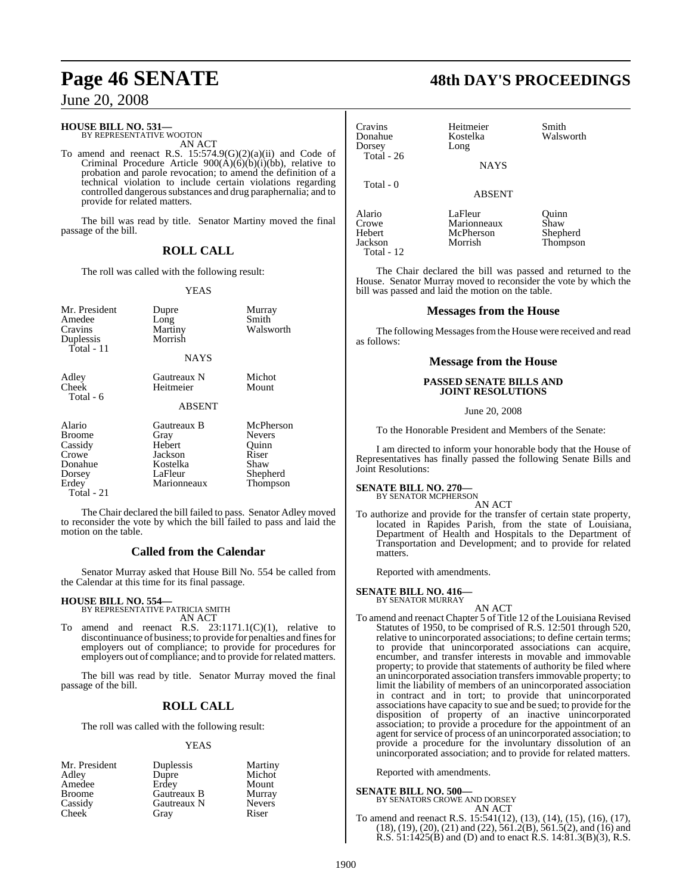## June 20, 2008

## **HOUSE BILL NO. 531—** BY REPRESENTATIVE WOOTON

AN ACT

To amend and reenact R.S. 15:574.9(G)(2)(a)(ii) and Code of Criminal Procedure Article  $900(\text{\AA})(\text{\AA})(\text{\AA})(\text{\AA})(\text{\AA})$ , relative to probation and parole revocation; to amend the definition of a technical violation to include certain violations regarding controlled dangerous substances and drug paraphernalia; and to provide for related matters.

The bill was read by title. Senator Martiny moved the final passage of the bill.

#### **ROLL CALL**

The roll was called with the following result:

#### YEAS

| Mr. President<br>Amedee<br>Cravins<br>Duplessis<br>Total - 11                           | Dupre<br>Long<br>Martiny<br>Morrish<br><b>NAYS</b>                             | Murray<br>Smith<br>Walsworth                                                 |
|-----------------------------------------------------------------------------------------|--------------------------------------------------------------------------------|------------------------------------------------------------------------------|
| Adley<br>Cheek<br>Total - 6                                                             | Gautreaux N<br>Heitmeier<br><b>ABSENT</b>                                      | Michot<br>Mount                                                              |
| Alario<br><b>Broome</b><br>Cassidy<br>Crowe<br>Donahue<br>Dorsey<br>Erdey<br>Total - 21 | Gautreaux B<br>Gray<br>Hebert<br>Jackson<br>Kostelka<br>LaFleur<br>Marionneaux | McPherson<br><b>Nevers</b><br>Ouinn<br>Riser<br>Shaw<br>Shepherd<br>Thompson |

The Chair declared the bill failed to pass. Senator Adley moved to reconsider the vote by which the bill failed to pass and laid the motion on the table.

#### **Called from the Calendar**

Senator Murray asked that House Bill No. 554 be called from the Calendar at this time for its final passage.

#### **HOUSE BILL NO. 554—**

BY REPRESENTATIVE PATRICIA SMITH AN ACT

amend and reenact R.S.  $23:1171.1(C)(1)$ , relative to discontinuance of business; to provide for penalties and fines for employers out of compliance; to provide for procedures for employers out of compliance; and to provide for related matters.

The bill was read by title. Senator Murray moved the final passage of the bill.

#### **ROLL CALL**

The roll was called with the following result:

#### YEAS

| Mr. President | Duplessis   | Martiny       |
|---------------|-------------|---------------|
| Adley         | Dupre       | Michot        |
| Amedee        | Erdey       | Mount         |
| <b>Broome</b> | Gautreaux B | Murray        |
| Cassidy       | Gautreaux N | <b>Nevers</b> |
| <b>Cheek</b>  | Gray        | Riser         |

# **Page 46 SENATE 48th DAY'S PROCEEDINGS**

| Cravins<br>Donahue<br>Dorsey<br>Total - $26$ | Heitmeier<br>Kostelka<br>Long<br><b>NAYS</b>   | Smith<br>Walsworth                    |
|----------------------------------------------|------------------------------------------------|---------------------------------------|
| Total - 0                                    | <b>ABSENT</b>                                  |                                       |
| Alario<br>Crowe<br>Hebert<br>Jackson         | LaFleur<br>Marionneaux<br>McPherson<br>Morrish | Ouinn<br>Shaw<br>Shepherd<br>Thompson |

The Chair declared the bill was passed and returned to the House. Senator Murray moved to reconsider the vote by which the bill was passed and laid the motion on the table.

#### **Messages from the House**

The following Messages from the House were received and read as follows:

#### **Message from the House**

#### **PASSED SENATE BILLS AND JOINT RESOLUTIONS**

June 20, 2008

To the Honorable President and Members of the Senate:

I am directed to inform your honorable body that the House of Representatives has finally passed the following Senate Bills and Joint Resolutions:

#### **SENATE BILL NO. 270—**

Total - 12

BY SENATOR MCPHERSON

AN ACT

To authorize and provide for the transfer of certain state property, located in Rapides Parish, from the state of Louisiana, Department of Health and Hospitals to the Department of Transportation and Development; and to provide for related matters.

Reported with amendments.

## **SENATE BILL NO. 416—** BY SENATOR MURRAY

AN ACT

To amend and reenact Chapter 5 of Title 12 of the Louisiana Revised Statutes of 1950, to be comprised of R.S. 12:501 through 520, relative to unincorporated associations; to define certain terms; to provide that unincorporated associations can acquire, encumber, and transfer interests in movable and immovable property; to provide that statements of authority be filed where an unincorporated association transfers immovable property; to limit the liability of members of an unincorporated association in contract and in tort; to provide that unincorporated associations have capacity to sue and be sued; to provide for the disposition of property of an inactive unincorporated association; to provide a procedure for the appointment of an agent for service of process of an unincorporated association; to provide a procedure for the involuntary dissolution of an unincorporated association; and to provide for related matters.

Reported with amendments.

**SENATE BILL NO. 500—** BY SENATORS CROWE AND DORSEY AN ACT

To amend and reenact R.S. 15:541(12), (13), (14), (15), (16), (17), (18), (19), (20), (21) and (22), 561.2(B), 561.5(2), and (16) and R.S.  $51:1425(B)$  and (D) and to enact R.S.  $14:81.3(B)(3)$ , R.S.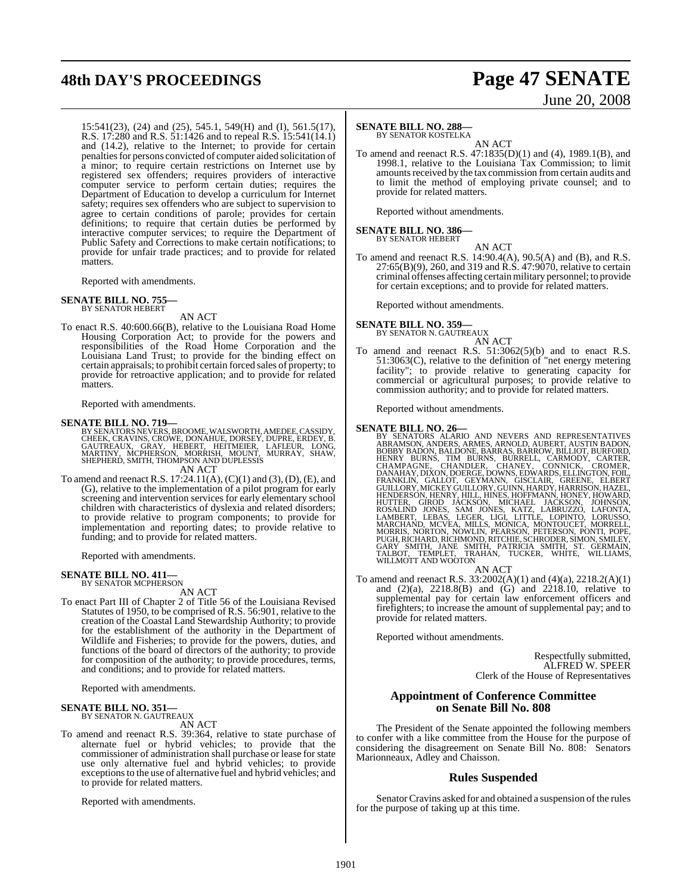# **48th DAY'S PROCEEDINGS Page 47 SENATE**

# June 20, 2008

15:541(23), (24) and (25), 545.1, 549(H) and (I), 561.5(17), R.S. 17:280 and R.S. 51:1426 and to repeal R.S. 15:541(14.1) and (14.2), relative to the Internet; to provide for certain penalties for persons convicted of computer aided solicitation of a minor; to require certain restrictions on Internet use by registered sex offenders; requires providers of interactive computer service to perform certain duties; requires the Department of Education to develop a curriculum for Internet safety; requires sex offenders who are subject to supervision to agree to certain conditions of parole; provides for certain definitions; to require that certain duties be performed by interactive computer services; to require the Department of Public Safety and Corrections to make certain notifications; to provide for unfair trade practices; and to provide for related matters.

Reported with amendments.

## **SENATE BILL NO. 755—** BY SENATOR HEBERT

AN ACT

To enact R.S. 40:600.66(B), relative to the Louisiana Road Home Housing Corporation Act; to provide for the powers and responsibilities of the Road Home Corporation and the Louisiana Land Trust; to provide for the binding effect on certain appraisals; to prohibit certain forced sales of property; to provide for retroactive application; and to provide for related matters.

Reported with amendments.

#### **SENATE BILL NO. 719—**

BY SENATORS NEVERS, BROOME, WALSWORTH, AMEDEE, CASSIDY,<br>CHEEK, CRAVINS, CROWE, DONAHUE, DORSEY, DUPRE, ERDEY, B.<br>GAUTREAUX, GRAY, HEBERT, HEITMEIER, 'LAFLEÜR, 'LONG,<br>MARTINY, MCPHERSON, MORRISH, MOUNT, MURRAY, SHAW,<br>SHEPHE

AN ACT

To amend and reenact R.S. 17:24.11(A), (C)(1) and (3), (D), (E), and (G), relative to the implementation of a pilot program for early screening and intervention services for early elementary school children with characteristics of dyslexia and related disorders; to provide relative to program components; to provide for implementation and reporting dates; to provide relative to funding; and to provide for related matters.

Reported with amendments.

#### **SENATE BILL NO. 411—** BY SENATOR MCPHERSON

AN ACT

To enact Part III of Chapter 2 of Title 56 of the Louisiana Revised Statutes of 1950, to be comprised of R.S. 56:901, relative to the creation of the Coastal Land Stewardship Authority; to provide for the establishment of the authority in the Department of Wildlife and Fisheries; to provide for the powers, duties, and functions of the board of directors of the authority; to provide for composition of the authority; to provide procedures, terms, and conditions; and to provide for related matters.

Reported with amendments.

## **SENATE BILL NO. 351—** BY SENATOR N. GAUTREAUX

AN ACT

To amend and reenact R.S. 39:364, relative to state purchase of alternate fuel or hybrid vehicles; to provide that the commissioner of administration shall purchase or lease for state use only alternative fuel and hybrid vehicles; to provide exceptions to the use of alternative fuel and hybrid vehicles; and to provide for related matters.

Reported with amendments.

#### **SENATE BILL NO. 288—**

BY SENATOR KOSTELKA

AN ACT To amend and reenact R.S. 47:1835(D)(1) and (4), 1989.1(B), and 1998.1, relative to the Louisiana Tax Commission; to limit amounts received by the tax commission from certain audits and to limit the method of employing private counsel; and to provide for related matters.

Reported without amendments.

## **SENATE BILL NO. 386—** BY SENATOR HEBERT

AN ACT To amend and reenact R.S. 14:90.4(A), 90.5(A) and (B), and R.S. 27:65(B)(9), 260, and 319 and R.S. 47:9070, relative to certain criminal offenses affecting certain military personnel; to provide for certain exceptions; and to provide for related matters.

Reported without amendments.

#### **SENATE BILL NO. 359** BY SENATOR N. GAUTREAUX

AN ACT

To amend and reenact R.S. 51:3062(5)(b) and to enact R.S. 51:3063(C), relative to the definition of "net energy metering facility"; to provide relative to generating capacity for commercial or agricultural purposes; to provide relative to commission authority; and to provide for related matters.

Reported without amendments.

SENATE BILL NO. 26—<br>
BY SENATORS ALARIO AND NEVERS AND REPRESENTATIVES<br>
BY SENATORS ALARIO AND NEVERS ARNOLD, AUBERT, AUSTIN BADON,<br>
BOBBY BADON, BALDONE, BARRAS, BARROW, BILLIOT, BURFORD,<br>
HENRY BURNS, TIM BURNS, BURRELL,

To amend and reenact R.S. 33:2002(A)(1) and (4)(a), 2218.2(A)(1) and  $(2)(a)$ ,  $2218.8(B)$  and  $(G)$  and  $2218.10$ , relative to supplemental pay for certain law enforcement officers and firefighters; to increase the amount of supplemental pay; and to provide for related matters.

Reported without amendments.

Respectfully submitted, ALFRED W. SPEER Clerk of the House of Representatives

#### **Appointment of Conference Committee on Senate Bill No. 808**

The President of the Senate appointed the following members to confer with a like committee from the House for the purpose of considering the disagreement on Senate Bill No. 808: Senators Marionneaux, Adley and Chaisson.

#### **Rules Suspended**

Senator Cravins asked for and obtained a suspension of the rules for the purpose of taking up at this time.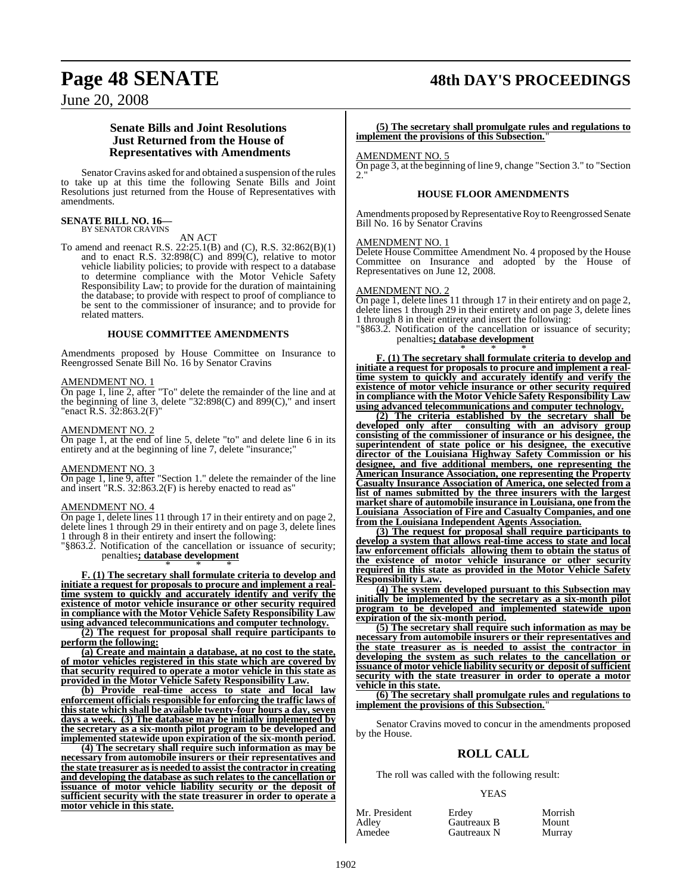## **Page 48 SENATE 48th DAY'S PROCEEDINGS**

June 20, 2008

#### **Senate Bills and Joint Resolutions Just Returned from the House of Representatives with Amendments**

Senator Cravins asked for and obtained a suspension of the rules to take up at this time the following Senate Bills and Joint Resolutions just returned from the House of Representatives with amendments.

## **SENATE BILL NO. 16—** BY SENATOR CRAVINS

AN ACT

To amend and reenact R.S. 22:25.1(B) and (C), R.S. 32:862(B)(1) and to enact R.S.  $32:898(C)$  and  $899(C)$ , relative to motor vehicle liability policies; to provide with respect to a database to determine compliance with the Motor Vehicle Safety Responsibility Law; to provide for the duration of maintaining the database; to provide with respect to proof of compliance to be sent to the commissioner of insurance; and to provide for related matters.

#### **HOUSE COMMITTEE AMENDMENTS**

Amendments proposed by House Committee on Insurance to Reengrossed Senate Bill No. 16 by Senator Cravins

#### AMENDMENT NO. 1

On page 1, line 2, after "To" delete the remainder of the line and at the beginning of line 3, delete "32:898(C) and 899(C)," and insert "enact R.S. 32:863.2(F)"

#### AMENDMENT NO. 2

On page 1, at the end of line 5, delete "to" and delete line 6 in its entirety and at the beginning of line 7, delete "insurance;"

#### AMENDMENT NO. 3

On page 1, line 9, after "Section 1." delete the remainder of the line and insert "R.S. 32:863.2(F) is hereby enacted to read as"

#### AMENDMENT NO. 4

On page 1, delete lines 11 through 17 in their entirety and on page 2, delete lines 1 through 29 in their entirety and on page 3, delete lines 1 through 8 in their entirety and insert the following:

"§863.2. Notification of the cancellation or issuance of security; penalties**; database development**

\* \* \* **F. (1) The secretary shall formulate criteria to develop and initiate a request for proposals to procure and implement a realtime system to quickly and accurately identify and verify the existence of motor vehicle insurance or other security required in compliance with the Motor Vehicle Safety Responsibility Law using advanced telecommunications and computer technology.**

**(2) The request for proposal shall require participants to perform the following:**

**(a) Create and maintain a database, at no cost to the state, of motor vehicles registered in this state which are covered by that security required to operate a motor vehicle in this state as provided in the Motor Vehicle Safety Responsibility Law.**

**(b) Provide real-time access to state and local law enforcement officials responsible for enforcing the traffic laws of this state which shall be available twenty-four hours a day, seven days a week. (3) The database may be initially implemented by the secretary as a six-month pilot program to be developed and implemented statewide upon expiration of the six-month period.**

**(4) The secretary shall require such information as may be necessary from automobile insurers or their representatives and the state treasurer asis needed to assist the contractor in creating and developing the database as such relates to the cancellation or issuance of motor vehicle liability security or the deposit of sufficient security with the state treasurer in order to operate a motor vehicle in this state.**

**(5) The secretary shall promulgate rules and regulations to implement the provisions of this Subsection.**"

#### AMENDMENT NO. 5

On page 3, at the beginning of line 9, change "Section 3." to "Section 2."

#### **HOUSE FLOOR AMENDMENTS**

Amendments proposed by Representative Roy to Reengrossed Senate Bill No. 16 by Senator Cravins

#### AMENDMENT NO. 1

Delete House Committee Amendment No. 4 proposed by the House Committee on Insurance and adopted by the House of Representatives on June 12, 2008.

#### AMENDMENT NO. 2

On page 1, delete lines 11 through 17 in their entirety and on page 2, delete lines 1 through 29 in their entirety and on page 3, delete lines 1 through 8 in their entirety and insert the following:

"§863.2. Notification of the cancellation or issuance of security; penalties**; database development**

\* \* \* **F. (1) The secretary shall formulate criteria to develop and initiate a request for proposals to procure and implement a realtime system to quickly and accurately identify and verify the existence of motor vehicle insurance or other security required in compliance with the Motor Vehicle Safety Responsibility Law using advanced telecommunications and computer technology.**

**(2) The criteria established by the secretary shall be developed only after consulting with an advisory group consisting of the commissioner of insurance or his designee, the superintendent of state police or his designee, the executive director of the Louisiana Highway Safety Commission or his designee, and five additional members, one representing the American Insurance Association, one representing the Property Casualty Insurance Association of America, one selected from a list of names submitted by the three insurers with the largest market share of automobile insurance in Louisiana, one from the Louisiana Association of Fire and Casualty Companies, and one from the Louisiana Independent Agents Association.**

**(3) The request for proposal shall require participants to develop a system that allows real-time access to state and local law enforcement officials allowing them to obtain the status of the existence of motor vehicle insurance or other security required in this state as provided in the Motor Vehicle Safety Responsibility Law.**

**(4) The system developed pursuant to this Subsection may initially be implemented by the secretary as a six-month pilot program to be developed and implemented statewide upon expiration of the six-month period.**

**(5) The secretary shall require such information as may be necessary from automobile insurers or their representatives and the state treasurer as is needed to assist the contractor in developing the system as such relates to the cancellation or issuance of motor vehicle liability security or deposit of sufficient security with the state treasurer in order to operate a motor vehicle in this state.**

**(6) The secretary shall promulgate rules and regulations to implement the provisions of this Subsection.**"

Senator Cravins moved to concur in the amendments proposed by the House.

#### **ROLL CALL**

The roll was called with the following result:

#### YEAS

| Mr. President | Erdev       | Morrish |
|---------------|-------------|---------|
| Adley         | Gautreaux B | Mount   |
| Amedee        | Gautreaux N | Murray  |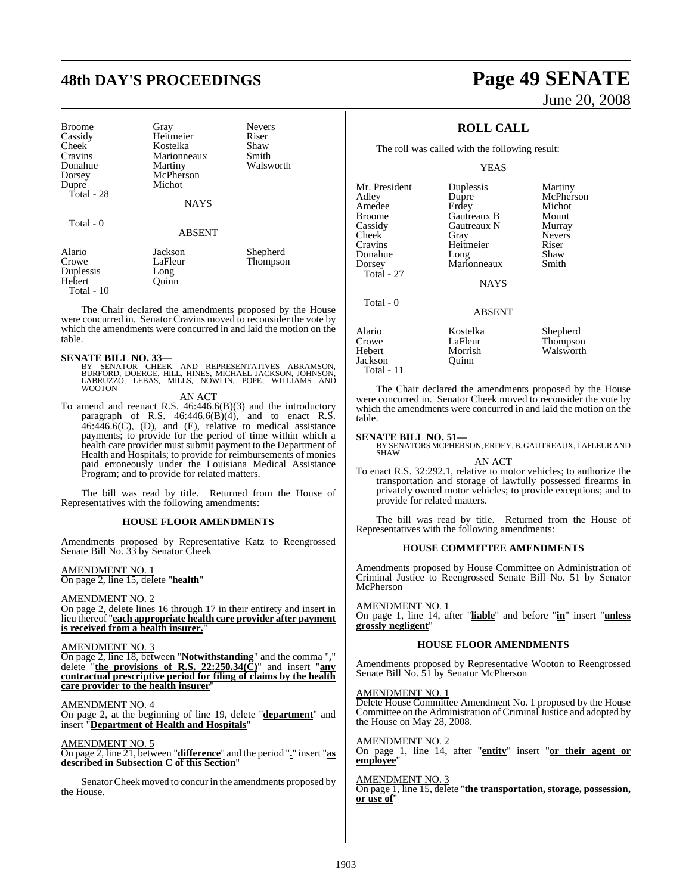# **48th DAY'S PROCEEDINGS Page 49 SENATE**

| <b>Broome</b> | Gray          | <b>Nevers</b> |
|---------------|---------------|---------------|
| Cassidy       | Heitmeier     | Riser         |
| <b>Cheek</b>  | Kostelka      | Shaw          |
| Cravins       | Marionneaux   | Smith         |
| Donahue       | Martiny       | Walsworth     |
| Dorsey        | McPherson     |               |
| Dupre         | Michot        |               |
| Total - 28    |               |               |
|               | <b>NAYS</b>   |               |
|               |               |               |
| Total - 0     |               |               |
|               | <b>ABSENT</b> |               |
| Alario        | Jackson       | Shepherd      |
| Crowe         | LaFleur       | Thompson      |
| Duplessis     | Long          |               |
| Hebert        | Ouınn         |               |
| Total - 10    |               |               |

The Chair declared the amendments proposed by the House were concurred in. Senator Cravins moved to reconsider the vote by which the amendments were concurred in and laid the motion on the table.

#### **SENATE BILL NO. 33—**

BY SENATOR CHEEK AND REPRESENTATIVES ABRAMSON,<br>BURFORD, DOERGE, HILL, HINES, MICHAEL JACKSON, JOHNSON,<br>LABRUZZO, LEBAS, MILLS, NOWLIN, POPE, WILLIAMS AND WOOTON

AN ACT

To amend and reenact R.S. 46:446.6(B)(3) and the introductory paragraph of R.S.  $46:446.6(B)(4)$ , and to enact R.S.  $46.446.6(C)$ , (D), and (E), relative to medical assistance payments; to provide for the period of time within which a health care provider must submit payment to the Department of Health and Hospitals; to provide for reimbursements of monies paid erroneously under the Louisiana Medical Assistance Program; and to provide for related matters.

The bill was read by title. Returned from the House of Representatives with the following amendments:

#### **HOUSE FLOOR AMENDMENTS**

Amendments proposed by Representative Katz to Reengrossed Senate Bill No. 33 by Senator Cheek

AMENDMENT NO. 1 On page 2, line 15, delete "**health**"

#### AMENDMENT NO. 2

On page 2, delete lines 16 through 17 in their entirety and insert in lieu thereof "**each appropriate health care provider after payment** is received from a health insurer."

#### AMENDMENT NO. 3

On page 2, line 18, between "**Notwithstanding**" and the comma "**,**" delete "**the provisions of R.S. 22:250.34(C)**" and insert "**any contractual prescriptive period for filing of claims by the health care provider to the health insurer**"

AMENDMENT NO. 4 On page 2, at the beginning of line 19, delete "**department**" and insert "**Department of Health and Hospitals**"

#### AMENDMENT NO. 5

On page 2, line 21, between "**difference**" and the period "**.**" insert "**as described in Subsection C of this Section**"

Senator Cheek moved to concur in the amendments proposed by the House.

# June 20, 2008

## **ROLL CALL**

The roll was called with the following result:

#### YEAS

Mr. President Duplessis Martiny<br>Adley Dupre McPher: Amedee Erdey Michot<br>Broome Gautreaux B Mount Broome Gautreaux B Mount Cassidy Gautreaux N<br>Cheek Gray Cheek Gray Nevers<br>Cravins Heitmeier Riser Donahue Long Shaw<br>Dorsey Marionneaux Smith Total - 27 Total - 0

Heitmeier Marionneaux McPherson<br>Michot

NAYS

#### ABSENT

Alario Kostelka Shepherd Crowe LaFleur Thompson<br>
Hebert Morrish Walsworth Jackson Total - 11

Morrish Walsworth

The Chair declared the amendments proposed by the House were concurred in. Senator Cheek moved to reconsider the vote by which the amendments were concurred in and laid the motion on the table.

#### **SENATE BILL NO. 51—**

BY SENATORS MCPHERSON, ERDEY, B. GAUTREAUX, LAFLEUR AND **SHAW** 

#### AN ACT

To enact R.S. 32:292.1, relative to motor vehicles; to authorize the transportation and storage of lawfully possessed firearms in privately owned motor vehicles; to provide exceptions; and to provide for related matters.

The bill was read by title. Returned from the House of Representatives with the following amendments:

#### **HOUSE COMMITTEE AMENDMENTS**

Amendments proposed by House Committee on Administration of Criminal Justice to Reengrossed Senate Bill No. 51 by Senator McPherson

AMENDMENT NO. 1

On page 1, line 14, after "**liable**" and before "**in**" insert "**unless grossly negligent**"

#### **HOUSE FLOOR AMENDMENTS**

Amendments proposed by Representative Wooton to Reengrossed Senate Bill No. 51 by Senator McPherson

#### AMENDMENT NO. 1

Delete House Committee Amendment No. 1 proposed by the House Committee on the Administration of Criminal Justice and adopted by the House on May 28, 2008.

AMENDMENT NO. 2 On page 1, line 14, after "**entity**" insert "**or their agent or employee**"

AMENDMENT NO. 3 On page 1, line 15, delete "**the transportation, storage, possession, or use of**"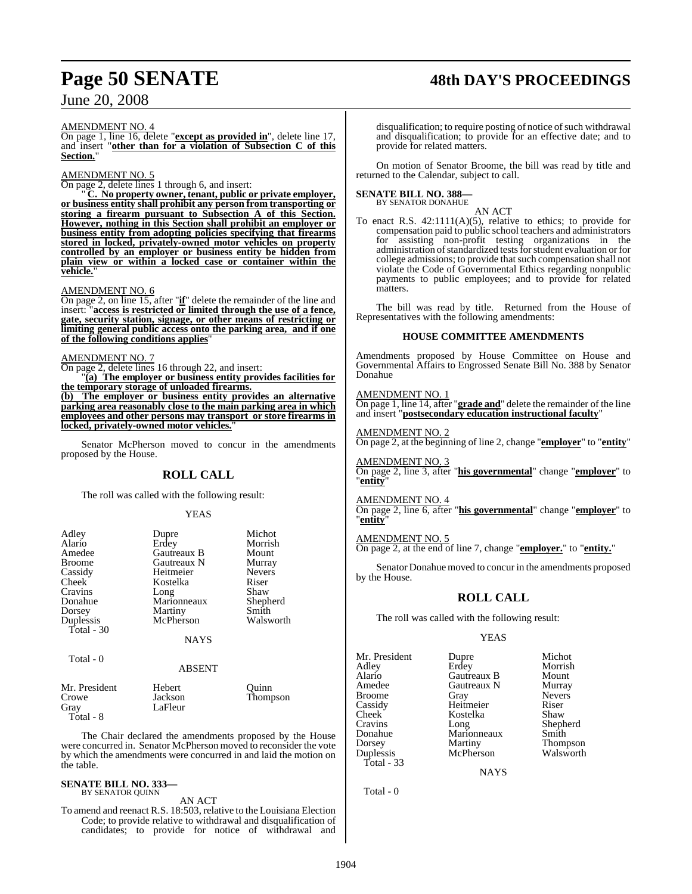# **Page 50 SENATE 48th DAY'S PROCEEDINGS**

## June 20, 2008

#### AMENDMENT NO. 4

On page 1, line 16, delete "**except as provided in**", delete line 17, and insert "**other than for a violation of Subsection C of this Section.**"

#### AMENDMENT NO. 5

On page 2, delete lines 1 through 6, and insert:

" **C. No property owner, tenant, public or private employer, or business entity shall prohibit any person from transporting or storing a firearm pursuant to Subsection A of this Section. However, nothing in this Section shall prohibit an employer or business entity from adopting policies specifying that firearms stored in locked, privately-owned motor vehicles on property controlled by an employer or business entity be hidden from plain view or within a locked case or container within the vehicle.**"

#### AMENDMENT NO. 6

On page 2, on line 15, after "**if**" delete the remainder of the line and insert: "**access is restricted or limited through the use of a fence, gate, security station, signage, or other means of restricting or limiting general public access onto the parking area, and if one of the following conditions applies**"

#### AMENDMENT NO. 7

On page 2, delete lines 16 through 22, and insert:

"**(a) The employer or business entity provides facilities for the temporary storage of unloaded firearms.**

**(b) The employer or business entity provides an alternative parking area reasonably close to the main parking area in which employees and other persons may transport or store firearms in locked, privately-owned motor vehicles.**"

Senator McPherson moved to concur in the amendments proposed by the House.

#### **ROLL CALL**

The roll was called with the following result:

#### YEAS

| Adley         | Dupre       | Michot        |
|---------------|-------------|---------------|
| Alario        | Erdey       | Morrish       |
| Amedee        | Gautreaux B | Mount         |
| <b>Broome</b> | Gautreaux N | Murray        |
| Cassidy       | Heitmeier   | <b>Nevers</b> |
| Cheek         | Kostelka    | Riser         |
| Cravins       | Long        | Shaw          |
| Donahue       | Marionneaux | Shepherd      |
| Dorsey        | Martiny     | Smith         |
| Duplessis     | McPherson   | Walsworth     |
| Total - 30    |             |               |
|               | <b>NAYS</b> |               |
| Total - 0     |             |               |

#### ABSENT

| Mr. President | Hebert  | Ouinn    |
|---------------|---------|----------|
| Crowe         | Jackson | Thompson |
| Gray          | LaFleur |          |
| Total - 8     |         |          |

The Chair declared the amendments proposed by the House were concurred in. Senator McPherson moved to reconsider the vote by which the amendments were concurred in and laid the motion on the table.

#### **SENATE BILL NO. 333—** BY SENATOR QUINN

#### AN ACT

To amend and reenact R.S. 18:503, relative to the Louisiana Election Code; to provide relative to withdrawal and disqualification of candidates; to provide for notice of withdrawal and

disqualification; to require posting of notice of such withdrawal and disqualification; to provide for an effective date; and to provide for related matters.

On motion of Senator Broome, the bill was read by title and returned to the Calendar, subject to call.

#### **SENATE BILL NO. 388—** BY SENATOR DONAHUE

AN ACT

To enact R.S. 42:1111(A)(5), relative to ethics; to provide for compensation paid to public school teachers and administrators for assisting non-profit testing organizations in the administration of standardized tests for student evaluation or for college admissions; to provide that such compensation shall not violate the Code of Governmental Ethics regarding nonpublic payments to public employees; and to provide for related matters.

The bill was read by title. Returned from the House of Representatives with the following amendments:

#### **HOUSE COMMITTEE AMENDMENTS**

Amendments proposed by House Committee on House and Governmental Affairs to Engrossed Senate Bill No. 388 by Senator Donahue

#### AMENDMENT NO. 1

On page 1, line 14, after "**grade and**" delete the remainder of the line and insert "**postsecondary education instructional faculty**"

AMENDMENT NO. 2 On page 2, at the beginning of line 2, change "**employer**" to "**entity**"

AMENDMENT NO. 3 On page 2, line 3, after "**his governmental**" change "**employer**" to **<u>entity</u>** 

AMENDMENT NO. 4 On page 2, line 6, after "**his governmental**" change "**employer**" to "**entity**"

AMENDMENT NO. 5 On page 2, at the end of line 7, change "**employer.**" to "**entity.**"

Senator Donahue moved to concur in the amendments proposed by the House.

#### **ROLL CALL**

The roll was called with the following result:

#### YEAS

Mr. President Dupre Michot<br>Adley Erdey Morrish Cheek Kostelka<br>Cravins Long Total - 33

Adley Erdey Morrish<br>Alario Gautreaux B Mount Alario Gautreaux B Mount Amedee Gautreaux N<br>Broome Gray Cassidy Heitmeier Riser<br>Cheek Kostelka Shaw Cravins Long Shepherd Donahue Marionneaux Smith Dorsey Martiny Thompson<br>
Duplessis McPherson Walsworth McPherson

Nevers

NAYS

Total - 0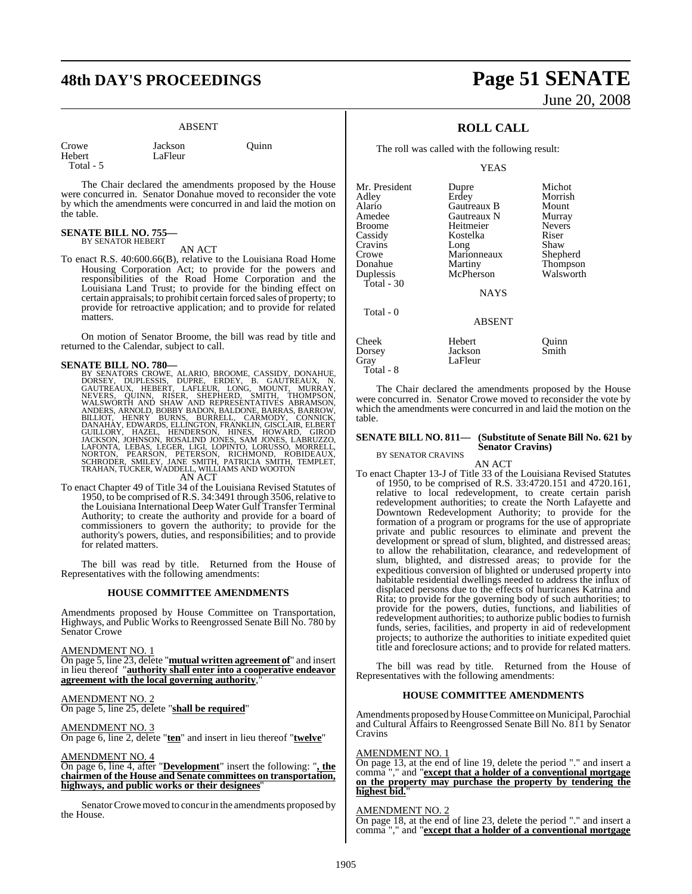# **48th DAY'S PROCEEDINGS Page 51 SENATE**

#### ABSENT

Jackson Quinn

| Crowe     |  |
|-----------|--|
| Hebert    |  |
| Total - 5 |  |

LaFleur

The Chair declared the amendments proposed by the House were concurred in. Senator Donahue moved to reconsider the vote by which the amendments were concurred in and laid the motion on the table.

## **SENATE BILL NO. 755—** BY SENATOR HEBERT

AN ACT

To enact R.S. 40:600.66(B), relative to the Louisiana Road Home Housing Corporation Act; to provide for the powers and responsibilities of the Road Home Corporation and the Louisiana Land Trust; to provide for the binding effect on certain appraisals; to prohibit certain forced sales of property; to provide for retroactive application; and to provide for related matters.

On motion of Senator Broome, the bill was read by title and returned to the Calendar, subject to call.

**SENATE BILL NO. 780—**<br>BY SENATORS CROWE, ALARIO, BROOME, CASSIDY, DONAHUE, PORSEY, DUPLESSIS, DUPRE, ERDEY, B. GAUTREAUX, N. GAUTREAUX, HEBERT, LAFLEUR, LONG, MOUNT, MURRAY, NEVERS, QUINN, RISER, SHEPHERD, SMITH, THOMPSON

To enact Chapter 49 of Title 34 of the Louisiana Revised Statutes of 1950, to be comprised ofR.S. 34:3491 through 3506, relative to the Louisiana International Deep Water Gulf Transfer Terminal Authority; to create the authority and provide for a board of commissioners to govern the authority; to provide for the authority's powers, duties, and responsibilities; and to provide for related matters.

The bill was read by title. Returned from the House of Representatives with the following amendments:

#### **HOUSE COMMITTEE AMENDMENTS**

Amendments proposed by House Committee on Transportation, Highways, and Public Works to Reengrossed Senate Bill No. 780 by Senator Crowe

AMENDMENT NO. 1

On page 5, line 23, delete "**mutual written agreement of**" and insert in lieu thereof "**authority shall enter into a cooperative endeavor** agreement with the local governing authority,

#### AMENDMENT NO. 2

On page 5, line 25, delete "**shall be required**"

#### AMENDMENT NO. 3

On page 6, line 2, delete "**ten**" and insert in lieu thereof "**twelve**"

#### AMENDMENT NO. 4

On page 6, line 4, after "**Development**" insert the following: "**, the chairmen of the House and Senate committees on transportation, highways, and public works or their designees**"

Senator Crowe moved to concur in the amendments proposed by the House.

# June 20, 2008

## **ROLL CALL**

The roll was called with the following result:

YEAS

| Mr. President | Dupre         | Michot        |
|---------------|---------------|---------------|
| Adley         | Erdey         | Morrish       |
| Alario        | Gautreaux B   | Mount         |
| Amedee        | Gautreaux N   | Murray        |
| <b>Broome</b> | Heitmeier     | <b>Nevers</b> |
| Cassidy       | Kostelka      | Riser         |
| Cravins       | Long          | Shaw          |
| Crowe         | Marionneaux   | Shepherd      |
| Donahue       | Martiny       | Thompson      |
| Duplessis     | McPherson     | Walsworth     |
| Total - 30    |               |               |
|               | <b>NAYS</b>   |               |
| Total - 0     |               |               |
|               | <b>ABSENT</b> |               |
| Cheek         | Hebert        | Ouinn         |
| Dorsey        | Jackson       | Smith         |
| Grav          | LaFleur       |               |

Total - 8

The Chair declared the amendments proposed by the House were concurred in. Senator Crowe moved to reconsider the vote by which the amendments were concurred in and laid the motion on the table.

#### **SENATE BILL NO. 811— (Substitute of Senate Bill No. 621 by Senator Cravins)**

BY SENATOR CRAVINS

AN ACT To enact Chapter 13-J of Title 33 of the Louisiana Revised Statutes of 1950, to be comprised of R.S. 33:4720.151 and 4720.161, relative to local redevelopment, to create certain parish redevelopment authorities; to create the North Lafayette and Downtown Redevelopment Authority; to provide for the formation of a program or programs for the use of appropriate private and public resources to eliminate and prevent the development or spread of slum, blighted, and distressed areas; to allow the rehabilitation, clearance, and redevelopment of slum, blighted, and distressed areas; to provide for the expeditious conversion of blighted or underused property into habitable residential dwellings needed to address the influx of displaced persons due to the effects of hurricanes Katrina and Rita; to provide for the governing body of such authorities; to provide for the powers, duties, functions, and liabilities of redevelopment authorities; to authorize public bodiesto furnish funds, series, facilities, and property in aid of redevelopment projects; to authorize the authorities to initiate expedited quiet title and foreclosure actions; and to provide for related matters.

The bill was read by title. Returned from the House of Representatives with the following amendments:

#### **HOUSE COMMITTEE AMENDMENTS**

Amendments proposed by House Committee on Municipal, Parochial and Cultural Affairs to Reengrossed Senate Bill No. 811 by Senator Cravins

#### AMENDMENT NO. 1

On page 13, at the end of line 19, delete the period "." and insert a comma "," and "**except that a holder of a conventional mortgage on the property may purchase the property by tendering the highest bid.**"

#### AMENDMENT NO. 2

On page 18, at the end of line 23, delete the period "." and insert a comma "," and "**except that a holder of a conventional mortgage**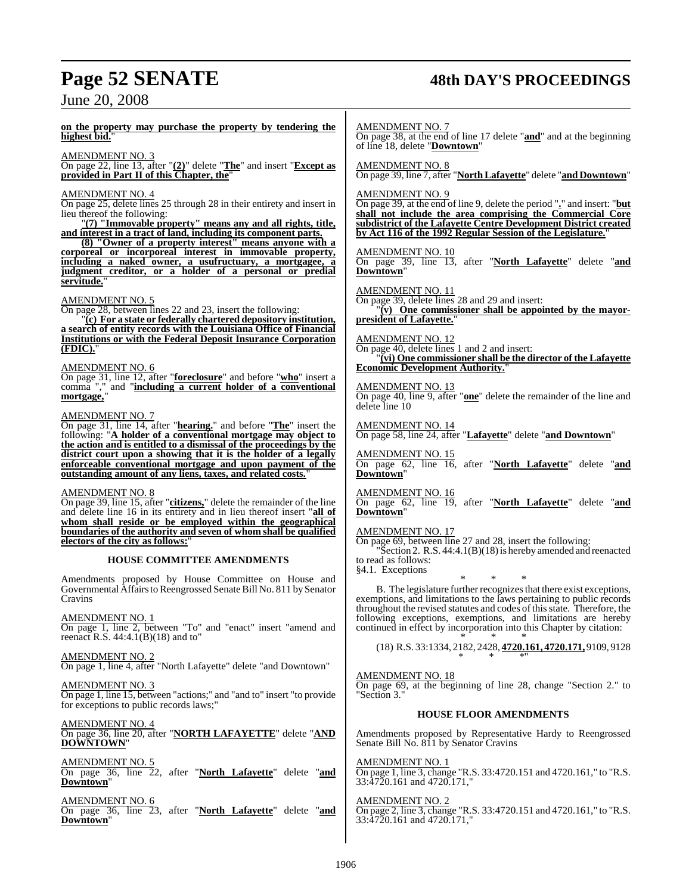# **Page 52 SENATE 48th DAY'S PROCEEDINGS**

June 20, 2008

**on the property may purchase the property by tendering the highest bid.**"

#### AMENDMENT NO. 3

On page 22, line 13, after "**(2)**" delete "**The**" and insert "**Except as provided in Part II of this Chapter, the**"

#### AMENDMENT NO. 4

On page 25, delete lines 25 through 28 in their entirety and insert in lieu thereof the following:

"**(7) "Immovable property" means any and all rights, title, and interest in a tract of land, including its component parts.**

**(8) "Owner of a property interest" means anyone with a corporeal or incorporeal interest in immovable property, including a naked owner, a usufructuary, a mortgagee, a judgment creditor, or a holder of a personal or predial servitude.**"

#### AMENDMENT NO. 5

On page 28, between lines 22 and 23, insert the following:

"**(c) For a state or federally chartered depository institution, a search of entity records with the Louisiana Office of Financial Institutions or with the Federal Deposit Insurance Corporation (FDIC).**"

#### AMENDMENT NO. 6

On page 31, line 12, after "**foreclosure**" and before "**who**" insert a comma "," and "**including a current holder of a conventional mortgage,**"

#### AMENDMENT NO. 7

On page 31, line 14, after "**hearing.**" and before "**The**" insert the following: "**A holder of a conventional mortgage may object to the action and is entitled to a dismissal of the proceedings by the district court upon a showing that it is the holder of a legally enforceable conventional mortgage and upon payment of the outstanding amount of any liens, taxes, and related costs.**"

#### AMENDMENT NO. 8

On page 39, line 15, after "**citizens,**" delete the remainder of the line and delete line 16 in its entirety and in lieu thereof insert "**all of whom shall reside or be employed within the geographical boundaries of the authority and seven of whom shall be qualified electors of the city as follows:**"

#### **HOUSE COMMITTEE AMENDMENTS**

Amendments proposed by House Committee on House and Governmental Affairs to Reengrossed Senate Bill No. 811 by Senator Cravins

#### AMENDMENT NO. 1

On page 1, line 2, between "To" and "enact" insert "amend and reenact R.S. 44:4.1(B)(18) and to"

#### AMENDMENT NO. 2

On page 1, line 4, after "North Lafayette" delete "and Downtown"

#### AMENDMENT NO. 3

On page 1, line 15, between "actions;" and "and to" insert "to provide for exceptions to public records laws;"

#### AMENDMENT NO. 4 On page 36, line 20, after "**NORTH LAFAYETTE**" delete "**AND**

**DOWNTOWN**"

## AMENDMENT NO.

On page 36, line 22, after "**North Lafayette**" delete "**and Downtown**"

## AMENDMENT NO. 6

On page 36, line 23, after "**North Lafayette**" delete "**and Downtown**"

AMENDMENT NO. 7

On page 38, at the end of line 17 delete "**and**" and at the beginning of line 18, delete "**Downtown**"

AMENDMENT NO. 8

On page 39, line 7, after "**NorthLafayette**" delete "**and Downtown**"

#### AMENDMENT NO. 9

On page 39, at the end of line 9, delete the period "**.**" and insert: "**but shall not include the area comprising the Commercial Core subdistrict of the Lafayette Centre Development District created by Act 116 of the 1992 Regular Session of the Legislature.**"

#### AMENDMENT NO. 10

On page 39, line 13, after "**North Lafayette**" delete "**and Downtown**"

AMEND<u>MENT NO. 11</u> On page 39, delete lines 28 and 29 and insert: "**(v) One commissioner shall be appointed by the mayorpresident of Lafayette.**"

#### AMENDMENT NO. 12 On page 40, delete lines 1 and 2 and insert: "**(vi) One commissioner shall be the director of the Lafayette Economic Development Authority.**"

AMENDMENT NO. 13 On page 40, line 9, after "**one**" delete the remainder of the line and delete line 10

AMENDMENT NO. 14 On page 58, line 24, after "**Lafayette**" delete "**and Downtown**"

AMENDMENT NO. 15 On page 62, line 16, after "**North Lafayette**" delete "**and Downtown**"

### AMENDMENT NO. 16

On page 62, line 19, after "**North Lafayette**" delete "**and Downtown**"

#### AMENDMENT NO. 17

On page 69, between line 27 and 28, insert the following: "Section 2. R.S. 44:4.1(B)(18) is hereby amended and reenacted to read as follows: §4.1. Exceptions

\* \* \* B. The legislature further recognizes that there exist exceptions, exemptions, and limitations to the laws pertaining to public records throughout the revised statutes and codes of this state. Therefore, the following exceptions, exemptions, and limitations are hereby continued in effect by incorporation into this Chapter by citation:

\* \* \* (18) R.S. 33:1334, 2182, 2428, **4720.161, 4720.171,** 9109, 9128 \* \* \*"

#### AMENDMENT NO. 18

On page 69, at the beginning of line 28, change "Section 2." to "Section 3."

#### **HOUSE FLOOR AMENDMENTS**

Amendments proposed by Representative Hardy to Reengrossed Senate Bill No. 811 by Senator Cravins

#### AMENDMENT NO. 1

On page 1, line 3, change "R.S. 33:4720.151 and 4720.161," to "R.S. 33:4720.161 and 4720.171,"

#### AMENDMENT NO. 2

On page 2, line 3, change "R.S. 33:4720.151 and 4720.161," to "R.S. 33:4720.161 and 4720.171,"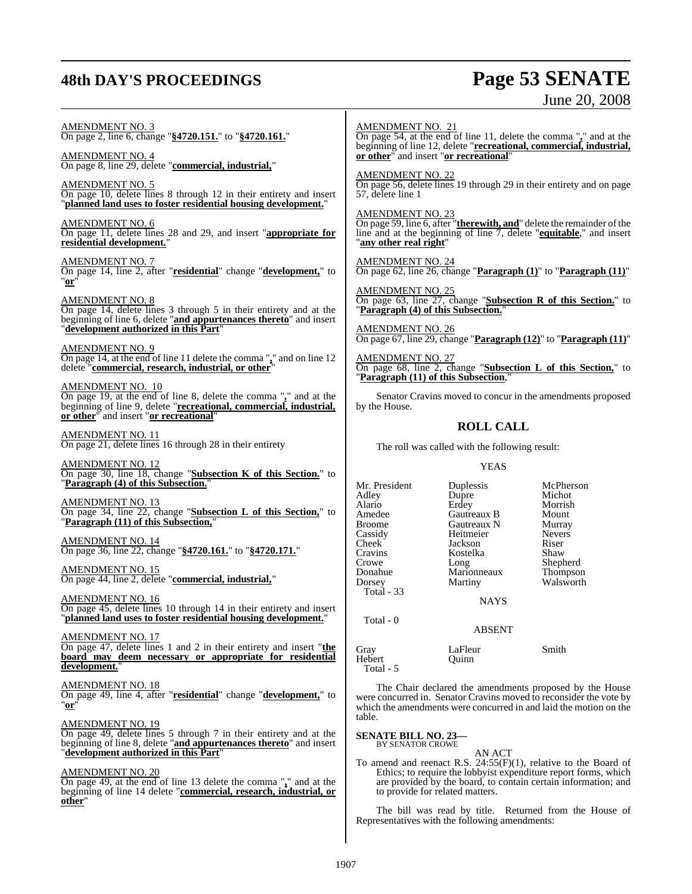## **48th DAY'S PROCEEDINGS**

# **Page 53 SENATE**<br>June 20, 2008

| <b>AMENDMENT NO. 3</b><br>On page 2, line 6, change "\$4720.151." to "\$4720.161."<br><b>AMENDMENT NO. 4</b><br>On page 8, line 29, delete "commercial, industrial,"<br><b>AMENDMENT NO. 5</b><br>On page 10, delete lines 8 through 12 in their entirety and insert "planned land uses to foster residential housing development."<br><b>AMENDMENT NO. 6</b><br>On page 11, delete lines 28 and 29, and insert "appropriate for<br>residential development."<br><b>AMENDMENT NO. 7</b><br>On page 14, line 2, after "residential" change "development," to<br>" $or'$<br><b>AMENDMENT NO. 8</b><br>On page 14, delete lines 3 through 5 in their entirety and at the<br>beginning of line 6, delete "and appurtenances thereto" and insert<br>"development authorized in this Part"<br><b>AMENDMENT NO. 9</b><br>On page 14, at the end of line 11 delete the comma "," and on line 12 delete "commercial, research, industrial, or other"<br><u>AMENDMENT NO. 10</u><br>On page 19, at the end of line 8, delete the comma $\frac{1}{2}$ and at the<br>beginning of line 9, delete "recreational, commercial, industrial, or other" and insert "or recreational"<br>$\frac{\text{AMENDMENT NO. 11}}{\text{On page 21, delete lines 16 through 28 in their entirety}}$<br><b>AMENDMENT NO. 12</b><br>On page 30, line 18, change "Subsection K of this Section." to "Paragraph (4) of this Subsection."<br><b>AMENDMENT NO. 13</b><br>On page 34, line 22, change "Subsection L of this Section," to<br>"Paragraph (11) of this Subsection,"<br>AMENDMENT NO. 14<br>On page 36, line 22, change "\$4720.161." to "\$4720.171."<br>AMENDMENT NO. 15<br>On page 44, line 2, delete "commercial, industrial,"<br><b>AMENDMENT NO. 16</b><br>On page 45, delete lines 10 through 14 in their entirety and insert | <b>AMENDMENT NO. 21</b><br>or other" and insert "or recreational"<br><b>AMENDMENT NO. 22</b><br>57, delete line 1<br><b>AMENDMENT NO. 23</b><br>"any other real right"<br><b>AMENDMENT NO. 25</b><br>by the House.<br>Mr. President<br>Adley<br>Alario<br>Amedee<br><b>Broome</b><br>Cassidy<br>Cheek<br>Cravins<br>Crowe<br>Donahue<br>Dorsey<br>Total - 33 | <b>ROLL CALL</b><br>The roll was called with the following result:<br><b>YEAS</b><br>Duplessis<br>Dupre<br>Erdey<br>Gautreaux B<br>Gautreaux N<br>Heitmeier<br>Jackson<br>Kostelka<br>Long<br>Marionneaux<br>Martiny<br><b>NAYS</b> | On page 54, at the end of line 11, delete the comma "," and at the<br>beginning of line 12, delete "recreational, commercial, industrial,<br>On page 56, delete lines 19 through 29 in their entirety and on page<br>On page 59, line 6, after " <b>therewith, and</b> " delete the remainder of the line and at the beginning of line $7$ , delete " <b>equitable</b> ," and insert<br>$\frac{\text{AMENDMENT NO. 24}}{\text{On page 62, line 26, change}}$ "Paragraph (1)" to "Paragraph (11)"<br>On page 63, line 27, change "Subsection R of this Section." to "Paragraph (4) of this Subsection."<br>AMENDMENT NO. 26<br>On page 67, line 29, change "Paragraph (12)" to "Paragraph (11)"<br>AMENDMENT NO. 27<br>On page 68, line 2, change "Subsection L of this Section," to "Paragraph (11) of this Subsection,"<br>Senator Cravins moved to concur in the amendments proposed<br>McPherson<br>Michot<br>Morrish<br>Mount<br>Murray<br>Nevers<br>Riser<br>Shaw<br>Shepherd<br>Thompson<br>Walsworth |
|---------------------------------------------------------------------------------------------------------------------------------------------------------------------------------------------------------------------------------------------------------------------------------------------------------------------------------------------------------------------------------------------------------------------------------------------------------------------------------------------------------------------------------------------------------------------------------------------------------------------------------------------------------------------------------------------------------------------------------------------------------------------------------------------------------------------------------------------------------------------------------------------------------------------------------------------------------------------------------------------------------------------------------------------------------------------------------------------------------------------------------------------------------------------------------------------------------------------------------------------------------------------------------------------------------------------------------------------------------------------------------------------------------------------------------------------------------------------------------------------------------------------------------------------------------------------------------------------------------------------------------------------------------------------------------------------------------------------------------------------------------------------------------------------------------------|--------------------------------------------------------------------------------------------------------------------------------------------------------------------------------------------------------------------------------------------------------------------------------------------------------------------------------------------------------------|-------------------------------------------------------------------------------------------------------------------------------------------------------------------------------------------------------------------------------------|-------------------------------------------------------------------------------------------------------------------------------------------------------------------------------------------------------------------------------------------------------------------------------------------------------------------------------------------------------------------------------------------------------------------------------------------------------------------------------------------------------------------------------------------------------------------------------------------------------------------------------------------------------------------------------------------------------------------------------------------------------------------------------------------------------------------------------------------------------------------------------------------------------------------------------------------------------------------------------------------------------------|
|                                                                                                                                                                                                                                                                                                                                                                                                                                                                                                                                                                                                                                                                                                                                                                                                                                                                                                                                                                                                                                                                                                                                                                                                                                                                                                                                                                                                                                                                                                                                                                                                                                                                                                                                                                                                               |                                                                                                                                                                                                                                                                                                                                                              |                                                                                                                                                                                                                                     |                                                                                                                                                                                                                                                                                                                                                                                                                                                                                                                                                                                                                                                                                                                                                                                                                                                                                                                                                                                                             |
| planned land uses to foster residential housing development."<br><b>AMENDMENT NO. 17</b><br>On page 47, delete lines 1 and 2 in their entirety and insert "the                                                                                                                                                                                                                                                                                                                                                                                                                                                                                                                                                                                                                                                                                                                                                                                                                                                                                                                                                                                                                                                                                                                                                                                                                                                                                                                                                                                                                                                                                                                                                                                                                                                | Total - 0<br>Gray                                                                                                                                                                                                                                                                                                                                            | <b>ABSENT</b><br>LaFleur                                                                                                                                                                                                            | Smith                                                                                                                                                                                                                                                                                                                                                                                                                                                                                                                                                                                                                                                                                                                                                                                                                                                                                                                                                                                                       |
| <u>board may deem necessary or appropriate for residential</u><br>development."<br>AMENDMENT NO. 18<br>On page 49, line 4, after "residential" change "development," to<br>"or"<br><b>AMENDMENT NO. 19</b><br>On page 49, delete lines 5 through 7 in their entirety and at the<br>beginning of line 8, delete "and appurtenances thereto" and insert<br>"development authorized in this Part"<br><b>AMENDMENT NO. 20</b><br>On page 49, at the end of line 13 delete the comma $\frac{1}{2}$ and at the<br>beginning of line 14 delete "commercial, research, industrial, or<br>other"                                                                                                                                                                                                                                                                                                                                                                                                                                                                                                                                                                                                                                                                                                                                                                                                                                                                                                                                                                                                                                                                                                                                                                                                                       | Hebert<br>Total - 5<br>table.<br><b>SENATE BILL NO. 23-</b><br>BY SENATOR CROWE<br>to provide for related matters.                                                                                                                                                                                                                                           | Quinn<br>AN ACT                                                                                                                                                                                                                     | The Chair declared the amendments proposed by the House<br>were concurred in. Senator Cravins moved to reconsider the vote by<br>which the amendments were concurred in and laid the motion on the<br>To amend and reenact R.S. $24:55(F)(1)$ , relative to the Board of<br>Ethics; to require the lobbyist expenditure report forms, which<br>are provided by the board, to contain certain information; and                                                                                                                                                                                                                                                                                                                                                                                                                                                                                                                                                                                               |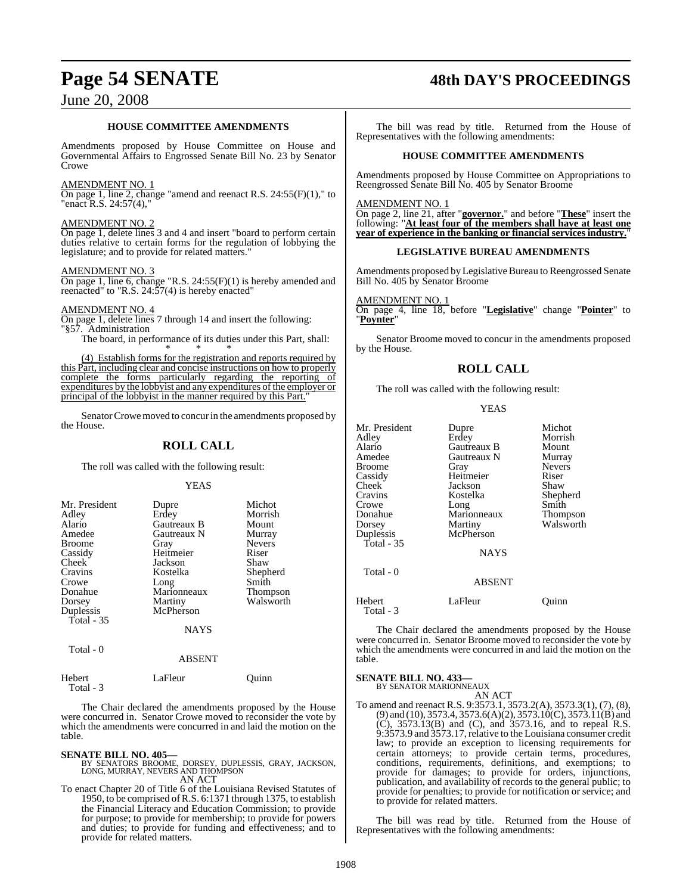## June 20, 2008

## **HOUSE COMMITTEE AMENDMENTS**

Amendments proposed by House Committee on House and Governmental Affairs to Engrossed Senate Bill No. 23 by Senator Crowe

#### AMENDMENT NO. 1

 $\overline{\text{On page 1, line 2, change}}$  "amend and reenact R.S. 24:55(F)(1)," to "enact R.S. 24:57(4),"

#### AMENDMENT NO. 2

On page 1, delete lines 3 and 4 and insert "board to perform certain duties relative to certain forms for the regulation of lobbying the legislature; and to provide for related matters."

#### AMENDMENT NO. 3

On page 1, line 6, change "R.S. 24:55(F)(1) is hereby amended and reenacted" to "R.S. 24:57(4) is hereby enacted"

#### AMENDMENT NO. 4

On page 1, delete lines 7 through 14 and insert the following: "§57. Administration

The board, in performance of its duties under this Part, shall: \* \* \*

(4) Establish forms for the registration and reports required by this Part, including clear and concise instructions on how to properly complete the forms particularly regarding the reporting of expenditures by the lobbyist and any expenditures of the employer or principal of the lobbyist in the manner required by this Part."

Senator Crowe moved to concur in the amendments proposed by the House.

### **ROLL CALL**

The roll was called with the following result:

YEAS

| Mr. President |             | Michot        |
|---------------|-------------|---------------|
|               | Dupre       |               |
| Adley         | Erdey       | Morrish       |
| Alario        | Gautreaux B | Mount         |
| Amedee        | Gautreaux N | Murray        |
| <b>Broome</b> | Gray        | <b>Nevers</b> |
| Cassidy       | Heitmeier   | Riser         |
| Cheek         | Jackson     | Shaw          |
| Cravins       | Kostelka    | Shepherd      |
| Crowe         | Long        | Smith         |
| Donahue       | Marionneaux | Thompson      |
| Dorsey        | Martiny     | Walsworth     |
| Duplessis     | McPherson   |               |
| Total - 35    |             |               |
|               | <b>NAYS</b> |               |
| Total - 0     |             |               |

#### ABSENT

| Hebert<br>Total - 3 | LaFleur | Ouinn |  |
|---------------------|---------|-------|--|

The Chair declared the amendments proposed by the House were concurred in. Senator Crowe moved to reconsider the vote by which the amendments were concurred in and laid the motion on the table.

**SENATE BILL NO. 405—** BY SENATORS BROOME, DORSEY, DUPLESSIS, GRAY, JACKSON, LONG, MURRAY, NEVERS AND THOMPSON AN ACT

To enact Chapter 20 of Title 6 of the Louisiana Revised Statutes of 1950, to be comprised ofR.S. 6:1371 through 1375, to establish the Financial Literacy and Education Commission; to provide for purpose; to provide for membership; to provide for powers and duties; to provide for funding and effectiveness; and to provide for related matters.

# **Page 54 SENATE 48th DAY'S PROCEEDINGS**

The bill was read by title. Returned from the House of Representatives with the following amendments:

#### **HOUSE COMMITTEE AMENDMENTS**

Amendments proposed by House Committee on Appropriations to Reengrossed Senate Bill No. 405 by Senator Broome

AMENDMENT NO. 1

On page 2, line 21, after "**governor.**" and before "**These**" insert the following: "**At least four of the members shall have at least one year of experience in the banking or financial services industry.**"

#### **LEGISLATIVE BUREAU AMENDMENTS**

Amendments proposed by Legislative Bureau to Reengrossed Senate Bill No. 405 by Senator Broome

AMENDMENT NO. 1

On page 4, line 18, before "**Legislative**" change "**Pointer**" to "**Poynter**"

Senator Broome moved to concur in the amendments proposed by the House.

### **ROLL CALL**

The roll was called with the following result:

YEAS

| Mr. President<br>Adley<br>Alario<br>Amedee<br><b>Broome</b><br>Cassidy<br>Cheek<br>Cravins<br>Crowe<br>Donahue<br>Dorsey<br>Duplessis<br>Total $-35$<br>Total - 0 | Dupre<br>Erdey<br>Gautreaux B<br>Gautreaux N<br>Gray<br>Heitmeier<br>Jackson<br>Kostelka<br>Long<br>Marionneaux<br>Martiny<br>McPherson<br><b>NAYS</b><br><b>ABSENT</b> | Michot<br>Morrish<br>Mount<br>Murray<br><b>Nevers</b><br>Riser<br>Shaw<br>Shepherd<br>Smith<br>Thompson<br>Walsworth |
|-------------------------------------------------------------------------------------------------------------------------------------------------------------------|-------------------------------------------------------------------------------------------------------------------------------------------------------------------------|----------------------------------------------------------------------------------------------------------------------|
| Hebert                                                                                                                                                            | LaFleur                                                                                                                                                                 | Ouınn                                                                                                                |
| Total - 3                                                                                                                                                         |                                                                                                                                                                         |                                                                                                                      |

The Chair declared the amendments proposed by the House were concurred in. Senator Broome moved to reconsider the vote by which the amendments were concurred in and laid the motion on the table.

**SENATE BILL NO. 433—** BY SENATOR MARIONNEAUX

AN ACT

To amend and reenact R.S. 9:3573.1, 3573.2(A), 3573.3(1), (7), (8), (9) and (10), 3573.4, 3573.6(A)(2), 3573.10(C), 3573.11(B) and (C), 3573.13(B) and (C), and 3573.16, and to repeal R.S. 9:3573.9 and 3573.17, relative to the Louisiana consumer credit law; to provide an exception to licensing requirements for certain attorneys; to provide certain terms, procedures, conditions, requirements, definitions, and exemptions; to provide for damages; to provide for orders, injunctions, publication, and availability of records to the general public; to provide for penalties; to provide for notification or service; and to provide for related matters.

The bill was read by title. Returned from the House of Representatives with the following amendments: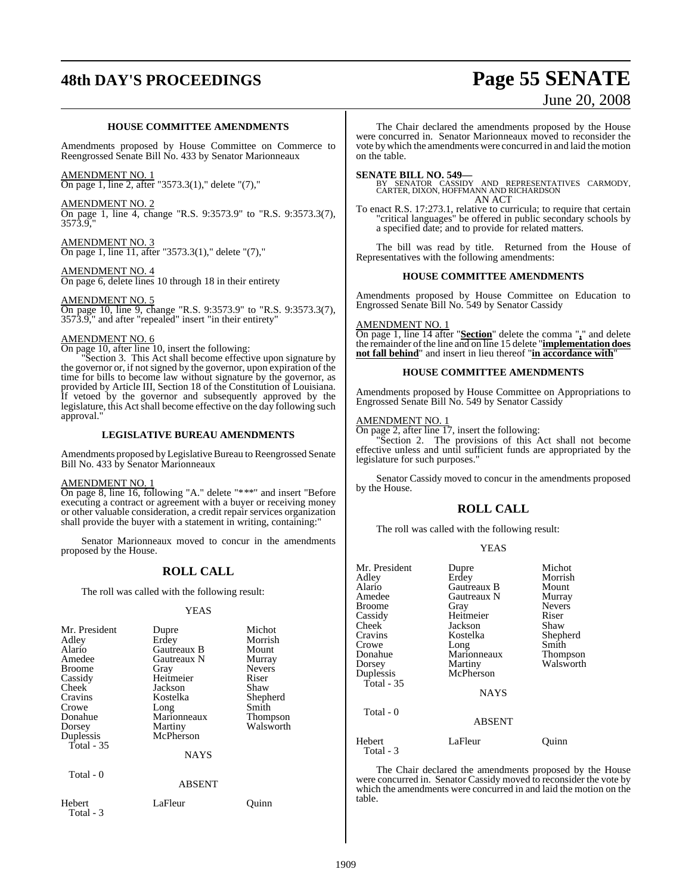# **48th DAY'S PROCEEDINGS Page 55 SENATE**

# June 20, 2008

#### **HOUSE COMMITTEE AMENDMENTS**

Amendments proposed by House Committee on Commerce to Reengrossed Senate Bill No. 433 by Senator Marionneaux

#### AMENDMENT NO. 1

On page 1, line 2, after "3573.3(1)," delete "(7),"

#### AMENDMENT NO. 2

On page 1, line 4, change "R.S. 9:3573.9" to "R.S. 9:3573.3(7), 3573.9,"

AMENDMENT NO. 3 On page 1, line 11, after "3573.3(1)," delete "(7),"

#### AMENDMENT NO. 4

On page 6, delete lines 10 through 18 in their entirety

#### AMENDMENT NO. 5

On page 10, line 9, change "R.S. 9:3573.9" to "R.S. 9:3573.3(7), 3573.9," and after "repealed" insert "in their entirety"

#### AMENDMENT NO. 6

On page 10, after line 10, insert the following:

Section 3. This Act shall become effective upon signature by the governor or, if not signed by the governor, upon expiration of the time for bills to become law without signature by the governor, as provided by Article III, Section 18 of the Constitution of Louisiana. If vetoed by the governor and subsequently approved by the legislature, this Act shall become effective on the day following such approval."

#### **LEGISLATIVE BUREAU AMENDMENTS**

Amendments proposed by Legislative Bureau to Reengrossed Senate Bill No. 433 by Senator Marionneaux

#### AMENDMENT NO. 1

On page 8, line 16, following "A." delete "\*\*\*" and insert "Before executing a contract or agreement with a buyer or receiving money or other valuable consideration, a credit repair services organization shall provide the buyer with a statement in writing, containing:"

Senator Marionneaux moved to concur in the amendments proposed by the House.

#### **ROLL CALL**

The roll was called with the following result:

#### YEAS

| Mr. President<br>Adley<br>Alario<br>Amedee<br><b>Broome</b><br>Cassidy<br>Cheek<br>Cravins<br>Crowe<br>Donahue<br>Dorsey | Dupre<br>Erdey<br>Gautreaux B<br>Gautreaux N<br>Gray<br>Heitmeier<br>Jackson<br>Kostelka<br>Long<br>Marionneaux<br>Martiny | Michot<br>Morrish<br>Mount<br>Murray<br><b>Nevers</b><br>Riser<br>Shaw<br>Shepherd<br>Smith<br>Thompson<br>Walsworth |
|--------------------------------------------------------------------------------------------------------------------------|----------------------------------------------------------------------------------------------------------------------------|----------------------------------------------------------------------------------------------------------------------|
| Duplessis<br>Total - 35                                                                                                  | McPherson<br><b>NAYS</b>                                                                                                   |                                                                                                                      |
| Total - 0                                                                                                                | <b>ABSENT</b>                                                                                                              |                                                                                                                      |
| Hebert<br>Total - 3                                                                                                      | LaFleur                                                                                                                    | Juınn                                                                                                                |

The Chair declared the amendments proposed by the House were concurred in. Senator Marionneaux moved to reconsider the vote by which the amendments were concurred in and laid the motion on the table.

#### **SENATE BILL NO. 549—**

BY SENATOR CASSIDY AND REPRESENTATIVES CARMODY, CARTER, DIXON, HOFFMANN AND RICHARDSON AN ACT

To enact R.S. 17:273.1, relative to curricula; to require that certain "critical languages" be offered in public secondary schools by a specified date; and to provide for related matters.

The bill was read by title. Returned from the House of Representatives with the following amendments:

#### **HOUSE COMMITTEE AMENDMENTS**

Amendments proposed by House Committee on Education to Engrossed Senate Bill No. 549 by Senator Cassidy

#### AMENDMENT NO. 1

On page 1, line 14 after "**Section**" delete the comma "**,**" and delete the remainder ofthe line and on line 15 delete "**implementation does not fall behind**" and insert in lieu thereof "**in accordance with**"

#### **HOUSE COMMITTEE AMENDMENTS**

Amendments proposed by House Committee on Appropriations to Engrossed Senate Bill No. 549 by Senator Cassidy

#### AMENDMENT NO. 1

On page 2, after line 17, insert the following:

"Section 2. The provisions of this Act shall not become effective unless and until sufficient funds are appropriated by the legislature for such purposes."

Senator Cassidy moved to concur in the amendments proposed by the House.

#### **ROLL CALL**

The roll was called with the following result:

#### YEAS

| Mr. President       | Dupre         | Michot        |
|---------------------|---------------|---------------|
| Adley               | Erdey         | Morrish       |
| Alario              | Gautreaux B   | Mount         |
| Amedee              | Gautreaux N   | Murray        |
| Broome              | Gray          | <b>Nevers</b> |
| Cassidy             | Heitmeier     | Riser         |
| Cheek               | Jackson       | Shaw          |
| Cravins             | Kostelka      | Shepherd      |
| Crowe               | Long          | Smith         |
| Donahue             | Marionneaux   | Thompson      |
| Dorsey              | Martiny       | Walsworth     |
| Duplessis           | McPherson     |               |
| Total - 35          |               |               |
|                     | <b>NAYS</b>   |               |
| Total - 0           |               |               |
|                     | <b>ABSENT</b> |               |
| Hebert<br>Total - 3 | LaFleur       | Ouinn         |

The Chair declared the amendments proposed by the House were concurred in. Senator Cassidy moved to reconsider the vote by which the amendments were concurred in and laid the motion on the table.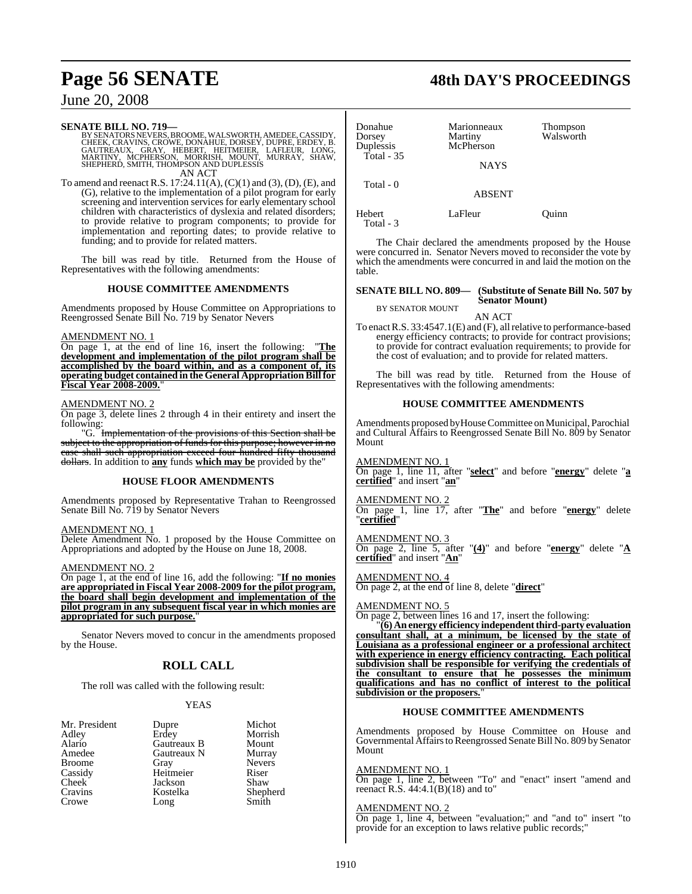## June 20, 2008

**SENATE BILL NO. 719—**<br>BY SENATORS NEVERS, BROOME, WALSWORTH, AMEDEE, CASSIDY,<br>CHEEK, CRAVINS, CROWE, DONAHUE, DORSEY, DUPRE, ERDEY, B.<br>GAUTREAUX, GRAY, HEBERT, HEITMEIER, LAFLEUR, LONG,<br>MARTINY, MCPHERSON, MORRISH, MOUNT, AN ACT

To amend and reenact R.S. 17:24.11(A), (C)(1) and (3), (D), (E), and (G), relative to the implementation of a pilot program for early screening and intervention services for early elementary school children with characteristics of dyslexia and related disorders; to provide relative to program components; to provide for implementation and reporting dates; to provide relative to funding; and to provide for related matters.

The bill was read by title. Returned from the House of Representatives with the following amendments:

#### **HOUSE COMMITTEE AMENDMENTS**

Amendments proposed by House Committee on Appropriations to Reengrossed Senate Bill No. 719 by Senator Nevers

#### AMENDMENT NO. 1

On page 1, at the end of line 16, insert the following: "**The development and implementation of the pilot program shall be accomplished by the board within, and as a component of, its operating budget contained in the General AppropriationBillfor Fiscal Year 2008-2009.**"

#### AMENDMENT NO. 2

On page 3, delete lines 2 through 4 in their entirety and insert the following:

"G. Implementation of the provisions of this Section shall be subject to the appropriation of funds for this purpose; however in no case shall such appropriation exceed four hundred fifty thousand dollars. In addition to **any** funds **which may be** provided by the"

#### **HOUSE FLOOR AMENDMENTS**

Amendments proposed by Representative Trahan to Reengrossed Senate Bill No. 719 by Senator Nevers

#### AMENDMENT NO. 1

Delete Amendment No. 1 proposed by the House Committee on Appropriations and adopted by the House on June 18, 2008.

#### AMENDMENT NO. 2

On page 1, at the end of line 16, add the following: "**If no monies are appropriated in Fiscal Year 2008-2009 for the pilot program, the board shall begin development and implementation of the pilot program in any subsequent fiscal year in which monies are appropriated for such purpose.**"

Senator Nevers moved to concur in the amendments proposed by the House.

## **ROLL CALL**

The roll was called with the following result:

#### YEAS

Mr. President Dupre Michot<br>Adley Erdey Morrish Broome<br>Cassidy Cheek Jackson<br>Cravins Kostelka Crowe

Adley Erdey Morrish Alario Gautreaux B Mount Gautreaux N Murray<br>Grav Nevers Cassidy Heitmeier Riser<br>Cheek Jackson Shaw Kostelka Shepherd<br>Long Smith

| Donahue<br>Dorsey<br>Duplessis | Marionneaux<br>Martiny<br>McPherson | Thompson<br>Walsworth |
|--------------------------------|-------------------------------------|-----------------------|
| Total $-35$                    | <b>NAYS</b>                         |                       |
| Total $-0$                     | <b>ABSENT</b>                       |                       |
| Hebert<br>Total - 3            | LaFleur                             | Ouinn                 |

The Chair declared the amendments proposed by the House were concurred in. Senator Nevers moved to reconsider the vote by which the amendments were concurred in and laid the motion on the table.

#### **SENATE BILL NO. 809— (Substitute of Senate Bill No. 507 by Senator Mount)**

BY SENATOR MOUNT

AN ACT

To enactR.S. 33:4547.1(E) and (F), allrelative to performance-based energy efficiency contracts; to provide for contract provisions; to provide for contract evaluation requirements; to provide for the cost of evaluation; and to provide for related matters.

The bill was read by title. Returned from the House of Representatives with the following amendments:

#### **HOUSE COMMITTEE AMENDMENTS**

Amendments proposed by House Committee on Municipal, Parochial and Cultural Affairs to Reengrossed Senate Bill No. 809 by Senator Mount

AMENDMENT NO. 1 On page 1, line 11, after "**select**" and before "**energy**" delete "**a certified**" and insert "**an**"

AMENDMENT NO. 2 On page 1, line 17, after "**The**" and before "**energy**" delete "**certified**"

AMENDMENT NO. 3 On page 2, line 5, after "**(4)**" and before "**energy**" delete "**A certified**" and insert "**An**"

AMENDMENT NO. 4

On page 2, at the end of line 8, delete "**direct**"

AMENDMENT NO. 5 On page 2, between lines 16 and 17, insert the following:

"**(6) An energy efficiency independent third-party evaluation consultant shall, at a minimum, be licensed by the state of Louisiana as a professional engineer or a professional architect with experience in energy efficiency contracting. Each political subdivision shall be responsible for verifying the credentials of the consultant to ensure that he possesses the minimum qualifications and has no conflict of interest to the political subdivision or the proposers.**"

#### **HOUSE COMMITTEE AMENDMENTS**

Amendments proposed by House Committee on House and Governmental Affairs to Reengrossed Senate Bill No. 809 by Senator Mount

#### AMENDMENT NO. 1

On page 1, line 2, between "To" and "enact" insert "amend and reenact R.S.  $44:4.1(B)(18)$  and to"

#### AMENDMENT NO. 2

On page 1, line 4, between "evaluation;" and "and to" insert "to provide for an exception to laws relative public records;"

**Page 56 SENATE 48th DAY'S PROCEEDINGS**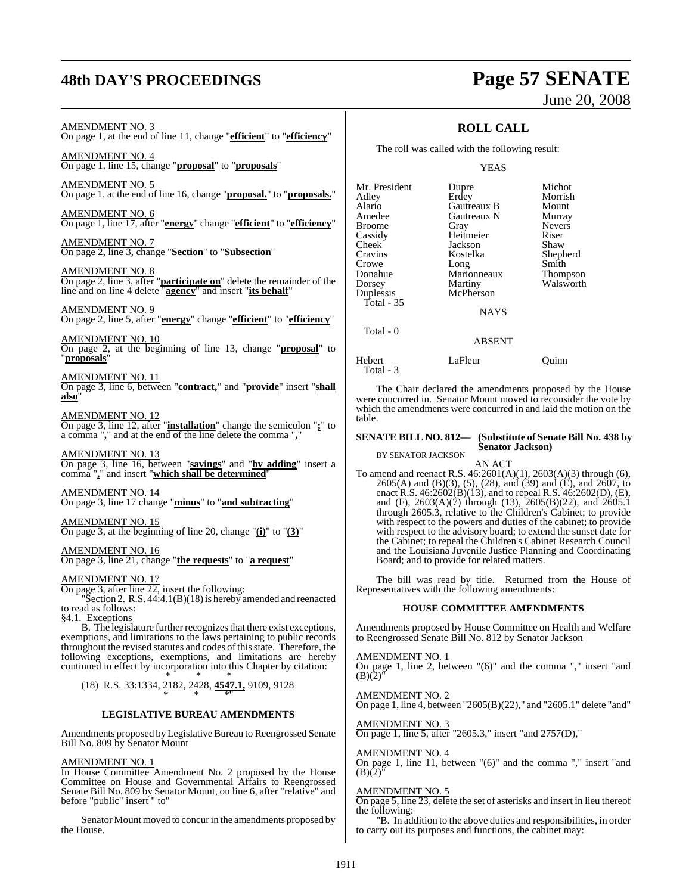# **48th DAY'S PROCEEDINGS Page 57 SENATE**

# June 20, 2008

#### AMENDMENT NO. 3

On page 1, at the end of line 11, change "**efficient**" to "**efficiency**"

AMENDMENT NO. 4 On page 1, line 15, change "**proposal**" to "**proposals**"

AMENDMENT NO. 5 On page 1, at the end of line 16, change "**proposal.**" to "**proposals.**"

AMENDMENT NO. 6 On page 1, line 17, after "**energy**" change "**efficient**" to "**efficiency**"

AMENDMENT NO. 7 On page 2, line 3, change "**Section**" to "**Subsection**"

AMENDMENT NO. 8 On page 2, line 3, after "**participate on**" delete the remainder of the line and on line 4 delete "**agency**" and insert "**its behalf**"

AMENDMENT NO. 9 On page 2, line 5, after "**energy**" change "**efficient**" to "**efficiency**"

AMENDMENT NO. 10 On page 2, at the beginning of line 13, change "**proposal**" to "**proposals**"

#### AMENDMENT NO. 11

On page 3, line 6, between "**contract,**" and "**provide**" insert "**shall also**"

#### AMENDMENT NO. 12

On page 3, line 12, after "**installation**" change the semicolon "**;**" to a comma "**,**" and at the end of the line delete the comma "**,**"

AMENDMENT NO. 13 On page 3, line 16, between "**savings**" and "**by adding**" insert a comma "**,**" and insert "**which shall be determined**"

AMENDMENT NO. 14 On page 3, line 17 change "**minus**" to "**and subtracting**"

AMENDMENT NO. 15 On page 3, at the beginning of line 20, change "**(i)**" to "**(3)**"

#### AMENDMENT NO. 16

On page 3, line 21, change "**the requests**" to "**a request**"

#### AMENDMENT NO. 17

On page 3, after line 22, insert the following:

"Section 2. R.S. 44:4.1(B)(18) is hereby amended and reenacted to read as follows:

§4.1. Exceptions

B. The legislature further recognizes that there exist exceptions, exemptions, and limitations to the laws pertaining to public records throughout the revised statutes and codes ofthisstate. Therefore, the following exceptions, exemptions, and limitations are hereby continued in effect by incorporation into this Chapter by citation:

\* \* \* (18) R.S. 33:1334, 2182, 2428, **4547.1,** 9109, 9128 \* \* \*"

#### **LEGISLATIVE BUREAU AMENDMENTS**

Amendments proposed by Legislative Bureau to Reengrossed Senate Bill No. 809 by Senator Mount

#### AMENDMENT NO. 1

In House Committee Amendment No. 2 proposed by the House Committee on House and Governmental Affairs to Reengrossed Senate Bill No. 809 by Senator Mount, on line 6, after "relative" and before "public" insert " to"

Senator Mount moved to concur in the amendments proposed by the House.

### **ROLL CALL**

The roll was called with the following result:

YEAS

| Mr. President | Dupre         | Michot          |
|---------------|---------------|-----------------|
| Adley         | Erdey         | Morrish         |
| Alario        | Gautreaux B   | Mount           |
| Amedee        | Gautreaux N   | Murray          |
| <b>Broome</b> | Gray          | <b>Nevers</b>   |
| Cassidy       | Heitmeier     | Riser           |
| <b>Cheek</b>  | Jackson       | Shaw            |
| Cravins       | Kostelka      | Shepherd        |
| Crowe         | Long          | Smith           |
| Donahue       | Marionneaux   | <b>Thompson</b> |
| Dorsey        | Martiny       | Walsworth       |
| Duplessis     | McPherson     |                 |
| Total - 35    |               |                 |
|               | <b>NAYS</b>   |                 |
| Total - 0     |               |                 |
|               | <b>ABSENT</b> |                 |
|               |               |                 |

Hebert LaFleur Ouinn Total - 3

The Chair declared the amendments proposed by the House were concurred in. Senator Mount moved to reconsider the vote by which the amendments were concurred in and laid the motion on the table.

#### **SENATE BILL NO. 812— (Substitute of Senate Bill No. 438 by Senator Jackson)**

BY SENATOR JACKSON

AN ACT

To amend and reenact R.S. 46:2601(A)(1), 2603(A)(3) through (6), 2605(A) and (B)(3), (5), (28), and (39) and (E), and 2607, to enact R.S. 46:2602(B)(13), and to repeal R.S. 46:2602(D), (E), and (F), 2603(A)(7) through (13), 2605(B)(22), and 2605.1 through 2605.3, relative to the Children's Cabinet; to provide with respect to the powers and duties of the cabinet; to provide with respect to the powers and dates of the dathet, to provide with respect to the advisory board; to extend the sunset date for the Cabinet; to repeal the Children's Cabinet Research Council and the Louisiana Juvenile Justice Planning and Coordinating Board; and to provide for related matters.

The bill was read by title. Returned from the House of Representatives with the following amendments:

#### **HOUSE COMMITTEE AMENDMENTS**

Amendments proposed by House Committee on Health and Welfare to Reengrossed Senate Bill No. 812 by Senator Jackson

AMENDMENT NO. 1

On page 1, line 2, between "(6)" and the comma "," insert "and  $(B)(2)^{1}$ 

AMENDMENT NO. 2 On page 1, line 4, between "2605(B)(22)," and "2605.1" delete "and"

AMENDMENT NO. 3 On page 1, line 5, after "2605.3," insert "and 2757(D),"

#### AMENDMENT NO. 4

On page 1, line 11, between "(6)" and the comma "," insert "and  $(B)(2)^{n}$ 

#### AMENDMENT NO. 5

On page 5, line 23, delete the set of asterisks and insert in lieu thereof the following:

"B. In addition to the above duties and responsibilities, in order to carry out its purposes and functions, the cabinet may: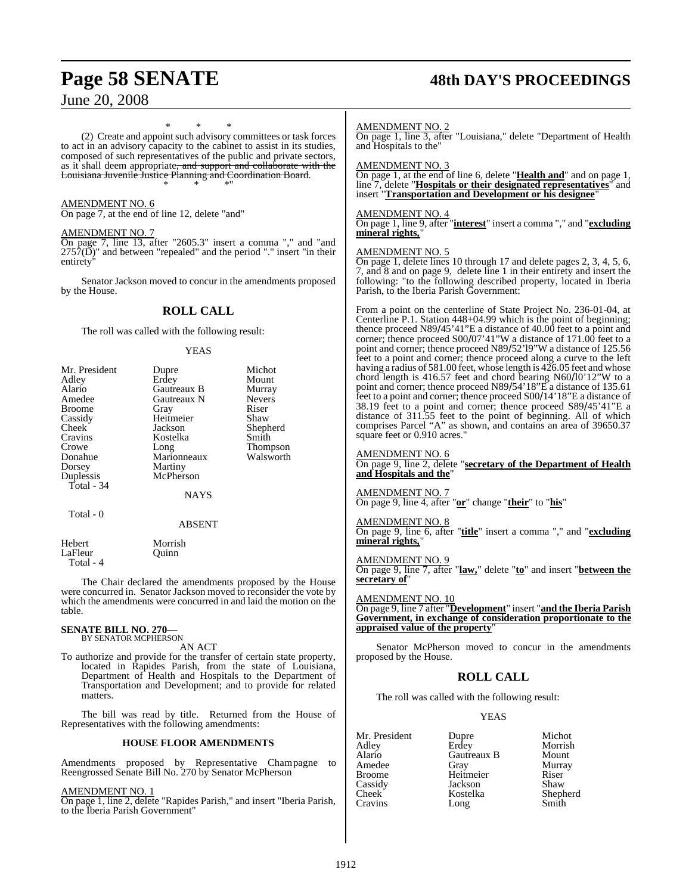## **Page 58 SENATE 48th DAY'S PROCEEDINGS**

June 20, 2008

\* \* \* (2) Create and appoint such advisory committees or task forces to act in an advisory capacity to the cabinet to assist in its studies, composed of such representatives of the public and private sectors, as it shall deem appropriate, and support and collaborate with the Louisiana Juvenile Justice Planning and Coordination Board. \* \* \*"

#### AMENDMENT NO. 6

On page 7, at the end of line 12, delete "and"

#### AMENDMENT NO. 7

On page 7, line 13, after "2605.3" insert a comma "," and "and  $2757(D)$ " and between "repealed" and the period "." insert "in their entirety"

Senator Jackson moved to concur in the amendments proposed by the House.

#### **ROLL CALL**

The roll was called with the following result:

#### YEAS

| Mr. President<br>Adley<br>Alario<br>Amedee | Dupre<br>Erdey<br>Gautreaux B<br>Gautreaux N | Michot<br>Mount<br>Murray<br><b>Nevers</b> |
|--------------------------------------------|----------------------------------------------|--------------------------------------------|
| Broome                                     | Gray                                         | Riser                                      |
| Cassidy                                    | Heitmeier                                    | Shaw                                       |
| Cheek                                      | Jackson                                      | Shepherd                                   |
| Cravins                                    | Kostelka                                     | Smith                                      |
| Crowe                                      | Long                                         | Thompson                                   |
| Donahue                                    | Marionneaux                                  | Walsworth                                  |
| Dorsey                                     | Martiny                                      |                                            |
| Duplessis                                  | McPherson                                    |                                            |
| Total - 34                                 |                                              |                                            |
|                                            | NAYS                                         |                                            |
| Total - 0                                  |                                              |                                            |
|                                            | <b>ABSENT</b>                                |                                            |
| Hebert<br>LaFleur                          | Morrish<br>Ouinn                             |                                            |

The Chair declared the amendments proposed by the House were concurred in. Senator Jackson moved to reconsider the vote by which the amendments were concurred in and laid the motion on the table.

## **SENATE BILL NO. 270—** BY SENATOR MCPHERSON

Total - 4

AN ACT

To authorize and provide for the transfer of certain state property, located in Rapides Parish, from the state of Louisiana, Department of Health and Hospitals to the Department of Transportation and Development; and to provide for related matters.

The bill was read by title. Returned from the House of Representatives with the following amendments:

#### **HOUSE FLOOR AMENDMENTS**

Amendments proposed by Representative Champagne to Reengrossed Senate Bill No. 270 by Senator McPherson

#### AMENDMENT NO. 1

On page 1, line 2, delete "Rapides Parish," and insert "Iberia Parish, to the Iberia Parish Government"

#### AMENDMENT NO. 2

On page 1, line 3, after "Louisiana," delete "Department of Health and Hospitals to the"

#### AMENDMENT NO. 3

On page 1, at the end of line 6, delete "**Health and**" and on page 1, line 7, delete "**Hospitals or their designated representatives**" and insert "**Transportation and Development or his designee**"

#### AMENDMENT NO. 4

On page 1, line 9, after "**interest**" insert a comma "," and "**excluding mineral rights,**"

#### AMENDMENT NO. 5

On page 1, delete lines 10 through 17 and delete pages 2, 3, 4, 5, 6, 7, and 8 and on page 9, delete line 1 in their entirety and insert the following: "to the following described property, located in Iberia Parish, to the Iberia Parish Government:

From a point on the centerline of State Project No. 236-01-04, at Centerline P.1. Station 448+04.99 which is the point of beginning; thence proceed N89/45'41"E a distance of 40.00 feet to a point and corner; thence proceed S00/07'41"W a distance of 171.00 feet to a point and corner; thence proceed N89/52'l9"W a distance of 125.56 feet to a point and corner; thence proceed along a curve to the left having a radius of 581.00 feet, whose length is 426.05 feet and whose chord length is 416.57 feet and chord bearing N60/l0'12"W to a point and corner; thence proceed N89/54'18"E a distance of 135.61 feet to a point and corner; thence proceed S00/14'18"E a distance of 38.19 feet to a point and corner; thence proceed S89/45'41"E a distance of 311.55 feet to the point of beginning. All of which comprises Parcel "A" as shown, and contains an area of 39650.37 square feet or 0.910 acres."

#### AMENDMENT NO. 6

On page 9, line 2, delete "**secretary of the Department of Health and Hospitals and the**"

#### AMENDMENT NO. 7

On page 9, line 4, after "**or**" change "**their**" to "**his**"

AMENDMENT NO. 8 On page 9, line 6, after "**title**" insert a comma "," and "**excluding mineral rights,**"

#### AMENDMENT NO. 9

On page 9, line 7, after "**law,**" delete "**to**" and insert "**between the secretary of**"

## AMENDMENT NO. 10

On page 9, line 7 after "**Development**" insert "**and the Iberia Parish Government, in exchange of consideration proportionate to the appraised value of the property**"

Senator McPherson moved to concur in the amendments proposed by the House.

### **ROLL CALL**

The roll was called with the following result:

#### YEAS

| Mr. President      | Dupre       | Michot   |
|--------------------|-------------|----------|
| Adley              | Erdey       | Morrish  |
| Alario             | Gautreaux B | Mount    |
| Amedee             | Gray        | Murray   |
| Broome             | Heitmeier   | Riser    |
| Cassidy            | Jackson     | Shaw     |
| Cheek <sup>-</sup> | Kostelka    | Shepherd |
| Cravins            | Long        | Smith    |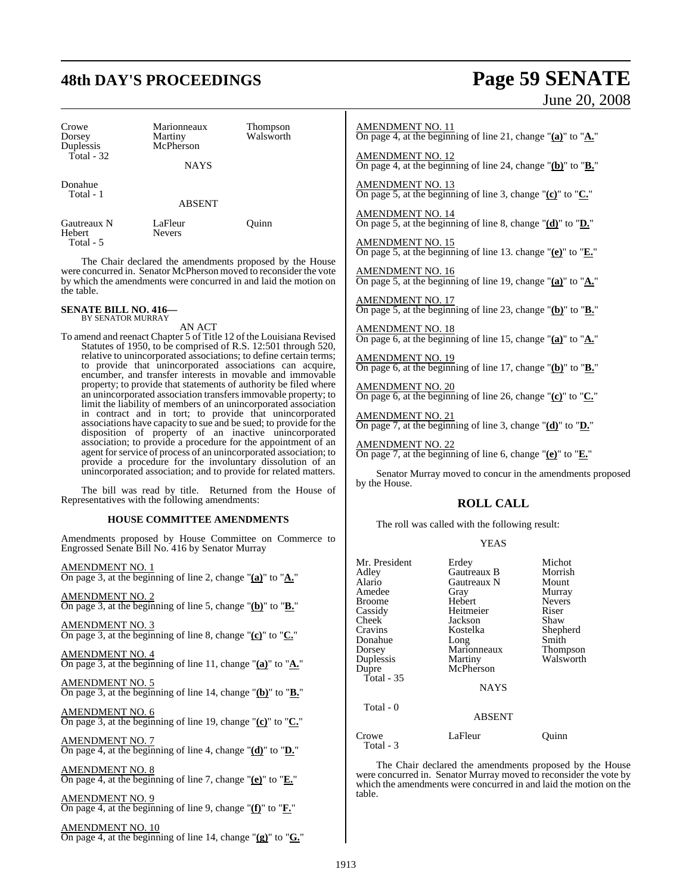## **48th DAY'S PROCEEDINGS Page 59 SENATE**

June 20, 2008

| Crowe                              | Marionneaux              | <b>Thompson</b><br>Walsworth |  |
|------------------------------------|--------------------------|------------------------------|--|
| Dorsey<br>Duplessis<br>Total $-32$ | Martiny<br>McPherson     |                              |  |
|                                    | <b>NAYS</b>              |                              |  |
| Donahue<br>Total - 1               |                          |                              |  |
|                                    | <b>ABSENT</b>            |                              |  |
| Gautreaux N<br>Hebert<br>Total - 5 | LaFleur<br><b>Nevers</b> | Ouinn                        |  |

The Chair declared the amendments proposed by the House were concurred in. Senator McPherson moved to reconsider the vote by which the amendments were concurred in and laid the motion on the table.

#### **SENATE BILL NO. 416—** BY SENATOR MURRAY

AN ACT

To amend and reenact Chapter 5 of Title 12 of the Louisiana Revised Statutes of 1950, to be comprised of R.S. 12:501 through 520, relative to unincorporated associations; to define certain terms; to provide that unincorporated associations can acquire, encumber, and transfer interests in movable and immovable property; to provide that statements of authority be filed where an unincorporated association transfersimmovable property; to limit the liability of members of an unincorporated association in contract and in tort; to provide that unincorporated associations have capacity to sue and be sued; to provide for the disposition of property of an inactive unincorporated association; to provide a procedure for the appointment of an agent for service of process of an unincorporated association; to provide a procedure for the involuntary dissolution of an unincorporated association; and to provide for related matters.

The bill was read by title. Returned from the House of Representatives with the following amendments:

#### **HOUSE COMMITTEE AMENDMENTS**

Amendments proposed by House Committee on Commerce to Engrossed Senate Bill No. 416 by Senator Murray

AMENDMENT NO. 1 On page 3, at the beginning of line 2, change "**(a)**" to "**A.**"

AMENDMENT NO. 2 On page 3, at the beginning of line 5, change "**(b)**" to "**B.**"

AMENDMENT NO. 3

On page 3, at the beginning of line 8, change "**(c)**" to "**C.**"

AMENDMENT NO. 4 On page 3, at the beginning of line 11, change "**(a)**" to "**A.**"

AMENDMENT NO. 5 On page 3, at the beginning of line 14, change "**(b)**" to "**B.**"

AMENDMENT NO. 6 On page 3, at the beginning of line 19, change "**(c)**" to "**C.**"

AMENDMENT NO. 7 On page 4, at the beginning of line 4, change "**(d)**" to "**D.**"

AMENDMENT NO. 8 On page 4, at the beginning of line 7, change "**(e)**" to "**E.**"

AMENDMENT NO. 9 On page 4, at the beginning of line 9, change "**(f)**" to "**F.**"

AMENDMENT NO. 10 On page 4, at the beginning of line 14, change "**(g)**" to "**G.**"

#### AMENDMENT NO. 11

On page 4, at the beginning of line 21, change "**(a)**" to "**A.**"

AMENDMENT NO. 12 On page 4, at the beginning of line 24, change "**(b)**" to "**B.**"

AMENDMENT NO. 13 On page 5, at the beginning of line 3, change "**(c)**" to "**C.**"

AMENDMENT NO. 14 On page 5, at the beginning of line 8, change "**(d)**" to "**D.**"

AMENDMENT NO. 15 On page 5, at the beginning of line 13. change "**(e)**" to "**E.**"

AMENDMENT NO. 16 On page 5, at the beginning of line 19, change "**(a)**" to "**A.**"

AMENDMENT NO. 17 On page 5, at the beginning of line 23, change "**(b)**" to "**B.**"

AMENDMENT NO. 18 On page 6, at the beginning of line 15, change "**(a)**" to "**A.**"

AMENDMENT NO. 19 On page 6, at the beginning of line 17, change "**(b)**" to "**B.**"

AMENDMENT NO. 20 On page 6, at the beginning of line 26, change "**(c)**" to "**C.**"

AMENDMENT NO. 21 On page 7, at the beginning of line 3, change "**(d)**" to "**D.**"

AMENDMENT NO. 22 On page 7, at the beginning of line 6, change "**(e)**" to "**E.**"

Senator Murray moved to concur in the amendments proposed by the House.

#### **ROLL CALL**

The roll was called with the following result:

|  | v |
|--|---|
|--|---|

| Mr. President<br>Michot<br>Erdey<br>Gautreaux B<br>Morrish<br>Adley<br>Alario<br>Gautreaux N<br>Mount<br>Amedee<br>Murray<br>Gray<br>Hebert<br><b>Nevers</b><br>Broome<br>Heitmeier<br>Cassidy<br>Riser<br>Cheek <sup>-</sup><br>Shaw<br>Jackson<br>Cravins<br>Kostelka<br>Donahue<br>Smith<br>Long<br>Marionneaux<br>Dorsey<br>Duplessis<br>Martiny<br>McPherson<br>Dupre<br>Total $-35$<br><b>NAYS</b><br>Total - 0<br><b>ABSENT</b> |  |                                   |
|----------------------------------------------------------------------------------------------------------------------------------------------------------------------------------------------------------------------------------------------------------------------------------------------------------------------------------------------------------------------------------------------------------------------------------------|--|-----------------------------------|
|                                                                                                                                                                                                                                                                                                                                                                                                                                        |  | Shepherd<br>Thompson<br>Walsworth |
| LaFleur<br>Crowe<br>Ouınn<br>Total - 3                                                                                                                                                                                                                                                                                                                                                                                                 |  |                                   |

The Chair declared the amendments proposed by the House were concurred in. Senator Murray moved to reconsider the vote by which the amendments were concurred in and laid the motion on the table.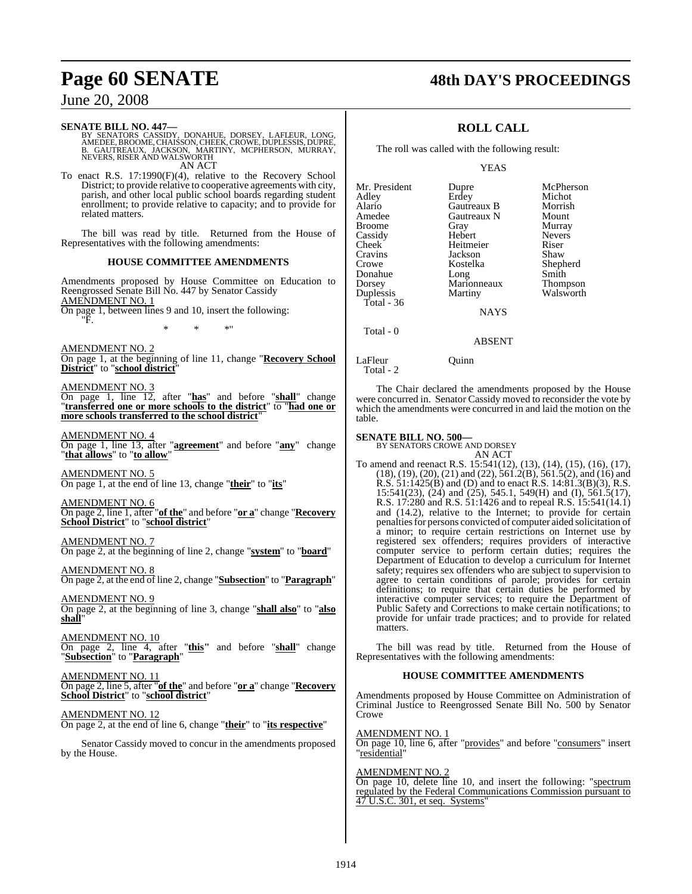## **Page 60 SENATE 48th DAY'S PROCEEDINGS**

## June 20, 2008

#### **SENATE BILL NO. 447—**

BY SENATORS CASSIDY, DONAHUE, DORSEY, LAFLEUR, LONG,<br>AMEDEE, BROOME,CHAISSON,CHEEK,CROWE,DUPLESSIS,DUPRE,<br>B. GAUTREAUX, JACKSON, MARTINY, MCPHERSON, MURRAY,<br>NEVERS,RISER AND WALSWORTH AN ACT

To enact R.S. 17:1990(F)(4), relative to the Recovery School District; to provide relative to cooperative agreements with city, parish, and other local public school boards regarding student enrollment; to provide relative to capacity; and to provide for related matters.

The bill was read by title. Returned from the House of Representatives with the following amendments:

#### **HOUSE COMMITTEE AMENDMENTS**

Amendments proposed by House Committee on Education to Reengrossed Senate Bill No. 447 by Senator Cassidy AMENDMENT NO. 1

On page 1, between lines 9 and 10, insert the following: "F.

\* \* \*"

AMENDMENT NO. 2

On page 1, at the beginning of line 11, change "**Recovery School District**" to "**school district**"

AMENDMENT NO. 3

On page 1, line 12, after "**has**" and before "**shall**" change "**transferred one or more schools to the district**" to "**had one or more schools transferred to the school district**"

AMENDMENT NO. 4 On page 1, line 13, after "**agreement**" and before "**any**" change "**that allows**" to "**to allow**"

AMENDMENT NO. 5 On page 1, at the end of line 13, change "**their**" to "**its**"

AMENDMENT NO. 6

On page 2, line 1, after "**of the**" and before "**or a**" change "**Recovery School District**" to "**school district**"

AMENDMENT NO. 7

On page 2, at the beginning of line 2, change "**system**" to "**board**"

AMENDMENT NO. 8 On page 2, at the end of line 2, change "**Subsection**" to "**Paragraph**"

AMENDMENT NO. 9 On page 2, at the beginning of line 3, change "**shall also**" to "**also shall**"

AMENDMENT NO. 10 On page 2, line 4, after "**this"** and before "**shall**" change "**Subsection**" to "**Paragraph**"

AMENDMENT NO. 11 On page 2, line 5, after "**of the**" and before "**or a**" change "**Recovery School District**" to "**school district**"

#### AMENDMENT NO. 12

On page 2, at the end of line 6, change "**their**" to "**its respective**"

Senator Cassidy moved to concur in the amendments proposed by the House.

## **ROLL CALL**

The roll was called with the following result:

YEAS

| Mr. President | Dupre       | McPherson       |
|---------------|-------------|-----------------|
| Adley         | Erdey       | Michot          |
| Alario        | Gautreaux B | Morrish         |
| Amedee        | Gautreaux N | Mount           |
| <b>Broome</b> | Gray        | Murray          |
| Cassidy       | Hebert      | <b>Nevers</b>   |
| Cheek         | Heitmeier   | Riser           |
| Cravins       | Jackson     | Shaw            |
| Crowe         | Kostelka    | Shepherd        |
| Donahue       | Long        | Smith           |
| Dorsey        | Marionneaux | <b>Thompson</b> |
| Duplessis     | Martiny     | Walsworth       |
| Total - $36$  |             |                 |
|               | <b>NAYS</b> |                 |

NAYS

Total - 0

#### ABSENT

## LaFleur Ouinn

Total - 2

The Chair declared the amendments proposed by the House were concurred in. Senator Cassidy moved to reconsider the vote by which the amendments were concurred in and laid the motion on the table.

#### **SENATE BILL NO. 500—**

BY SENATORS CROWE AND DORSEY

AN ACT To amend and reenact R.S. 15:541(12), (13), (14), (15), (16), (17), (18), (19), (20), (21) and (22), 561.2(B), 561.5(2), and (16) and R.S. 51:1425(B) and (D) and to enact R.S. 14:81.3(B)(3), R.S. 15:541(23), (24) and (25), 545.1, 549(H) and (I), 561.5(17), R.S. 17:280 and R.S. 51:1426 and to repeal R.S. 15:541(14.1) and (14.2), relative to the Internet; to provide for certain penalties for persons convicted of computer aided solicitation of a minor; to require certain restrictions on Internet use by registered sex offenders; requires providers of interactive computer service to perform certain duties; requires the Department of Education to develop a curriculum for Internet safety; requires sex offenders who are subject to supervision to agree to certain conditions of parole; provides for certain definitions; to require that certain duties be performed by interactive computer services; to require the Department of Public Safety and Corrections to make certain notifications; to provide for unfair trade practices; and to provide for related matters.

The bill was read by title. Returned from the House of Representatives with the following amendments:

#### **HOUSE COMMITTEE AMENDMENTS**

Amendments proposed by House Committee on Administration of Criminal Justice to Reengrossed Senate Bill No. 500 by Senator Crowe

#### AMENDMENT NO. 1

On page 10, line 6, after "provides" and before "consumers" insert "residential"

#### AMENDMENT NO. 2

On page 10, delete line 10, and insert the following: "spectrum regulated by the Federal Communications Commission pursuant to 47 U.S.C. 301, et seq. Systems"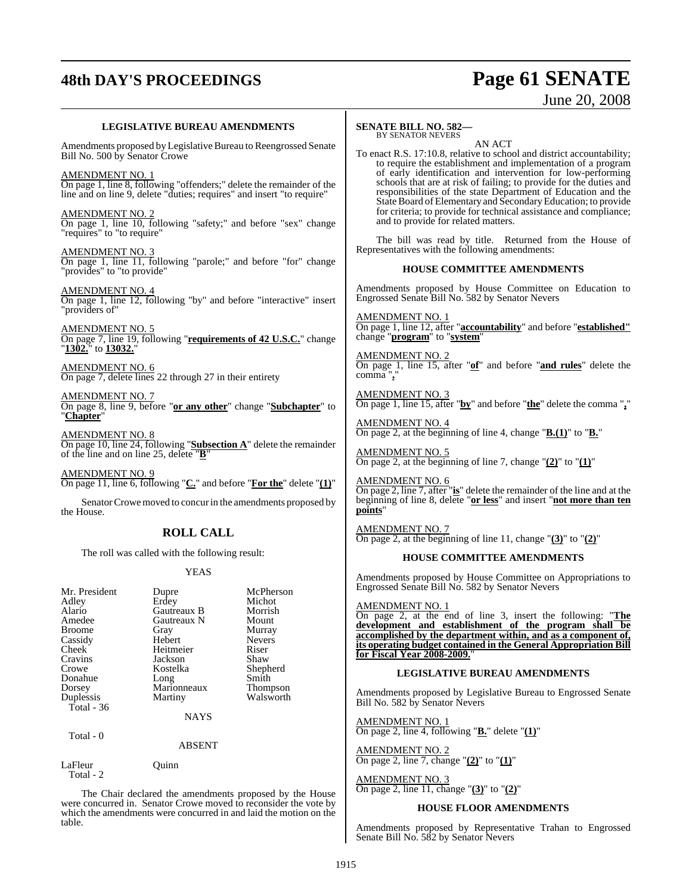# **48th DAY'S PROCEEDINGS Page 61 SENATE**

# June 20, 2008

#### **LEGISLATIVE BUREAU AMENDMENTS**

Amendments proposed by Legislative Bureau to Reengrossed Senate Bill No. 500 by Senator Crowe

AMENDMENT NO. 1 On page 1, line 8, following "offenders;" delete the remainder of the line and on line 9, delete "duties; requires" and insert "to require"

AMENDMENT NO. 2 On page 1, line 10, following "safety;" and before "sex" change "requires" to "to require"

AMENDMENT NO. 3 On page 1, line 11, following "parole;" and before "for" change "provides" to "to provide"

AMENDMENT NO. 4 On page 1, line 12, following "by" and before "interactive" insert "providers of"

AMENDMENT NO. 5 On page 7, line 19, following "**requirements of 42 U.S.C.**" change "**1302.**" to **13032.**"

AMENDMENT NO. 6 On page 7, delete lines 22 through 27 in their entirety

AMENDMENT NO. 7 On page 8, line 9, before "**or any other**" change "**Subchapter**" to "**Chapter**"

AMENDMENT NO. 8 On page 10, line 24, following "**Subsection A**" delete the remainder of the line and on line 25, delete "**B**"

AMENDMENT NO. 9 On page 11, line 6, following "**C.**" and before "**For the**" delete "**(1)**"

Senator Crowe moved to concur in the amendments proposed by the House.

## **ROLL CALL**

The roll was called with the following result:

#### YEAS

| Mr. President | Dupre       | McPherson       |
|---------------|-------------|-----------------|
| Adley         | Erdey       | Michot          |
| Alario        | Gautreaux B | Morrish         |
| Amedee        | Gautreaux N | Mount           |
| Broome        | Gray        | Murray          |
| Cassidy       | Hebert      | <b>Nevers</b>   |
| Cheek         | Heitmeier   | Riser           |
| Cravins       | Jackson     | Shaw            |
| Crowe         | Kostelka    | Shepherd        |
| Donahue       | Long        | Smith           |
| Dorsey        | Marionneaux | <b>Thompson</b> |
| Duplessis     | Martiny     | Walsworth       |
| Total - 36    |             |                 |
|               | <b>NAYS</b> |                 |

Total - 0

ABSENT

LaFleur Quinn Total - 2

The Chair declared the amendments proposed by the House were concurred in. Senator Crowe moved to reconsider the vote by which the amendments were concurred in and laid the motion on the table.

#### **SENATE BILL NO. 582—** BY SENATOR NEVERS

AN ACT

To enact R.S. 17:10.8, relative to school and district accountability; to require the establishment and implementation of a program of early identification and intervention for low-performing schools that are at risk of failing; to provide for the duties and responsibilities of the state Department of Education and the State Board of Elementary and Secondary Education; to provide for criteria; to provide for technical assistance and compliance; and to provide for related matters.

The bill was read by title. Returned from the House of Representatives with the following amendments:

#### **HOUSE COMMITTEE AMENDMENTS**

Amendments proposed by House Committee on Education to Engrossed Senate Bill No. 582 by Senator Nevers

AMENDMENT NO. 1 On page 1, line 12, after "**accountability**" and before "**established"** change "**program**" to "**system**"

AMENDMENT NO. 2 On page 1, line 15, after "**of**" and before "**and rules**" delete the comma "**,**"

AMENDMENT NO. 3 On page 1, line 15, after "**by**" and before "**the**" delete the comma "**,**"

AMENDMENT NO. 4 On page 2, at the beginning of line 4, change "**B.(1)**" to "**B.**"

AMENDMENT NO. 5 On page 2, at the beginning of line 7, change "**(2)**" to "**(1)**"

AMENDMENT NO. 6 On page 2, line 7, after "**is**" delete the remainder of the line and at the beginning of line 8, delete "**or less**" and insert "**not more than ten points**"

AMENDMENT NO. 7 On page 2, at the beginning of line 11, change "**(3)**" to "**(2)**"

#### **HOUSE COMMITTEE AMENDMENTS**

Amendments proposed by House Committee on Appropriations to Engrossed Senate Bill No. 582 by Senator Nevers

AMENDMENT NO. 1 On page 2, at the end of line 3, insert the following: "**The development and establishment of the program shall be accomplished by the department within, and as a component of, its operating budget contained in the General Appropriation Bill for Fiscal Year 2008-2009.**"

#### **LEGISLATIVE BUREAU AMENDMENTS**

Amendments proposed by Legislative Bureau to Engrossed Senate Bill No. 582 by Senator Nevers

AMENDMENT NO. 1 On page 2, line 4, following "**B.**" delete "**(1)**"

AMENDMENT NO. 2 On page 2, line 7, change "**(2)**" to "**(1)**"

AMENDMENT NO. 3 On page 2, line 11, change "**(3)**" to "**(2)**"

#### **HOUSE FLOOR AMENDMENTS**

Amendments proposed by Representative Trahan to Engrossed Senate Bill No. 582 by Senator Nevers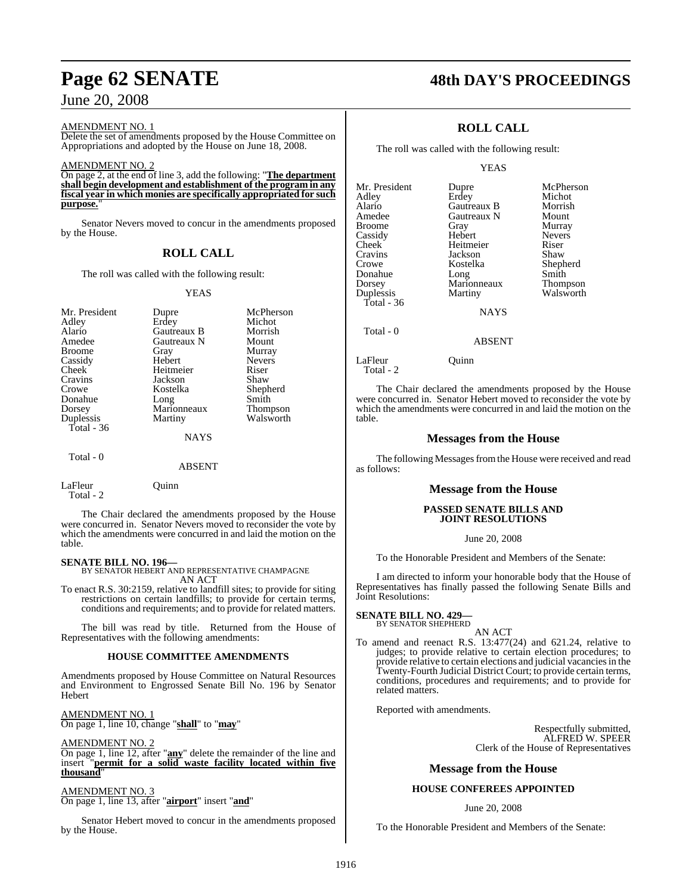## June 20, 2008

AMENDMENT NO. 1

Delete the set of amendments proposed by the House Committee on Appropriations and adopted by the House on June 18, 2008.

#### AMENDMENT NO. 2

On page 2, at the end of line 3, add the following: "**The department shall begin development and establishment of the program in any fiscal year in which monies are specifically appropriated for such** purpose.

Senator Nevers moved to concur in the amendments proposed by the House.

## **ROLL CALL**

The roll was called with the following result:

#### YEAS

| Mr. President | Dupre       | McPherson       |
|---------------|-------------|-----------------|
| Adley         | Erdey       | Michot          |
| Alario        | Gautreaux B | Morrish         |
| Amedee        | Gautreaux N | Mount           |
| <b>Broome</b> | Gray        | Murray          |
| Cassidy       | Hebert      | <b>Nevers</b>   |
| Cheek         | Heitmeier   | Riser           |
| Cravins       | Jackson     | Shaw            |
| Crowe         | Kostelka    | Shepherd        |
| Donahue       | Long        | Smith           |
| Dorsey        | Marionneaux | <b>Thompson</b> |
| Duplessis     | Martiny     | Walsworth       |
| Total - 36    |             |                 |
|               | NAYS        |                 |
| Total - 0     |             |                 |

#### **ABSENT**

| LaFleur<br>Total - 2 | Ouinn |
|----------------------|-------|
|                      |       |

The Chair declared the amendments proposed by the House were concurred in. Senator Nevers moved to reconsider the vote by which the amendments were concurred in and laid the motion on the table.

#### **SENATE BILL NO. 196—**

BY SENATOR HEBERT AND REPRESENTATIVE CHAMPAGNE AN ACT

To enact R.S. 30:2159, relative to landfill sites; to provide for siting restrictions on certain landfills; to provide for certain terms, conditions and requirements; and to provide for related matters.

The bill was read by title. Returned from the House of Representatives with the following amendments:

#### **HOUSE COMMITTEE AMENDMENTS**

Amendments proposed by House Committee on Natural Resources and Environment to Engrossed Senate Bill No. 196 by Senator Hebert

AMENDMENT NO. 1 On page 1, line 10, change "**shall**" to "**may**"

#### AMENDMENT NO. 2

On page 1, line 12, after "**any**" delete the remainder of the line and insert "**permit for a solid waste facility located within five thousand**"

#### AMENDMENT NO. 3

On page 1, line 13, after "**airport**" insert "**and**"

Senator Hebert moved to concur in the amendments proposed by the House.

## **Page 62 SENATE 48th DAY'S PROCEEDINGS**

## **ROLL CALL**

The roll was called with the following result:

YEAS

| Mr. President | Dupre       | McPherson     |
|---------------|-------------|---------------|
| Adley         | Erdey       | Michot        |
| Alario        | Gautreaux B | Morrish       |
| Amedee        | Gautreaux N | Mount         |
| <b>Broome</b> | Gray        | Murray        |
| Cassidy       | Hebert      | <b>Nevers</b> |
| Cheek         | Heitmeier   | Riser         |
| Cravins       | Jackson     | Shaw          |
| Crowe         | Kostelka    | Shepherd      |
| Donahue       | Long        | Smith         |
| Dorsey        | Marionneaux | Thompson      |
| Duplessis     | Martiny     | Walsworth     |
| Total - 36    |             |               |
|               | <b>NAYS</b> |               |
| Total - 0     |             |               |

#### ABSENT

LaFleur Ouinn

Total - 2

The Chair declared the amendments proposed by the House were concurred in. Senator Hebert moved to reconsider the vote by which the amendments were concurred in and laid the motion on the table.

### **Messages from the House**

The following Messages from the House were received and read as follows:

#### **Message from the House**

#### **PASSED SENATE BILLS AND JOINT RESOLUTIONS**

#### June 20, 2008

To the Honorable President and Members of the Senate:

I am directed to inform your honorable body that the House of Representatives has finally passed the following Senate Bills and Joint Resolutions:

### **SENATE BILL NO. 429—**

BY SENATOR SHEPHERD AN ACT

To amend and reenact R.S. 13:477(24) and 621.24, relative to judges; to provide relative to certain election procedures; to provide relative to certain elections and judicial vacanciesin the Twenty-Fourth Judicial District Court; to provide certain terms, conditions, procedures and requirements; and to provide for related matters.

Reported with amendments.

Respectfully submitted, ALFRED W. SPEER Clerk of the House of Representatives

#### **Message from the House**

#### **HOUSE CONFEREES APPOINTED**

#### June 20, 2008

To the Honorable President and Members of the Senate: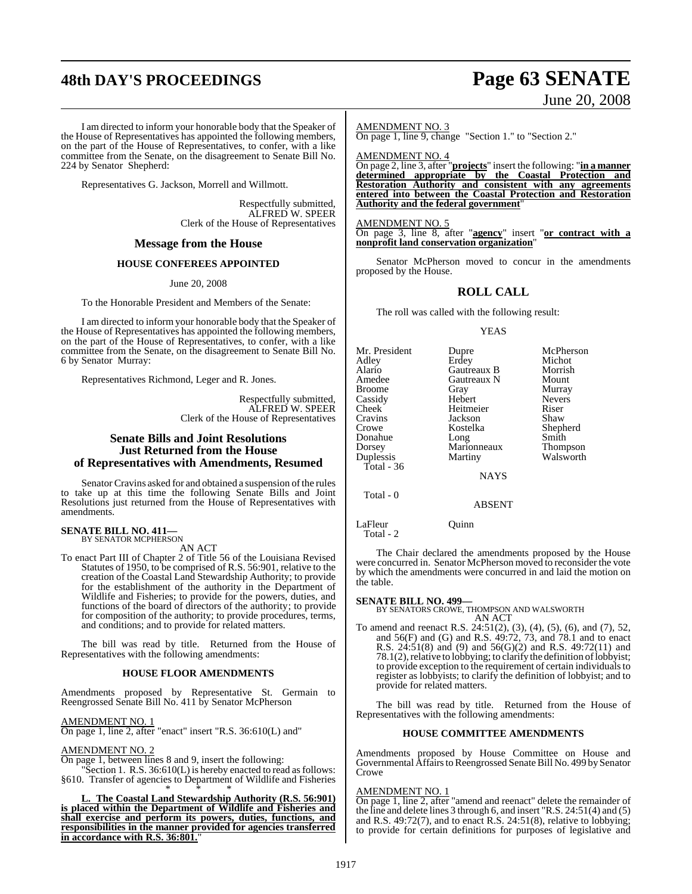# **48th DAY'S PROCEEDINGS Page 63 SENATE**

# June 20, 2008

I am directed to inform your honorable body that the Speaker of the House of Representatives has appointed the following members, on the part of the House of Representatives, to confer, with a like committee from the Senate, on the disagreement to Senate Bill No. 224 by Senator Shepherd:

Representatives G. Jackson, Morrell and Willmott.

Respectfully submitted, ALFRED W. SPEER Clerk of the House of Representatives

#### **Message from the House**

#### **HOUSE CONFEREES APPOINTED**

June 20, 2008

To the Honorable President and Members of the Senate:

I am directed to inform your honorable body that the Speaker of the House of Representatives has appointed the following members, on the part of the House of Representatives, to confer, with a like committee from the Senate, on the disagreement to Senate Bill No. 6 by Senator Murray:

Representatives Richmond, Leger and R. Jones.

Respectfully submitted, ALFRED W. SPEER Clerk of the House of Representatives

#### **Senate Bills and Joint Resolutions Just Returned from the House of Representatives with Amendments, Resumed**

Senator Cravins asked for and obtained a suspension of the rules to take up at this time the following Senate Bills and Joint Resolutions just returned from the House of Representatives with amendments.

## **SENATE BILL NO. 411—** BY SENATOR MCPHERSON

AN ACT

To enact Part III of Chapter 2 of Title 56 of the Louisiana Revised Statutes of 1950, to be comprised of R.S. 56:901, relative to the creation of the Coastal Land Stewardship Authority; to provide for the establishment of the authority in the Department of Wildlife and Fisheries; to provide for the powers, duties, and functions of the board of directors of the authority; to provide for composition of the authority; to provide procedures, terms, and conditions; and to provide for related matters.

The bill was read by title. Returned from the House of Representatives with the following amendments:

#### **HOUSE FLOOR AMENDMENTS**

Amendments proposed by Representative St. Germain to Reengrossed Senate Bill No. 411 by Senator McPherson

AMENDMENT NO. 1

On page 1, line 2, after "enact" insert "R.S. 36:610(L) and"

#### AMENDMENT NO.

On page 1, between lines 8 and 9, insert the following:

Section 1. R.S. 36:610(L) is hereby enacted to read as follows: §610. Transfer of agencies to Department of Wildlife and Fisheries

\* \* \* **L. The Coastal Land Stewardship Authority (R.S. 56:901) is placed within the Department of Wildlife and Fisheries and shall exercise and perform its powers, duties, functions, and responsibilities in the manner provided for agencies transferred** in accordance with R.S. 36:801.

AMENDMENT NO. 3

On page 1, line 9, change "Section 1." to "Section 2."

AMENDMENT NO. 4

On page 2, line 3, after "**projects**" insert the following: "**in a manner determined appropriate by the Coastal Protection and Restoration Authority and consistent with any agreements entered into between the Coastal Protection and Restoration Authority and the federal government**"

AMENDMENT NO. 5 On page 3, line 8, after "**agency**" insert "**or contract with a nonprofit land conservation organization**"

Senator McPherson moved to concur in the amendments proposed by the House.

#### **ROLL CALL**

The roll was called with the following result:

YEAS

| Mr. President | Dupre               | McPherson       |
|---------------|---------------------|-----------------|
| Adley         | Erdey               | Michot          |
| Alario        | Gautreaux B         | Morrish         |
| Amedee        | Gautreaux N         | Mount           |
| Broome        | Gray                | Murray          |
| Cassidy       | Hebert              | <b>Nevers</b>   |
| Cheek         | Heitmeier           | Riser           |
| Cravins       | Jackson             | Shaw            |
| Crowe         | Kostelka            | Shepherd        |
| Donahue       |                     | Smith           |
| Dorsey        | Long<br>Marionneaux | <b>Thompson</b> |
| Duplessis     | Martiny             | Walsworth       |
| Total - 36    |                     |                 |
|               | <b>NAYS</b>         |                 |
|               |                     |                 |

Total - 0

ABSENT

LaFleur Quinn Total - 2

The Chair declared the amendments proposed by the House were concurred in. Senator McPherson moved to reconsider the vote by which the amendments were concurred in and laid the motion on the table.

#### **SENATE BILL NO. 499—**

BY SENATORS CROWE, THOMPSON AND WALSWORTH AN ACT

To amend and reenact R.S. 24:51(2), (3), (4), (5), (6), and (7), 52, and 56(F) and (G) and R.S. 49:72, 73, and 78.1 and to enact R.S. 24:51(8) and (9) and 56(G)(2) and R.S. 49:72(11) and 78.1(2), relative to lobbying; to clarify the definition of lobbyist; to provide exception to the requirement of certain individuals to register as lobbyists; to clarify the definition of lobbyist; and to provide for related matters.

The bill was read by title. Returned from the House of Representatives with the following amendments:

#### **HOUSE COMMITTEE AMENDMENTS**

Amendments proposed by House Committee on House and Governmental Affairs to Reengrossed Senate Bill No. 499 by Senator Crowe

#### AMENDMENT NO. 1

On page 1, line 2, after "amend and reenact" delete the remainder of the line and delete lines 3 through 6, and insert "R.S. 24:51(4) and (5) and R.S. 49:72(7), and to enact R.S. 24:51(8), relative to lobbying; to provide for certain definitions for purposes of legislative and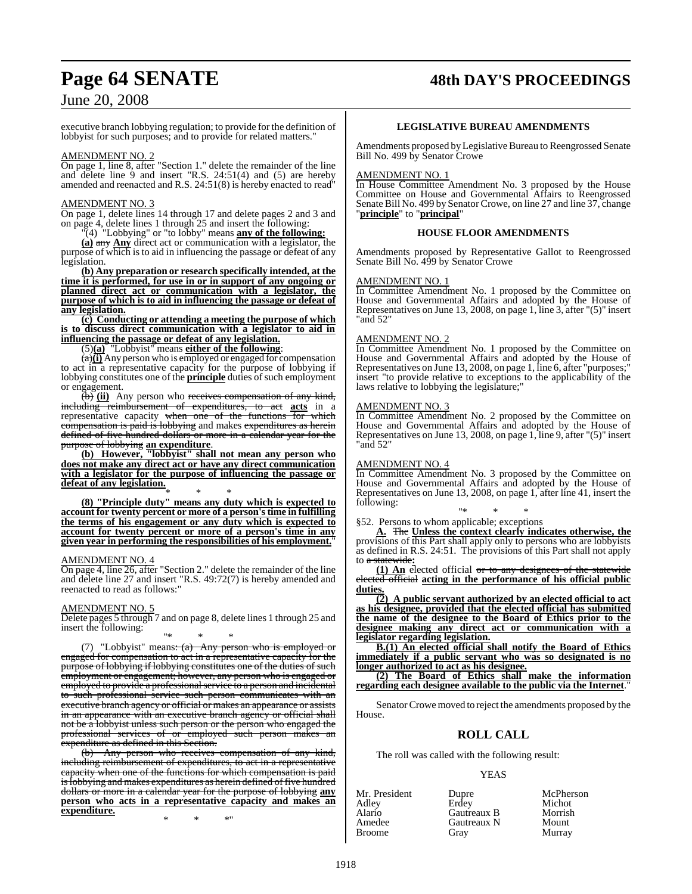## **Page 64 SENATE 48th DAY'S PROCEEDINGS**

## June 20, 2008

executive branch lobbying regulation; to provide for the definition of lobbyist for such purposes; and to provide for related matters."

#### AMENDMENT NO. 2

On page 1, line 8, after "Section 1." delete the remainder of the line and delete line 9 and insert "R.S. 24:51(4) and (5) are hereby amended and reenacted and R.S. 24:51(8) is hereby enacted to read"

#### AMENDMENT NO. 3

On page 1, delete lines 14 through 17 and delete pages 2 and 3 and on page 4, delete lines 1 through 25 and insert the following:

"(4) "Lobbying" or "to lobby" means **any of the following:**

**(a)** any **Any** direct act or communication with a legislator, the purpose of which is to aid in influencing the passage or defeat of any legislation.

**(b) Any preparation or research specifically intended, at the time it is performed, for use in or in support of any ongoing or planned direct act or communication with a legislator, the purpose of which is to aid in influencing the passage or defeat of any legislation.**

#### **(c) Conducting or attending a meeting the purpose of which is to discuss direct communication with a legislator to aid in influencing the passage or defeat of any legislation.**

(5)**(a)** "Lobbyist" means **either of the following**:

(a)**(i)** Any person who is employed or engaged for compensation to act in a representative capacity for the purpose of lobbying if lobbying constitutes one of the **principle** duties of such employment or engagement.

(b) (ii) Any person who receives compensation of any kind, including reimbursement of expenditures, to act acts in a including reimbursement of expenditures, to act **acts** in a representative capacity when one of the functions for which compensation is paid is lobbying and makes expenditures as herein defined of five hundred dollars or more in a calendar year for the purpose of lobbying **an expenditure**.

**(b) However, "lobbyist" shall not mean any person who does not make any direct act or have any direct communication with a legislator for the purpose of influencing the passage or defeat of any legislation.** \* \* \*

**(8) "Principle duty" means any duty which is expected to account for twenty percent or more of a person'stime in fulfilling the terms of his engagement or any duty which is expected to account for twenty percent or more of a person's time in any given year in performing the responsibilities of his employment.**"

#### AMENDMENT NO. 4

On page 4, line 26, after "Section 2." delete the remainder of the line and delete line 27 and insert "R.S. 49:72(7) is hereby amended and reenacted to read as follows:"

#### AMENDMENT NO. 5

Delete pages 5 through 7 and on page 8, delete lines 1 through 25 and insert the following:

"\* \* \* (7) "Lobbyist" means: (a) Any person who is employed or engaged for compensation to act in a representative capacity for the purpose of lobbying if lobbying constitutes one of the duties of such employment or engagement; however, any person who is engaged or employed to provide a professional service to a person and incidental to such professional service such person communicates with an executive branch agency or official or makes an appearance or assists in an appearance with an executive branch agency or official shall not be a lobbyist unless such person or the person who engaged the professional services of or employed such person makes an professional services of or employed such person makes an expenditure as defined in this Section.

(b) Any person who receives compensation of any kind, including reimbursement of expenditures, to act in a representative capacity when one of the functions for which compensation is paid is lobbying and makes expenditures as herein defined of five hundred dollars or more in a calendar year for the purpose of lobbying **any person who acts in a representative capacity and makes an expenditure.**

\* \* \*"

#### **LEGISLATIVE BUREAU AMENDMENTS**

Amendments proposed by Legislative Bureau to Reengrossed Senate Bill No. 499 by Senator Crowe

#### AMENDMENT NO. 1

In House Committee Amendment No. 3 proposed by the House Committee on House and Governmental Affairs to Reengrossed Senate Bill No. 499 by Senator Crowe, on line 27 and line 37, change "**principle**" to "**principal**"

#### **HOUSE FLOOR AMENDMENTS**

Amendments proposed by Representative Gallot to Reengrossed Senate Bill No. 499 by Senator Crowe

#### AMENDMENT NO. 1

In Committee Amendment No. 1 proposed by the Committee on House and Governmental Affairs and adopted by the House of Representatives on June 13, 2008, on page 1, line 3, after "(5)" insert "and 52"

#### AMENDMENT NO. 2

In Committee Amendment No. 1 proposed by the Committee on House and Governmental Affairs and adopted by the House of Representatives on June 13, 2008, on page 1, line 6, after "purposes;" insert "to provide relative to exceptions to the applicability of the laws relative to lobbying the legislature;"

#### AMENDMENT NO. 3

In Committee Amendment No. 2 proposed by the Committee on House and Governmental Affairs and adopted by the House of Representatives on June 13, 2008, on page 1, line 9, after "(5)" insert "and 52"

#### AMENDMENT NO. 4

In Committee Amendment No. 3 proposed by the Committee on House and Governmental Affairs and adopted by the House of Representatives on June 13, 2008, on page 1, after line 41, insert the following:

"\* \* \* §52. Persons to whom applicable; exceptions

**A.** The **Unless the context clearly indicates otherwise, the** provisions of this Part shall apply only to persons who are lobbyists as defined in R.S. 24:51. The provisions of this Part shall not apply to a statewide**:**

**(1) An** elected official or to any designees of the statewide elected official **acting in the performance of his official public duties.**

**(2) A public servant authorized by an elected official to act as his designee, provided that the elected official has submitted the name of the designee to the Board of Ethics prior to the designee making any direct act or communication with a legislator regarding legislation.**

**B.(1) An elected official shall notify the Board of Ethics immediately if a public servant who was so designated is no longer authorized to act as his designee.**

**(2) The Board of Ethics shall make the information regarding each designee available to the public via the Internet**."

SenatorCrowe moved to reject the amendments proposed by the House.

#### **ROLL CALL**

The roll was called with the following result:

#### YEAS

| Mr. President | Dupre       | McPherson |
|---------------|-------------|-----------|
| Adley         | Erdev       | Michot    |
| Alario        | Gautreaux B | Morrish   |
| Amedee        | Gautreaux N | Mount     |
| <b>Broome</b> | Grav        | Murray    |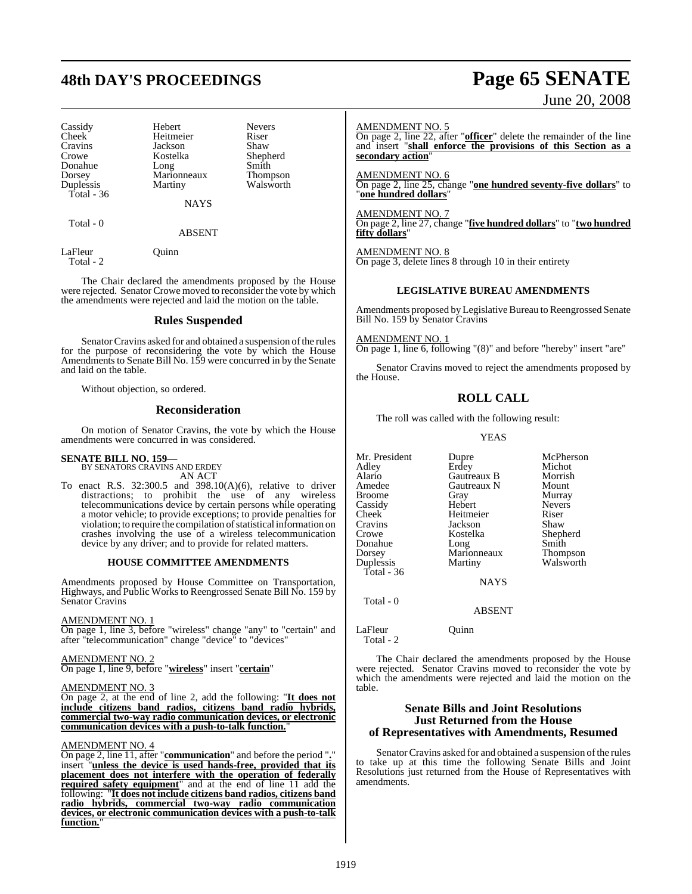# **48th DAY'S PROCEEDINGS Page 65 SENATE**

Cassidy Hebert Nevers<br>Cheek Heitmeier Riser Cheek Heitmeier Riser<br>Cravins Jackson Shaw Cravins Jackson<br>Crowe Kostelka Donahue Long Smith<br>Dorsey Marionneaux Thompson Dorsey Marionneaux<br>
Duplessis Martiny Total - 36

Kostelka Shepherd<br>Long Smith

NAYS

Walsworth

Total - 0

ABSENT

LaFleur Ouinn Total - 2

The Chair declared the amendments proposed by the House were rejected. Senator Crowe moved to reconsider the vote by which the amendments were rejected and laid the motion on the table.

#### **Rules Suspended**

Senator Cravins asked for and obtained a suspension of the rules for the purpose of reconsidering the vote by which the House Amendments to Senate Bill No. 159 were concurred in by the Senate and laid on the table.

Without objection, so ordered.

#### **Reconsideration**

On motion of Senator Cravins, the vote by which the House amendments were concurred in was considered.

#### **SENATE BILL NO. 159—**

BY SENATORS CRAVINS AND ERDEY AN ACT

To enact R.S. 32:300.5 and 398.10(A)(6), relative to driver distractions; to prohibit the use of any wireless telecommunications device by certain persons while operating a motor vehicle; to provide exceptions; to provide penalties for violation; to require the compilation of statistical information on crashes involving the use of a wireless telecommunication device by any driver; and to provide for related matters.

#### **HOUSE COMMITTEE AMENDMENTS**

Amendments proposed by House Committee on Transportation, Highways, and Public Works to Reengrossed Senate Bill No. 159 by Senator Cravins

#### AMENDMENT NO. 1

On page 1, line 3, before "wireless" change "any" to "certain" and after "telecommunication" change "device" to "devices"

#### AMENDMENT NO. 2

On page 1, line 9, before "**wireless**" insert "**certain**"

#### AMENDMENT NO. 3

On page 2, at the end of line 2, add the following: "**It does not include citizens band radios, citizens band radio hybrids, commercial two-way radio communication devices, or electronic communication devices with a push-to-talk function.**"

#### AMENDMENT NO. 4

On page 2, line 11, after "**communication**" and before the period "**.**" insert "**unless the device is used hands-free, provided that its placement does not interfere with the operation of federally required safety equipment**" and at the end of line 11 add the following: "**It does not include citizens band radios, citizens band radio hybrids, commercial two-way radio communication devices, or electronic communication devices with a push-to-talk function.**"

# June 20, 2008

AMENDMENT NO. 5

On page 2, line 22, after "**officer**" delete the remainder of the line and insert "shall enforce the provisions of this Section as a **secondary action**"

AMENDMENT NO. 6 On page 2, line 25, change "**one hundred seventy-five dollars**" to "**one hundred dollars**"

AMENDMENT NO. 7 On page 2, line 27, change "**five hundred dollars**" to "**two hundred fifty dollars**"

AMENDMENT NO. 8 On page 3, delete lines 8 through 10 in their entirety

#### **LEGISLATIVE BUREAU AMENDMENTS**

Amendments proposed by Legislative Bureau to Reengrossed Senate Bill No. 159 by Senator Cravins

AMENDMENT NO. 1 On page 1, line 6, following "(8)" and before "hereby" insert "are"

Senator Cravins moved to reject the amendments proposed by the House.

## **ROLL CALL**

The roll was called with the following result:

YEAS

Mr. President Dupre McPherson<br>Adley Erdey Michot Adley Erdey Michot<br>Alario Gautreaux B Morrish Alario Gautreaux B Morrish Broome Gray Murray<br>Cassidy Hebert Nevers Cassidy Hebert Never<br>Cheek Heitmeier Riser Cheek Heitmeier Riser<br>Cravins Jackson Shaw Cravins Jackson<br>Crowe Kostelka Donahue Long Smith<br>Dorsey Marionneaux Thompson Dorsey Marionneaux<br>
Duplessis Martiny Total - 36

Gautreaux N Mount<br>
Gray Murray Kostelka Shepherd<br>Long Smith Walsworth

NAYS

#### ABSENT

LaFleur Quinn Total - 2

Total - 0

The Chair declared the amendments proposed by the House were rejected. Senator Cravins moved to reconsider the vote by which the amendments were rejected and laid the motion on the table.

#### **Senate Bills and Joint Resolutions Just Returned from the House of Representatives with Amendments, Resumed**

Senator Cravins asked for and obtained a suspension of the rules to take up at this time the following Senate Bills and Joint Resolutions just returned from the House of Representatives with amendments.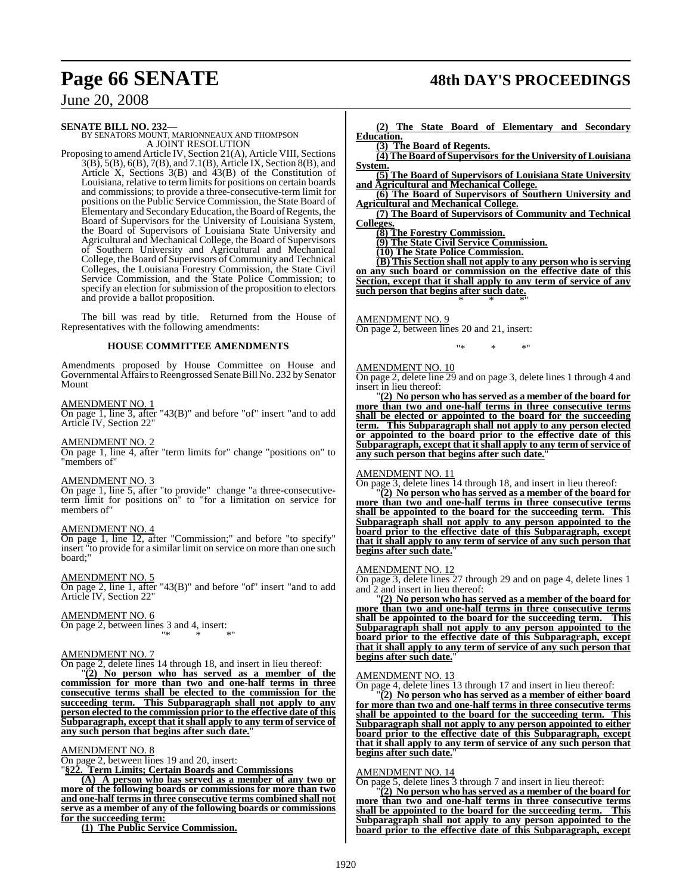## **Page 66 SENATE 48th DAY'S PROCEEDINGS**

## June 20, 2008

**SENATE BILL NO. 232—**<br>BY SENATORS MOUNT, MARIONNEAUX AND THOMPSON A JOINT RESOLUTION

Proposing to amend Article IV, Section 21(A), Article VIII, Sections 3(B), 5(B), 6(B), 7(B), and 7.1(B), Article IX, Section 8(B), and Article X, Sections 3(B) and 43(B) of the Constitution of Louisiana, relative to term limits for positions on certain boards and commissions; to provide a three-consecutive-term limit for positions on the Public Service Commission, the State Board of Elementary and SecondaryEducation, theBoard ofRegents, the Board of Supervisors for the University of Louisiana System, the Board of Supervisors of Louisiana State University and Agricultural and Mechanical College, the Board of Supervisors of Southern University and Agricultural and Mechanical College, the Board of Supervisors of Community and Technical Colleges, the Louisiana Forestry Commission, the State Civil Service Commission, and the State Police Commission; to specify an election for submission of the proposition to electors and provide a ballot proposition.

The bill was read by title. Returned from the House of Representatives with the following amendments:

#### **HOUSE COMMITTEE AMENDMENTS**

Amendments proposed by House Committee on House and Governmental Affairs to Reengrossed Senate Bill No. 232 by Senator Mount

#### AMENDMENT NO. 1

On page 1, line 3, after "43(B)" and before "of" insert "and to add Article IV, Section 22"

#### AMENDMENT NO. 2

On page 1, line 4, after "term limits for" change "positions on" to "members of"

#### AMENDMENT NO. 3

On page 1, line 5, after "to provide" change "a three-consecutiveterm limit for positions on" to "for a limitation on service for members of"

#### AMENDMENT NO. 4

On page 1, line 12, after "Commission;" and before "to specify" insert "to provide for a similar limit on service on more than one such board;"

#### AMENDMENT NO. 5

On page 2, line 1, after "43(B)" and before "of" insert "and to add Article IV, Section 22"

#### AMENDMENT NO. 6

On page 2, between lines 3 and 4, insert: "\* \* \*"

#### AMENDMENT NO. 7

On page 2, delete lines 14 through 18, and insert in lieu thereof:

"**(2) No person who has served as a member of the commission for more than two and one-half terms in three consecutive terms shall be elected to the commission for the succeeding term. This Subparagraph shall not apply to any person elected to the commission prior to the effective date of this Subparagraph, except that it shall apply to any term of service of any such person that begins after such date.**"

#### AMENDMENT NO. 8

On page 2, between lines 19 and 20, insert:

"**§22. Term Limits; Certain Boards and Commissions**

**(A) A person who has served as a member of any two or more of the following boards or commissions for more than two and one-half terms in three consecutive terms combined shall not serve as a member of any of the following boards or commissions for the succeeding term:**

**(1) The Public Service Commission.**

**(2) The State Board of Elementary and Secondary Education.**

**(3) The Board of Regents.**

**(4) The Board of Supervisors for the University of Louisiana System. (5) The Board of Supervisors of Louisiana State University**

**and Agricultural and Mechanical College. (6) The Board of Supervisors of Southern University and Agricultural and Mechanical College.**

**(7) The Board of Supervisors of Community and Technical Colleges.**

**(8) The Forestry Commission.**

**(9) The State Civil Service Commission.**

**(10) The State Police Commission.**

**(B) This Section shall not apply to any person who is serving on any such board or commission on the effective date of this Section, except that it shall apply to any term of service of any such person that begins after such date.** \* \* \*"

AMENDMENT NO. 9 On page 2, between lines 20 and 21, insert:

#### AMENDMENT NO. 10

On page 2, delete line 29 and on page 3, delete lines 1 through 4 and insert in lieu thereof:

"\* \* \*"

"**(2) No person who has served as a member of the board for more than two and one-half terms in three consecutive terms shall be elected or appointed to the board for the succeeding term. This Subparagraph shall not apply to any person elected or appointed to the board prior to the effective date of this Subparagraph, except that it shall apply to any term of service of** any such person that begins after such date.

#### AMENDMENT NO. 11

On page 3, delete lines 14 through 18, and insert in lieu thereof:

"**(2) No person who has served as a member of the board for more than two and one-half terms in three consecutive terms shall be appointed to the board for the succeeding term. This Subparagraph shall not apply to any person appointed to the board prior to the effective date of this Subparagraph, except that it shall apply to any term of service of any such person that begins after such date.**"

#### AMENDMENT NO. 12

On page 3, delete lines 27 through 29 and on page 4, delete lines 1 and 2 and insert in lieu thereof:

"**(2) No person who has served as a member of the board for more than two and one-half terms in three consecutive terms shall be appointed to the board for the succeeding term. This Subparagraph shall not apply to any person appointed to the board prior to the effective date of this Subparagraph, except that it shall apply to any term of service of any such person that begins after such date.**"

#### AMENDMENT NO. 13

On page 4, delete lines 13 through 17 and insert in lieu thereof:

"**(2) No person who has served as a member of either board for more than two and one-half terms in three consecutive terms shall be appointed to the board for the succeeding term. This Subparagraph shall not apply to any person appointed to either board prior to the effective date of this Subparagraph, except that it shall apply to any term of service of any such person that begins after such date.**"

#### AMENDMENT NO. 14

On page 5, delete lines 3 through 7 and insert in lieu thereof:

"**(2) No person who has served as a member of the board for more than two and one-half terms in three consecutive terms shall be appointed to the board for the succeeding term. This Subparagraph shall not apply to any person appointed to the board prior to the effective date of this Subparagraph, except**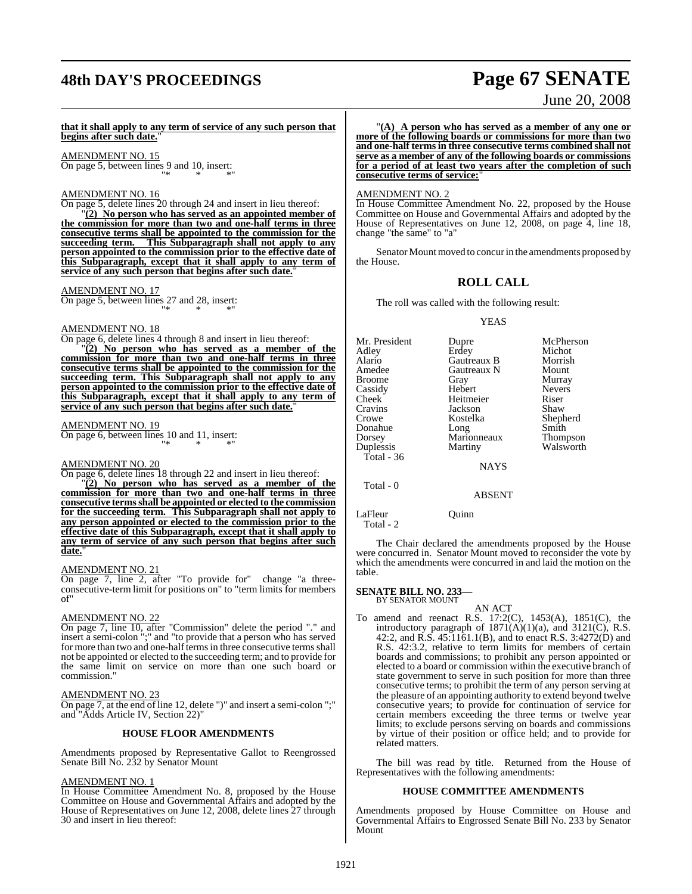# **48th DAY'S PROCEEDINGS Page 67 SENATE**

# June 20, 2008

**that it shall apply to any term of service of any such person that begins after such date.**"

AMENDMENT NO. 15 On page 5, between lines 9 and 10, insert: "\* \* \*"

#### AMENDMENT NO. 16

On page 5, delete lines 20 through 24 and insert in lieu thereof: "**(2) No person who has served as an appointed member of the commission for more than two and one-half terms in three consecutive terms shall be appointed to the commission for the succeeding term. This Subparagraph shall not apply to any person appointed to the commission prior to the effective date of this Subparagraph, except that it shall apply to any term of service of any such person that begins after such date.**"

AMENDMENT NO. 17

On page 5, between lines 27 and 28, insert: "\* \* \*"

### AMENDMENT NO. 18

On page 6, delete lines 4 through 8 and insert in lieu thereof:

"**(2) No person who has served as a member of the commission for more than two and one-half terms in three consecutive terms shall be appointed to the commission for the succeeding term. This Subparagraph shall not apply to any person appointed to the commission prior to the effective date of this Subparagraph, except that it shall apply to any term of** service of any such person that begins after such date.

#### AMENDMENT NO. 19

On page 6, between lines 10 and 11, insert: "\* \* \*"

#### AMENDMENT NO. 20

On page 6, delete lines 18 through 22 and insert in lieu thereof:

"**(2) No person who has served as a member of the commission for more than two and one-half terms in three consecutive termsshall be appointed or elected to the commission for the succeeding term. This Subparagraph shall not apply to any person appointed or elected to the commission prior to the effective date of this Subparagraph, except that it shall apply to any term of service of any such person that begins after such** date.

#### AMENDMENT NO. 21

On page 7, line 2, after "To provide for" change "a threeconsecutive-term limit for positions on" to "term limits for members of"

#### AMENDMENT NO. 22

On page 7, line 10, after "Commission" delete the period "." and insert a semi-colon ";" and "to provide that a person who has served for more than two and one-half terms in three consecutive terms shall not be appointed or elected to the succeeding term; and to provide for the same limit on service on more than one such board or commission."

#### AMENDMENT NO. 23

On page 7, at the end of line 12, delete ")" and insert a semi-colon ";" and "Adds Article IV, Section 22)"

#### **HOUSE FLOOR AMENDMENTS**

Amendments proposed by Representative Gallot to Reengrossed Senate Bill No. 232 by Senator Mount

#### AMENDMENT NO. 1

In House Committee Amendment No. 8, proposed by the House Committee on House and Governmental Affairs and adopted by the House of Representatives on June 12, 2008, delete lines 27 through 30 and insert in lieu thereof:

"**(A) A person who has served as a member of any one or more of the following boards or commissions for more than two and one-half terms in three consecutive terms combined shall not serve as a member of any of the following boards or commissions for a period of at least two years after the completion of such consecutive terms of service:**"

#### AMENDMENT NO. 2

In House Committee Amendment No. 22, proposed by the House Committee on House and Governmental Affairs and adopted by the House of Representatives on June 12, 2008, on page 4, line 18, change "the same" to "a"

Senator Mount moved to concur in the amendments proposed by the House.

#### **ROLL CALL**

The roll was called with the following result:

#### YEAS

Mr. President Dupre McPherson<br>
Adley Erdey Michot Adley Erdey Michot Alario Gautreaux B Morrish Amedee Gautreaux N<br>Broome Gray Gray Murray<br>Hebert Nevers Cassidy Hebert Never<br>Cheek Heitmeier Riser Cheek Heitmeier Riser<br>Cravins Jackson Shaw Jackson<br>Kostelka Crowe Kostelka Shepherd<br>
Donahue Long<br>
Smith Donahue Long Smith<br>Dorsey Marionneaux Thompson Dorsey Marionneaux<br>
Duplessis Martiny Walsworth Total - 36 NAYS

Total - 0

LaFleur Quinn Total - 2

The Chair declared the amendments proposed by the House were concurred in. Senator Mount moved to reconsider the vote by which the amendments were concurred in and laid the motion on the table.

ABSENT

## **SENATE BILL NO. 233—** BY SENATOR MOUNT

AN ACT To amend and reenact R.S. 17:2(C), 1453(A), 1851(C), the introductory paragraph of  $1871(A)(1)(a)$ , and  $3121(C)$ , R.S. 42:2, and R.S. 45:1161.1(B), and to enact R.S. 3:4272(D) and R.S. 42:3.2, relative to term limits for members of certain boards and commissions; to prohibit any person appointed or elected to a board or commission within the executive branch of state government to serve in such position for more than three consecutive terms; to prohibit the term of any person serving at the pleasure of an appointing authority to extend beyond twelve consecutive years; to provide for continuation of service for certain members exceeding the three terms or twelve year limits; to exclude persons serving on boards and commissions by virtue of their position or office held; and to provide for related matters.

The bill was read by title. Returned from the House of Representatives with the following amendments:

#### **HOUSE COMMITTEE AMENDMENTS**

Amendments proposed by House Committee on House and Governmental Affairs to Engrossed Senate Bill No. 233 by Senator Mount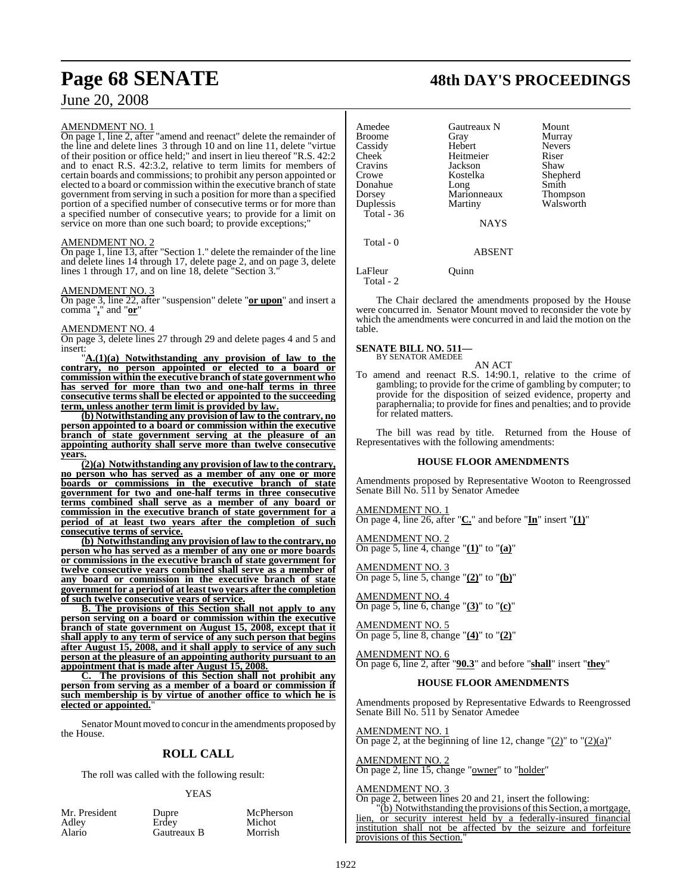## June 20, 2008

#### AMENDMENT NO. 1

On page 1, line 2, after "amend and reenact" delete the remainder of the line and delete lines 3 through 10 and on line 11, delete "virtue of their position or office held;" and insert in lieu thereof "R.S. 42:2 and to enact R.S. 42:3.2, relative to term limits for members of certain boards and commissions; to prohibit any person appointed or elected to a board or commission within the executive branch of state government from serving in such a position for more than a specified portion of a specified number of consecutive terms or for more than a specified number of consecutive years; to provide for a limit on service on more than one such board; to provide exceptions;"

#### AMENDMENT NO. 2

On page 1, line 13, after "Section 1." delete the remainder of the line and delete lines 14 through 17, delete page 2, and on page 3, delete lines 1 through 17, and on line 18, delete "Section 3."

#### AMENDMENT NO. 3

On page 3, line 22, after "suspension" delete "**or upon**" and insert a comma "**,**" and "**or**"

#### AMENDMENT NO. 4

On page 3, delete lines 27 through 29 and delete pages 4 and 5 and insert:

"**A.(1)(a) Notwithstanding any provision of law to the contrary, no person appointed or elected to a board or commission within the executive branch ofstate government who has served for more than two and one-half terms in three consecutive terms shall be elected or appointed to the succeeding term, unless another term limit is provided by law.**

**(b) Notwithstanding any provision of law to the contrary, no person appointed to a board or commission within the executive branch of state government serving at the pleasure of an appointing authority shall serve more than twelve consecutive years.**

**(2)(a) Notwithstanding any provision of law to the contrary, no person who has served as a member of any one or more boards or commissions in the executive branch of state government for two and one-half terms in three consecutive terms combined shall serve as a member of any board or commission in the executive branch of state government for a period of at least two years after the completion of such consecutive terms of service.**

**(b) Notwithstanding any provision of law to the contrary, no person who has served as a member of any one or more boards or commissions in the executive branch of state government for twelve consecutive years combined shall serve as a member of any board or commission in the executive branch of state government for a period of at least two years after the completion of such twelve consecutive years of service.**

**B. The provisions of this Section shall not apply to any person serving on a board or commission within the executive branch of state government on August 15, 2008, except that it shall apply to any term of service of any such person that begins after August 15, 2008, and it shall apply to service of any such person at the pleasure of an appointing authority pursuant to an appointment that is made after August 15, 2008.**

**C. The provisions of this Section shall not prohibit any person from serving as a member of a board or commission if such membership is by virtue of another office to which he is elected or appointed.**"

Senator Mount moved to concur in the amendments proposed by the House.

#### **ROLL CALL**

The roll was called with the following result:

#### YEAS

| Mr. President | Dupre       |
|---------------|-------------|
| Adlev         | Erdev       |
| Alario        | Gautreaux B |

upre McPherson dey Michot<br>autreaux B Morrish

**Page 68 SENATE 48th DAY'S PROCEEDINGS**

| Amedee<br><b>Broome</b><br>Cassidy<br>Cheek<br>Cravins<br>Crowe<br>Donahue<br>Dorsey<br>Duplessis<br>Total - $36$ | Gautreaux N<br>Gray<br>Hebert<br>Heitmeier<br>Jackson<br>Kostelka<br>Long<br>Marionneaux<br>Martiny | Mount<br>Murray<br><b>Nevers</b><br>Riser<br>Shaw<br>Shepherd<br>Smith<br>Thompson<br>Walsworth |
|-------------------------------------------------------------------------------------------------------------------|-----------------------------------------------------------------------------------------------------|-------------------------------------------------------------------------------------------------|
|                                                                                                                   | NAYS                                                                                                |                                                                                                 |
| Total - 0                                                                                                         | <b>ABSENT</b>                                                                                       |                                                                                                 |
| LaFleur<br>Total - 2                                                                                              | Ouinn                                                                                               |                                                                                                 |

The Chair declared the amendments proposed by the House were concurred in. Senator Mount moved to reconsider the vote by which the amendments were concurred in and laid the motion on the table.

#### **SENATE BILL NO. 511—** BY SENATOR AMEDEE

AN ACT

To amend and reenact R.S. 14:90.1, relative to the crime of gambling; to provide for the crime of gambling by computer; to provide for the disposition of seized evidence, property and paraphernalia; to provide for fines and penalties; and to provide for related matters.

The bill was read by title. Returned from the House of Representatives with the following amendments:

#### **HOUSE FLOOR AMENDMENTS**

Amendments proposed by Representative Wooton to Reengrossed Senate Bill No. 511 by Senator Amedee

AMENDMENT NO. 1 On page 4, line 26, after "**C.**" and before "**In**" insert "**(1)**"

AMENDMENT NO. 2 On page 5, line 4, change "**(1)**" to "**(a)**"

AMENDMENT NO. 3 On page 5, line 5, change "**(2)**" to "**(b)**"

AMENDMENT NO. 4 On page 5, line 6, change "**(3)**" to "**(c)**"

AMENDMENT NO. 5 On page 5, line 8, change "**(4)**" to "**(2)**"

AMENDMENT NO. 6 On page 6, line 2, after "**90.3**" and before "**shall**" insert "**they**"

#### **HOUSE FLOOR AMENDMENTS**

Amendments proposed by Representative Edwards to Reengrossed Senate Bill No. 511 by Senator Amedee

AMENDMENT NO. 1 On page 2, at the beginning of line 12, change " $(2)$ " to " $(2)(a)$ "

AMENDMENT NO. 2 On page 2, line 15, change "owner" to "holder"

#### AMENDMENT NO. 3

On page 2, between lines 20 and 21, insert the following:

"(b) Notwithstanding the provisions of this Section, a mortgage, lien, or security interest held by a federally-insured financial institution shall not be affected by the seizure and forfeiture provisions of this Section."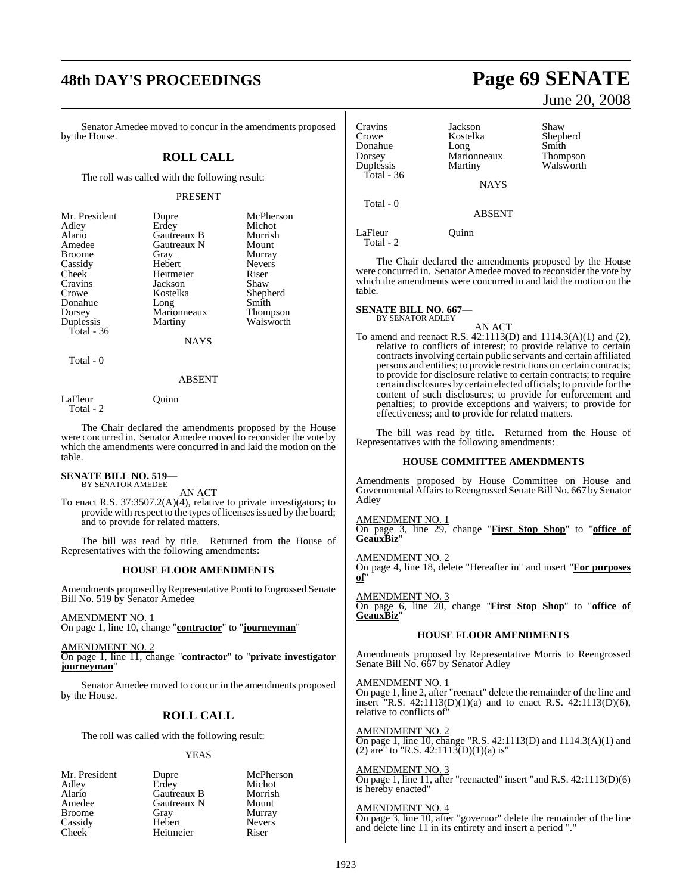# **48th DAY'S PROCEEDINGS Page 69 SENATE**

Senator Amedee moved to concur in the amendments proposed by the House.

#### **ROLL CALL**

The roll was called with the following result:

#### PRESENT

| Mr. President | Dupre       | McPherson       |
|---------------|-------------|-----------------|
| Adley         | Erdey       | Michot          |
| Alario        | Gautreaux B | Morrish         |
| Amedee        | Gautreaux N | Mount           |
| <b>Broome</b> | Gray        | Murray          |
| Cassidy       | Hebert      | <b>Nevers</b>   |
| Cheek         | Heitmeier   | Riser           |
| Cravins       | Jackson     | Shaw            |
| Crowe         | Kostelka    | Shepherd        |
| Donahue       | Long        | Smith           |
| Dorsey        | Marionneaux | <b>Thompson</b> |
| Duplessis     | Martiny     | Walsworth       |
| Total - 36    |             |                 |
|               | NAYS        |                 |

Total - 0

#### ABSENT

LaFleur Ouinn

Total - 2

The Chair declared the amendments proposed by the House were concurred in. Senator Amedee moved to reconsider the vote by which the amendments were concurred in and laid the motion on the table.

#### **SENATE BILL NO. 519—** BY SENATOR AMEDEE

AN ACT

To enact R.S. 37:3507.2(A)(4), relative to private investigators; to provide with respect to the types of licenses issued by the board; and to provide for related matters.

The bill was read by title. Returned from the House of Representatives with the following amendments:

#### **HOUSE FLOOR AMENDMENTS**

Amendments proposed by Representative Ponti to Engrossed Senate Bill No. 519 by Senator Amedee

AMENDMENT NO. 1 On page 1, line 10, change "**contractor**" to "**journeyman**"

AMENDMENT NO. 2 On page 1, line 11, change "**contractor**" to "**private investigator journeyman**"

Senator Amedee moved to concur in the amendments proposed by the House.

### **ROLL CALL**

The roll was called with the following result:

#### YEAS

Mr. President Dupre McPherson<br>Adley Erdey Michot Adley Erdey Michot Alario Gautreaux B Morrish Gautreaux N Mount<br>Grav Murray Broome Gray Murray<br>Cassidy Hebert Nevers Cassidy Hebert Never<br>
Cheek Heitmeier Riser Heitmeier

June 20, 2008

| Cravins     | Jackson     | Shaw            |
|-------------|-------------|-----------------|
| Crowe       | Kostelka    | Shepherd        |
| Donahue     | Long        | Smith           |
| Dorsey      | Marionneaux | <b>Thompson</b> |
| Duplessis   | Martiny     | Walsworth       |
| Total $-36$ |             |                 |
|             | <b>NAYS</b> |                 |
|             |             |                 |
| Total - 0   | ABSENT      |                 |

LaFleur Quinn Total - 2

The Chair declared the amendments proposed by the House were concurred in. Senator Amedee moved to reconsider the vote by which the amendments were concurred in and laid the motion on the table.

#### **SENATE BILL NO. 667—** BY SENATOR ADLEY

AN ACT To amend and reenact R.S. 42:1113(D) and 1114.3(A)(1) and (2), relative to conflicts of interest; to provide relative to certain contractsinvolving certain public servants and certain affiliated persons and entities; to provide restrictions on certain contracts; to provide for disclosure relative to certain contracts; to require certain disclosures by certain elected officials; to provide forthe content of such disclosures; to provide for enforcement and penalties; to provide exceptions and waivers; to provide for effectiveness; and to provide for related matters.

The bill was read by title. Returned from the House of Representatives with the following amendments:

#### **HOUSE COMMITTEE AMENDMENTS**

Amendments proposed by House Committee on House and Governmental Affairs to Reengrossed Senate Bill No. 667 by Senator Adley

AMENDMENT NO. 1

On page 3, line 29, change "**First Stop Shop**" to "**office of GeauxBiz**"

AMENDMENT NO. 2

On page 4, line 18, delete "Hereafter in" and insert "**For purposes of**"

AMENDMENT NO. On page 6, line 20, change "**First Stop Shop**" to "**office of GeauxBiz**"

#### **HOUSE FLOOR AMENDMENTS**

Amendments proposed by Representative Morris to Reengrossed Senate Bill No. 667 by Senator Adley

AMENDMENT NO. 1 On page 1, line 2, after "reenact" delete the remainder of the line and insert "R.S. 42:1113(D)(1)(a) and to enact R.S. 42:1113(D)(6), relative to conflicts of"

AMENDMENT NO. 2 On page 1, line 10, change "R.S. 42:1113(D) and 1114.3(A)(1) and (2) are" to "R.S.  $42:1113(D)(1)(a)$  is"

#### AMENDMENT NO. 3

On page 1, line 11, after "reenacted" insert "and R.S. 42:1113(D)(6) is hereby enacted"

### AMENDMENT NO. 4

On page 3, line 10, after "governor" delete the remainder of the line and delete line 11 in its entirety and insert a period "."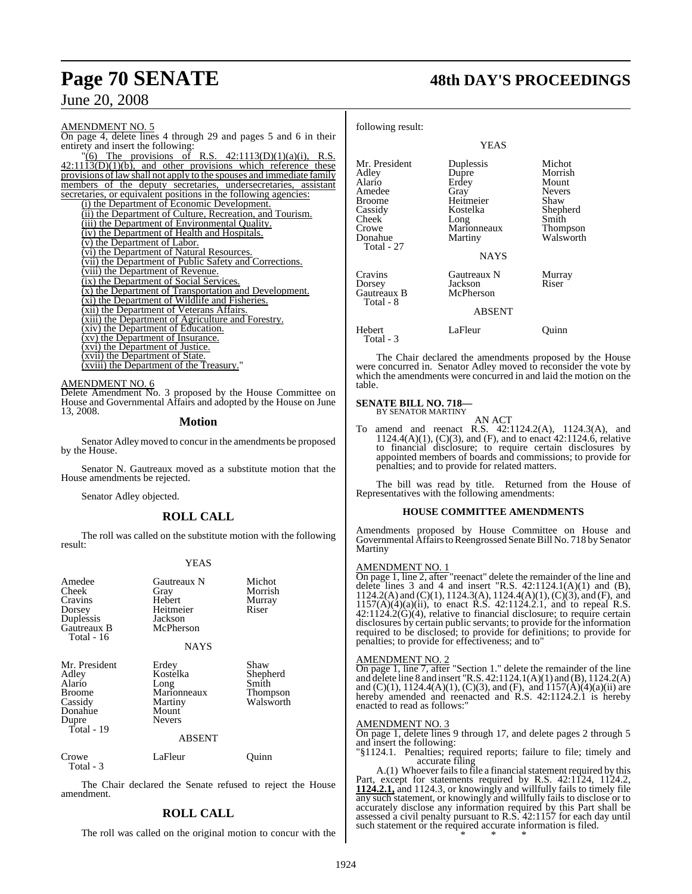## June 20, 2008

AMENDMENT NO. 5 On page 4, delete lines 4 through 29 and pages 5 and 6 in their entirety and insert the following:  $\overline{0}$  The provisions of R.S. 42:1113(D)(1)(a)(i), R.S.  $42:11\overline{13(D)(1)(b)}$ , and other provisions which reference these provisions oflawshall not apply to the spouses and immediate family members of the deputy secretaries, undersecretaries, assistant secretaries, or equivalent positions in the following agencies: (i) the Department of Economic Development. (ii) the Department of Culture, Recreation, and Tourism. (iii) the Department of Environmental Quality. (iv) the Department of Health and Hospitals. (v) the Department of Labor. (vi) the Department of Natural Resources. (vii) the Department of Public Safety and Corrections. (viii) the Department of Revenue. (ix) the Department of Social Services. (x) the Department of Transportation and Development. (xi) the Department of Wildlife and Fisheries. (xii) the Department of Veterans Affairs. (xiii) the Department of Agriculture and Forestry. (xiv) the Department of Education. (xv) the Department of Insurance. (xvi) the Department of Justice. (xvii) the Department of State. (xviii) the Department of the Treasury."

AMENDMENT NO. 6

Delete Amendment No. 3 proposed by the House Committee on House and Governmental Affairs and adopted by the House on June 13, 2008.

#### **Motion**

Senator Adleymoved to concur in the amendments be proposed by the House.

Senator N. Gautreaux moved as a substitute motion that the House amendments be rejected.

Senator Adley objected.

### **ROLL CALL**

The roll was called on the substitute motion with the following result:

#### YEAS

| Amedee<br><b>Cheek</b><br>Cravins<br>Dorsey<br>Duplessis<br>Gautreaux B<br>Total - 16          | Gautreaux N<br>Gray<br>Hebert<br>Heitmeier<br>Jackson<br>McPherson<br><b>NAYS</b>              | Michot<br>Morrish<br>Murray<br>Riser               |
|------------------------------------------------------------------------------------------------|------------------------------------------------------------------------------------------------|----------------------------------------------------|
| Mr. President<br>Adley<br>Alario<br><b>Broome</b><br>Cassidy<br>Donahue<br>Dupre<br>Total - 19 | Erdey<br>Kostelka<br>Long<br>Marionneaux<br>Martiny<br>Mount<br><b>Nevers</b><br><b>ABSENT</b> | Shaw<br>Shepherd<br>Smith<br>Thompson<br>Walsworth |

Total - 3

Crowe LaFleur Ouinn

The Chair declared the Senate refused to reject the House amendment.

## **ROLL CALL**

The roll was called on the original motion to concur with the

## **Page 70 SENATE 48th DAY'S PROCEEDINGS**

following result:

|                                                                                                                   | YEAS                                                                                                          |                                                                                                   |
|-------------------------------------------------------------------------------------------------------------------|---------------------------------------------------------------------------------------------------------------|---------------------------------------------------------------------------------------------------|
| Mr. President<br>Adley<br>Alario<br>Amedee<br><b>Broome</b><br>Cassidy<br>Cheek<br>Crowe<br>Donahue<br>Total - 27 | Duplessis<br>Dupre<br>Erdey<br>Gray<br>Heitmeier<br>Kostelka<br>Long<br>Marionneaux<br>Martiny<br><b>NAYS</b> | Michot<br>Morrish<br>Mount<br><b>Nevers</b><br>Shaw<br>Shepherd<br>Smith<br>Thompson<br>Walsworth |
| Cravins<br>Dorsey<br>Gautreaux B<br>Total - 8                                                                     | Gautreaux N<br>Jackson<br>McPherson<br><b>ABSENT</b>                                                          | Murray<br>Riser                                                                                   |
| Hebert<br>Total - 3                                                                                               | LaFleur                                                                                                       | Juinn                                                                                             |

The Chair declared the amendments proposed by the House were concurred in. Senator Adley moved to reconsider the vote by which the amendments were concurred in and laid the motion on the table.

## **SENATE BILL NO. 718—** BY SENATOR MARTINY

AN ACT To amend and reenact R.S. 42:1124.2(A), 1124.3(A), and  $1124.4(A)(1)$ , (C)(3), and (F), and to enact 42:1124.6, relative to financial disclosure; to require certain disclosures by appointed members of boards and commissions; to provide for penalties; and to provide for related matters.

The bill was read by title. Returned from the House of Representatives with the following amendments:

#### **HOUSE COMMITTEE AMENDMENTS**

Amendments proposed by House Committee on House and Governmental Affairs to Reengrossed Senate Bill No. 718 by Senator Martiny

#### AMENDMENT NO. 1

On page 1, line 2, after "reenact" delete the remainder of the line and delete lines 3 and 4 and insert "R.S.  $42:1124.1(A)(1)$  and  $(B)$ , 1124.2(A) and (C)(1), 1124.3(A), 1124.4(A)(1), (C)(3), and (F), and 1157(A)(4)(a)(ii), to enact R.S. 42:1124.2.1, and to repeal R.S.  $42:1124.2(\tilde{G})(4)$ , relative to financial disclosure; to require certain disclosures by certain public servants; to provide for the information required to be disclosed; to provide for definitions; to provide for penalties; to provide for effectiveness; and to"

#### AMENDMENT NO. 2

On page 1, line 7, after "Section 1." delete the remainder of the line and delete line 8 and insert "R.S. 42:1124.1(A)(1) and (B), 1124.2(A) and  $(C)(1)$ , 1124.4(A)(1),  $(C)(3)$ , and  $(F)$ , and 1157(A)(4)(a)(ii) are hereby amended and reenacted and R.S. 42:1124.2.1 is hereby enacted to read as follows:"

#### AMENDMENT NO. 3

On page 1, delete lines 9 through 17, and delete pages 2 through 5 and insert the following:

"§1124.1. Penalties; required reports; failure to file; timely and accurate filing

A.(1) Whoever fails to file a financial statement required by this Part, except for statements required by R.S. 42:1124, 1124.2, **1124.2.1,** and 1124.3, or knowingly and willfully fails to timely file any such statement, or knowingly and willfully fails to disclose or to accurately disclose any information required by this Part shall be assessed a civil penalty pursuant to R.S. 42:1157 for each day until such statement or the required accurate information is filed. \* \* \*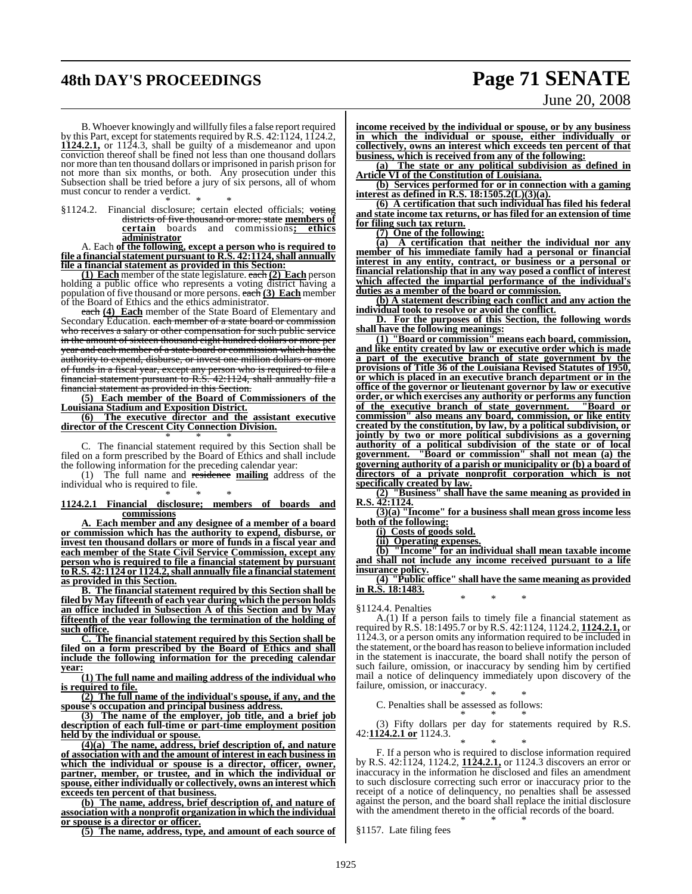# **48th DAY'S PROCEEDINGS Page 71 SENATE**

# June 20, 2008

B. Whoever knowingly and willfully files a false report required by this Part, except for statements required by R.S. 42:1124, 1124.2, **1124.2.1,** or 1124.3, shall be guilty of a misdemeanor and upon conviction thereof shall be fined not less than one thousand dollars nor more than ten thousand dollars or imprisoned in parish prison for not more than six months, or both. Any prosecution under this Subsection shall be tried before a jury of six persons, all of whom must concur to render a verdict.

\* \* \* §1124.2. Financial disclosure; certain elected officials; voting districts of five thousand or more; state **members of certain** boards and commissions**; ethics administrator**

A. Each **of the following, except a person who is required to file a financialstatement pursuant to R.S. 42:1124,shall annually file a financial statement as provided in this Section:**

**(1) Each** member of the state legislature. each **(2) Each** person holding a public office who represents a voting district having a population of five thousand or more persons. each **(3) Each** member of the Board of Ethics and the ethics administrator.

each **(4) Each** member of the State Board of Elementary and Secondary Education. each member of a state board or commission who receives a salary or other compensation for such public service in the amount of sixteen thousand eight hundred dollars or more per year and each member of a state board or commission which has the authority to expend, disburse, or invest one million dollars or more of funds in a fiscal year, except any person who is required to file a financial statement pursuant to R.S. 42:1124, shall annually file a financial statement as provided in this Section.

**(5) Each member of the Board of Commissioners of the Louisiana Stadium and Exposition District.**

**(6) The executive director and the assistant executive director of the Crescent City Connection Division.** \* \* \*

C. The financial statement required by this Section shall be filed on a form prescribed by the Board of Ethics and shall include the following information for the preceding calendar year:

(1) The full name and residence **mailing** address of the individual who is required to file. \* \* \*

#### **1124.2.1 Financial disclosure; members of boards and commissions**

**A. Each member and any designee of a member of a board or commission which has the authority to expend, disburse, or invest ten thousand dollars or more of funds in a fiscal year and each member of the State Civil Service Commission, except any person who is required to file a financial statement by pursuant to R.S. 42:1124 or 1124.2,shall annually file a financialstatement as provided in this Section.**

**B. The financial statement required by this Section shall be filed by May fifteenth of each year during which the person holds an office included in Subsection A of this Section and by May fifteenth of the year following the termination of the holding of such office.**

**C. The financial statement required by this Section shall be filed on a form prescribed by the Board of Ethics and shall include the following information for the preceding calendar year:**

**(1) The full name and mailing address of the individual who is required to file.**

**(2) The full name of the individual's spouse, if any, and the spouse's occupation and principal business address.**

**(3) The name of the employer, job title, and a brief job description of each full-time or part-time employment position held by the individual or spouse.**

**(4)(a) The name, address, brief description of, and nature of association with and the amount of interest in each business in which the individual or spouse is a director, officer, owner, partner, member, or trustee, and in which the individual or spouse, either individually or collectively, owns an interest which exceeds ten percent of that business.**

**(b) The name, address, brief description of, and nature of association with a nonprofit organization in which the individual or spouse is a director or officer.**

**(5) The name, address, type, and amount of each source of**

**income received by the individual or spouse, or by any business in which the individual or spouse, either individually or collectively, owns an interest which exceeds ten percent of that**

**business, which is received from any of the following: (a) The state or any political subdivision as defined in**

**Article VI of the Constitution of Louisiana. (b) Services performed for or in connection with a gaming**

**interest as defined in R.S. 18:1505.2(L)(3)(a). (6) A certification that such individual has filed his federal**

**and state income tax returns, or has filed for an extension of time for filing such tax return.**

**(7) One of the following:**

**(a) A certification that neither the individual nor any member of his immediate family had a personal or financial interest in any entity, contract, or business or a personal or financial relationship that in any way posed a conflict of interest which affected the impartial performance of the individual's duties as a member of the board or commission.**

**(b) A statement describing each conflict and any action the individual took to resolve or avoid the conflict.**

**D. For the purposes of this Section, the following words shall have the following meanings:**

**(1) "Board or commission" means each board, commission, and like entity created by law or executive order which is made a part of the executive branch of state government by the provisions of Title 36 of the Louisiana Revised Statutes of 1950, or which is placed in an executive branch department or in the office of the governor or lieutenant governor by law or executive order, or which exercises any authority or performs any function of the executive branch of state government. "Board or commission" also means any board, commission, or like entity created by the constitution, by law, by a political subdivision, or jointly by two or more political subdivisions as a governing authority of a political subdivision of the state or of local government. "Board or commission" shall not mean (a) the governing authority of a parish or municipality or (b) a board of directors of a private nonprofit corporation which is not specifically created by law.**

**(2) "Business" shall have the same meaning as provided in R.S. 42:1124.**

**(3)(a) "Income" for a business shall mean gross income less both of the following:**

**(i) Costs of goods sold.**

**(ii) Operating expenses.**

**(b) "Income" for an individual shall mean taxable income and shall not include any income received pursuant to a life insurance policy.**

**(4) "Public office" shall have the same meaning as provided in R.S. 18:1483.** \* \* \*

§1124.4. Penalties

A.(1) If a person fails to timely file a financial statement as required by R.S. 18:1495.7 or by R.S. 42:1124, 1124.2, **1124.2.1,** or 1124.3, or a person omits any information required to be included in the statement, orthe board hasreason to believe information included in the statement is inaccurate, the board shall notify the person of such failure, omission, or inaccuracy by sending him by certified mail a notice of delinquency immediately upon discovery of the failure, omission, or inaccuracy.

\* \* \* C. Penalties shall be assessed as follows:

\* \* \* (3) Fifty dollars per day for statements required by R.S. 42:**1124.2.1 or** 1124.3.

\* \* \* F. If a person who is required to disclose information required by R.S. 42:1124, 1124.2, **1124.2.1,** or 1124.3 discovers an error or inaccuracy in the information he disclosed and files an amendment to such disclosure correcting such error or inaccuracy prior to the receipt of a notice of delinquency, no penalties shall be assessed against the person, and the board shall replace the initial disclosure with the amendment thereto in the official records of the board. \* \* \*

§1157. Late filing fees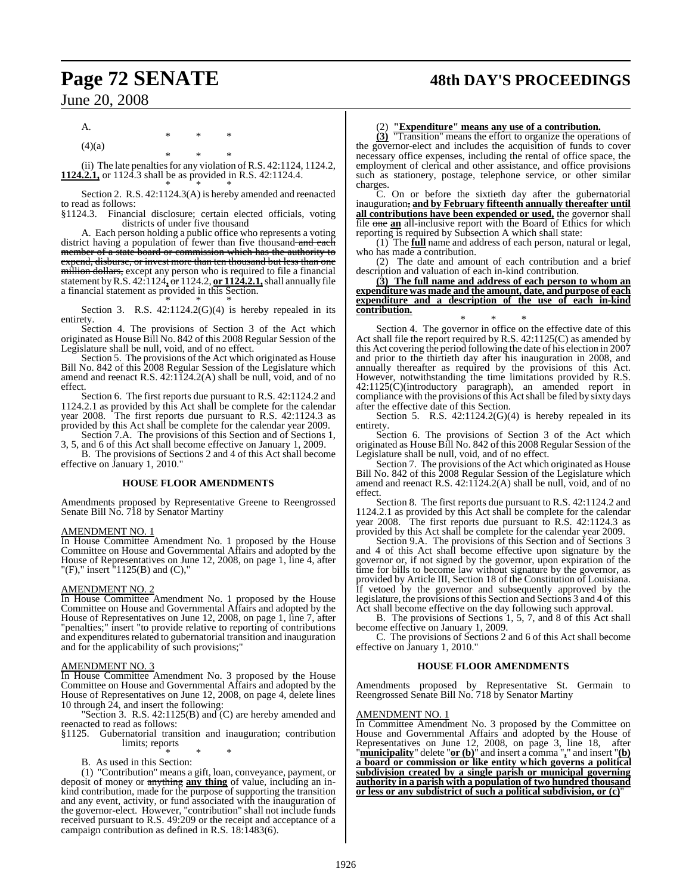# **Page 72 SENATE 48th DAY'S PROCEEDINGS**

June 20, 2008

A.

 $(4)(a)$ 

\* \* \* (ii) The late penalties for any violation of R.S. 42:1124, 1124.2, **1124.2.1,** or 1124.3 shall be as provided in R.S. 42:1124.4. \* \* \*

\* \* \*

Section 2. R.S. 42:1124.3(A) is hereby amended and reenacted to read as follows:

§1124.3. Financial disclosure; certain elected officials, voting districts of under five thousand

A. Each person holding a public office who represents a voting district having a population of fewer than five thousand and each member of a state board or commission which has the authority to

expend, disburse, or invest more than ten thousand but less than one million dollars, except any person who is required to file a financial statement byR.S. 42:1124**,** or 1124.2, **or 1124.2.1,**shall annually file a financial statement as provided in this Section.

\* \* \* Section 3. R.S.  $42:1124.2(G)(4)$  is hereby repealed in its entirety.

Section 4. The provisions of Section 3 of the Act which originated as House Bill No. 842 of this 2008 Regular Session of the Legislature shall be null, void, and of no effect.

Section 5. The provisions of the Act which originated as House Bill No. 842 of this 2008 Regular Session of the Legislature which amend and reenact R.S. 42:1124.2(A) shall be null, void, and of no effect.

Section 6. The first reports due pursuant to R.S. 42:1124.2 and 1124.2.1 as provided by this Act shall be complete for the calendar year 2008. The first reports due pursuant to R.S. 42:1124.3 as provided by this Act shall be complete for the calendar year 2009.

Section 7.A. The provisions of this Section and of Sections 1, 3, 5, and 6 of this Act shall become effective on January 1, 2009.

B. The provisions of Sections 2 and 4 of this Act shall become effective on January 1, 2010."

#### **HOUSE FLOOR AMENDMENTS**

Amendments proposed by Representative Greene to Reengrossed Senate Bill No. 718 by Senator Martiny

#### AMENDMENT NO. 1

In House Committee Amendment No. 1 proposed by the House Committee on House and Governmental Affairs and adopted by the House of Representatives on June 12, 2008, on page 1, line 4, after "(F)," insert "1125(B) and (C),"

#### AMENDMENT NO. 2

In House Committee Amendment No. 1 proposed by the House Committee on House and Governmental Affairs and adopted by the House of Representatives on June 12, 2008, on page 1, line 7, after "penalties;" insert "to provide relative to reporting of contributions and expenditures related to gubernatorial transition and inauguration and for the applicability of such provisions;"

#### AMENDMENT NO. 3

In House Committee Amendment No. 3 proposed by the House Committee on House and Governmental Affairs and adopted by the House of Representatives on June 12, 2008, on page 4, delete lines 10 through 24, and insert the following:

Section 3. R.S.  $42:1125(B)$  and  $(C)$  are hereby amended and reenacted to read as follows:

§1125. Gubernatorial transition and inauguration; contribution limits; reports

\* \* \* B. As used in this Section:

(1) "Contribution" means a gift, loan, conveyance, payment, or deposit of money or anything **any thing** of value, including an inkind contribution, made for the purpose of supporting the transition and any event, activity, or fund associated with the inauguration of the governor-elect. However, "contribution" shall not include funds received pursuant to R.S. 49:209 or the receipt and acceptance of a campaign contribution as defined in R.S. 18:1483(6).

#### (2) **"Expenditure" means any use of a contribution.**

**(3)** "Transition" means the effort to organize the operations of the governor-elect and includes the acquisition of funds to cover necessary office expenses, including the rental of office space, the employment of clerical and other assistance, and office provisions such as stationery, postage, telephone service, or other similar charges.

C. On or before the sixtieth day after the gubernatorial inauguration, **and by February fifteenth annually thereafter until all contributions have been expended or used,** the governor shall file one **an** all-inclusive report with the Board of Ethics for which reporting is required by Subsection A which shall state:

(1) The **full** name and address of each person, natural or legal, who has made a contribution.

(2) The date and amount of each contribution and a brief description and valuation of each in-kind contribution.

**(3) The full name and address of each person to whom an expenditure was made and the amount, date, and purpose of each expenditure and a description of the use of each in-kind contribution.**

\* \* \* Section 4. The governor in office on the effective date of this Act shall file the report required by R.S. 42:1125(C) as amended by this Act covering the period following the date of his election in 2007 and prior to the thirtieth day after his inauguration in 2008, and annually thereafter as required by the provisions of this Act. However, notwithstanding the time limitations provided by R.S. 42:1125(C)(introductory paragraph), an amended report in compliance with the provisions of this Act shall be filed by sixty days after the effective date of this Section.

Section 5. R.S.  $42:1124.2(G)(4)$  is hereby repealed in its entirety.

Section 6. The provisions of Section 3 of the Act which originated as House Bill No. 842 of this 2008 Regular Session of the Legislature shall be null, void, and of no effect.

Section 7. The provisions of the Act which originated as House Bill No. 842 of this 2008 Regular Session of the Legislature which amend and reenact R.S. 42:1124.2(A) shall be null, void, and of no effect.

Section 8. The first reports due pursuant to R.S. 42:1124.2 and 1124.2.1 as provided by this Act shall be complete for the calendar year 2008. The first reports due pursuant to R.S. 42:1124.3 as provided by this Act shall be complete for the calendar year 2009.

Section 9.A. The provisions of this Section and of Sections 3 and 4 of this Act shall become effective upon signature by the governor or, if not signed by the governor, upon expiration of the time for bills to become law without signature by the governor, as provided by Article III, Section 18 of the Constitution of Louisiana. If vetoed by the governor and subsequently approved by the legislature, the provisions ofthis Section and Sections 3 and 4 of this Act shall become effective on the day following such approval.

B. The provisions of Sections 1, 5, 7, and 8 of this Act shall become effective on January 1, 2009.

C. The provisions of Sections 2 and 6 of this Act shall become effective on January 1, 2010."

#### **HOUSE FLOOR AMENDMENTS**

Amendments proposed by Representative St. Germain to Reengrossed Senate Bill No. 718 by Senator Martiny

#### AMENDMENT NO. 1

In Committee Amendment No. 3 proposed by the Committee on House and Governmental Affairs and adopted by the House of Representatives on June 12, 2008, on page 3, line 18, after "**municipality**" delete "**or (b)**" and insert a comma "**,**" and insert "**(b) a board or commission or like entity which governs a political subdivision created by a single parish or municipal governing authority in a parish with a population of two hundred thousand or less or any subdistrict of such a political subdivision, or (c)**"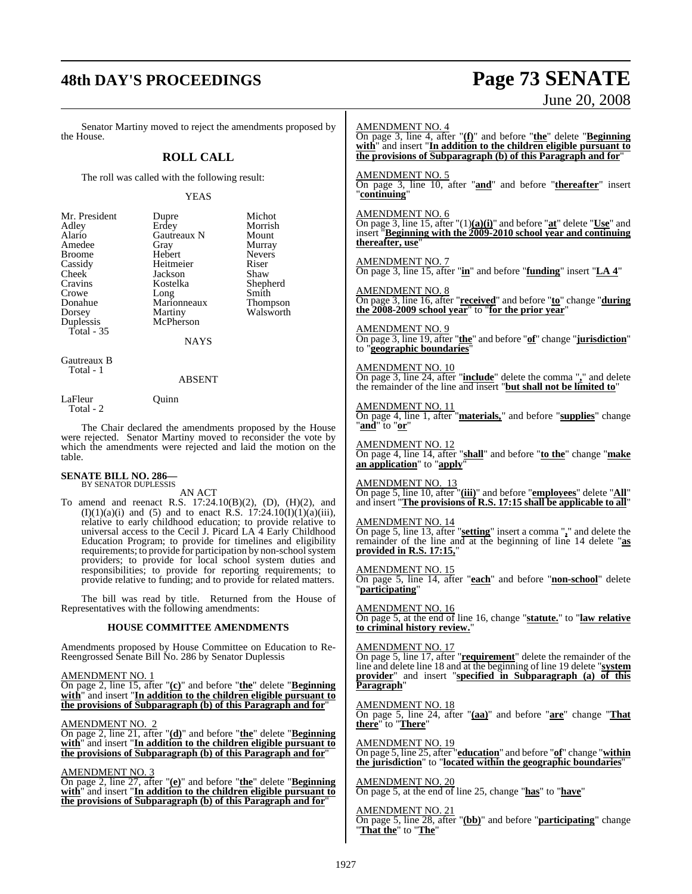## **48th DAY'S PROCEEDINGS Page 73 SENATE**

# June 20, 2008

Senator Martiny moved to reject the amendments proposed by the House. **ROLL CALL** The roll was called with the following result: YEAS Mr. President Dupre Michot<br>Adley Erdey Morrish Adley Erdey Morrish<br>Alario Gautreaux N Mount Gautreaux N Mount<br>
Gray Murray Amedee Gray Murray Broome Hebert Never<br>
Cassidy Heitmeier Riser Cassidy Heitmeier Riser<br>Cheek Jackson Shaw Cheek Jackson Shaw<br>Cravins Kostelka Shepherd Cravins Kostelka Shepherd<br>Crowe Long Smith Crowe Long<br>
Donahue Marionneaux Thompson<br>
Donahue Marionneaux Thompson Donahue Marionneaux<br>Dorsey Martiny Dorsey Martiny Walsworth<br>
Duplessis McPherson McPherson Total - 35 NAYS Gautreaux B Total - 1 ABSENT LaFleur Ouinn Total - 2 The Chair declared the amendments proposed by the House were rejected. Senator Martiny moved to reconsider the vote by which the amendments were rejected and laid the motion on the table. **SENATE BILL NO. 286—** BY SENATOR DUPLESSIS AN ACT To amend and reenact R.S. 17:24.10(B)(2), (D), (H)(2), and  $(I)(1)(a)(i)$  and  $(5)$  and to enact R.S. 17:24.10 $(I)(1)(a)(iii)$ , relative to early childhood education; to provide relative to universal access to the Cecil J. Picard LA 4 Early Childhood Education Program; to provide for timelines and eligibility requirements; to provide for participation by non-school system providers; to provide for local school system duties and responsibilities; to provide for reporting requirements; to provide relative to funding; and to provide for related matters. The bill was read by title. Returned from the House of Representatives with the following amendments: **HOUSE COMMITTEE AMENDMENTS** Amendments proposed by House Committee on Education to Re-Reengrossed Senate Bill No. 286 by Senator Duplessis AMENDMENT NO. 1 On page 2, line 15, after "**(c)**" and before "**the**" delete "**Beginning with**" and insert "**In addition to the children eligible pursuant to the provisions of Subparagraph (b) of this Paragraph and for**" AMENDMENT NO. 2 On page 2, line 21, after "**(d)**" and before "**the**" delete "**Beginning with**" and insert "**In addition to the children eligible pursuant to the provisions of Subparagraph (b) of this Paragraph and for**" AMENDMENT NO. 3 On page 2, line 27, after "**(e)**" and before "**the**" delete "**Beginning with**" and insert "**In addition to the children eligible pursuant to the provisions of Subparagraph (b) of this Paragraph and for**" AMENDMENT NO. 4 On page 3, line 4, after "**(f)**" and before "**the**" delete "**Beginning with**" and insert "**In addition to the children eligible pursuant to the provisions of Subparagraph (b) of this Paragraph and for**" AMENDMENT NO. 5 On page 3, line 10, after "**and**" and before "**thereafter**" insert "**continuing**" AMENDMENT NO. 6 On page 3, line 15, after "(1)**(a)(i)**" and before "**at**" delete "**Use**" and insert "**Beginning with the 2009-2010 school year and continuing thereafter, use**" AMENDMENT NO. 7 On page 3, line 15, after "**in**" and before "**funding**" insert "**LA 4**" AMENDMENT NO. 8 On page 3, line 16, after "**received**" and before "**to**" change "**during the 2008-2009 school year**" to "**for the prior year**" AMENDMENT NO. 9 On page 3, line 19, after "**the**" and before "**of**" change "**jurisdiction**" to "**geographic boundaries**" AMENDMENT NO. 10 On page 3, line 24, after "**include**" delete the comma "**,**" and delete the remainder of the line and insert "**but shall not be limited to**" AMENDMENT NO. 11 On page 4, line 1, after "**materials,**" and before "**supplies**" change "**and**" to "**or**" AMENDMENT NO. 12 On page 4, line 14, after "**shall**" and before "**to the**" change "**make an application**" to "**apply**" AMENDMENT NO. 13 On page 5, line 10, after "**(iii)**" and before "**employees**" delete "**All**" and insert "**The provisions of R.S. 17:15 shall be applicable to all**" AMENDMENT NO. 14 On page 5, line 13, after "**setting**" insert a comma "**,**" and delete the remainder of the line and at the beginning of line 14 delete "**as provided in R.S. 17:15,**" AMENDMENT NO. 15 On page 5, line 14, after "**each**" and before "**non-school**" delete "**participating**" AMENDMENT NO. 16 On page 5, at the end of line 16, change "**statute.**" to "**law relative to criminal history review.**" AMENDMENT NO. 17 On page 5, line 17, after "**requirement**" delete the remainder of the line and delete line 18 and at the beginning of line 19 delete "**system provider**" and insert "**specified in Subparagraph (a) of this Paragraph**" AMENDMENT NO. 18 On page 5, line 24, after "**(aa)**" and before "**are**" change "**That there**" to "**There**" AMENDMENT NO. 19 On page 5, line 25, after "**education**" and before "**of**" change "**within the jurisdiction**" to "**located within the geographic boundaries**" AMENDMENT NO. 20 On page 5, at the end of line 25, change "**has**" to "**have**" AMENDMENT NO. 21 On page 5, line 28, after "**(bb)**" and before "**participating**" change "**That the**" to "**The**"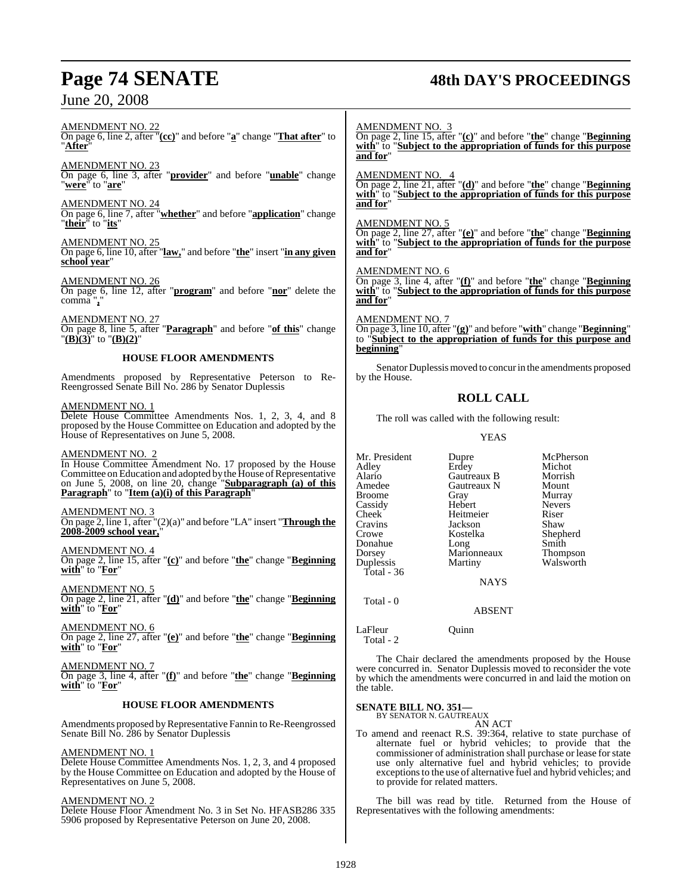## **Page 74 SENATE 48th DAY'S PROCEEDINGS**

AMENDMENT NO. 22 On page 6, line 2, after "**(cc)**" and before "**a**" change "**That after**" to "**After**"

AMENDMENT NO. 23 On page 6, line 3, after "**provider**" and before "**unable**" change "**were**" to "**are**"

AMENDMENT NO. 24 On page 6, line 7, after "**whether**" and before "**application**" change "**their**" to "**its**"

AMENDMENT NO. 25

On page 6, line 10, after "**law,**" and before "**the**" insert "**in any given school year**"

AMENDMENT NO. 26 On page 6, line 12, after "**program**" and before "**nor**" delete the comma "**,**"

AMENDMENT NO. 27 On page 8, line 5, after "**Paragraph**" and before "**of this**" change "**(B)(3)**" to "**(B)(2)**"

## **HOUSE FLOOR AMENDMENTS**

Amendments proposed by Representative Peterson to Re-Reengrossed Senate Bill No. 286 by Senator Duplessis

## AMENDMENT NO. 1

Delete House Committee Amendments Nos. 1, 2, 3, 4, and 8 proposed by the House Committee on Education and adopted by the House of Representatives on June 5, 2008.

## AMENDMENT NO. 2

In House Committee Amendment No. 17 proposed by the House Committee on Education and adopted by the House of Representative on June 5, 2008, on line 20, change "**Subparagraph (a) of this Paragraph**" to "**Item (a)(i) of this Paragraph**"

## AMENDMENT NO. 3

On page 2, line 1, after "(2)(a)" and before "LA" insert "**Through the 2008-2009 school year,**"

AMENDMENT NO. 4

On page 2, line 15, after "**(c)**" and before "**the**" change "**Beginning with**" to "**For**"

AMENDMENT NO. 5 On page 2, line 21, after "**(d)**" and before "**the**" change "**Beginning with**" to "**For**"

AMENDMENT NO. 6 On page 2, line 27, after "**(e)**" and before "**the**" change "**Beginning with**" to "**For**"

AMENDMENT NO. 7 On page 3, line 4, after "**(f)**" and before "**the**" change "**Beginning with**" to "**For**"

## **HOUSE FLOOR AMENDMENTS**

Amendments proposed by Representative Fannin to Re-Reengrossed Senate Bill No. 286 by Senator Duplessis

## AMENDMENT NO. 1

Delete House Committee Amendments Nos. 1, 2, 3, and 4 proposed by the House Committee on Education and adopted by the House of Representatives on June 5, 2008.

## AMENDMENT NO. 2

Delete House Floor Amendment No. 3 in Set No. HFASB286 335 5906 proposed by Representative Peterson on June 20, 2008.

## AMENDMENT NO. 3

On page 2, line 15, after "**(c)**" and before "**the**" change "**Beginning with**" to "**Subject to the appropriation of funds for this purpose and for**"

AMENDMENT NO. 4

On page 2, line 21, after "**(d)**" and before "**the**" change "**Beginning with**" to "**Subject to the appropriation of funds for this purpose and for**"

## AMENDMENT NO. 5

On page 2, line 27, after "**(e)**" and before "**the**" change "**Beginning with**" to "**Subject to the appropriation of funds for the purpose and for**"

## AMENDMENT NO. 6

On page 3, line 4, after "**(f)**" and before "**the**" change "**Beginning with**" to "**Subject to the appropriation of funds for this purpose and for**"

## AMENDMENT NO. 7

On page 3, line 10, after "**(g)**" and before "**with**" change "**Beginning**" to "**Subject to the appropriation of funds for this purpose and beginning**"

Senator Duplessismoved to concur in the amendments proposed by the House.

## **ROLL CALL**

The roll was called with the following result:

YEAS

Mr. President Dupre McPherson<br>Adley Erdev Michot Adley Erdey Michot Alario Gautreaux B Morrish Gautreaux N Mount<br>
Gray Murray Broome Gray Murray<br>Cassidy Hebert Nevers Cassidy Hebert Never<br>Cheek Heitmeier Riser Cheek Heitmeier Riser<br>Cravins Jackson Shaw Cravins Jackson<br>Crowe Kostelka Kostelka Shepherd<br>Long Smith Donahue Long Smith<br>Dorsey Marionneaux Thompson Dorsey Marionneaux<br>
Duplessis Martiny Walsworth Total - 36 NAYS

## ABSENT

LaFleur Quinn Total - 2

Total - 0

The Chair declared the amendments proposed by the House were concurred in. Senator Duplessis moved to reconsider the vote by which the amendments were concurred in and laid the motion on the table.

## **SENATE BILL NO. 351—**

BY SENATOR N. GAUTREAUX AN ACT

To amend and reenact R.S. 39:364, relative to state purchase of alternate fuel or hybrid vehicles; to provide that the commissioner of administration shall purchase or lease forstate use only alternative fuel and hybrid vehicles; to provide exceptions to the use of alternative fuel and hybrid vehicles; and to provide for related matters.

The bill was read by title. Returned from the House of Representatives with the following amendments: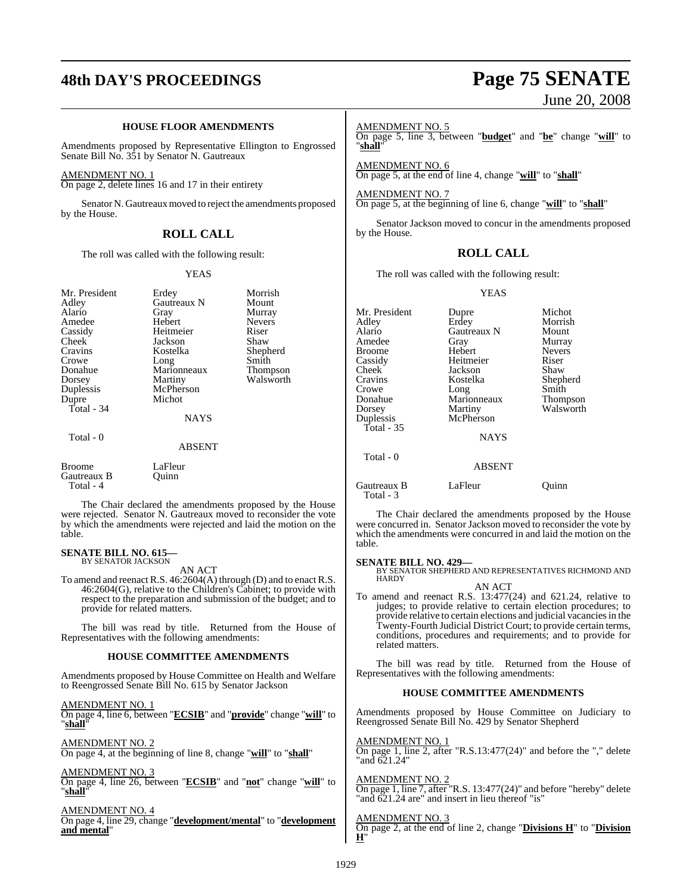## **48th DAY'S PROCEEDINGS Page 75 SENATE**

## **HOUSE FLOOR AMENDMENTS**

Amendments proposed by Representative Ellington to Engrossed Senate Bill No. 351 by Senator N. Gautreaux

### AMENDMENT NO. 1

On page 2, delete lines 16 and 17 in their entirety

Senator N. Gautreaux moved to reject the amendments proposed by the House.

## **ROLL CALL**

The roll was called with the following result:

### YEAS

| Mr. President<br>Adley                    | Erdey<br>Gautreaux N | Morrish<br>Mount |
|-------------------------------------------|----------------------|------------------|
| Alario                                    | Gray                 | Murray           |
| Amedee                                    | Hebert               | <b>Nevers</b>    |
| Cassidy                                   | Heitmeier            | Riser            |
| Cheek                                     | Jackson              | Shaw             |
| Cravins                                   | Kostelka             | Shepherd         |
| Crowe                                     | Long                 | Smith            |
| Donahue                                   | Marionneaux          | Thompson         |
| Dorsey                                    | Martiny              | Walsworth        |
| Duplessis                                 | McPherson            |                  |
| Dupre                                     | Michot               |                  |
| Total - 34                                |                      |                  |
|                                           | NAYS                 |                  |
| Total - 0                                 |                      |                  |
|                                           | <b>ABSENT</b>        |                  |
| <b>Broome</b><br>Gautreaux B<br>Total - 4 | LaFleur<br>Ouinn     |                  |

The Chair declared the amendments proposed by the House were rejected. Senator N. Gautreaux moved to reconsider the vote by which the amendments were rejected and laid the motion on the table.

### **SENATE BILL NO. 615—** BY SENATOR JACKSON

AN ACT

To amend and reenact R.S. 46:2604(A) through (D) and to enact R.S. 46:2604(G), relative to the Children's Cabinet; to provide with respect to the preparation and submission of the budget; and to provide for related matters.

The bill was read by title. Returned from the House of Representatives with the following amendments:

### **HOUSE COMMITTEE AMENDMENTS**

Amendments proposed by House Committee on Health and Welfare to Reengrossed Senate Bill No. 615 by Senator Jackson

AMENDMENT NO. 1 On page 4, line 6, between "**ECSIB**" and "**provide**" change "**will**" to "**shall**"

AMENDMENT NO. 2 On page 4, at the beginning of line 8, change "**will**" to "**shall**"

AMENDMENT NO. 3

On page 4, line 26, between "**ECSIB**" and "**not**" change "**will**" to "**shall**"

AMENDMENT NO. 4 On page 4, line 29, change "**development/mental**" to "**development and mental**"

# June 20, 2008

### AMENDMENT NO. 5

On page 5, line 3, between "**budget**" and "**be**" change "**will**" to "**shall**"

AMENDMENT NO. 6 On page 5, at the end of line 4, change "**will**" to "**shall**"

AMENDMENT NO. 7 On page 5, at the beginning of line 6, change "**will**" to "**shall**"

Senator Jackson moved to concur in the amendments proposed by the House.

## **ROLL CALL**

The roll was called with the following result:

YEAS

| Mr. President            | Dupre         | Michot        |
|--------------------------|---------------|---------------|
| Adley                    | Erdey         | Morrish       |
| Alario                   | Gautreaux N   | Mount         |
| Amedee                   | Gray          | Murray        |
| Broome                   | Hebert        | <b>Nevers</b> |
| Cassidy                  | Heitmeier     | Riser         |
| Cheek                    | Jackson       | Shaw          |
| Cravins                  | Kostelka      | Shepherd      |
| Crowe                    | Long          | Smith         |
| Donahue                  | Marionneaux   | Thompson      |
| Dorsey                   | Martiny       | Walsworth     |
| Duplessis                | McPherson     |               |
| Total - 35               |               |               |
|                          | <b>NAYS</b>   |               |
| Total - 0                |               |               |
|                          | <b>ABSENT</b> |               |
| Gautreaux B<br>Total - 3 | LaFleur       | Ouınn         |

The Chair declared the amendments proposed by the House were concurred in. Senator Jackson moved to reconsider the vote by which the amendments were concurred in and laid the motion on the table.

## **SENATE BILL NO. 429—**

BY SENATOR SHEPHERD AND REPRESENTATIVES RICHMOND AND HARDY AN ACT

To amend and reenact R.S. 13:477(24) and 621.24, relative to judges; to provide relative to certain election procedures; to provide relative to certain elections and judicial vacanciesin the Twenty-Fourth Judicial District Court; to provide certain terms, conditions, procedures and requirements; and to provide for related matters.

The bill was read by title. Returned from the House of Representatives with the following amendments:

## **HOUSE COMMITTEE AMENDMENTS**

Amendments proposed by House Committee on Judiciary to Reengrossed Senate Bill No. 429 by Senator Shepherd

AMENDMENT NO. 1 On page 1, line 2, after "R.S.13:477(24)" and before the "," delete "and 621.24"

AMENDMENT NO. 2 On page 1, line 7, after "R.S. 13:477(24)" and before "hereby" delete and  $621.24$  are" and insert in lieu thereof "is"

AMENDMENT NO. 3 On page 2, at the end of line 2, change "**Divisions H**" to "**Division H**"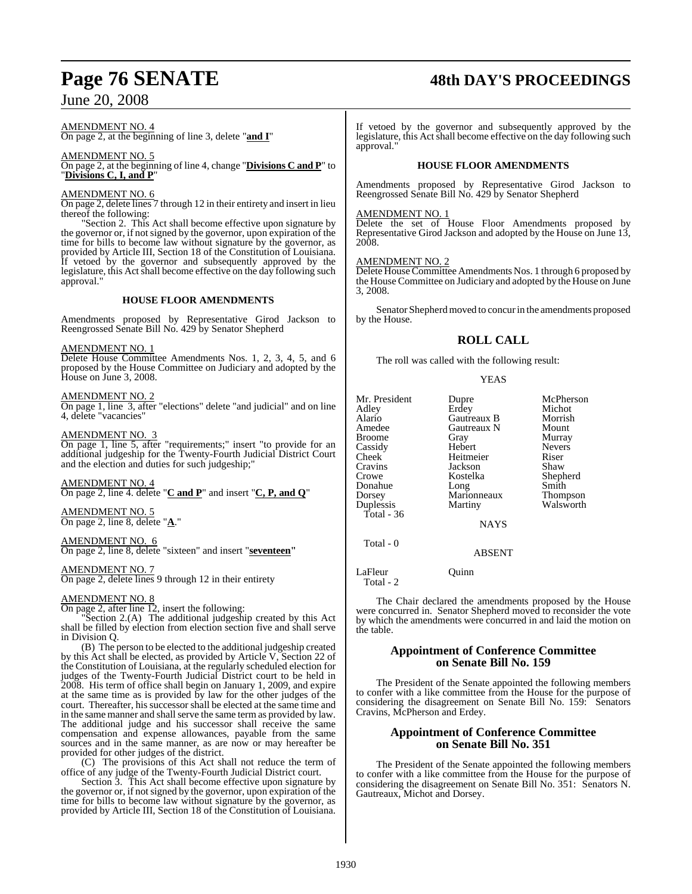## **Page 76 SENATE 48th DAY'S PROCEEDINGS**

AMENDMENT NO. 4 On page 2, at the beginning of line 3, delete "**and I**"

### AMENDMENT NO. 5 On page 2, at the beginning of line 4, change "**Divisions C and P**" to "**Divisions C, I, and P**"

## AMENDMENT NO. 6

On page 2, delete lines 7 through 12 in their entirety and insert in lieu thereof the following:

"Section 2. This Act shall become effective upon signature by the governor or, if notsigned by the governor, upon expiration of the time for bills to become law without signature by the governor, as provided by Article III, Section 18 of the Constitution of Louisiana. If vetoed by the governor and subsequently approved by the legislature, this Act shall become effective on the day following such approval."

## **HOUSE FLOOR AMENDMENTS**

Amendments proposed by Representative Girod Jackson to Reengrossed Senate Bill No. 429 by Senator Shepherd

## AMENDMENT NO. 1

Delete House Committee Amendments Nos. 1, 2, 3, 4, 5, and 6 proposed by the House Committee on Judiciary and adopted by the House on June 3, 2008.

## AMENDMENT NO. 2

On page 1, line 3, after "elections" delete "and judicial" and on line 4, delete "vacancies"

## AMENDMENT NO. 3

On page 1, line 5, after "requirements;" insert "to provide for an additional judgeship for the Twenty-Fourth Judicial District Court and the election and duties for such judgeship;"

AMENDMENT NO. 4 On page 2, line 4. delete "**C and P**" and insert "**C, P, and Q**"

AMENDMENT NO. 5 On page 2, line 8, delete "**A**."

## AMENDMENT NO. 6

On page 2, line 8, delete "sixteen" and insert "**seventeen"**

## AMENDMENT NO. 7

On page 2, delete lines 9 through 12 in their entirety

## AMENDMENT NO. 8

On page 2, after line 12, insert the following:

"Section 2.(A) The additional judgeship created by this Act shall be filled by election from election section five and shall serve in Division Q.

(B) The person to be elected to the additional judgeship created by this Act shall be elected, as provided by Article V, Section 22 of the Constitution of Louisiana, at the regularly scheduled election for judges of the Twenty-Fourth Judicial District court to be held in 2008. His term of office shall begin on January 1, 2009, and expire at the same time as is provided by law for the other judges of the court. Thereafter, his successor shall be elected at the same time and in the same manner and shall serve the same term as provided by law. The additional judge and his successor shall receive the same compensation and expense allowances, payable from the same sources and in the same manner, as are now or may hereafter be provided for other judges of the district.

(C) The provisions of this Act shall not reduce the term of office of any judge of the Twenty-Fourth Judicial District court.

Section 3. This Act shall become effective upon signature by the governor or, if notsigned by the governor, upon expiration of the time for bills to become law without signature by the governor, as provided by Article III, Section 18 of the Constitution of Louisiana.

If vetoed by the governor and subsequently approved by the legislature, this Act shall become effective on the day following such approval."

## **HOUSE FLOOR AMENDMENTS**

Amendments proposed by Representative Girod Jackson to Reengrossed Senate Bill No. 429 by Senator Shepherd

## AMENDMENT NO. 1

Delete the set of House Floor Amendments proposed by Representative Girod Jackson and adopted by the House on June 13, 2008.

## AMENDMENT NO. 2

Delete House Committee Amendments Nos. 1 through 6 proposed by the House Committee on Judiciary and adopted by the House on June 3, 2008.

Senator Shepherd moved to concur in the amendments proposed by the House.

## **ROLL CALL**

The roll was called with the following result:

## YEAS

| Dupre<br>Erdey<br>Gautreaux B<br>Gautreaux N<br>Gray<br>Hebert<br>Heitmeier<br>Jackson<br>Kostelka<br>Long<br>Marionneaux<br>Martiny | McPherson<br>Michot<br>Morrish<br>Mount<br>Murray<br><b>Nevers</b><br>Riser<br>Shaw<br>Shepherd<br>Smith<br><b>Thompson</b><br>Walsworth |
|--------------------------------------------------------------------------------------------------------------------------------------|------------------------------------------------------------------------------------------------------------------------------------------|
| <b>NAYS</b>                                                                                                                          |                                                                                                                                          |
| <b>ABSENT</b>                                                                                                                        |                                                                                                                                          |
|                                                                                                                                      |                                                                                                                                          |

LaFleur Ouinn Total - 2

The Chair declared the amendments proposed by the House were concurred in. Senator Shepherd moved to reconsider the vote by which the amendments were concurred in and laid the motion on the table.

## **Appointment of Conference Committee on Senate Bill No. 159**

The President of the Senate appointed the following members to confer with a like committee from the House for the purpose of considering the disagreement on Senate Bill No. 159: Senators Cravins, McPherson and Erdey.

## **Appointment of Conference Committee on Senate Bill No. 351**

The President of the Senate appointed the following members to confer with a like committee from the House for the purpose of considering the disagreement on Senate Bill No. 351: Senators N. Gautreaux, Michot and Dorsey.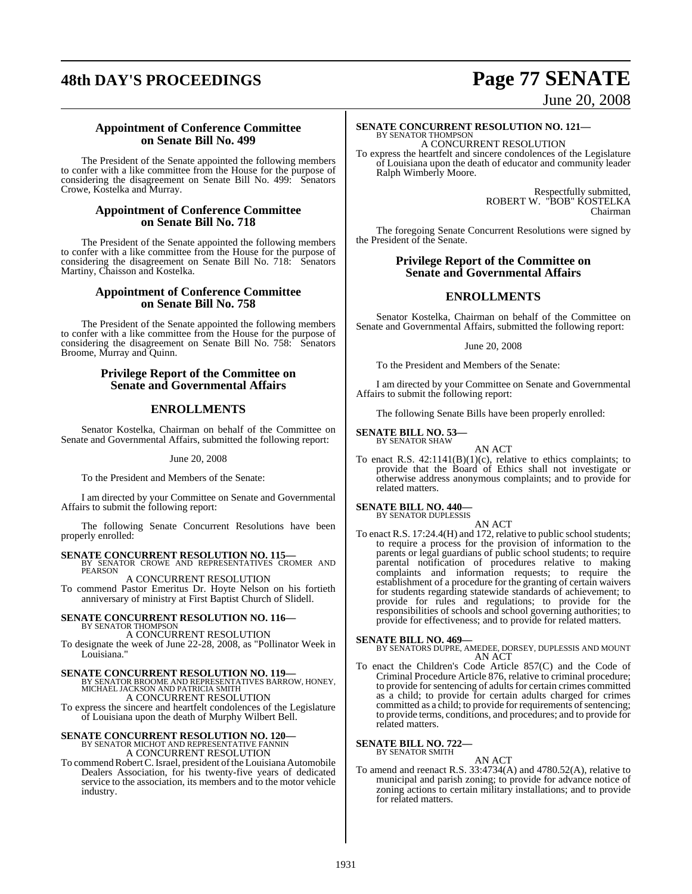## **48th DAY'S PROCEEDINGS Page 77 SENATE**

# June 20, 2008

## **Appointment of Conference Committee on Senate Bill No. 499**

The President of the Senate appointed the following members to confer with a like committee from the House for the purpose of considering the disagreement on Senate Bill No. 499: Senators Crowe, Kostelka and Murray.

## **Appointment of Conference Committee on Senate Bill No. 718**

The President of the Senate appointed the following members to confer with a like committee from the House for the purpose of considering the disagreement on Senate Bill No. 718: Senators Martiny, Chaisson and Kostelka.

## **Appointment of Conference Committee on Senate Bill No. 758**

The President of the Senate appointed the following members to confer with a like committee from the House for the purpose of considering the disagreement on Senate Bill No. 758: Senators Broome, Murray and Quinn.

## **Privilege Report of the Committee on Senate and Governmental Affairs**

## **ENROLLMENTS**

Senator Kostelka, Chairman on behalf of the Committee on Senate and Governmental Affairs, submitted the following report:

June 20, 2008

To the President and Members of the Senate:

I am directed by your Committee on Senate and Governmental Affairs to submit the following report:

The following Senate Concurrent Resolutions have been properly enrolled:

## **SENATE CONCURRENT RESOLUTION NO. 115—**<br>BY SENATOR CROWE AND REPRESENTATIVES CROMER AND

PEARSON A CONCURRENT RESOLUTION

To commend Pastor Emeritus Dr. Hoyte Nelson on his fortieth anniversary of ministry at First Baptist Church of Slidell.

### **SENATE CONCURRENT RESOLUTION NO. 116—** BY SENATOR THOMPSON

A CONCURRENT RESOLUTION

To designate the week of June 22-28, 2008, as "Pollinator Week in Louisiana.

## **SENATE CONCURRENT RESOLUTION NO. 119—**

BY SENATOR BROOME AND REPRESENTATIVES BARROW, HONEY, MICHAEL JACKSON AND PATRICIA SMITH A CONCURRENT RESOLUTION

To express the sincere and heartfelt condolences of the Legislature of Louisiana upon the death of Murphy Wilbert Bell.

## **SENATE CONCURRENT RESOLUTION NO. 120—** BY SENATOR MICHOT AND REPRESENTATIVE FANNIN A CONCURRENT RESOLUTION

To commend Robert C. Israel, president of the Louisiana Automobile Dealers Association, for his twenty-five years of dedicated service to the association, its members and to the motor vehicle industry.

### **SENATE CONCURRENT RESOLUTION NO. 121—** BY SENATOR THOMPSON

A CONCURRENT RESOLUTION To express the heartfelt and sincere condolences of the Legislature of Louisiana upon the death of educator and community leader Ralph Wimberly Moore.

> Respectfully submitted, ROBERT W. "BOB" KOSTELKA Chairman

The foregoing Senate Concurrent Resolutions were signed by the President of the Senate.

## **Privilege Report of the Committee on Senate and Governmental Affairs**

## **ENROLLMENTS**

Senator Kostelka, Chairman on behalf of the Committee on Senate and Governmental Affairs, submitted the following report:

## June 20, 2008

To the President and Members of the Senate:

I am directed by your Committee on Senate and Governmental Affairs to submit the following report:

The following Senate Bills have been properly enrolled:

**SENATE BILL NO. 53—** BY SENATOR SHAW

AN ACT

To enact R.S.  $42:1141(B)(1)(c)$ , relative to ethics complaints; to provide that the Board of Ethics shall not investigate or otherwise address anonymous complaints; and to provide for related matters.

## **SENATE BILL NO. 440—** BY SENATOR DUPLESSIS

AN ACT

To enact R.S. 17:24.4(H) and 172, relative to public school students; to require a process for the provision of information to the parents or legal guardians of public school students; to require parental notification of procedures relative to making complaints and information requests; to require the establishment of a procedure for the granting of certain waivers for students regarding statewide standards of achievement; to provide for rules and regulations; to provide for the responsibilities of schools and school governing authorities; to provide for effectiveness; and to provide for related matters.

## **SENATE BILL NO. 469—**

BY SENATORS DUPRE, AMEDEE, DORSEY, DUPLESSIS AND MOUNT AN ACT

To enact the Children's Code Article 857(C) and the Code of Criminal Procedure Article 876, relative to criminal procedure; to provide for sentencing of adults for certain crimes committed as a child; to provide for certain adults charged for crimes committed as a child; to provide for requirements of sentencing; to provide terms, conditions, and procedures; and to provide for related matters.

## **SENATE BILL NO. 722—** BY SENATOR SMITH

AN ACT

To amend and reenact R.S. 33:4734(A) and 4780.52(A), relative to municipal and parish zoning; to provide for advance notice of zoning actions to certain military installations; and to provide for related matters.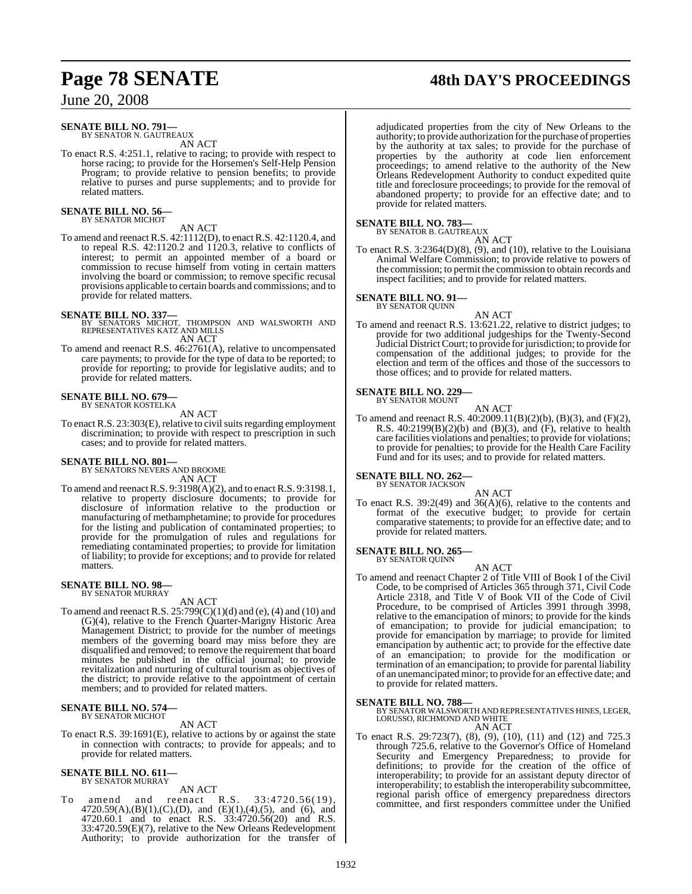### **SENATE BILL NO. 791—** BY SENATOR N. GAUTREAUX

AN ACT

To enact R.S. 4:251.1, relative to racing; to provide with respect to horse racing; to provide for the Horsemen's Self-Help Pension Program; to provide relative to pension benefits; to provide relative to purses and purse supplements; and to provide for related matters.

### **SENATE BILL NO. 56—** BY SENATOR MICHOT

AN ACT

To amend and reenact R.S. 42:1112(D), to enact R.S. 42:1120.4, and to repeal R.S. 42:1120.2 and 1120.3, relative to conflicts of interest; to permit an appointed member of a board or commission to recuse himself from voting in certain matters involving the board or commission; to remove specific recusal provisions applicable to certain boards and commissions; and to provide for related matters.

## **SENATE BILL NO. 337—**

- BY SENATORS MICHOT, THOMPSON AND WALSWORTH AND REPRESENTATIVES KATZ AND MILLS AN ACT
- To amend and reenact R.S. 46:2761(A), relative to uncompensated care payments; to provide for the type of data to be reported; to provide for reporting; to provide for legislative audits; and to provide for related matters.

### **SENATE BILL NO. 679—** BY SENATOR KOSTELKA

AN ACT

To enact R.S. 23:303(E), relative to civil suits regarding employment discrimination; to provide with respect to prescription in such cases; and to provide for related matters.

## **SENATE BILL NO. 801—**

BY SENATORS NEVERS AND BROOME AN ACT

To amend and reenactR.S. 9:3198(A)(2), and to enact R.S. 9:3198.1, relative to property disclosure documents; to provide for disclosure of information relative to the production or manufacturing of methamphetamine; to provide for procedures for the listing and publication of contaminated properties; to provide for the promulgation of rules and regulations for remediating contaminated properties; to provide for limitation of liability; to provide for exceptions; and to provide for related matters.

## **SENATE BILL NO. 98—** BY SENATOR MURRAY

AN ACT

To amend and reenact R.S. 25:799(C)(1)(d) and (e), (4) and (10) and (G)(4), relative to the French Quarter-Marigny Historic Area Management District; to provide for the number of meetings members of the governing board may miss before they are disqualified and removed; to remove the requirement that board minutes be published in the official journal; to provide revitalization and nurturing of cultural tourism as objectives of the district; to provide relative to the appointment of certain members; and to provided for related matters.

## **SENATE BILL NO. 574—** BY SENATOR MICHOT

AN ACT

To enact R.S. 39:1691(E), relative to actions by or against the state in connection with contracts; to provide for appeals; and to provide for related matters.

## **SENATE BILL NO. 611—** BY SENATOR MURRAY

AN ACT<br>reenact R.S. To amend and reenact R.S. 33:4720.56(19),  $4720.59(A),(B)(1),(C),(D),$  and  $(E)(1),(4),(5)$ , and  $(6)$ , and 4720.60.1 and to enact R.S.  $33:4720.56(20)$  and R.S. 33:4720.59(E)(7), relative to the New Orleans Redevelopment Authority; to provide authorization for the transfer of adjudicated properties from the city of New Orleans to the authority; to provide authorization forthe purchase of properties by the authority at tax sales; to provide for the purchase of properties by the authority at code lien enforcement proceedings; to amend relative to the authority of the New Orleans Redevelopment Authority to conduct expedited quite title and foreclosure proceedings; to provide for the removal of abandoned property; to provide for an effective date; and to provide for related matters.

## **SENATE BILL NO. 783—**

BY SENATOR B. GAUTREAUX AN ACT

To enact R.S.  $3:2364(D)(8)$ , (9), and (10), relative to the Louisiana Animal Welfare Commission; to provide relative to powers of the commission; to permit the commission to obtain records and inspect facilities; and to provide for related matters.

### **SENATE BILL NO. 91—** BY SENATOR QUINN

AN ACT To amend and reenact R.S. 13:621.22, relative to district judges; to provide for two additional judgeships for the Twenty-Second Judicial District Court; to provide for jurisdiction; to provide for compensation of the additional judges; to provide for the election and term of the offices and those of the successors to those offices; and to provide for related matters.

## **SENATE BILL NO. 229—**

BY SENATOR MOUNT AN ACT

To amend and reenact R.S. 40:2009.11(B)(2)(b), (B)(3), and (F)(2), R.S.  $40:2199(B)(2)(b)$  and  $(B)(3)$ , and  $(F)$ , relative to health care facilities violations and penalties; to provide for violations; to provide for penalties; to provide for the Health Care Facility Fund and for its uses; and to provide for related matters.

## **SENATE BILL NO. 262**

BY SENATOR JACKSON AN ACT

To enact R.S. 39:2(49) and 36(A)(6), relative to the contents and format of the executive budget; to provide for certain comparative statements; to provide for an effective date; and to provide for related matters.

## **SENATE BILL NO. 265—**

BY SENATOR QUINN

- AN ACT
- To amend and reenact Chapter 2 of Title VIII of Book I of the Civil Code, to be comprised of Articles 365 through 371, Civil Code Article 2318, and Title V of Book VII of the Code of Civil Procedure, to be comprised of Articles 3991 through 3998, relative to the emancipation of minors; to provide for the kinds of emancipation; to provide for judicial emancipation; to provide for emancipation by marriage; to provide for limited emancipation by authentic act; to provide for the effective date of an emancipation; to provide for the modification or termination of an emancipation; to provide for parental liability of an unemancipated minor; to provide for an effective date; and to provide for related matters.

**SENATE BILL NO. 788—** BY SENATOR WALSWORTH AND REPRESENTATIVES HINES, LEGER, LORUSSO, RICHMOND AND WHITE

AN ACT

To enact R.S. 29:723(7), (8), (9), (10), (11) and (12) and 725.3 through 725.6, relative to the Governor's Office of Homeland Security and Emergency Preparedness; to provide for definitions; to provide for the creation of the office of interoperability; to provide for an assistant deputy director of interoperability; to establish the interoperability subcommittee, regional parish office of emergency preparedness directors committee, and first responders committee under the Unified

## **Page 78 SENATE 48th DAY'S PROCEEDINGS**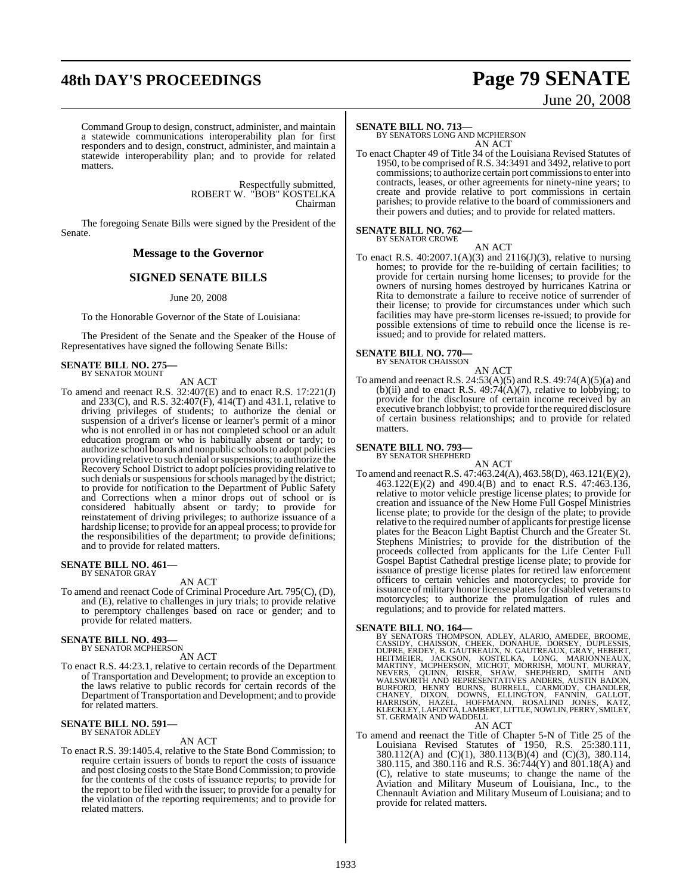## **48th DAY'S PROCEEDINGS Page 79 SENATE**

# June 20, 2008

Command Group to design, construct, administer, and maintain a statewide communications interoperability plan for first responders and to design, construct, administer, and maintain a statewide interoperability plan; and to provide for related matters.

> Respectfully submitted, ROBERT W. "BOB" KOSTELKA Chairman

The foregoing Senate Bills were signed by the President of the Senate.

## **Message to the Governor**

## **SIGNED SENATE BILLS**

June 20, 2008

To the Honorable Governor of the State of Louisiana:

The President of the Senate and the Speaker of the House of Representatives have signed the following Senate Bills:

## **SENATE BILL NO. 275—** BY SENATOR MOUNT

AN ACT

To amend and reenact R.S. 32:407(E) and to enact R.S. 17:221(J) and 233(C), and R.S. 32:407(F), 414(T) and 431.1, relative to driving privileges of students; to authorize the denial or suspension of a driver's license or learner's permit of a minor who is not enrolled in or has not completed school or an adult education program or who is habitually absent or tardy; to authorize school boards and nonpublic schoolsto adopt policies providing relative to such denial or suspensions; to authorize the Recovery School District to adopt policies providing relative to such denials or suspensions for schools managed by the district; to provide for notification to the Department of Public Safety and Corrections when a minor drops out of school or is considered habitually absent or tardy; to provide for reinstatement of driving privileges; to authorize issuance of a hardship license; to provide for an appeal process; to provide for the responsibilities of the department; to provide definitions; and to provide for related matters.

### **SENATE BILL NO. 461—** BY SENATOR GRAY

AN ACT

To amend and reenact Code of Criminal Procedure Art. 795(C), (D), and (E), relative to challenges in jury trials; to provide relative to peremptory challenges based on race or gender; and to provide for related matters.

### **SENATE BILL NO. 493—** BY SENATOR MCPHERSON

AN ACT

To enact R.S. 44:23.1, relative to certain records of the Department of Transportation and Development; to provide an exception to the laws relative to public records for certain records of the Department of Transportation and Development; and to provide for related matters.

### **SENATE BILL NO. 591—** BY SENATOR ADLEY

AN ACT

To enact R.S. 39:1405.4, relative to the State Bond Commission; to require certain issuers of bonds to report the costs of issuance and post closing costs to the State Bond Commission; to provide for the contents of the costs of issuance reports; to provide for the report to be filed with the issuer; to provide for a penalty for the violation of the reporting requirements; and to provide for related matters.

## **SENATE BILL NO. 713—**

BY SENATORS LONG AND MCPHERSON AN ACT

To enact Chapter 49 of Title 34 of the Louisiana Revised Statutes of 1950, to be comprised of R.S. 34:3491 and 3492, relative to port commissions; to authorize certain port commissions to enter into contracts, leases, or other agreements for ninety-nine years; to create and provide relative to port commissions in certain parishes; to provide relative to the board of commissioners and their powers and duties; and to provide for related matters.

## **SENATE BILL NO. 762—** BY SENATOR CROWE

AN ACT To enact R.S. 40:2007.1(A)(3) and 2116(J)(3), relative to nursing homes; to provide for the re-building of certain facilities; to provide for certain nursing home licenses; to provide for the owners of nursing homes destroyed by hurricanes Katrina or Rita to demonstrate a failure to receive notice of surrender of their license; to provide for circumstances under which such facilities may have pre-storm licenses re-issued; to provide for possible extensions of time to rebuild once the license is reissued; and to provide for related matters.

### **SENATE BILL NO. 770—** BY SENATOR CHAISSON

AN ACT

To amend and reenact R.S. 24:53(A)(5) and R.S. 49:74(A)(5)(a) and (b)(ii) and to enact R.S.  $49:74(A)(7)$ , relative to lobbying; to provide for the disclosure of certain income received by an executive branch lobbyist; to provide forthe required disclosure of certain business relationships; and to provide for related matters.

## **SENATE BILL NO. 793—** BY SENATOR SHEPHERD

AN ACT To amend and reenactR.S. 47:463.24(A), 463.58(D), 463.121(E)(2), 463.122(E)(2) and 490.4(B) and to enact R.S. 47:463.136, relative to motor vehicle prestige license plates; to provide for creation and issuance of the New Home Full Gospel Ministries license plate; to provide for the design of the plate; to provide relative to the required number of applicants for prestige license plates for the Beacon Light Baptist Church and the Greater St. Stephens Ministries; to provide for the distribution of the proceeds collected from applicants for the Life Center Full Gospel Baptist Cathedral prestige license plate; to provide for issuance of prestige license plates for retired law enforcement officers to certain vehicles and motorcycles; to provide for issuance of military honor license plates for disabled veterans to motorcycles; to authorize the promulgation of rules and regulations; and to provide for related matters.

SENATE BILL NO. 164—<br>
BY SENATORS THOMPSON, ADLEY, ALARIO, AMEDEE, BROOME, CASSIDY, CHAISSON, CHEEK, DONAHUE, DORSEY, DUPLESSIS,<br>
CASSIDY, CHAISSON, CHEEK, DONAHUE, DORSEY, DUPLESSIS,<br>
DUPRE, ERDEY, B. GAUTREAUX, N. GAUTRE

## AN ACT

To amend and reenact the Title of Chapter 5-N of Title 25 of the Louisiana Revised Statutes of 1950, R.S. 25:380.111, 380.112(A) and (C)(1), 380.113(B)(4) and (C)(3), 380.114, 380.115, and 380.116 and R.S. 36:744(Y) and 801.18(A) and (C), relative to state museums; to change the name of the Aviation and Military Museum of Louisiana, Inc., to the Chennault Aviation and Military Museum of Louisiana; and to provide for related matters.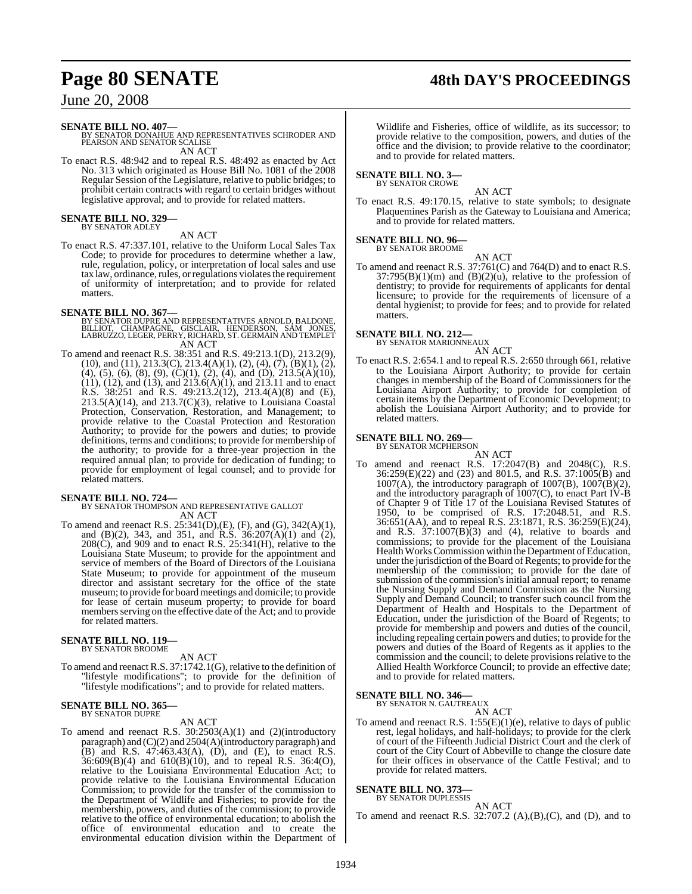## **Page 80 SENATE 48th DAY'S PROCEEDINGS**

## June 20, 2008

## **SENATE BILL NO. 407—**

BY SENATOR DONAHUE AND REPRESENTATIVES SCHRODER AND PEARSON AND SENATOR SCALISE AN ACT

To enact R.S. 48:942 and to repeal R.S. 48:492 as enacted by Act No. 313 which originated as House Bill No. 1081 of the 2008 Regular Session of the Legislature, relative to public bridges; to prohibit certain contracts with regard to certain bridges without legislative approval; and to provide for related matters.

## **SENATE BILL NO. 329—** BY SENATOR ADLEY

## AN ACT

To enact R.S. 47:337.101, relative to the Uniform Local Sales Tax Code; to provide for procedures to determine whether a law, rule, regulation, policy, or interpretation of local sales and use tax law, ordinance, rules, or regulations violates the requirement of uniformity of interpretation; and to provide for related matters.

## **SENATE BILL NO. 367—**

- BY SENATOR DUPRE AND REPRESENTATIVES ARNOLD, BALDONE,<br>BILLIOT, CHAMPAGNE, GISCLAIR, HENDERSON, SAM JONES,<br>LABRUZZO, LEGER, PERRY, RICHARD, ST. GERMAIN AND TEMPLET AN ACT
- To amend and reenact R.S. 38:351 and R.S. 49:213.1(D), 213.2(9), (10), and (11), 213.3(C), 213.4(A)(1), (2), (4), (7), (B)(1), (2),  $(4)$ ,  $(5)$ ,  $(6)$ ,  $(8)$ ,  $(9)$ ,  $(C)(1)$ ,  $(2)$ ,  $(4)$ , and  $(D)$ ,  $213.5(A)(10)$ , (11), (12), and (13), and 213.6(A)(1), and 213.11 and to enact R.S. 38:251 and R.S. 49:213.2(12), 213.4(A)(8) and (E),  $213.5(A)(14)$ , and  $213.7(C)(3)$ , relative to Louisiana Coastal Protection, Conservation, Restoration, and Management; to provide relative to the Coastal Protection and Restoration Authority; to provide for the powers and duties; to provide definitions, terms and conditions; to provide for membership of the authority; to provide for a three-year projection in the required annual plan; to provide for dedication of funding; to provide for employment of legal counsel; and to provide for related matters.

## **SENATE BILL NO. 724—**

### BY SENATOR THOMPSON AND REPRESENTATIVE GALLOT AN ACT

To amend and reenact R.S. 25:341(D),(E), (F), and (G), 342(A)(1), and (B)(2), 343, and 351, and R.S. 36:207(A)(1) and (2), 208(C), and 909 and to enact R.S. 25:341(H), relative to the Louisiana State Museum; to provide for the appointment and service of members of the Board of Directors of the Louisiana State Museum; to provide for appointment of the museum director and assistant secretary for the office of the state museum; to provide for board meetings and domicile; to provide for lease of certain museum property; to provide for board members serving on the effective date of the Act; and to provide for related matters.

### **SENATE BILL NO. 119—** BY SENATOR BROOME

AN ACT

To amend and reenact R.S. 37:1742.1(G), relative to the definition of "lifestyle modifications"; to provide for the definition of "lifestyle modifications"; and to provide for related matters.

### **SENATE BILL NO. 365—** BY SENATOR DUPRE

AN ACT

To amend and reenact R.S. 30:2503(A)(1) and (2)(introductory paragraph) and (C)(2) and 2504(A)(introductory paragraph) and (B) and R.S. 47:463.43(A), (D), and (E), to enact R.S. 36:609(B)(4) and 610(B)(10), and to repeal R.S. 36:4(O), relative to the Louisiana Environmental Education Act; to provide relative to the Louisiana Environmental Education Commission; to provide for the transfer of the commission to the Department of Wildlife and Fisheries; to provide for the membership, powers, and duties of the commission; to provide relative to the office of environmental education; to abolish the office of environmental education and to create the environmental education division within the Department of

Wildlife and Fisheries, office of wildlife, as its successor; to provide relative to the composition, powers, and duties of the office and the division; to provide relative to the coordinator; and to provide for related matters.

### **SENATE BILL NO. 3—** BY SENATOR CROWE

AN ACT

To enact R.S. 49:170.15, relative to state symbols; to designate Plaquemines Parish as the Gateway to Louisiana and America; and to provide for related matters.

## **SENATE BILL NO. 96—**

BY SENATOR BROOME AN ACT

To amend and reenact R.S. 37:761(C) and 764(D) and to enact R.S.  $37:795(B)(1)(m)$  and  $(B)(2)(u)$ , relative to the profession of dentistry; to provide for requirements of applicants for dental licensure; to provide for the requirements of licensure of a dental hygienist; to provide for fees; and to provide for related matters.

## **SENATE BILL NO. 212—**

BY SENATOR MARIONNEAUX AN ACT

To enact R.S. 2:654.1 and to repeal R.S. 2:650 through 661, relative to the Louisiana Airport Authority; to provide for certain changes in membership of the Board of Commissioners for the Louisiana Airport Authority; to provide for completion of certain items by the Department of Economic Development; to abolish the Louisiana Airport Authority; and to provide for related matters.

## **SENATE BILL NO. 269—**

BY SENATOR MCPHERSON

AN ACT To amend and reenact R.S. 17:2047(B) and 2048(C), R.S. 36:259(E)(22) and (23) and 801.5, and R.S. 37:1005(B) and 1007(A), the introductory paragraph of 1007(B),  $1007(\text{B})(2)$ , and the introductory paragraph of 1007(C), to enact Part IV-B of Chapter 9 of Title 17 of the Louisiana Revised Statutes of 1950, to be comprised of R.S. 17:2048.51, and R.S. 36:651(AA), and to repeal R.S. 23:1871, R.S. 36:259(E)(24), and R.S.  $37:1007(B)(3)$  and (4), relative to boards and commissions; to provide for the placement of the Louisiana Health Works Commission within the Department of Education, under the jurisdiction of the Board of Regents; to provide for the membership of the commission; to provide for the date of submission of the commission's initial annual report; to rename the Nursing Supply and Demand Commission as the Nursing Supply and Demand Council; to transfer such council from the Department of Health and Hospitals to the Department of Education, under the jurisdiction of the Board of Regents; to provide for membership and powers and duties of the council, including repealing certain powers and duties; to provide for the powers and duties of the Board of Regents as it applies to the commission and the council; to delete provisions relative to the Allied Health Workforce Council; to provide an effective date; and to provide for related matters.

## **SENATE BILL NO. 346—** BY SENATOR N. GAUTREAUX

AN ACT

To amend and reenact R.S. 1:55(E)(1)(e), relative to days of public rest, legal holidays, and half-holidays; to provide for the clerk of court of the Fifteenth Judicial District Court and the clerk of court of the City Court of Abbeville to change the closure date for their offices in observance of the Cattle Festival; and to provide for related matters.

### **SENATE BILL NO. 373** BY SENATOR DUPLESSIS

AN ACT

To amend and reenact R.S.  $32:707.2$  (A),(B),(C), and (D), and to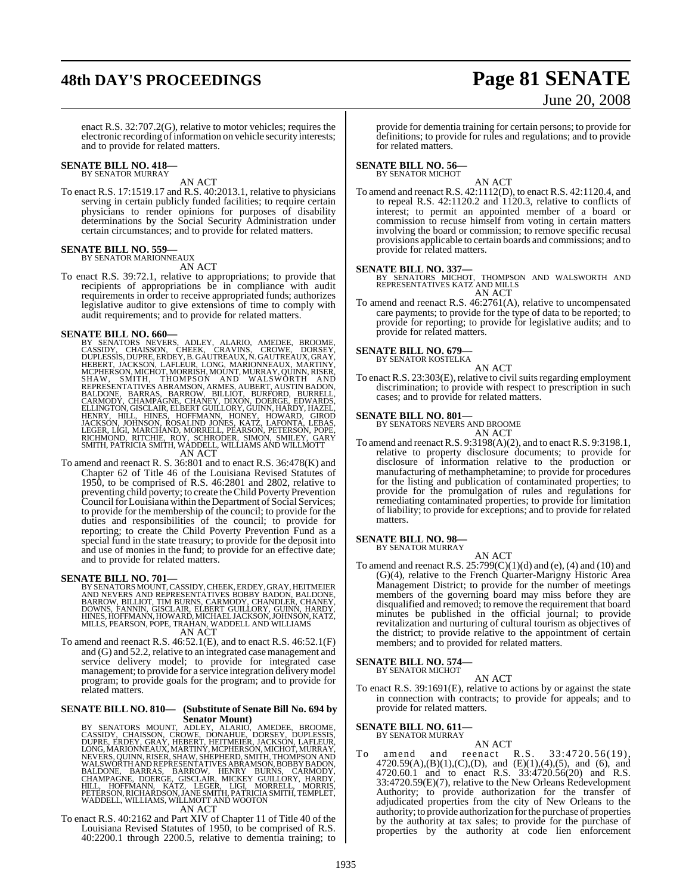## **48th DAY'S PROCEEDINGS Page 81 SENATE**

# June 20, 2008

enact R.S. 32:707.2(G), relative to motor vehicles; requires the electronic recording of information on vehicle security interests; and to provide for related matters.

### **SENATE BILL NO. 418— BY SENATOR MURRAY**

AN ACT

To enact R.S. 17:1519.17 and R.S. 40:2013.1, relative to physicians serving in certain publicly funded facilities; to require certain physicians to render opinions for purposes of disability determinations by the Social Security Administration under certain circumstances; and to provide for related matters.

### **SENATE BILL NO. 559—** BY SENATOR MARIONNEAUX

AN ACT

To enact R.S. 39:72.1, relative to appropriations; to provide that recipients of appropriations be in compliance with audit requirements in order to receive appropriated funds; authorizes legislative auditor to give extensions of time to comply with audit requirements; and to provide for related matters.

**SENATE BILL NO. 660—**<br>
BY SENATORS NEVERS, ADLEY, ALARIO, AMEDEE, BROOME, CASSIDY, CHAISSON, CHEEK, CRAVINS, CROWE, DORSEY,<br>
DUPLESSIS, DUPRE, ERDEY, B. GAUTREAUX, N. GAUTREAUX, GRAY,<br>
HEBERT, JACKSON, LAFLEUR, LONG, MARI

To amend and reenact R. S. 36:801 and to enact R.S. 36:478(K) and Chapter 62 of Title 46 of the Louisiana Revised Statutes of 1950, to be comprised of R.S. 46:2801 and 2802, relative to preventing child poverty; to create theChild Poverty Prevention Council for Louisiana within the Department of Social Services; to provide for the membership of the council; to provide for the duties and responsibilities of the council; to provide for reporting; to create the Child Poverty Prevention Fund as a special fund in the state treasury; to provide for the deposit into and use of monies in the fund; to provide for an effective date; and to provide for related matters.

**SENATE BILL NO. 701—**<br>BY SENATORS MOUNT, CASSIDY, CHEEK, ERDEY, GRAY, HEITMEIER<br>AND NEVERS AND REPRESENTATIVES BOBBY BADON, BALDONE,<br>BARROW, BILLIOT, TIM BURNS, CARMODY, CHANDLER, CHANEY,<br>DOWNS, FANNIN, GISCLAIR, ELBERT G

AN ACT

To amend and reenact R.S. 46:52.1(E), and to enact R.S. 46:52.1(F) and (G) and 52.2, relative to an integrated case management and service delivery model; to provide for integrated case management; to provide for a service integration delivery model program; to provide goals for the program; and to provide for related matters.

### **SENATE BILL NO. 810— (Substitute of Senate Bill No. 694 by Senator Mount)**

BY SENATORS MOUNT, ADLEY, ALARIO, AMEDEE, BROOME,<br>CASSIDY, CHAISSON, CROWE, DONAHUE, DORSEY, DUPLESSIS,<br>DUPRE, ERDEY, GRAY, HEBERT, HEITMEIER JACKSON, LAFLEUR,<br>LONG,MARIONNEAUX,MARTINY,MCPHERSON,MICHOT,MURAY,<br>NEVERS,QUINN,

## AN ACT

To enact R.S. 40:2162 and Part XIV of Chapter 11 of Title 40 of the Louisiana Revised Statutes of 1950, to be comprised of R.S. 40:2200.1 through 2200.5, relative to dementia training; to provide for dementia training for certain persons; to provide for definitions; to provide for rules and regulations; and to provide for related matters.

## **SENATE BILL NO. 56—**<br>BY SENATOR MICHOT

AN ACT

To amend and reenact R.S. 42:1112(D), to enact R.S. 42:1120.4, and to repeal R.S. 42:1120.2 and 1120.3, relative to conflicts of interest; to permit an appointed member of a board or commission to recuse himself from voting in certain matters involving the board or commission; to remove specific recusal provisions applicable to certain boards and commissions; and to provide for related matters.

## **SENATE BILL NO. 337—**

BY SENATORS MICHOT, THOMPSON AND WALSWORTH AND REPRESENTATIVES KATZ AND MILLS AN ACT

To amend and reenact R.S. 46:2761(A), relative to uncompensated care payments; to provide for the type of data to be reported; to provide for reporting; to provide for legislative audits; and to provide for related matters.

## **SENATE BILL NO. 679—**

BY SENATOR KOSTELKA

AN ACT To enact R.S.  $23:303(E)$ , relative to civil suits regarding employment discrimination; to provide with respect to prescription in such cases; and to provide for related matters.

**SENATE BILL NO. 801—** BY SENATORS NEVERS AND BROOME

AN ACT To amend and reenactR.S. 9:3198(A)(2), and to enact R.S. 9:3198.1, relative to property disclosure documents; to provide for disclosure of information relative to the production or manufacturing of methamphetamine; to provide for procedures for the listing and publication of contaminated properties; to provide for the promulgation of rules and regulations for remediating contaminated properties; to provide for limitation of liability; to provide for exceptions; and to provide for related matters.

## **SENATE BILL NO. 98—**

BY SENATOR MURRAY AN ACT

To amend and reenact R.S.  $25:799(C)(1)(d)$  and (e), (4) and (10) and (G)(4), relative to the French Quarter-Marigny Historic Area Management District; to provide for the number of meetings members of the governing board may miss before they are disqualified and removed; to remove the requirement that board minutes be published in the official journal; to provide revitalization and nurturing of cultural tourism as objectives of the district; to provide relative to the appointment of certain members; and to provided for related matters.

### **SENATE BILL NO. 574—** BY SENATOR MICHOT

### AN ACT

To enact R.S. 39:1691(E), relative to actions by or against the state in connection with contracts; to provide for appeals; and to provide for related matters.

## **SENATE BILL NO. 611—**

## BY SENATOR MURRAY

AN ACT<br>reenact R.S. To amend and reenact R.S. 33:4720.56(19), 4720.59(A),(B)(1),(C),(D), and (E)(1),(4),(5), and (6), and 4720.60.1 and to enact R.S. 33:4720.56(20) and R.S. 33:4720.59(E)(7), relative to the New Orleans Redevelopment Authority; to provide authorization for the transfer of adjudicated properties from the city of New Orleans to the authority; to provide authorization for the purchase of properties by the authority at tax sales; to provide for the purchase of properties by the authority at code lien enforcement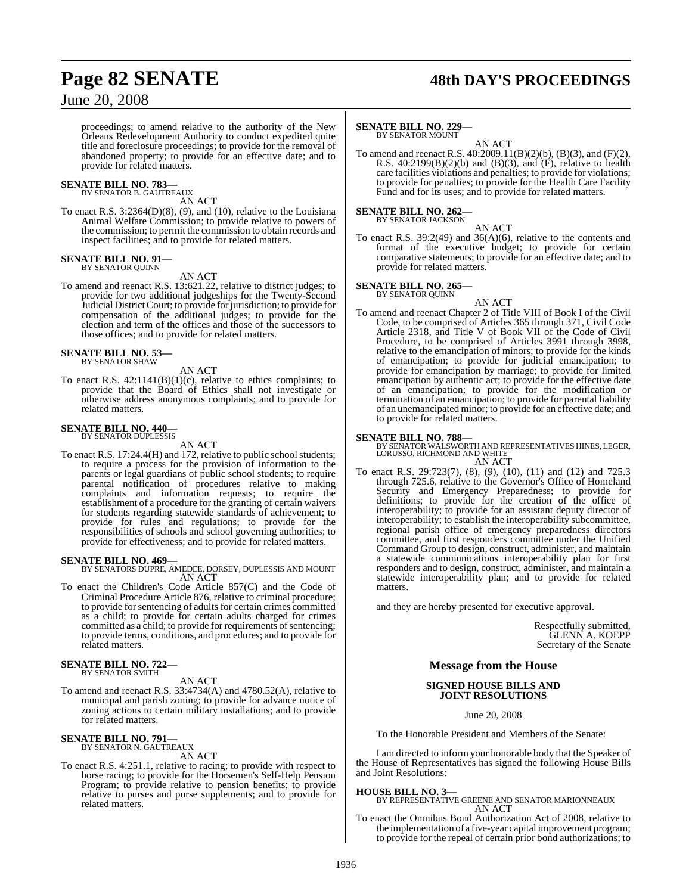## **Page 82 SENATE 48th DAY'S PROCEEDINGS**

## June 20, 2008

proceedings; to amend relative to the authority of the New Orleans Redevelopment Authority to conduct expedited quite title and foreclosure proceedings; to provide for the removal of abandoned property; to provide for an effective date; and to provide for related matters.

## **SENATE BILL NO. 783—** BY SENATOR B. GAUTREAUX

AN ACT

To enact R.S. 3:2364(D)(8), (9), and (10), relative to the Louisiana Animal Welfare Commission; to provide relative to powers of the commission; to permit the commission to obtain records and inspect facilities; and to provide for related matters.

### **SENATE BILL NO. 91—** BY SENATOR QUINN

AN ACT

To amend and reenact R.S. 13:621.22, relative to district judges; to provide for two additional judgeships for the Twenty-Second Judicial DistrictCourt; to provide forjurisdiction; to provide for compensation of the additional judges; to provide for the election and term of the offices and those of the successors to those offices; and to provide for related matters.

### **SENATE BILL NO. 53—** BY SENATOR SHAW

AN ACT

To enact R.S. 42:1141(B)(1)(c), relative to ethics complaints; to provide that the Board of Ethics shall not investigate or otherwise address anonymous complaints; and to provide for related matters.

### **SENATE BILL NO. 440—** BY SENATOR DUPLESSIS

AN ACT

To enact R.S. 17:24.4(H) and 172, relative to public school students; to require a process for the provision of information to the parents or legal guardians of public school students; to require parental notification of procedures relative to making complaints and information requests; to require the establishment of a procedure for the granting of certain waivers for students regarding statewide standards of achievement; to provide for rules and regulations; to provide for the responsibilities of schools and school governing authorities; to provide for effectiveness; and to provide for related matters.

**SENATE BILL NO. 469—** BY SENATORS DUPRE, AMEDEE, DORSEY, DUPLESSIS AND MOUNT AN ACT

To enact the Children's Code Article 857(C) and the Code of Criminal Procedure Article 876, relative to criminal procedure; to provide for sentencing of adults for certain crimes committed as a child; to provide for certain adults charged for crimes committed as a child; to provide for requirements of sentencing; to provide terms, conditions, and procedures; and to provide for related matters.

### **SENATE BILL NO. 722—** BY SENATOR SMITH

## AN ACT

To amend and reenact R.S. 33:4734(A) and 4780.52(A), relative to municipal and parish zoning; to provide for advance notice of zoning actions to certain military installations; and to provide for related matters.

### **SENATE BILL NO. 791—** BY SENATOR N. GAUTREAUX

AN ACT

To enact R.S. 4:251.1, relative to racing; to provide with respect to horse racing; to provide for the Horsemen's Self-Help Pension Program; to provide relative to pension benefits; to provide relative to purses and purse supplements; and to provide for related matters.

## **SENATE BILL NO. 229—**

BY SENATOR MOUNT

AN ACT To amend and reenact R.S. 40:2009.11(B)(2)(b), (B)(3), and (F)(2), R.S.  $40:2199(B)(2)(b)$  and  $(B)(3)$ , and  $(F)$ , relative to health care facilities violations and penalties; to provide for violations; to provide for penalties; to provide for the Health Care Facility Fund and for its uses; and to provide for related matters.

### **SENATE BILL NO. 262—** BY SENATOR JACKSON

AN ACT

To enact R.S. 39:2(49) and 36(A)(6), relative to the contents and format of the executive budget; to provide for certain comparative statements; to provide for an effective date; and to provide for related matters.

### **SENATE BILL NO. 265—** BY SENATOR QUINN



To amend and reenact Chapter 2 of Title VIII of Book I of the Civil Code, to be comprised of Articles 365 through 371, Civil Code Article 2318, and Title V of Book VII of the Code of Civil Procedure, to be comprised of Articles 3991 through 3998, relative to the emancipation of minors; to provide for the kinds of emancipation; to provide for judicial emancipation; to provide for emancipation by marriage; to provide for limited emancipation by authentic act; to provide for the effective date of an emancipation; to provide for the modification or termination of an emancipation; to provide for parental liability of an unemancipated minor; to provide for an effective date; and to provide for related matters.

## **SENATE BILL NO. 788—**

BY SENATOR WALSWORTH AND REPRESENTATIVES HINES, LEGER, LORUSSO, RICHMOND AND WHITE AN ACT

To enact R.S. 29:723(7), (8), (9), (10), (11) and (12) and 725.3 through 725.6, relative to the Governor's Office of Homeland Security and Emergency Preparedness; to provide for definitions; to provide for the creation of the office of interoperability; to provide for an assistant deputy director of interoperability; to establish the interoperability subcommittee, regional parish office of emergency preparedness directors committee, and first responders committee under the Unified Command Group to design, construct, administer, and maintain a statewide communications interoperability plan for first responders and to design, construct, administer, and maintain a statewide interoperability plan; and to provide for related matters.

and they are hereby presented for executive approval.

Respectfully submitted, GLENN A. KOEPP Secretary of the Senate

## **Message from the House**

## **SIGNED HOUSE BILLS AND JOINT RESOLUTIONS**

June 20, 2008

To the Honorable President and Members of the Senate:

I am directed to inform your honorable body that the Speaker of the House of Representatives has signed the following House Bills and Joint Resolutions:

## **HOUSE BILL NO. 3—**

BY REPRESENTATIVE GREENE AND SENATOR MARIONNEAUX AN ACT

To enact the Omnibus Bond Authorization Act of 2008, relative to the implementation of a five-year capital improvement program; to provide for the repeal of certain prior bond authorizations; to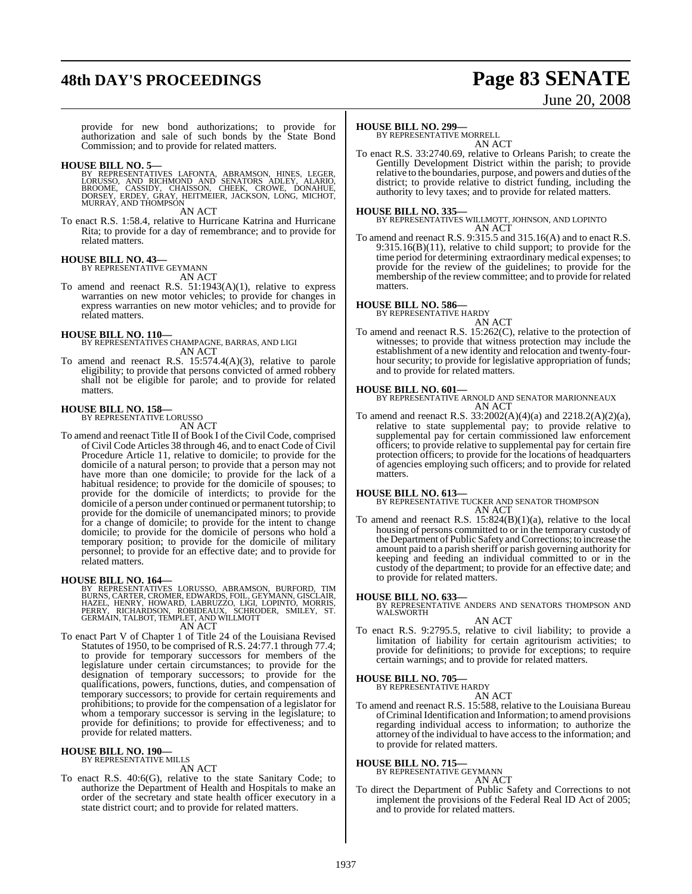## **48th DAY'S PROCEEDINGS Page 83 SENATE**

# June 20, 2008

provide for new bond authorizations; to provide for authorization and sale of such bonds by the State Bond Commission; and to provide for related matters.

### **HOUSE BILL NO. 5—**

BY REPRESENTATIVES LAFONTA, ABRAMSON, HINES, LEGER,<br>LORUSSO, AND RICHMOND AND SENATORS ADLEY, ALARIO,<br>BROOME, CASSIDY, CHAISSON, CHEEK, CROWE, DONAHUE,<br>DORSEY, ERDEY, GRAY, HEITMEIER, JACKSON, LONG, MICHOT,<br>MURRAY,AND THOM

AN ACT

To enact R.S. 1:58.4, relative to Hurricane Katrina and Hurricane Rita; to provide for a day of remembrance; and to provide for related matters.

### **HOUSE BILL NO. 43—** BY REPRESENTATIVE GEYMANN

AN ACT

To amend and reenact R.S. 51:1943(A)(1), relative to express warranties on new motor vehicles; to provide for changes in express warranties on new motor vehicles; and to provide for related matters.

## **HOUSE BILL NO. 110—** BY REPRESENTATIVES CHAMPAGNE, BARRAS, AND LIGI

AN ACT

To amend and reenact R.S. 15:574.4(A)(3), relative to parole eligibility; to provide that persons convicted of armed robbery shall not be eligible for parole; and to provide for related matters.

## **HOUSE BILL NO. 158—** BY REPRESENTATIVE LORUSSO

AN ACT

- 
- To amend and reenact Title II of Book I of the Civil Code, comprised of Civil Code Articles 38 through 46, and to enact Code of Civil Procedure Article 11, relative to domicile; to provide for the domicile of a natural person; to provide that a person may not have more than one domicile; to provide for the lack of a habitual residence; to provide for the domicile of spouses; to provide for the domicile of interdicts; to provide for the domicile of a person under continued or permanent tutorship; to provide for the domicile of unemancipated minors; to provide for a change of domicile; to provide for the intent to change domicile; to provide for the domicile of persons who hold a temporary position; to provide for the domicile of military personnel; to provide for an effective date; and to provide for related matters.

## **HOUSE BILL NO. 164—**

BY REPRESENTATIVES LORUSSO, ABRAMSON, BURFORD, TIM<br>BURNS, CARTER, CROMER, EDWARDS, FOIL, GEYMANN, GISCLAIR,<br>HAZEL, HENRY, HOWARD, LABRUZZO, LIGI, LOPINTO, MORRIS,<br>PERRY, RICHARDSON, ROBIDEAUX, SCHRODER, SMILEY, ST.<br>GERMAIN AN ACT

To enact Part V of Chapter 1 of Title 24 of the Louisiana Revised Statutes of 1950, to be comprised of R.S. 24:77.1 through 77.4; to provide for temporary successors for members of the legislature under certain circumstances; to provide for the designation of temporary successors; to provide for the qualifications, powers, functions, duties, and compensation of temporary successors; to provide for certain requirements and prohibitions; to provide for the compensation of a legislator for whom a temporary successor is serving in the legislature; to provide for definitions; to provide for effectiveness; and to provide for related matters.

## **HOUSE BILL NO. 190—** BY REPRESENTATIVE MILLS

AN ACT

To enact R.S. 40:6(G), relative to the state Sanitary Code; to authorize the Department of Health and Hospitals to make an order of the secretary and state health officer executory in a state district court; and to provide for related matters.

## **HOUSE BILL NO. 299—**

BY REPRESENTATIVE MORRELL AN ACT

To enact R.S. 33:2740.69, relative to Orleans Parish; to create the Gentilly Development District within the parish; to provide relative to the boundaries, purpose, and powers and duties ofthe district; to provide relative to district funding, including the authority to levy taxes; and to provide for related matters.

## **HOUSE BILL NO. 335—**

BY REPRESENTATIVES WILLMOTT, JOHNSON, AND LOPINTO AN ACT

To amend and reenact R.S. 9:315.5 and 315.16(A) and to enact R.S. 9:315.16(B)(11), relative to child support; to provide for the time period for determining extraordinary medical expenses; to provide for the review of the guidelines; to provide for the membership of the review committee; and to provide for related matters.

## **HOUSE BILL NO. 586—** BY REPRESENTATIVE HARDY

AN ACT

To amend and reenact R.S. 15:262(C), relative to the protection of witnesses; to provide that witness protection may include the establishment of a new identity and relocation and twenty-fourhour security; to provide for legislative appropriation of funds; and to provide for related matters.

**HOUSE BILL NO. 601—** BY REPRESENTATIVE ARNOLD AND SENATOR MARIONNEAUX AN ACT

To amend and reenact R.S. 33:2002(A)(4)(a) and 2218.2(A)(2)(a), relative to state supplemental pay; to provide relative to supplemental pay for certain commissioned law enforcement officers; to provide relative to supplemental pay for certain fire protection officers; to provide for the locations of headquarters of agencies employing such officers; and to provide for related matters.

**HOUSE BILL NO. 613—** BY REPRESENTATIVE TUCKER AND SENATOR THOMPSON AN ACT

To amend and reenact R.S. 15:824(B)(1)(a), relative to the local housing of persons committed to or in the temporary custody of the Department of Public Safety and Corrections; to increase the amount paid to a parish sheriff or parish governing authority for keeping and feeding an individual committed to or in the custody of the department; to provide for an effective date; and to provide for related matters.

**HOUSE BILL NO. 633—** BY REPRESENTATIVE ANDERS AND SENATORS THOMPSON AND WALSWORTH

AN ACT

To enact R.S. 9:2795.5, relative to civil liability; to provide a limitation of liability for certain agritourism activities; to provide for definitions; to provide for exceptions; to require certain warnings; and to provide for related matters.

## **HOUSE BILL NO. 705—**

BY REPRESENTATIVE HARDY

AN ACT To amend and reenact R.S. 15:588, relative to the Louisiana Bureau of Criminal Identification and Information; to amend provisions regarding individual access to information; to authorize the attorney of the individual to have access to the information; and to provide for related matters.

## **HOUSE BILL NO. 715—**

BY REPRESENTATIVE GEYMANN

### AN ACT

To direct the Department of Public Safety and Corrections to not implement the provisions of the Federal Real ID Act of 2005; and to provide for related matters.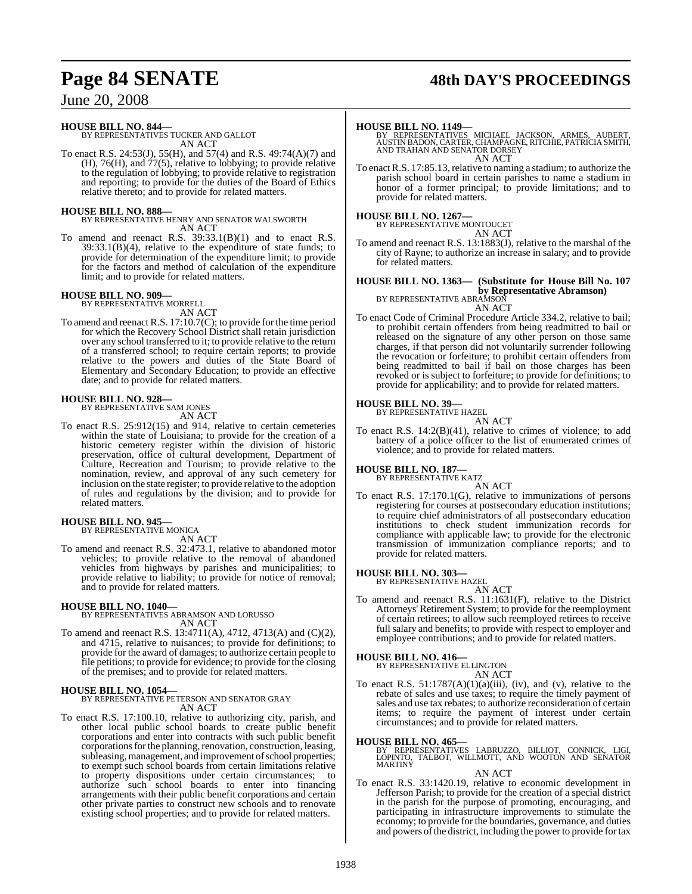## **Page 84 SENATE 48th DAY'S PROCEEDINGS**

June 20, 2008

## **HOUSE BILL NO. 844—**

BY REPRESENTATIVES TUCKER AND GALLOT AN ACT

To enact R.S. 24:53(J), 55(H), and 57(4) and R.S. 49:74(A)(7) and  $(H)$ , 76(H), and 77(5), relative to lobbying; to provide relative to the regulation of lobbying; to provide relative to registration and reporting; to provide for the duties of the Board of Ethics relative thereto; and to provide for related matters.

## **HOUSE BILL NO. 888—**

BY REPRESENTATIVE HENRY AND SENATOR WALSWORTH AN ACT

To amend and reenact R.S. 39:33.1(B)(1) and to enact R.S. 39:33.1(B)(4), relative to the expenditure of state funds; to provide for determination of the expenditure limit; to provide for the factors and method of calculation of the expenditure limit; and to provide for related matters.

## **HOUSE BILL NO. 909—** BY REPRESENTATIVE MORRELL

AN ACT To amend and reenact R.S. 17:10.7(C); to provide for the time period for which the Recovery School District shall retain jurisdiction over any school transferred to it; to provide relative to the return of a transferred school; to require certain reports; to provide relative to the powers and duties of the State Board of Elementary and Secondary Education; to provide an effective date; and to provide for related matters.

## **HOUSE BILL NO. 928—**

BY REPRESENTATIVE SAM JONES

- AN ACT
- To enact R.S. 25:912(15) and 914, relative to certain cemeteries within the state of Louisiana; to provide for the creation of a historic cemetery register within the division of historic preservation, office of cultural development, Department of Culture, Recreation and Tourism; to provide relative to the nomination, review, and approval of any such cemetery for inclusion on the state register; to provide relative to the adoption of rules and regulations by the division; and to provide for related matters.

### **HOUSE BILL NO. 945—** BY REPRESENTATIVE MONICA

AN ACT

To amend and reenact R.S. 32:473.1, relative to abandoned motor vehicles; to provide relative to the removal of abandoned vehicles from highways by parishes and municipalities; to provide relative to liability; to provide for notice of removal; and to provide for related matters.

## **HOUSE BILL NO. 1040—** BY REPRESENTATIVES ABRAMSON AND LORUSSO AN ACT

To amend and reenact R.S. 13:4711(A), 4712, 4713(A) and (C)(2), and 4715, relative to nuisances; to provide for definitions; to provide for the award of damages; to authorize certain people to file petitions; to provide for evidence; to provide for the closing of the premises; and to provide for related matters.

## **HOUSE BILL NO. 1054—**

BY REPRESENTATIVE PETERSON AND SENATOR GRAY AN ACT

To enact R.S. 17:100.10, relative to authorizing city, parish, and other local public school boards to create public benefit corporations and enter into contracts with such public benefit corporations for the planning, renovation, construction, leasing, subleasing, management, and improvement of school properties; to exempt such school boards from certain limitations relative to property dispositions under certain circumstances; to authorize such school boards to enter into financing arrangements with their public benefit corporations and certain other private parties to construct new schools and to renovate existing school properties; and to provide for related matters.

## **HOUSE BILL NO. 1149—**

BY REPRESENTATIVES MICHAEL JACKSON, ARMES, AUBERT,<br>AUSTIN BADON,CARTER,CHAMPAGNE,RITCHIE,PATRICIASMITH,<br>AND TRAHAN AND SENATOR DORSEY AN ACT

To enact R.S. 17:85.13, relative to naming a stadium; to authorize the parish school board in certain parishes to name a stadium in honor of a former principal; to provide limitations; and to provide for related matters.

## **HOUSE BILL NO. 1267—** BY REPRESENTATIVE MONTOUCET

| ATIVE MONTOUCET |        |
|-----------------|--------|
|                 | AN ACT |

To amend and reenact R.S. 13:1883(J), relative to the marshal of the city of Rayne; to authorize an increase in salary; and to provide for related matters.

## **HOUSE BILL NO. 1363— (Substitute for House Bill No. 107 by Representative Abramson)** BY REPRESENTATIVE ABRAMSON AN ACT

To enact Code of Criminal Procedure Article 334.2, relative to bail; to prohibit certain offenders from being readmitted to bail or released on the signature of any other person on those same charges, if that person did not voluntarily surrender following the revocation or forfeiture; to prohibit certain offenders from being readmitted to bail if bail on those charges has been revoked or is subject to forfeiture; to provide for definitions; to provide for applicability; and to provide for related matters.

## **HOUSE BILL NO. 39—**

BY REPRESENTATIVE HAZEL AN ACT

To enact R.S. 14:2(B)(41), relative to crimes of violence; to add battery of a police officer to the list of enumerated crimes of violence; and to provide for related matters.

## **HOUSE BILL NO. 187—** BY REPRESENTATIVE KATZ

AN ACT

To enact R.S. 17:170.1(G), relative to immunizations of persons registering for courses at postsecondary education institutions; to require chief administrators of all postsecondary education institutions to check student immunization records for compliance with applicable law; to provide for the electronic transmission of immunization compliance reports; and to provide for related matters.

## **HOUSE BILL NO. 303—** BY REPRESENTATIVE HAZEL

AN ACT

To amend and reenact R.S. 11:1631(F), relative to the District Attorneys' Retirement System; to provide for the reemployment of certain retirees; to allow such reemployed retirees to receive full salary and benefits; to provide with respect to employer and employee contributions; and to provide for related matters.

## **HOUSE BILL NO. 416—**

BY REPRESENTATIVE ELLINGTON

AN ACT To enact R.S.  $51:1787(A)(1)(a)(iii)$ , (iv), and (v), relative to the rebate of sales and use taxes; to require the timely payment of sales and use tax rebates; to authorize reconsideration of certain items; to require the payment of interest under certain circumstances; and to provide for related matters.

**HOUSE BILL NO. 465—** BY REPRESENTATIVES LABRUZZO, BILLIOT, CONNICK, LIGI, LOPINTO, TALBOT, WILLMOTT, AND WOOTON AND SENATOR MARTINY

AN ACT

To enact R.S. 33:1420.19, relative to economic development in Jefferson Parish; to provide for the creation of a special district in the parish for the purpose of promoting, encouraging, and participating in infrastructure improvements to stimulate the economy; to provide for the boundaries, governance, and duties and powers of the district, including the power to provide for tax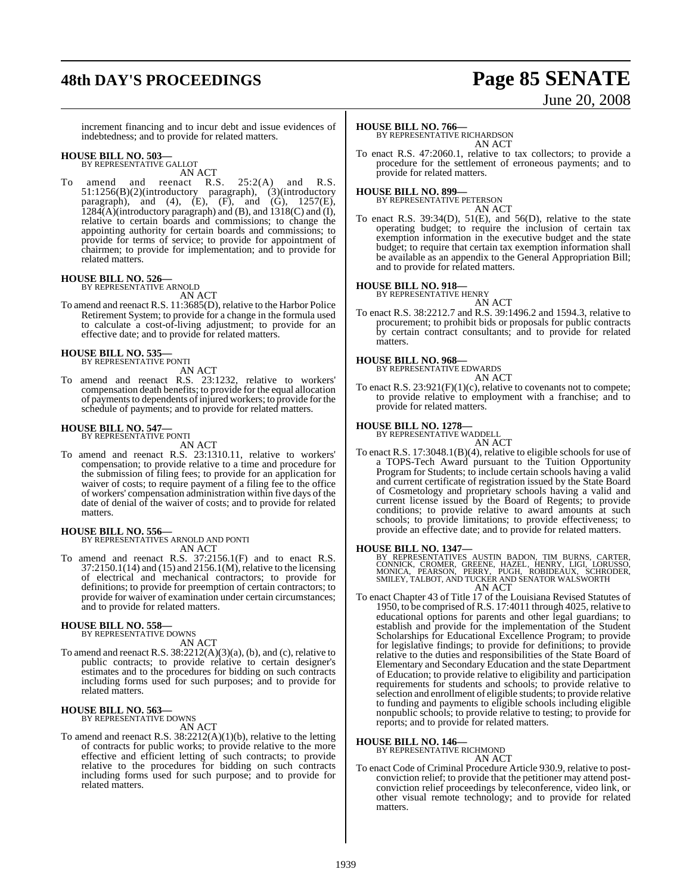## **48th DAY'S PROCEEDINGS Page 85 SENATE**

# June 20, 2008

increment financing and to incur debt and issue evidences of indebtedness; and to provide for related matters.

## **HOUSE BILL NO. 503—** BY REPRESENTATIVE GALLOT

AN ACT

To amend and reenact R.S. 25:2(A) and R.S. 51:1256(B)(2)(introductory paragraph), (3)(introductory paragraph), and (4),  $(E)$ ,  $(F)$ , and  $(G)$ , 1257 $(E)$ ,  $1284(A)$ (introductory paragraph) and (B), and  $1318(C)$  and (I), relative to certain boards and commissions; to change the appointing authority for certain boards and commissions; to provide for terms of service; to provide for appointment of chairmen; to provide for implementation; and to provide for related matters.

## **HOUSE BILL NO. 526—** BY REPRESENTATIVE ARNOLD

- AN ACT To amend and reenact R.S. 11:3685(D), relative to the Harbor Police
- Retirement System; to provide for a change in the formula used to calculate a cost-of-living adjustment; to provide for an effective date; and to provide for related matters.

## **HOUSE BILL NO. 535—**

BY REPRESENTATIVE PONTI

AN ACT To amend and reenact R.S. 23:1232, relative to workers' compensation death benefits; to provide for the equal allocation of payments to dependents of injured workers; to provide for the schedule of payments; and to provide for related matters.

### **HOUSE BILL NO. 547—** BY REPRESENTATIVE PONTI

AN ACT

To amend and reenact R.S. 23:1310.11, relative to workers' compensation; to provide relative to a time and procedure for the submission of filing fees; to provide for an application for waiver of costs; to require payment of a filing fee to the office of workers' compensation administration within five days of the date of denial of the waiver of costs; and to provide for related matters.

## **HOUSE BILL NO. 556—** BY REPRESENTATIVES ARNOLD AND PONTI

AN ACT

To amend and reenact R.S. 37:2156.1(F) and to enact R.S. 37:2150.1(14) and (15) and 2156.1(M), relative to the licensing of electrical and mechanical contractors; to provide for definitions; to provide for preemption of certain contractors; to provide for waiver of examination under certain circumstances; and to provide for related matters.

## **HOUSE BILL NO. 558—**

BY REPRESENTATIVE DOWNS AN ACT

To amend and reenact R.S.  $38:2212(A)(3)(a)$ , (b), and (c), relative to public contracts; to provide relative to certain designer's estimates and to the procedures for bidding on such contracts including forms used for such purposes; and to provide for related matters.

## **HOUSE BILL NO. 563—** BY REPRESENTATIVE DOWNS

AN ACT

To amend and reenact R.S.  $38:2212(A)(1)(b)$ , relative to the letting of contracts for public works; to provide relative to the more effective and efficient letting of such contracts; to provide relative to the procedures for bidding on such contracts including forms used for such purpose; and to provide for related matters.

## **HOUSE BILL NO. 766—**

BY REPRESENTATIVE RICHARDSON AN ACT

To enact R.S. 47:2060.1, relative to tax collectors; to provide a procedure for the settlement of erroneous payments; and to provide for related matters.

## **HOUSE BILL NO. 899—** BY REPRESENTATIVE PETERSON

AN ACT To enact R.S. 39:34(D), 51(E), and 56(D), relative to the state operating budget; to require the inclusion of certain tax exemption information in the executive budget and the state budget; to require that certain tax exemption information shall be available as an appendix to the General Appropriation Bill; and to provide for related matters.

### **HOUSE BILL NO. 918—**

BY REPRESENTATIVE HENRY

AN ACT To enact R.S. 38:2212.7 and R.S. 39:1496.2 and 1594.3, relative to procurement; to prohibit bids or proposals for public contracts by certain contract consultants; and to provide for related matters.

### **HOUSE BILL NO. 968—**

BY REPRESENTATIVE EDWARDS AN ACT

To enact R.S. 23:921(F)(1)(c), relative to covenants not to compete; to provide relative to employment with a franchise; and to provide for related matters.

### **HOUSE BILL NO. 1278—**

BY REPRESENTATIVE WADDELL

AN ACT To enact R.S. 17:3048.1(B)(4), relative to eligible schools for use of a TOPS-Tech Award pursuant to the Tuition Opportunity Program for Students; to include certain schools having a valid and current certificate of registration issued by the State Board of Cosmetology and proprietary schools having a valid and current license issued by the Board of Regents; to provide conditions; to provide relative to award amounts at such schools; to provide limitations; to provide effectiveness; to provide an effective date; and to provide for related matters.

## **HOUSE BILL NO. 1347—**

BY REPRESENTATIVES AUSTIN BADON, TIM BURNS, CARTER,<br>CONNICK, CROMER, GREENE, HAZEL, HENRY, LIGI, LORUSSO,<br>MONICA, PEARSON, PERRY, PUGH, ROBIDEAUX, SCHRODER,<br>SMILEY,TALBOT, AND TUCKER AND SENATOR WALSWORTH<br>AN ACT

To enact Chapter 43 of Title 17 of the Louisiana Revised Statutes of 1950, to be comprised ofR.S. 17:4011 through 4025, relative to educational options for parents and other legal guardians; to establish and provide for the implementation of the Student Scholarships for Educational Excellence Program; to provide for legislative findings; to provide for definitions; to provide relative to the duties and responsibilities of the State Board of Elementary and Secondary Education and the state Department of Education; to provide relative to eligibility and participation requirements for students and schools; to provide relative to selection and enrollment of eligible students; to provide relative to funding and payments to eligible schools including eligible nonpublic schools; to provide relative to testing; to provide for reports; and to provide for related matters.

## **HOUSE BILL NO. 146—**

BY REPRESENTATIVE RICHMOND AN ACT

To enact Code of Criminal Procedure Article 930.9, relative to postconviction relief; to provide that the petitioner may attend postconviction relief proceedings by teleconference, video link, or other visual remote technology; and to provide for related matters.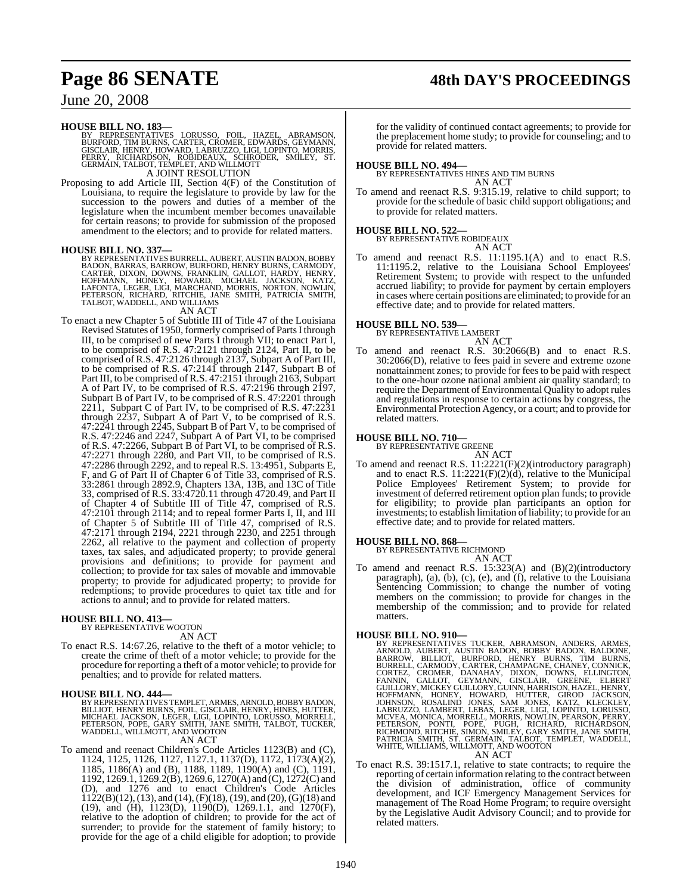**HOUSE BILL NO. 183—**<br>BY REPRESENTATIVES LORUSSO, FOIL, HAZEL, ABRAMSON,<br>BURFORD, TIM BURNS, CARTER, CROMER, EDWARDS, GEYMANN,<br>GISCLAIR, HENRY, HOWARD, LABRUZZO, LIGI, LOPINTO, MORRIS,<br>PERRY, RICHARDSON, ROBIDEAUX, SCHRODE A JOINT RESOLUTION

Proposing to add Article III, Section 4(F) of the Constitution of Louisiana, to require the legislature to provide by law for the succession to the powers and duties of a member of the legislature when the incumbent member becomes unavailable for certain reasons; to provide for submission of the proposed amendment to the electors; and to provide for related matters.

**HOUSE BILL NO. 337—**<br>BY REPRESENTATIVES BURRELL, AUBERT, AUSTIN BADON, BOBBY<br>BADON, BARRAS, BARROW, BURFORD, HENRY BURNS, CARMODY,<br>CARTER, DIXON, DOWNS, FRANKLIN, GALLOT, HARDY, HENRY,<br>HOFFMANN, HONEY, HOWARD, MICHAEL JAC

### AN ACT

To enact a new Chapter 5 of Subtitle III of Title 47 of the Louisiana Revised Statutes of 1950, formerly comprised of Parts I through III, to be comprised of new Parts I through VII; to enact Part I, to be comprised of R.S. 47:2121 through 2124, Part II, to be comprised of R.S. 47:2126 through 2137, Subpart A of Part III, to be comprised of R.S. 47:2141 through 2147, Subpart B of Part III, to be comprised of R.S. 47:2151 through 2163, Subpart A of Part IV, to be comprised of R.S. 47:2196 through 2197, Subpart B of Part IV, to be comprised of R.S. 47:2201 through 2211, Subpart C of Part IV, to be comprised of R.S. 47:2231 through 2237, Subpart A of Part V, to be comprised of R.S. 47:2241 through 2245, Subpart B of Part V, to be comprised of R.S. 47:2246 and 2247, Subpart A of Part VI, to be comprised of R.S. 47:2266, Subpart B of Part VI, to be comprised of R.S. 47:2271 through 2280, and Part VII, to be comprised of R.S. 47:2286 through 2292, and to repeal R.S. 13:4951, Subparts E, F, and G of Part II of Chapter 6 of Title 33, comprised of R.S. 33:2861 through 2892.9, Chapters 13A, 13B, and 13C of Title 33, comprised of R.S. 33:4720.11 through 4720.49, and Part II of Chapter 4 of Subtitle III of Title 47, comprised of R.S. 47:2101 through 2114; and to repeal former Parts I, II, and III of Chapter 5 of Subtitle III of Title 47, comprised of R.S. 47:2171 through 2194, 2221 through 2230, and 2251 through 2262, all relative to the payment and collection of property taxes, tax sales, and adjudicated property; to provide general provisions and definitions; to provide for payment and collection; to provide for tax sales of movable and immovable property; to provide for adjudicated property; to provide for redemptions; to provide procedures to quiet tax title and for actions to annul; and to provide for related matters.

## **HOUSE BILL NO. 413—**

BY REPRESENTATIVE WOOTON AN ACT

To enact R.S. 14:67.26, relative to the theft of a motor vehicle; to create the crime of theft of a motor vehicle; to provide for the procedure for reporting a theft of a motor vehicle; to provide for penalties; and to provide for related matters.

**HOUSE BILL NO. 444—**<br>BY REPRESENTATIVES TEMPLET, ARMES, ARNOLD, BOBBY BADON, BENELIOT, HENRY, HINES, HUTTER,<br>BILLIOT, HENRY BURNS, FOIL, GISCLAIR, HENRY, HINES, HUTTER,<br>MICHAEL JACKSON, LEGER, LIGI, LOPINTO, LORUSSO, MORR WADDELL, WILLMOTT, AND WOOTON AN ACT

To amend and reenact Children's Code Articles 1123(B) and (C), 1124, 1125, 1126, 1127, 1127.1, 1137(D), 1172, 1173(A)(2), 1185, 1186(A) and (B), 1188, 1189, 1190(A) and (C), 1191, 1192, 1269.1, 1269.2(B), 1269.6, 1270(A) and (C), 1272(C) and (D), and 1276 and to enact Children's Code Articles  $1122(B)(12)$ , (13), and (14), (F)(18), (19), and (20), (G)(18) and (19), and (H), 1123(D), 1190(D), 1269.1.1, and 1270(F), relative to the adoption of children; to provide for the act of surrender; to provide for the statement of family history; to provide for the age of a child eligible for adoption; to provide

for the validity of continued contact agreements; to provide for the preplacement home study; to provide for counseling; and to provide for related matters.

**HOUSE BILL NO. 494—** BY REPRESENTATIVES HINES AND TIM BURNS AN ACT

To amend and reenact R.S. 9:315.19, relative to child support; to provide for the schedule of basic child support obligations; and to provide for related matters.

## **HOUSE BILL NO. 522—** BY REPRESENTATIVE ROBIDEAUX

AN ACT

To amend and reenact R.S. 11:1195.1(A) and to enact R.S. 11:1195.2, relative to the Louisiana School Employees' Retirement System; to provide with respect to the unfunded accrued liability; to provide for payment by certain employers in cases where certain positions are eliminated; to provide for an effective date; and to provide for related matters.

## **HOUSE BILL NO. 539—** BY REPRESENTATIVE LAMBERT

AN ACT

To amend and reenact R.S. 30:2066(B) and to enact R.S. 30:2066(D), relative to fees paid in severe and extreme ozone nonattainment zones; to provide for fees to be paid with respect to the one-hour ozone national ambient air quality standard; to require the Department of Environmental Quality to adopt rules and regulations in response to certain actions by congress, the Environmental Protection Agency, or a court; and to provide for related matters.

### **HOUSE BILL NO. 710—** BY REPRESENTATIVE GREENE

AN ACT To amend and reenact R.S. 11:2221(F)(2)(introductory paragraph) and to enact R.S. 11:2221(F)(2)(d), relative to the Municipal Police Employees' Retirement System; to provide for investment of deferred retirement option plan funds; to provide for eligibility; to provide plan participants an option for investments; to establish limitation of liability; to provide for an effective date; and to provide for related matters.

## **HOUSE BILL NO. 868—** BY REPRESENTATIVE RICHMOND

AN ACT

To amend and reenact R.S. 15:323(A) and (B)(2)(introductory paragraph), (a), (b), (c), (e), and (f), relative to the Louisiana Sentencing Commission; to change the number of voting members on the commission; to provide for changes in the membership of the commission; and to provide for related matters.

- HOUSE BILL NO. 910—<br>
BY REPRESENTATIVES TUCKER, ABRAMSON, ANDERS, ARMES, ARNOLD, AUBERT, AUSTIN BADON, BOBBY BADON, BALDONE, BARROW, ELLIOT, BURFORD, HENRY BURNS, TIM BURNS, CORTEZ, CARMODY, CARTER, CHANNAGNE, CHANEY, CONN
- To enact R.S. 39:1517.1, relative to state contracts; to require the reporting of certain information relating to the contract between the division of administration, office of community development, and ICF Emergency Management Services for management of The Road Home Program; to require oversight by the Legislative Audit Advisory Council; and to provide for related matters.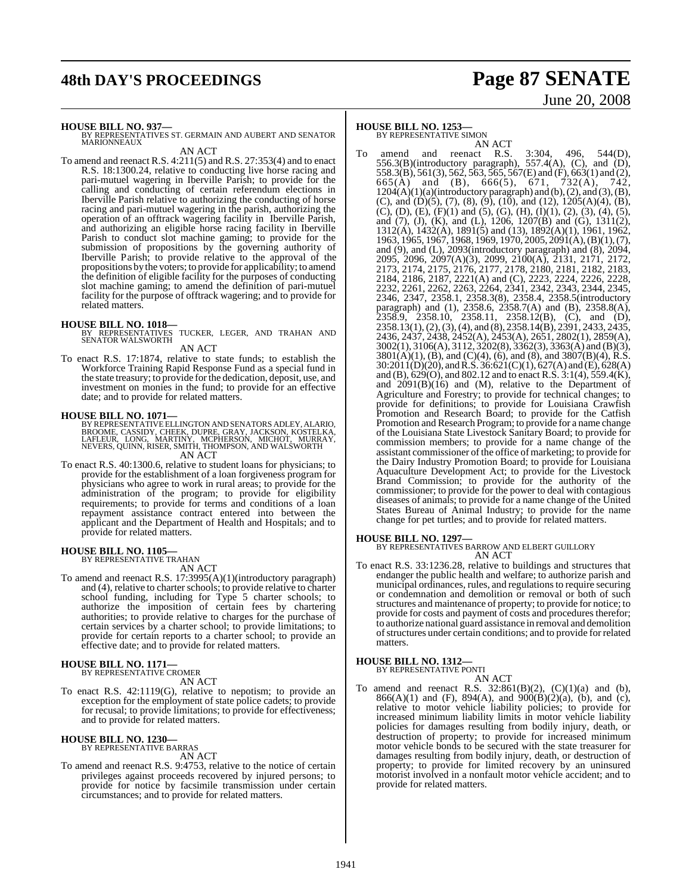## **48th DAY'S PROCEEDINGS Page 87 SENATE**

# June 20, 2008

**HOUSE BILL NO. 937—**

BY REPRESENTATIVES ST. GERMAIN AND AUBERT AND SENATOR **MARIONNEAUX** 

AN ACT To amend and reenact R.S. 4:211(5) and R.S. 27:353(4) and to enact R.S. 18:1300.24, relative to conducting live horse racing and pari-mutuel wagering in Iberville Parish; to provide for the calling and conducting of certain referendum elections in Iberville Parish relative to authorizing the conducting of horse racing and pari-mutuel wagering in the parish, authorizing the operation of an offtrack wagering facility in Iberville Parish, and authorizing an eligible horse racing facility in Iberville Parish to conduct slot machine gaming; to provide for the submission of propositions by the governing authority of Iberville Parish; to provide relative to the approval of the propositions by the voters; to provide for applicability; to amend the definition of eligible facility for the purposes of conducting

## related matters.

**HOUSE BILL NO. 1018—** BY REPRESENTATIVES TUCKER, LEGER, AND TRAHAN AND SENATOR WALSWORTH

slot machine gaming; to amend the definition of pari-mutuel facility for the purpose of offtrack wagering; and to provide for

AN ACT

To enact R.S. 17:1874, relative to state funds; to establish the Workforce Training Rapid Response Fund as a special fund in the state treasury; to provide for the dedication, deposit, use, and investment on monies in the fund; to provide for an effective date; and to provide for related matters.

## **HOUSE BILL NO. 1071—**

BY REPRESENTATIVE ELLINGTON AND SENATORS ADLEY, ALARIO,<br>BROOME, CASSIDY, CHEEK, DUPRE, GRAY, JACKSON, KOSTELKA,<br>LAFLEUR, LONG, MARTINY, MCPHERSON, MICHOT, MURRAY,<br>NEVERS, QUINN, RISER, SMITH, THOMPSON, AND WALSWORTH AN ACT

To enact R.S. 40:1300.6, relative to student loans for physicians; to provide for the establishment of a loan forgiveness program for physicians who agree to work in rural areas; to provide for the administration of the program; to provide for eligibility requirements; to provide for terms and conditions of a loan repayment assistance contract entered into between the applicant and the Department of Health and Hospitals; and to provide for related matters.

### **HOUSE BILL NO. 1105—** BY REPRESENTATIVE TRAHAN

AN ACT

To amend and reenact R.S. 17:3995(A)(1)(introductory paragraph) and (4), relative to charter schools; to provide relative to charter school funding, including for Type 5 charter schools; to authorize the imposition of certain fees by chartering authorities; to provide relative to charges for the purchase of certain services by a charter school; to provide limitations; to provide for certain reports to a charter school; to provide an effective date; and to provide for related matters.

### **HOUSE BILL NO. 1171—** BY REPRESENTATIVE CROMER

AN ACT

To enact R.S. 42:1119(G), relative to nepotism; to provide an exception for the employment of state police cadets; to provide for recusal; to provide limitations; to provide for effectiveness; and to provide for related matters.

## **HOUSE BILL NO. 1230—** BY REPRESENTATIVE BARRAS

AN ACT

To amend and reenact R.S. 9:4753, relative to the notice of certain privileges against proceeds recovered by injured persons; to provide for notice by facsimile transmission under certain circumstances; and to provide for related matters.

## **HOUSE BILL NO. 1253—**

BY REPRESENTATIVE SIMON

AN ACT<br>and reenact R.S. To amend and reenact R.S. 3:304, 496, 544(D), 556.3(B)(introductory paragraph), 557.4(A), (C), and (D), 558.3(B), 561(3), 562, 563, 565, 567(E) and (F), 663(1) and (2), 665(A) and (B), 666(5), 671, 732(A), 742,  $1204(A)(1)(a)$ (introductory paragraph) and (b), (2), and (3), (B), (C), and (D)(5), (7), (8), (9), (10), and (12), 1205(A)(4), (B), (C), (D), (E), (F)(1) and (5), (G), (H), (I)(1), (2), (3), (4), (5), and (7), (J), (K), and (L), 1206, 1207(B) and (G), 1311(2), 1312(A), 1432(A), 1891(5) and (13), 1892(A)(1), 1961, 1962, 1963, 1965, 1967, 1968, 1969, 1970, 2005, 2091(A), (B)(1), (7), and (9), and (L), 2093(introductory paragraph) and (8), 2094, 2095, 2096, 2097(A)(3), 2099, 2100(A), 2131, 2171, 2172, 2173, 2174, 2175, 2176, 2177, 2178, 2180, 2181, 2182, 2183, 2184, 2186, 2187, 2221(A) and (C), 2223, 2224, 2226, 2228, 2232, 2261, 2262, 2263, 2264, 2341, 2342, 2343, 2344, 2345, 2346, 2347, 2358.1, 2358.3(8), 2358.4, 2358.5(introductory paragraph) and (1), 2358.6, 2358.7(A) and (B), 2358.8(A),  $2358.9$ ,  $2358.10$ ,  $2358.11$ ,  $2358.12$ (B), (C), and (D), 2358.13(1),(2),(3),(4), and (8), 2358.14(B), 2391, 2433, 2435, 2436, 2437, 2438, 2452(A), 2453(A), 2651, 2802(1), 2859(A), 3002(1), 3106(A), 3112, 3202(8), 3362(3), 3363(A) and (B)(3),  $3801(A)(1)$ , (B), and (C)(4), (6), and (8), and  $3807(B)(4)$ , R.S.  $30:2011(D)(20)$ , and R.S.  $36:621(C)(1)$ ,  $627(A)$  and  $(E)$ ,  $628(A)$ and (B),  $629(O)$ , and 802.12 and to enact R.S.  $3:1(4)$ ,  $559.4(K)$ , and  $2091(B)(16)$  and (M), relative to the Department of Agriculture and Forestry; to provide for technical changes; to provide for definitions; to provide for Louisiana Crawfish Promotion and Research Board; to provide for the Catfish Promotion and Research Program; to provide for a name change of the Louisiana State Livestock Sanitary Board; to provide for commission members; to provide for a name change of the assistant commissioner of the office of marketing; to provide for the Dairy Industry Promotion Board; to provide for Louisiana Aquaculture Development Act; to provide for the Livestock Brand Commission; to provide for the authority of the commissioner; to provide for the power to deal with contagious diseases of animals; to provide for a name change of the United States Bureau of Animal Industry; to provide for the name change for pet turtles; and to provide for related matters.

## **HOUSE BILL NO. 1297—**

BY REPRESENTATIVES BARROW AND ELBERT GUILLORY AN ACT

To enact R.S. 33:1236.28, relative to buildings and structures that endanger the public health and welfare; to authorize parish and municipal ordinances, rules, and regulationsto require securing or condemnation and demolition or removal or both of such structures and maintenance of property; to provide for notice; to provide for costs and payment of costs and procedures therefor; to authorize national guard assistance in removal and demolition ofstructures under certain conditions; and to provide for related matters.

## **HOUSE BILL NO. 1312—** BY REPRESENTATIVE PONTI

AN ACT

To amend and reenact R.S.  $32:861(B)(2)$ ,  $(C)(1)(a)$  and  $(b)$ , 866(A)(1) and (F), 894(A), and  $900(B)(2)(a)$ , (b), and (c), relative to motor vehicle liability policies; to provide for increased minimum liability limits in motor vehicle liability policies for damages resulting from bodily injury, death, or destruction of property; to provide for increased minimum motor vehicle bonds to be secured with the state treasurer for damages resulting from bodily injury, death, or destruction of property; to provide for limited recovery by an uninsured motorist involved in a nonfault motor vehicle accident; and to provide for related matters.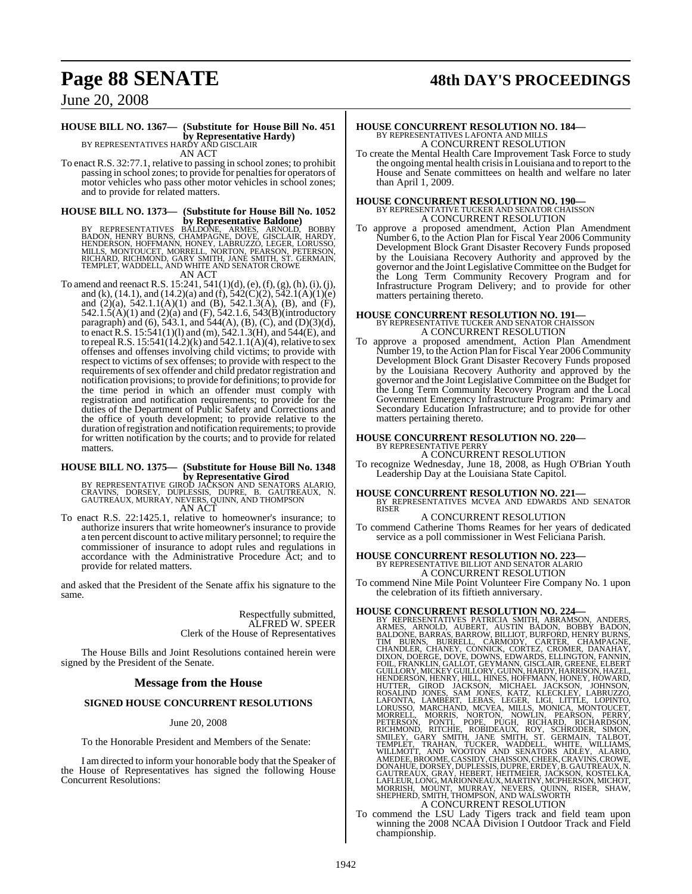## **Page 88 SENATE 48th DAY'S PROCEEDINGS**

June 20, 2008

## **HOUSE BILL NO. 1367— (Substitute for House Bill No. 451 by Representative Hardy)** BY REPRESENTATIVES HARDY AND GISCLAIR

AN ACT

To enact R.S. 32:77.1, relative to passing in school zones; to prohibit passing in school zones; to provide for penalties for operators of motor vehicles who pass other motor vehicles in school zones; and to provide for related matters.

## **HOUSE BILL NO. 1373— (Substitute for House Bill No. 1052**

by Representative Baldone)<br>BADON, HENRY BURNS, CHAMPAGNE, ARMES, ARNOLD, BOBBY<br>BADON, HENRY BURNS, CHAMPAGNE, DOVE, GISCLAIR, HARDY,<br>HENDERSON, HOFFMANN, HONEY, LABRUZZO, LEGER, LORUSSO,<br>RICHARD, RICHMOND, GARY SMITH, JANE

- AN ACT
- To amend and reenact R.S. 15:241, 541(1)(d), (e), (f), (g), (h), (i), (j), and (k), (14.1), and (14.2)(a) and (f),  $542(\text{C})(2)$ ,  $542.1(\text{A})(1)(e)$ and (2)(a), 542.1.1(A)(1) and (B), 542.1.3(A), (B), and (F), 542.1.5(A)(1) and (2)(a) and (F), 542.1.6, 543(B)(introductory paragraph) and (6), 543.1, and 544(A), (B), (C), and (D)(3)(d), to enact R.S. 15:541(1)(l) and (m), 542.1.3(H), and 544(E), and to repeal R.S.  $15:541(14.2)(k)$  and  $542.1.1(A)(4)$ , relative to sex offenses and offenses involving child victims; to provide with respect to victims of sex offenses; to provide with respect to the requirements of sex offender and child predator registration and notification provisions; to provide for definitions; to provide for the time period in which an offender must comply with registration and notification requirements; to provide for the duties of the Department of Public Safety and Corrections and the office of youth development; to provide relative to the duration ofregistration and notification requirements; to provide for written notification by the courts; and to provide for related matters.

## **HOUSE BILL NO. 1375— (Substitute for House Bill No. 1348 by Representative Girod**

BY REPRESENTATIVE GIROD JAČKSON AND SENATORS ALARIO,<br>CRAVINS, DORSEY, DUPLESSIS, DUPRE, B. GAUTREAUX, N.<br>GAUTREAUX,MURRAY,NEVERS,QUINN,AND THOMPSON AN ACT

To enact R.S. 22:1425.1, relative to homeowner's insurance; to authorize insurers that write homeowner's insurance to provide a ten percent discount to activemilitary personnel; to require the commissioner of insurance to adopt rules and regulations in accordance with the Administrative Procedure Act; and to provide for related matters.

and asked that the President of the Senate affix his signature to the same.

> Respectfully submitted, ALFRED W. SPEER Clerk of the House of Representatives

The House Bills and Joint Resolutions contained herein were signed by the President of the Senate.

## **Message from the House**

## **SIGNED HOUSE CONCURRENT RESOLUTIONS**

## June 20, 2008

To the Honorable President and Members of the Senate:

I am directed to inform your honorable body that the Speaker of the House of Representatives has signed the following House Concurrent Resolutions:

## **HOUSE CONCURRENT RESOLUTION NO. 184—** BY REPRESENTATIVES LAFONTA AND MILLS A CONCURRENT RESOLUTION

To create the Mental Health Care Improvement Task Force to study the ongoing mental health crisisin Louisiana and to report to the House and Senate committees on health and welfare no later than April 1, 2009.

## **HOUSE CONCURRENT RESOLUTION NO. 190—** BY REPRESENTATIVE TUCKER AND SENATOR CHAISSON A CONCURRENT RESOLUTION

To approve a proposed amendment, Action Plan Amendment Number 6, to the Action Plan for Fiscal Year 2006 Community Development Block Grant Disaster Recovery Funds proposed by the Louisiana Recovery Authority and approved by the governor and the Joint Legislative Committee on the Budget for the Long Term Community Recovery Program and for Infrastructure Program Delivery; and to provide for other matters pertaining thereto.

## **HOUSE CONCURRENT RESOLUTION NO. 191—** BY REPRESENTATIVE TUCKER AND SENATOR CHAISSON A CONCURRENT RESOLUTION

To approve a proposed amendment, Action Plan Amendment Number 19, to the Action Plan for Fiscal Year 2006 Community Development Block Grant Disaster Recovery Funds proposed by the Louisiana Recovery Authority and approved by the governor and the Joint Legislative Committee on the Budget for the Long Term Community Recovery Program and the Local Government Emergency Infrastructure Program: Primary and Secondary Education Infrastructure; and to provide for other matters pertaining thereto.

### **HOUSE CONCURRENT RESOLUTION NO. 220—** BY REPRESENTATIVE PERRY

A CONCURRENT RESOLUTION

To recognize Wednesday, June 18, 2008, as Hugh O'Brian Youth Leadership Day at the Louisiana State Capitol.

## **HOUSE CONCURRENT RESOLUTION NO. 221—** BY REPRESENTATIVES MCVEA AND EDWARDS AND SENATOR RISER

A CONCURRENT RESOLUTION To commend Catherine Thoms Reames for her years of dedicated service as a poll commissioner in West Feliciana Parish.

## **HOUSE CONCURRENT RESOLUTION NO. 223—** BY REPRESENTATIVE BILLIOT AND SENATOR ALARIO A CONCURRENT RESOLUTION

To commend Nine Mile Point Volunteer Fire Company No. 1 upon the celebration of its fiftieth anniversary.

HOUSE CONCURRENT RESOLUTION NO. 224-<br>BY REPRESENTATIVES PATRICIA SMITH, ABRAMSON, ANDERS, ARNES, ARNOLD, AUBERT, AUSTIN BADAN, BOBBY BADON, BALLON, BARAS, BARROW, BILLIOT, BURFORD, HEINENS, TIM BURNS, BURRELL, CARMODY, CAR

To commend the LSU Lady Tigers track and field team upon winning the 2008 NCAA Division I Outdoor Track and Field championship.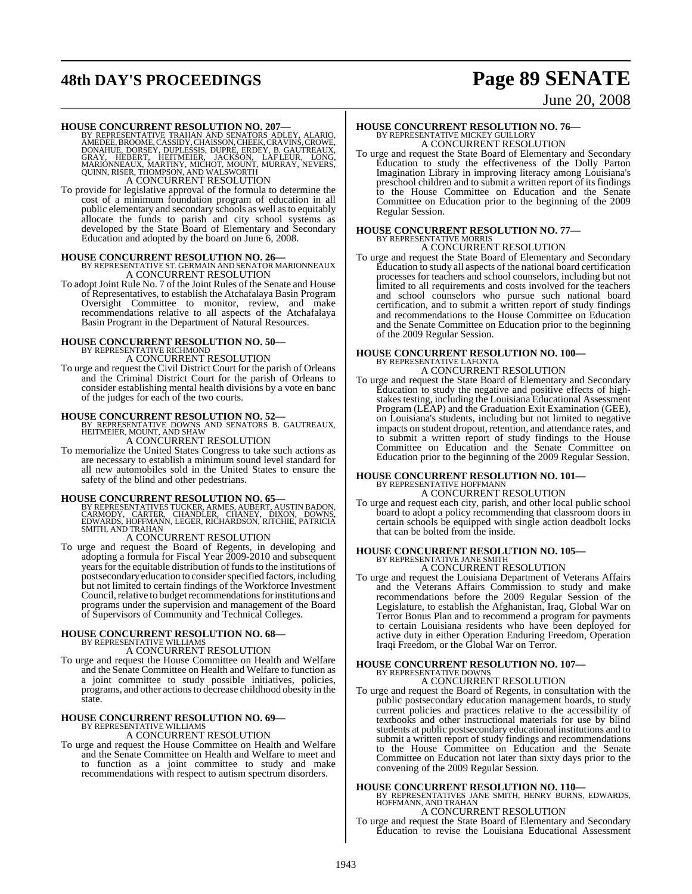## **48th DAY'S PROCEEDINGS Page 89 SENATE**

# June 20, 2008

**HOUSE CONCURRENT RESOLUTION NO. 207—**<br>BY REPRESENTATIVE TRAHAN AND SENATORS ADLEY, ALARIO,<br>AMEDEE, BROOME, CASSIDY, CHAISSON, CHEEK, CRAVINS, CROWE,<br>DONAHUE, DORSEY, DUPLESSIS, DUPRE, ERDEY, B. GAUTREAUX,<br>GRAY, HEBERT, HE A CONCURRENT RESOLUTION

To provide for legislative approval of the formula to determine the cost of a minimum foundation program of education in all public elementary and secondary schools as well asto equitably allocate the funds to parish and city school systems as developed by the State Board of Elementary and Secondary Education and adopted by the board on June 6, 2008.

## **HOUSE CONCURRENT RESOLUTION NO. 26—** BY REPRESENTATIVE ST. GERMAIN AND SENATOR MARIONNEAUX A CONCURRENT RESOLUTION

To adopt Joint Rule No. 7 of the Joint Rules of the Senate and House of Representatives, to establish the Atchafalaya Basin Program Oversight Committee to monitor, review, and make recommendations relative to all aspects of the Atchafalaya Basin Program in the Department of Natural Resources.

## **HOUSE CONCURRENT RESOLUTION NO. 50—** BY REPRESENTATIVE RICHMOND A CONCURRENT RESOLUTION

To urge and request the Civil District Court for the parish of Orleans and the Criminal District Court for the parish of Orleans to consider establishing mental health divisions by a vote en banc of the judges for each of the two courts.

**HOUSE CONCURRENT RESOLUTION NO. 52—**<br>BY REPRESENTATIVE DOWNS AND SENATORS B. GAUTREAUX,<br>HEITMEIER, MOUNT, AND SHAW A CONCURRENT RESOLUTION

To memorialize the United States Congress to take such actions as are necessary to establish a minimum sound level standard for all new automobiles sold in the United States to ensure the safety of the blind and other pedestrians.

## **HOUSE CONCURRENT RESOLUTION NO. 65—**

BY REPRESENTATIVES TUCKER, ARMES, AUBERT, AUSTIN BADON,<br>CARMODY, CARTER, CHANDLER, CHANEY, DIXON, DOWNS,<br>EDWARDS, HOFFMANN, LEGER, RICHARDSON, RITCHIE, PATRICIA SMITH, AND TRAHAN

## A CONCURRENT RESOLUTION

To urge and request the Board of Regents, in developing and adopting a formula for Fiscal Year 2009-2010 and subsequent years for the equitable distribution of funds to the institutions of postsecondary education to consider specified factors, including but not limited to certain findings of the Workforce Investment Council, relative to budget recommendations for institutions and programs under the supervision and management of the Board of Supervisors of Community and Technical Colleges.

## **HOUSE CONCURRENT RESOLUTION NO. 68—** BY REPRESENTATIVE WILLIAMS

A CONCURRENT RESOLUTION

To urge and request the House Committee on Health and Welfare and the Senate Committee on Health and Welfare to function as a joint committee to study possible initiatives, policies, programs, and other actionsto decrease childhood obesity in the state.

## **HOUSE CONCURRENT RESOLUTION NO. 69—** BY REPRESENTATIVE WILLIAMS

## A CONCURRENT RESOLUTION

To urge and request the House Committee on Health and Welfare and the Senate Committee on Health and Welfare to meet and to function as a joint committee to study and make recommendations with respect to autism spectrum disorders.

## **HOUSE CONCURRENT RESOLUTION NO. 76—** BY REPRESENTATIVE MICKEY GUILLORY A CONCURRENT RESOLUTION

To urge and request the State Board of Elementary and Secondary Education to study the effectiveness of the Dolly Parton Imagination Library in improving literacy among Louisiana's preschool children and to submit a written report of its findings to the House Committee on Education and the Senate Committee on Education prior to the beginning of the 2009 Regular Session.

## **HOUSE CONCURRENT RESOLUTION NO. 77—** BY REPRESENTATIVE MORRIS A CONCURRENT RESOLUTION

To urge and request the State Board of Elementary and Secondary Education to study all aspects of the national board certification processes for teachers and school counselors, including but not limited to all requirements and costs involved for the teachers and school counselors who pursue such national board certification, and to submit a written report of study findings and recommendations to the House Committee on Education and the Senate Committee on Education prior to the beginning of the 2009 Regular Session.

### **HOUSE CONCURRENT RESOLUTION NO. 100—** BY REPRESENTATIVE LAFONTA A CONCURRENT RESOLUTION

To urge and request the State Board of Elementary and Secondary Education to study the negative and positive effects of highstakes testing, including the Louisiana Educational Assessment Program (LEAP) and the Graduation Exit Examination (GEE), on Louisiana's students, including but not limited to negative impacts on student dropout, retention, and attendance rates, and to submit a written report of study findings to the House Committee on Education and the Senate Committee on Education prior to the beginning of the 2009 Regular Session.

## **HOUSE CONCURRENT RESOLUTION NO. 101—**

BY REPRESENTATIVE HOFFMANN A CONCURRENT RESOLUTION

To urge and request each city, parish, and other local public school board to adopt a policy recommending that classroom doors in certain schools be equipped with single action deadbolt locks that can be bolted from the inside.

### **HOUSE CONCURRENT RESOLUTION NO. 105—** BY REPRESENTATIVE JANE SMITH A CONCURRENT RESOLUTION

To urge and request the Louisiana Department of Veterans Affairs and the Veterans Affairs Commission to study and make recommendations before the 2009 Regular Session of the Legislature, to establish the Afghanistan, Iraq, Global War on Terror Bonus Plan and to recommend a program for payments to certain Louisiana residents who have been deployed for active duty in either Operation Enduring Freedom, Operation Iraqi Freedom, or the Global War on Terror.

## **HOUSE CONCURRENT RESOLUTION NO. 107—** BY REPRESENTATIVE DOWNS A CONCURRENT RESOLUTION

To urge and request the Board of Regents, in consultation with the public postsecondary education management boards, to study current policies and practices relative to the accessibility of textbooks and other instructional materials for use by blind students at public postsecondary educational institutions and to submit a written report of study findings and recommendations to the House Committee on Education and the Senate Committee on Education not later than sixty days prior to the convening of the 2009 Regular Session.

**HOUSE CONCURRENT RESOLUTION NO. 110—** BY REPRESENTATIVES JANE SMITH, HENRY BURNS, EDWARDS, HOFFMANN, AND TRAHAN A CONCURRENT RESOLUTION

To urge and request the State Board of Elementary and Secondary Education to revise the Louisiana Educational Assessment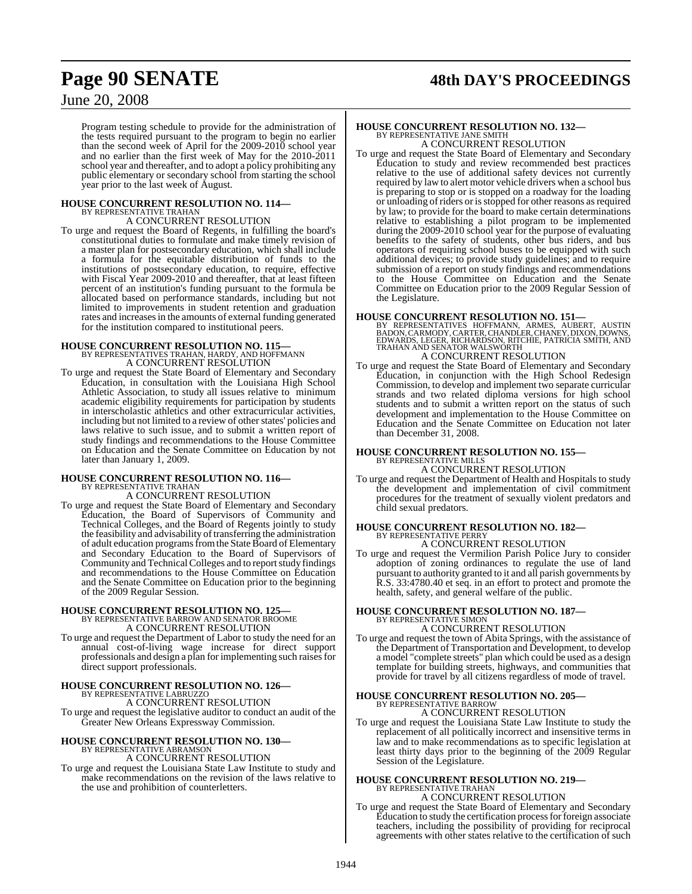## **Page 90 SENATE 48th DAY'S PROCEEDINGS**

## June 20, 2008

Program testing schedule to provide for the administration of the tests required pursuant to the program to begin no earlier than the second week of April for the 2009-2010 school year and no earlier than the first week of May for the 2010-2011 school year and thereafter, and to adopt a policy prohibiting any public elementary or secondary school from starting the school year prior to the last week of August.

## **HOUSE CONCURRENT RESOLUTION NO. 114—** BY REPRESENTATIVE TRAHAN A CONCURRENT RESOLUTION

To urge and request the Board of Regents, in fulfilling the board's constitutional duties to formulate and make timely revision of a master plan for postsecondary education, which shall include a formula for the equitable distribution of funds to the institutions of postsecondary education, to require, effective with Fiscal Year 2009-2010 and thereafter, that at least fifteen percent of an institution's funding pursuant to the formula be allocated based on performance standards, including but not limited to improvements in student retention and graduation rates and increasesin the amounts of external funding generated for the institution compared to institutional peers.

## **HOUSE CONCURRENT RESOLUTION NO. 115—**

BY REPRESENTATIVES TRAHAN, HARDY, AND HOFFMANN A CONCURRENT RESOLUTION

To urge and request the State Board of Elementary and Secondary Education, in consultation with the Louisiana High School Athletic Association, to study all issues relative to minimum academic eligibility requirements for participation by students in interscholastic athletics and other extracurricular activities, including but not limited to a review of other states' policies and laws relative to such issue, and to submit a written report of study findings and recommendations to the House Committee on Education and the Senate Committee on Education by not later than January 1, 2009.

### **HOUSE CONCURRENT RESOLUTION NO. 116—** BY REPRESENTATIVE TRAHA

A CONCURRENT RESOLUTION

To urge and request the State Board of Elementary and Secondary Education, the Board of Supervisors of Community and Technical Colleges, and the Board of Regents jointly to study the feasibility and advisability of transferring the administration of adult education programs from the State Board of Elementary and Secondary Education to the Board of Supervisors of Community and Technical Colleges and to report study findings and recommendations to the House Committee on Education and the Senate Committee on Education prior to the beginning of the 2009 Regular Session.

## **HOUSE CONCURRENT RESOLUTION NO. 125—** BY REPRESENTATIVE BARROW AND SENATOR BROOME A CONCURRENT RESOLUTION

To urge and request the Department of Labor to study the need for an annual cost-of-living wage increase for direct support professionals and design a plan for implementing such raises for direct support professionals.

## **HOUSE CONCURRENT RESOLUTION NO. 126—** BY REPRESENTATIVE LABRUZZO

A CONCURRENT RESOLUTION

To urge and request the legislative auditor to conduct an audit of the Greater New Orleans Expressway Commission.

### **HOUSE CONCURRENT RESOLUTION NO. 130—** BY REPRESENTATIVE ABRAMSON

A CONCURRENT RESOLUTION

To urge and request the Louisiana State Law Institute to study and make recommendations on the revision of the laws relative to the use and prohibition of counterletters.

### **HOUSE CONCURRENT RESOLUTION NO. 132—** BY REPRESENTATIVE JANE SMITH A CONCURRENT RESOLUTION

To urge and request the State Board of Elementary and Secondary Education to study and review recommended best practices relative to the use of additional safety devices not currently required by law to alert motor vehicle drivers when a school bus is preparing to stop or is stopped on a roadway for the loading or unloading of riders or is stopped for other reasons as required by law; to provide for the board to make certain determinations relative to establishing a pilot program to be implemented during the 2009-2010 school year for the purpose of evaluating benefits to the safety of students, other bus riders, and bus operators of requiring school buses to be equipped with such additional devices; to provide study guidelines; and to require submission of a report on study findings and recommendations to the House Committee on Education and the Senate Committee on Education prior to the 2009 Regular Session of the Legislature.

**HOUSE CONCURRENT RESOLUTION NO. 151—**<br>BY REPRESENTATIVES HOFFMANN, ARMES, AUBERT, AUSTIN BADON, CARMODY, CARTER, CHANDLER, CHANEY, DIXON, DOWNS, EDWARDS, LEGER, RICHARDSON, RITCHIE, PATRICIA SMITH, AND TRAHAN AND SENATOR

## A CONCURRENT RESOLUTION

To urge and request the State Board of Elementary and Secondary Education, in conjunction with the High School Redesign Commission, to develop and implement two separate curricular strands and two related diploma versions for high school students and to submit a written report on the status of such development and implementation to the House Committee on Education and the Senate Committee on Education not later than December 31, 2008.

### **HOUSE CONCURRENT RESOLUTION NO. 155—** BY REPRESENTATIVE MILLS A CONCURRENT RESOLUTION

To urge and request the Department of Health and Hospitals to study the development and implementation of civil commitment procedures for the treatment of sexually violent predators and child sexual predators.

## **HOUSE CONCURRENT RESOLUTION NO. 182—** BY REPRESENTATIVE PERRY A CONCURRENT RESOLUTION

To urge and request the Vermilion Parish Police Jury to consider adoption of zoning ordinances to regulate the use of land pursuant to authority granted to it and all parish governments by R.S. 33:4780.40 et seq. in an effort to protect and promote the health, safety, and general welfare of the public.

## **HOUSE CONCURRENT RESOLUTION NO. 187—** BY REPRESENTATIVE SIMON A CONCURRENT RESOLUTION

To urge and request the town of Abita Springs, with the assistance of the Department of Transportation and Development, to develop a model "complete streets" plan which could be used as a design template for building streets, highways, and communities that provide for travel by all citizens regardless of mode of travel.

## **HOUSE CONCURRENT RESOLUTION NO. 205—** BY REPRESENTATIVE BARROW A CONCURRENT RESOLUTION

To urge and request the Louisiana State Law Institute to study the replacement of all politically incorrect and insensitive terms in law and to make recommendations as to specific legislation at least thirty days prior to the beginning of the 2009 Regular Session of the Legislature.

### **HOUSE CONCURRENT RESOLUTION NO. 219—** BY REPRESENTATIVE TRAHAI A CONCURRENT RESOLUTION

To urge and request the State Board of Elementary and Secondary Education to study the certification processforforeign associate teachers, including the possibility of providing for reciprocal agreements with other states relative to the certification of such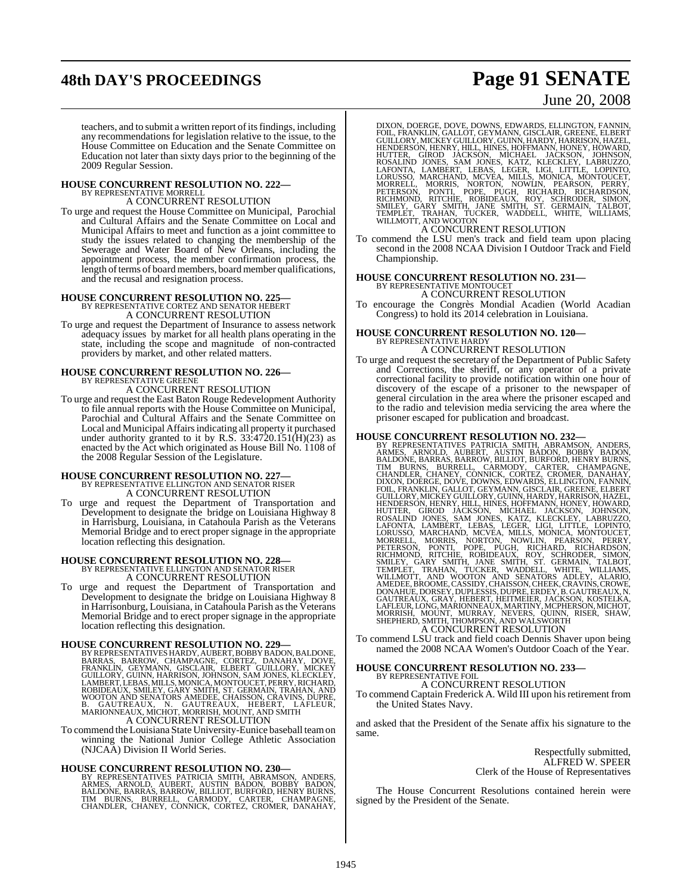## **48th DAY'S PROCEEDINGS Page 91 SENATE**

## June 20, 2008

teachers, and to submit a written report of its findings, including any recommendations for legislation relative to the issue, to the House Committee on Education and the Senate Committee on Education not later than sixty days prior to the beginning of the 2009 Regular Session.

## **HOUSE CONCURRENT RESOLUTION NO. 222—** BY REPRESENTATIVE MORRELL

A CONCURRENT RESOLUTION

To urge and request the House Committee on Municipal, Parochial and Cultural Affairs and the Senate Committee on Local and Municipal Affairs to meet and function as a joint committee to study the issues related to changing the membership of the Sewerage and Water Board of New Orleans, including the appointment process, the member confirmation process, the length of terms of board members, board member qualifications, and the recusal and resignation process.

## **HOUSE CONCURRENT RESOLUTION NO. 225—** BY REPRESENTATIVE CORTEZ AND SENATOR HEBERT

A CONCURRENT RESOLUTION To urge and request the Department of Insurance to assess network adequacy issues by market for all health plans operating in the state, including the scope and magnitude of non-contracted providers by market, and other related matters.

## **HOUSE CONCURRENT RESOLUTION NO. 226—** BY REPRESENTATIVE GREENE

A CONCURRENT RESOLUTION

To urge and request the East Baton Rouge Redevelopment Authority to file annual reports with the House Committee on Municipal, Parochial and Cultural Affairs and the Senate Committee on Local and Municipal Affairs indicating all property it purchased under authority granted to it by R.S.  $33:4720.151(H)(23)$  as enacted by the Act which originated as House Bill No. 1108 of the 2008 Regular Session of the Legislature.

## **HOUSE CONCURRENT RESOLUTION NO. 227—**

BY REPRESENTATIVE ELLINGTON AND SENATOR RISER A CONCURRENT RESOLUTION

To urge and request the Department of Transportation and Development to designate the bridge on Louisiana Highway 8 in Harrisburg, Louisiana, in Catahoula Parish as the Veterans Memorial Bridge and to erect proper signage in the appropriate location reflecting this designation.

## **HOUSE CONCURRENT RESOLUTION NO. 228—** BY REPRESENTATIVE ELLINGTON AND SENATOR RISER

A CONCURRENT RESOLUTION

To urge and request the Department of Transportation and Development to designate the bridge on Louisiana Highway 8 in Harrisonburg, Louisiana, in Catahoula Parish asthe Veterans Memorial Bridge and to erect proper signage in the appropriate location reflecting this designation.

HOUSE CONCURRENT RESOLUTION NO. 229—<br>BY REPRESENTATIVES HARDY, AUBERT, BOBBY BADONE, BARRAS, BARROW, CHAMPAGNE, CORTEZ, DANAHAY, DOVE, FRANKLIN, GEYMANN, GISCLAIR, ELBERT GUILLORY, MICKEY<br>GUILLORY, GUINN, HARRISON, JOHNSON A CONCURRENT RESOLUTION

To commend the Louisiana State University-Eunice baseball teamon winning the National Junior College Athletic Association (NJCAA) Division II World Series.

## **HOUSE CONCURRENT RESOLUTION NO. 230—**

BY REPRESENTATIVES PATRICIA SMITH, ABRAMSON, ANDERS,<br>ARMES, ARNOLD, AUBERT, AUSTIN BADON, BOBBY BADON,<br>BALDONE, BARRAS, BARROW, BILLIOT, BURFORD, HENRY BURNS,<br>TIM BURNS, BURRELL, CARMODY, CARTER, CHAMPAGNE,<br>CHANDLER, CHANE

DIXON, DOERGE, DOVE, DOWNS, EDWARDS, ELLINGTON, FANNILIN, GUILLORY, MALLOT, GUILLORY, GUINN, GUILLORY, ANDICION, GUILLORY, ANDICION, HARRISON, HAZEL, HOLDAN, HARRY, HILL, HINES, HOFFMANN, HONEY, HORNON, HORNON, HORNON, HOR

## A CONCURRENT RESOLUTION

To commend the LSU men's track and field team upon placing second in the 2008 NCAA Division I Outdoor Track and Field Championship.

## **HOUSE CONCURRENT RESOLUTION NO. 231—** BY REPRESENTATIVE MONTOUCET

A CONCURRENT RESOLUTION

To encourage the Congrès Mondial Acadien (World Acadian Congress) to hold its 2014 celebration in Louisiana.

### **HOUSE CONCURRENT RESOLUTION NO. 120—** BY REPRESENTATIVE HARDY

A CONCURRENT RESOLUTION

To urge and request the secretary of the Department of Public Safety and Corrections, the sheriff, or any operator of a private correctional facility to provide notification within one hour of discovery of the escape of a prisoner to the newspaper of general circulation in the area where the prisoner escaped and to the radio and television media servicing the area where the prisoner escaped for publication and broadcast.

HOUSE CONCURRENT RESOLUTION NO. 232-<br>BY REPRESENTATIVES PATRICIA SMITH, ABRAMSON, ANDERS, ARMES, ARNOLD, AUBERT, AUSTIN BADAN, BOBBY BADON, BALLON, BLADONE, BARRAS, BARROW, BILLIOT, BURFORD, HENNEY, CONNEX, CORTEZ, CROMER,

To commend LSU track and field coach Dennis Shaver upon being named the 2008 NCAA Women's Outdoor Coach of the Year.

## **HOUSE CONCURRENT RESOLUTION NO. 233—** BY REPRESENTATIVE FOIL

A CONCURRENT RESOLUTION

To commend Captain Frederick A. Wild III upon hisretirement from the United States Navy.

and asked that the President of the Senate affix his signature to the same.

> Respectfully submitted, ALFRED W. SPEER Clerk of the House of Representatives

The House Concurrent Resolutions contained herein were signed by the President of the Senate.